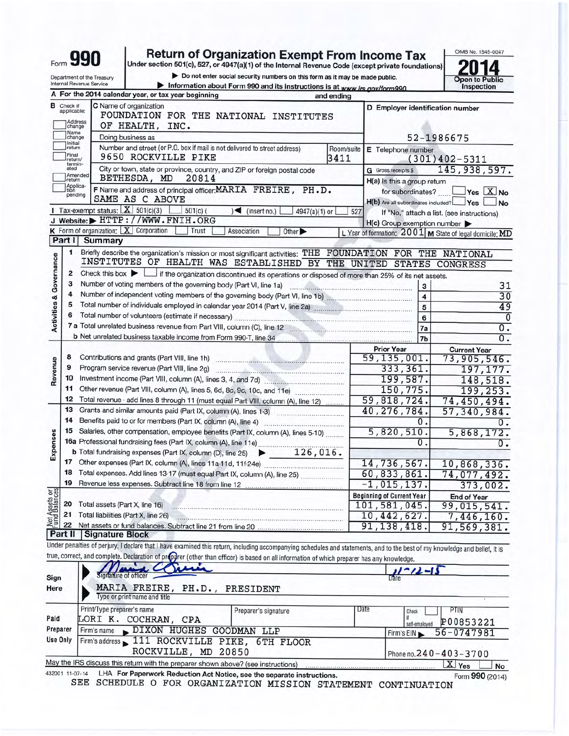| -orm |  |  |
|------|--|--|

Department of the Treasury

Internal Revenue Service

# Return of Organization Exempt From Income Tax<br>Under section 501(c), 527, or 4947(a)(1) of the Internal Revenue Code (except private foundations)

> Do not enter social security numbers on this form as it may be made public. Information about Form 990 and its instructions is at www.irs.gov/form990.

OMB No. 1545-0047 r Δ  $\mathbf{Z}$ Open to Public<br>Inspection

|                                              |                                       | A For the 2014 calendar year, or tax year beginning<br>and ending                                                                                                          |      |                                                     |                                                         |
|----------------------------------------------|---------------------------------------|----------------------------------------------------------------------------------------------------------------------------------------------------------------------------|------|-----------------------------------------------------|---------------------------------------------------------|
|                                              | <b>B</b> Check if applicable:         | C Name of organization<br>FOUNDATION FOR THE NATIONAL INSTITUTES                                                                                                           |      | D Employer identification number                    |                                                         |
|                                              | Address<br>change                     | OF HEALTH, INC.                                                                                                                                                            |      |                                                     |                                                         |
|                                              | Name<br>change                        | Doing business as                                                                                                                                                          |      |                                                     | 52-1986675                                              |
|                                              | Initial<br>return<br>Final<br>return/ | Number and street (or P.O. box if mail is not delivered to street address)<br>Room/suite<br>9650 ROCKVILLE PIKE<br>3411                                                    |      | E Telephone number                                  | $(301)402 - 5311$                                       |
|                                              | termin-<br>ated                       | City or town, state or province, country, and ZIP or foreign postal code                                                                                                   |      | G Gross receipts \$                                 | 145, 938, 597.                                          |
|                                              | Jreturn                               | Amended<br>BETHESDA, MD<br>20814                                                                                                                                           |      | H(a) is this a group return                         |                                                         |
|                                              | Applica-                              | F Name and address of principal officer: MARIA FREIRE, PH.D.                                                                                                               |      | for subordinates?                                   | $\gamma$ es $\boxed{\text{X}}$ No                       |
|                                              | pending                               | SAME AS C ABOVE                                                                                                                                                            |      | H(b) Are all subordinates included? Yes             | No                                                      |
|                                              |                                       | 1 Tax-exempt status: $X \ 501(c)(3)$<br>$\frac{1}{2}$ 501(c) (<br>$\sqrt{ }$ (insert no.)<br>4947(a)(1) or                                                                 | 527  |                                                     | If "No," attach a list. (see instructions)              |
|                                              |                                       | J Website: FHTTP://WWW.FNIH.ORG                                                                                                                                            |      | $H(c)$ Group exemption number $\blacktriangleright$ |                                                         |
|                                              |                                       | <b>K</b> Form of organization: $X$ Corporation<br>Trust<br>Association<br>Other                                                                                            |      |                                                     | L Year of formation: 2001 M State of legal domicile: MD |
|                                              | Part I                                | Summary                                                                                                                                                                    |      |                                                     |                                                         |
|                                              | 1                                     | Briefly describe the organization's mission or most significant activities: THE FOUNDATION FOR THE NATIONAL                                                                |      |                                                     |                                                         |
| <b>Activities &amp; Governance</b>           |                                       | INSTITUTES OF HEALTH WAS ESTABLISHED BY THE UNITED STATES CONGRESS                                                                                                         |      |                                                     |                                                         |
|                                              | 2                                     | Check this box $\blacktriangleright$ $\Box$ if the organization discontinued its operations or disposed of more than 25% of its net assets.                                |      |                                                     |                                                         |
|                                              | з                                     | Number of voting members of the governing body (Part VI, line 1a)                                                                                                          |      | 3                                                   | 31                                                      |
|                                              | 4                                     |                                                                                                                                                                            |      | $\overline{4}$                                      | $\overline{30}$                                         |
|                                              | 5                                     | Total number of individuals employed in calendar year 2014 (Part V, line 2a)                                                                                               |      | 5                                                   | 49                                                      |
|                                              | 6                                     |                                                                                                                                                                            |      | 6                                                   | $\overline{\mathfrak{o}}$                               |
|                                              |                                       |                                                                                                                                                                            |      | 7a                                                  | $\overline{0}$ .                                        |
|                                              |                                       |                                                                                                                                                                            |      | 7b                                                  | $\overline{0}$ .                                        |
|                                              |                                       |                                                                                                                                                                            |      | <b>Prior Year</b>                                   | <b>Current Year</b>                                     |
|                                              | 8                                     |                                                                                                                                                                            |      | 59, 135, 001.                                       | 73,905,546.                                             |
| Revenue                                      | 9                                     |                                                                                                                                                                            |      | 333, 361.                                           | 197, 177.                                               |
|                                              | 10                                    | Investment income (Part VIII, column (A), lines 3, 4, and 7d)                                                                                                              |      | 199,587.                                            | 148,518.                                                |
|                                              | 11                                    | Other revenue (Part VIII, column (A), lines 5, 6d, 8c, 9c, 10c, and 11e)                                                                                                   |      | 150,775.                                            | 199, 253.                                               |
|                                              | 12                                    | Total revenue - add lines 8 through 11 (must equal Part VIII, column (A), line 12)                                                                                         |      | 59,818,724.                                         | 74,450,494.                                             |
|                                              | 13                                    |                                                                                                                                                                            |      | 40,276,784.                                         | 57,340,984.                                             |
|                                              | 14                                    |                                                                                                                                                                            |      | 0.                                                  | $\overline{0}$ .                                        |
|                                              | 15                                    | Salaries, other compensation, employee benefits (Part IX, column (A), lines 5-10)                                                                                          |      | 5,820,510.                                          | 5,868,172.                                              |
| Expenses                                     |                                       | 16a Professional fundraising fees (Part IX, column (A), line 11e)                                                                                                          |      | ο.                                                  | $\overline{0}$ .                                        |
|                                              |                                       | <b>b</b> Total fundraising expenses (Part IX, column (D), line 25) $\rightarrow$ 126, 016.                                                                                 |      |                                                     |                                                         |
|                                              | 17                                    |                                                                                                                                                                            |      | 14,736,567.                                         | 10,868,336.                                             |
|                                              | 18                                    | Total expenses. Add lines 13-17 (must equal Part IX, column (A), line 25)                                                                                                  |      | 60,833,861.                                         | 74,077,492.                                             |
|                                              | 19                                    |                                                                                                                                                                            |      | $-1,015,137.$                                       | 373,002.                                                |
| <b>Net Assets or</b><br><b>Fund Balances</b> |                                       |                                                                                                                                                                            |      | <b>Beginning of Current Year</b>                    | <b>End of Year</b>                                      |
|                                              |                                       | 20 Total assets (Part X, line 16)                                                                                                                                          |      | 101,581,045.                                        | 99,015,541.                                             |
|                                              |                                       | 21 Total liabilities (Part X, line 26)                                                                                                                                     |      | 10,442,627.                                         | 7,446,160.                                              |
|                                              | 22                                    | Net assets or fund balances. Subtract line 21 from line 20                                                                                                                 |      | 91, 138, 418.                                       | 91,569,381.                                             |
|                                              |                                       | <b>Part II   Signature Block</b>                                                                                                                                           |      |                                                     |                                                         |
|                                              |                                       | Under penalties of perjury, I declare that I have examined this return, including accompanying schedules and statements, and to the best of my knowledge and belief, it is |      |                                                     |                                                         |
|                                              |                                       | true, correct, and complete. Declaration of proparer (other than officer) is based on all information of which preparer has any knowledge.                                 |      |                                                     |                                                         |
|                                              |                                       | Signature of officer                                                                                                                                                       |      | $\frac{1}{\text{Date}} - 12 - 13$                   |                                                         |
| Sign                                         |                                       |                                                                                                                                                                            |      |                                                     |                                                         |
| Here                                         |                                       | MARIA FREIRE, PH.D.,<br>PRESIDENT<br>Type or print name and title                                                                                                          |      |                                                     |                                                         |
|                                              |                                       |                                                                                                                                                                            |      |                                                     |                                                         |
|                                              |                                       | Print/Type preparer's name<br>Preparer's signature                                                                                                                         | Date | Check                                               | ptin                                                    |
| Paid                                         |                                       | LORI K. COCHRAN, CPA                                                                                                                                                       |      | self-employed                                       | P00853221                                               |
| Preparer                                     |                                       | DIXON HUGHES GOODMAN LLP<br>Firm's name                                                                                                                                    |      | Firm's EIN                                          | 56-0747981                                              |
| Use Only                                     |                                       | Firm's address 111 ROCKVILLE PIKE, 6TH FLOOR                                                                                                                               |      |                                                     |                                                         |
|                                              |                                       | ROCKVILLE, MD 20850                                                                                                                                                        |      |                                                     | Phone no. 240 - 403 - 3700                              |
|                                              |                                       | May the IRS discuss this return with the preparer shown above? (see instructions)                                                                                          |      |                                                     | X Yes<br>No                                             |
|                                              | 432001 11-07-14                       | LHA For Paperwork Reduction Act Notice, see the separate instructions.                                                                                                     |      |                                                     | Form 990 (2014)                                         |
|                                              |                                       | SEE<br>SCHEDULE O FOR ORGANIZATION MISSION STATEMENT CONTINUATION                                                                                                          |      |                                                     |                                                         |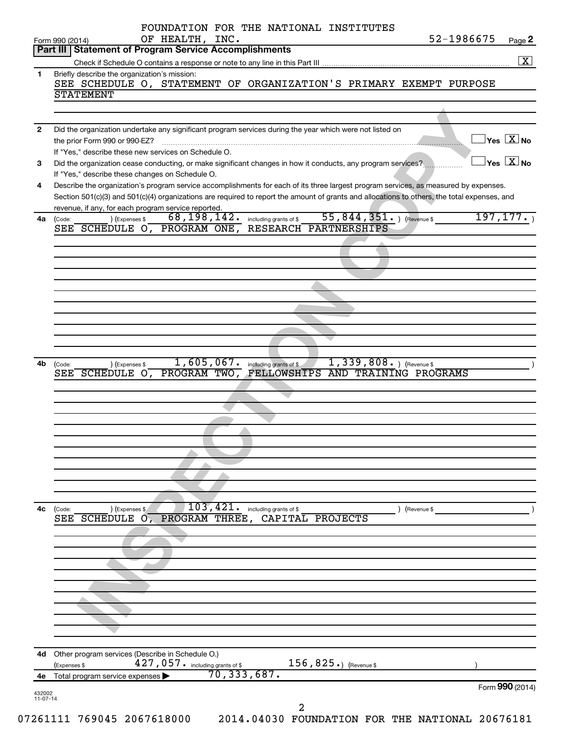|              | Part III   Statement of Program Service Accomplishments                                                                                                                                                                                                                                                                                     |                                            |
|--------------|---------------------------------------------------------------------------------------------------------------------------------------------------------------------------------------------------------------------------------------------------------------------------------------------------------------------------------------------|--------------------------------------------|
| 1            | Briefly describe the organization's mission:<br>SEE SCHEDULE O, STATEMENT OF ORGANIZATION'S PRIMARY EXEMPT PURPOSE                                                                                                                                                                                                                          |                                            |
|              | <b>STATEMENT</b>                                                                                                                                                                                                                                                                                                                            |                                            |
| $\mathbf{2}$ | Did the organization undertake any significant program services during the year which were not listed on                                                                                                                                                                                                                                    |                                            |
|              | the prior Form 990 or 990-EZ?<br>If "Yes," describe these new services on Schedule O.                                                                                                                                                                                                                                                       | $\overline{\mathsf{Yes} \mathbb{X}}$ No    |
| 3            | Did the organization cease conducting, or make significant changes in how it conducts, any program services?<br>If "Yes," describe these changes on Schedule O.                                                                                                                                                                             | $\overline{\ }$ Yes $\overline{\ \ \ }$ No |
| 4            | Describe the organization's program service accomplishments for each of its three largest program services, as measured by expenses.<br>Section 501(c)(3) and 501(c)(4) organizations are required to report the amount of grants and allocations to others, the total expenses, and<br>revenue, if any, for each program service reported. |                                            |
| 4a           | 55,844,351.<br>68,198,142.<br>) (Revenue \$<br>) (Expenses \$<br>including grants of \$<br>(Code:<br>RESEARCH PARTNERSHIPS<br>SEE SCHEDULE O, PROGRAM ONE,                                                                                                                                                                                  | 197, 177.                                  |
|              |                                                                                                                                                                                                                                                                                                                                             |                                            |
|              |                                                                                                                                                                                                                                                                                                                                             |                                            |
|              |                                                                                                                                                                                                                                                                                                                                             |                                            |
|              |                                                                                                                                                                                                                                                                                                                                             |                                            |
|              |                                                                                                                                                                                                                                                                                                                                             |                                            |
|              |                                                                                                                                                                                                                                                                                                                                             |                                            |
|              |                                                                                                                                                                                                                                                                                                                                             |                                            |
|              |                                                                                                                                                                                                                                                                                                                                             |                                            |
|              | 1,605,067.<br>$1,339,808.$ ) (Revenue \$<br>including grants of \$<br>) (Expenses \$<br>(Code:                                                                                                                                                                                                                                              |                                            |
|              | PROGRAM TWO, FELLOWSHIPS AND TRAINING PROGRAMS<br>SEE SCHEDULE O,                                                                                                                                                                                                                                                                           |                                            |
| 4b           |                                                                                                                                                                                                                                                                                                                                             |                                            |
|              |                                                                                                                                                                                                                                                                                                                                             |                                            |
|              |                                                                                                                                                                                                                                                                                                                                             |                                            |
|              |                                                                                                                                                                                                                                                                                                                                             |                                            |
|              |                                                                                                                                                                                                                                                                                                                                             |                                            |
|              |                                                                                                                                                                                                                                                                                                                                             |                                            |
| 4c           | 103,421.<br>including grants of \$<br>) (Revenue \$<br>) (Expenses \$<br>(Code:                                                                                                                                                                                                                                                             |                                            |
|              | PROGRAM THREE, CAPITAL PROJECTS<br>SEE SCHEDULE O.                                                                                                                                                                                                                                                                                          |                                            |
|              |                                                                                                                                                                                                                                                                                                                                             |                                            |
|              |                                                                                                                                                                                                                                                                                                                                             |                                            |
|              |                                                                                                                                                                                                                                                                                                                                             |                                            |
|              |                                                                                                                                                                                                                                                                                                                                             |                                            |
|              |                                                                                                                                                                                                                                                                                                                                             |                                            |
|              |                                                                                                                                                                                                                                                                                                                                             |                                            |
|              |                                                                                                                                                                                                                                                                                                                                             |                                            |
| 4d           | Other program services (Describe in Schedule O.)<br>427, 057. including grants of \$<br>156,825.) (Revenue \$<br>(Expenses \$<br>70, 333, 687.                                                                                                                                                                                              |                                            |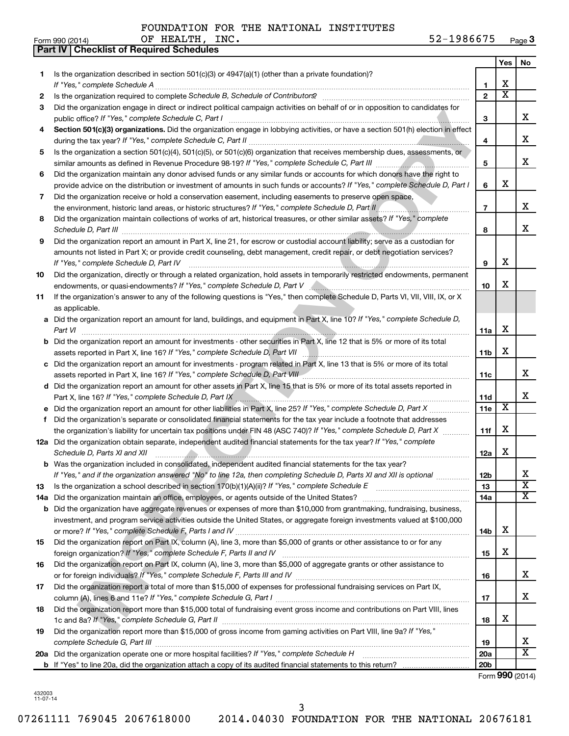**Part IV Checklist of Required Schedules**

|    |                                                                                                                                                                                                                                                   |                 | <b>Yes</b>              | No                      |
|----|---------------------------------------------------------------------------------------------------------------------------------------------------------------------------------------------------------------------------------------------------|-----------------|-------------------------|-------------------------|
| 1. | Is the organization described in section $501(c)(3)$ or $4947(a)(1)$ (other than a private foundation)?                                                                                                                                           |                 |                         |                         |
|    |                                                                                                                                                                                                                                                   | 1               | х                       |                         |
| 2  |                                                                                                                                                                                                                                                   | $\overline{2}$  | $\overline{\text{x}}$   |                         |
| З  | Did the organization engage in direct or indirect political campaign activities on behalf of or in opposition to candidates for                                                                                                                   | 3               |                         | x                       |
| 4  | Section 501(c)(3) organizations. Did the organization engage in lobbying activities, or have a section 501(h) election in effect                                                                                                                  | 4               |                         | x                       |
| 5  | Is the organization a section 501(c)(4), 501(c)(5), or 501(c)(6) organization that receives membership dues, assessments, or                                                                                                                      |                 |                         |                         |
|    |                                                                                                                                                                                                                                                   | 5               |                         | x                       |
| 6  | Did the organization maintain any donor advised funds or any similar funds or accounts for which donors have the right to                                                                                                                         |                 |                         |                         |
|    | provide advice on the distribution or investment of amounts in such funds or accounts? If "Yes," complete Schedule D, Part I                                                                                                                      | 6               | X                       |                         |
| 7  | Did the organization receive or hold a conservation easement, including easements to preserve open space,                                                                                                                                         |                 |                         |                         |
|    | the environment, historic land areas, or historic structures? If "Yes," complete Schedule D, Part II                                                                                                                                              | $\overline{7}$  |                         | x                       |
| 8  | Did the organization maintain collections of works of art, historical treasures, or other similar assets? If "Yes," complete                                                                                                                      | 8               |                         | x.                      |
| 9  | Did the organization report an amount in Part X, line 21, for escrow or custodial account liability; serve as a custodian for                                                                                                                     |                 |                         |                         |
|    | amounts not listed in Part X; or provide credit counseling, debt management, credit repair, or debt negotiation services?                                                                                                                         |                 |                         |                         |
|    | If "Yes," complete Schedule D, Part IV                                                                                                                                                                                                            | 9               | x                       |                         |
| 10 | Did the organization, directly or through a related organization, hold assets in temporarily restricted endowments, permanent                                                                                                                     |                 |                         |                         |
|    | endowments, or quasi-endowments? If "Yes," complete Schedule D, Part V [Conservent contents and content content                                                                                                                                   | 10              | X                       |                         |
| 11 | If the organization's answer to any of the following questions is "Yes," then complete Schedule D, Parts VI, VII, VIII, IX, or X                                                                                                                  |                 |                         |                         |
|    | as applicable.<br>a Did the organization report an amount for land, buildings, and equipment in Part X, line 10? If "Yes," complete Schedule D,                                                                                                   |                 |                         |                         |
|    | Part VI                                                                                                                                                                                                                                           | 11a             | х                       |                         |
|    | <b>b</b> Did the organization report an amount for investments - other securities in Part X, line 12 that is 5% or more of its total                                                                                                              |                 |                         |                         |
|    |                                                                                                                                                                                                                                                   | 11 <sub>b</sub> | X                       |                         |
|    | c Did the organization report an amount for investments - program related in Part X, line 13 that is 5% or more of its total                                                                                                                      |                 |                         |                         |
|    | assets reported in Part X, line 16? If "Yes," complete Schedule D, Part VIII [[[[[[[[[[[[[[[[[[[[[[[[[[[[]]]]]                                                                                                                                    | 11c             |                         | x.                      |
|    | d Did the organization report an amount for other assets in Part X, line 15 that is 5% or more of its total assets reported in                                                                                                                    |                 |                         |                         |
|    |                                                                                                                                                                                                                                                   | 11d             |                         | x                       |
|    | e Did the organization report an amount for other liabilities in Part X, line 25? If "Yes," complete Schedule D, Part X                                                                                                                           | 11 <sub>e</sub> | $\overline{\mathbf{X}}$ |                         |
| f  | Did the organization's separate or consolidated financial statements for the tax year include a footnote that addresses                                                                                                                           |                 | X                       |                         |
|    | the organization's liability for uncertain tax positions under FIN 48 (ASC 740)? If "Yes," complete Schedule D, Part X<br>12a Did the organization obtain separate, independent audited financial statements for the tax year? If "Yes," complete | 11f             |                         |                         |
|    | Schedule D, Parts XI and XII                                                                                                                                                                                                                      | 12a             | X                       |                         |
|    | <b>b</b> Was the organization included in consolidated, independent audited financial statements for the tax year?                                                                                                                                |                 |                         |                         |
|    | If "Yes," and if the organization answered "No" to line 12a, then completing Schedule D, Parts XI and XII is optional                                                                                                                             | 12b             |                         | A                       |
| 13 |                                                                                                                                                                                                                                                   | 13              |                         | $\overline{\textbf{x}}$ |
|    |                                                                                                                                                                                                                                                   | 14a             |                         | X                       |
|    | <b>b</b> Did the organization have aggregate revenues or expenses of more than \$10,000 from grantmaking, fundraising, business,                                                                                                                  |                 |                         |                         |
|    | investment, and program service activities outside the United States, or aggregate foreign investments valued at \$100,000                                                                                                                        |                 |                         |                         |
|    |                                                                                                                                                                                                                                                   | 14b             | x                       |                         |
| 15 | Did the organization report on Part IX, column (A), line 3, more than \$5,000 of grants or other assistance to or for any                                                                                                                         |                 | X                       |                         |
| 16 | Did the organization report on Part IX, column (A), line 3, more than \$5,000 of aggregate grants or other assistance to                                                                                                                          | 15              |                         |                         |
|    |                                                                                                                                                                                                                                                   | 16              |                         | X.                      |
| 17 | Did the organization report a total of more than \$15,000 of expenses for professional fundraising services on Part IX,                                                                                                                           |                 |                         |                         |
|    |                                                                                                                                                                                                                                                   | 17              |                         | x                       |
| 18 | Did the organization report more than \$15,000 total of fundraising event gross income and contributions on Part VIII, lines                                                                                                                      |                 |                         |                         |
|    |                                                                                                                                                                                                                                                   | 18              | х                       |                         |
| 19 | Did the organization report more than \$15,000 of gross income from gaming activities on Part VIII, line 9a? If "Yes,"                                                                                                                            |                 |                         |                         |
|    |                                                                                                                                                                                                                                                   | 19              |                         | x                       |
|    | 20a Did the organization operate one or more hospital facilities? If "Yes," complete Schedule H                                                                                                                                                   | 20a             |                         | $\overline{\mathbf{X}}$ |
|    |                                                                                                                                                                                                                                                   | 20 <sub>b</sub> |                         | Form 990 (2014)         |
|    |                                                                                                                                                                                                                                                   |                 |                         |                         |

432003 11-07-14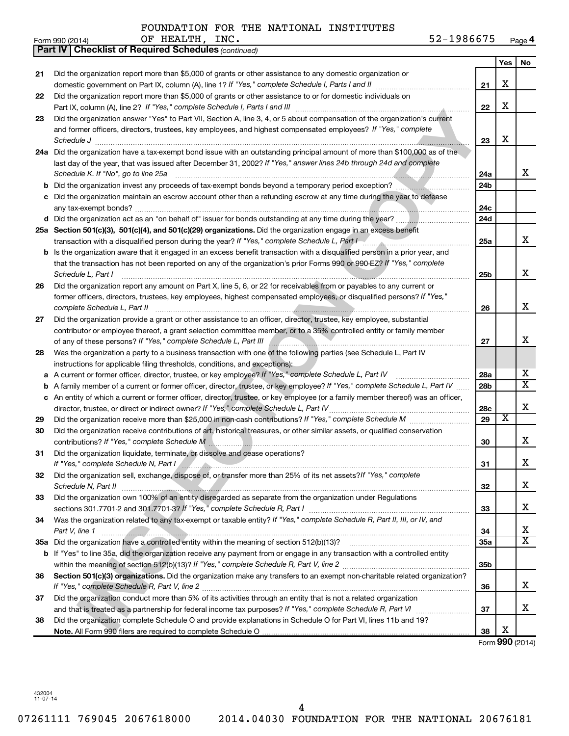|    | <b>Part IV   Checklist of Required Schedules (continued)</b>                                                                    |                 |                         |                       |
|----|---------------------------------------------------------------------------------------------------------------------------------|-----------------|-------------------------|-----------------------|
|    |                                                                                                                                 |                 | Yes                     | No                    |
| 21 | Did the organization report more than \$5,000 of grants or other assistance to any domestic organization or                     |                 |                         |                       |
|    |                                                                                                                                 | 21              | X                       |                       |
| 22 | Did the organization report more than \$5,000 of grants or other assistance to or for domestic individuals on                   |                 |                         |                       |
|    |                                                                                                                                 | 22              | X                       |                       |
| 23 | Did the organization answer "Yes" to Part VII, Section A, line 3, 4, or 5 about compensation of the organization's current      |                 |                         |                       |
|    | and former officers, directors, trustees, key employees, and highest compensated employees? If "Yes," complete                  |                 |                         |                       |
|    |                                                                                                                                 | 23              | X                       |                       |
|    | 24a Did the organization have a tax-exempt bond issue with an outstanding principal amount of more than \$100,000 as of the     |                 |                         |                       |
|    | last day of the year, that was issued after December 31, 2002? If "Yes," answer lines 24b through 24d and complete              |                 |                         |                       |
|    | Schedule K. If "No", go to line 25a                                                                                             | 24a             |                         | x                     |
| b  | Did the organization invest any proceeds of tax-exempt bonds beyond a temporary period exception?                               | 24 <sub>b</sub> |                         |                       |
|    | Did the organization maintain an escrow account other than a refunding escrow at any time during the year to defease            |                 |                         |                       |
|    |                                                                                                                                 | 24c             |                         |                       |
|    |                                                                                                                                 | 24d             |                         |                       |
|    | 25a Section 501(c)(3), 501(c)(4), and 501(c)(29) organizations. Did the organization engage in an excess benefit                |                 |                         |                       |
|    |                                                                                                                                 | 25a             |                         | x                     |
| b  | Is the organization aware that it engaged in an excess benefit transaction with a disqualified person in a prior year, and      |                 |                         |                       |
|    | that the transaction has not been reported on any of the organization's prior Forms 990 or 990-EZ? If "Yes," complete           |                 |                         |                       |
|    | Schedule L, Part I                                                                                                              | 25b             |                         | х                     |
| 26 | Did the organization report any amount on Part X, line 5, 6, or 22 for receivables from or payables to any current or           |                 |                         |                       |
|    | former officers, directors, trustees, key employees, highest compensated employees, or disqualified persons? If "Yes,"          |                 |                         |                       |
|    | complete Schedule L, Part II                                                                                                    | 26              |                         | х                     |
| 27 | Did the organization provide a grant or other assistance to an officer, director, trustee, key employee, substantial            |                 |                         |                       |
|    | contributor or employee thereof, a grant selection committee member, or to a 35% controlled entity or family member             |                 |                         |                       |
|    |                                                                                                                                 | 27              |                         | x                     |
| 28 | Was the organization a party to a business transaction with one of the following parties (see Schedule L, Part IV               |                 |                         |                       |
|    | instructions for applicable filing thresholds, conditions, and exceptions):                                                     |                 |                         |                       |
| а  | A current or former officer, director, trustee, or key employee? If "Yes," complete Schedule L, Part IV                         | 28a             |                         | х                     |
| b  | A family member of a current or former officer, director, trustee, or key employee? If "Yes," complete Schedule L, Part IV      | 28 <sub>b</sub> |                         | $\overline{\text{X}}$ |
| c  | An entity of which a current or former officer, director, trustee, or key employee (or a family member thereof) was an officer, |                 |                         |                       |
|    | director, trustee, or direct or indirect owner? If "Yes," complete Schedule L, Part IV                                          | 28c             |                         | х                     |
| 29 |                                                                                                                                 | 29              | $\overline{\textbf{x}}$ |                       |
| 30 | Did the organization receive contributions of art, historical treasures, or other similar assets, or qualified conservation     |                 |                         |                       |
|    | contributions? If "Yes," complete Schedule M                                                                                    | 30              |                         | х                     |
| 31 | Did the organization liquidate, terminate, or dissolve and cease operations?                                                    |                 |                         |                       |
|    | If "Yes," complete Schedule N, Part I                                                                                           | 31              |                         | Χ                     |
| 32 | Did the organization sell, exchange, dispose of, or transfer more than 25% of its net assets?/f "Yes," complete                 |                 |                         |                       |
|    |                                                                                                                                 | 32              |                         | x                     |
| 33 | Did the organization own 100% of an entity disregarded as separate from the organization under Regulations                      |                 |                         |                       |
|    |                                                                                                                                 | 33              |                         | x                     |
| 34 | Was the organization related to any tax-exempt or taxable entity? If "Yes," complete Schedule R, Part II, III, or IV, and       |                 |                         |                       |
|    | Part V, line 1                                                                                                                  | 34              |                         | х                     |
|    |                                                                                                                                 | 35a             |                         | $\overline{\text{X}}$ |
|    | b If "Yes" to line 35a, did the organization receive any payment from or engage in any transaction with a controlled entity     |                 |                         |                       |
|    |                                                                                                                                 | 35 <sub>b</sub> |                         |                       |
| 36 | Section 501(c)(3) organizations. Did the organization make any transfers to an exempt non-charitable related organization?      |                 |                         |                       |
|    |                                                                                                                                 | 36              |                         | x                     |
| 37 | Did the organization conduct more than 5% of its activities through an entity that is not a related organization                |                 |                         |                       |
|    |                                                                                                                                 | 37              |                         | х                     |
| 38 | Did the organization complete Schedule O and provide explanations in Schedule O for Part VI, lines 11b and 19?                  |                 | х                       |                       |
|    |                                                                                                                                 | 38              |                         |                       |

Form (2014) **990**

432004 11-07-14

Form 990 (2014) OF HEALTH, INC . 52-1986675 <sub>Page</sub> **4**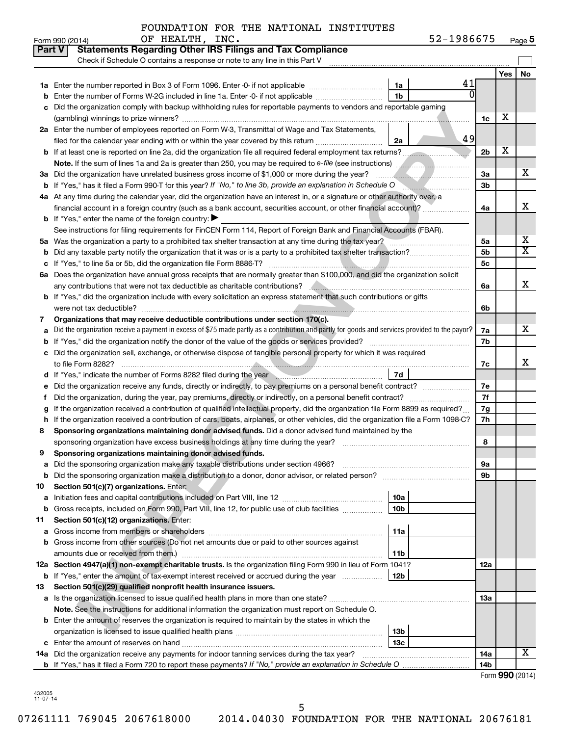| 52-1986675<br>Page 5 |  |
|----------------------|--|
|----------------------|--|

|    | OF HEALTH, INC.<br>Form 990 (2014)                                                                                                                                                                                                   | 52-1986675 |                 |     | Page 5                  |
|----|--------------------------------------------------------------------------------------------------------------------------------------------------------------------------------------------------------------------------------------|------------|-----------------|-----|-------------------------|
|    | <b>Statements Regarding Other IRS Filings and Tax Compliance</b><br><b>Part V</b>                                                                                                                                                    |            |                 |     |                         |
|    | Check if Schedule O contains a response or note to any line in this Part V                                                                                                                                                           |            |                 |     |                         |
|    |                                                                                                                                                                                                                                      |            |                 | Yes | No                      |
|    | 1a                                                                                                                                                                                                                                   | 41         |                 |     |                         |
| b  | 1 <sub>b</sub><br>Enter the number of Forms W-2G included in line 1a. Enter -0- if not applicable                                                                                                                                    |            |                 |     |                         |
| с  | Did the organization comply with backup withholding rules for reportable payments to vendors and reportable gaming                                                                                                                   |            |                 |     |                         |
|    |                                                                                                                                                                                                                                      |            | 1c              | х   |                         |
|    | 2a Enter the number of employees reported on Form W-3, Transmittal of Wage and Tax Statements,                                                                                                                                       |            |                 |     |                         |
|    | filed for the calendar year ending with or within the year covered by this return<br>2a                                                                                                                                              | 49         |                 |     |                         |
|    | <b>b</b> If at least one is reported on line 2a, did the organization file all required federal employment tax returns?                                                                                                              |            | 2 <sub>b</sub>  | X   |                         |
|    | Note. If the sum of lines 1a and 2a is greater than 250, you may be required to e-file (see instructions)                                                                                                                            |            |                 |     |                         |
|    | 3a Did the organization have unrelated business gross income of \$1,000 or more during the year?                                                                                                                                     |            | За              |     | x                       |
|    | <b>b</b> If "Yes," has it filed a Form 990-T for this year? If "No," to line 3b, provide an explanation in Schedule O                                                                                                                |            | 3 <sub>b</sub>  |     |                         |
|    | 4a At any time during the calendar year, did the organization have an interest in, or a signature or other authority over, a                                                                                                         |            |                 |     |                         |
|    | financial account in a foreign country (such as a bank account, securities account, or other financial account)?                                                                                                                     |            | 4a              |     | х                       |
|    | <b>b</b> If "Yes," enter the name of the foreign country: $\blacktriangleright$                                                                                                                                                      |            |                 |     |                         |
|    | See instructions for filing requirements for FinCEN Form 114, Report of Foreign Bank and Financial Accounts (FBAR).                                                                                                                  |            |                 |     |                         |
|    | 5a Was the organization a party to a prohibited tax shelter transaction at any time during the tax year?                                                                                                                             |            | 5a              |     | х                       |
| b  |                                                                                                                                                                                                                                      |            | 5 <sub>b</sub>  |     | $\overline{\mathtt{x}}$ |
| с  |                                                                                                                                                                                                                                      |            | 5c              |     |                         |
|    | 6a Does the organization have annual gross receipts that are normally greater than \$100,000, and did the organization solicit                                                                                                       |            |                 |     |                         |
|    |                                                                                                                                                                                                                                      |            | 6a              |     | x                       |
|    | <b>b</b> If "Yes," did the organization include with every solicitation an express statement that such contributions or gifts                                                                                                        |            |                 |     |                         |
|    |                                                                                                                                                                                                                                      |            | 6b              |     |                         |
| 7  | Organizations that may receive deductible contributions under section 170(c).                                                                                                                                                        |            |                 |     |                         |
| а  | Did the organization receive a payment in excess of \$75 made partly as a contribution and partly for goods and services provided to the payor?                                                                                      |            | 7a              |     | x                       |
| b  |                                                                                                                                                                                                                                      |            | 7b              |     |                         |
| c  | Did the organization sell, exchange, or otherwise dispose of tangible personal property for which it was required                                                                                                                    |            |                 |     |                         |
|    |                                                                                                                                                                                                                                      |            | 7c              |     | х                       |
|    | 7d<br>d If "Yes," indicate the number of Forms 8282 filed during the year manuscription contains an analyze of Forms and Theorem and Theorem and Theorem and Theorem and Theorem and Theorem and Theorem and Theorem and Theorem and |            |                 |     |                         |
| е  | Did the organization receive any funds, directly or indirectly, to pay premiums on a personal benefit contract?                                                                                                                      |            | 7е              |     |                         |
| Ť. | Did the organization, during the year, pay premiums, directly or indirectly, on a personal benefit contract?                                                                                                                         |            | 7f              |     |                         |
| g  | If the organization received a contribution of qualified intellectual property, did the organization file Form 8899 as required?                                                                                                     |            | 7g              |     |                         |
| h  | If the organization received a contribution of cars, boats, airplanes, or other vehicles, did the organization file a Form 1098-C?                                                                                                   |            | 7h              |     |                         |
| 8  | Sponsoring organizations maintaining donor advised funds. Did a donor advised fund maintained by the                                                                                                                                 |            |                 |     |                         |
|    | sponsoring organization have excess business holdings at any time during the year?                                                                                                                                                   |            | 8               |     |                         |
|    | Sponsoring organizations maintaining donor advised funds.                                                                                                                                                                            |            |                 |     |                         |
| а  | Did the sponsoring organization make any taxable distributions under section 4966?                                                                                                                                                   |            | 9а              |     |                         |
| b  | Did the sponsoring organization make a distribution to a donor, donor advisor, or related person?                                                                                                                                    |            | 9b              |     |                         |
| 10 | Section 501(c)(7) organizations. Enter:                                                                                                                                                                                              |            |                 |     |                         |
| а  | 10a                                                                                                                                                                                                                                  |            |                 |     |                         |
| b  | 10 <sub>b</sub><br>Gross receipts, included on Form 990, Part VIII, line 12, for public use of club facilities                                                                                                                       |            |                 |     |                         |
| 11 | Section 501(c)(12) organizations. Enter:                                                                                                                                                                                             |            |                 |     |                         |
| а  | 11a                                                                                                                                                                                                                                  |            |                 |     |                         |
|    | b Gross income from other sources (Do not net amounts due or paid to other sources against                                                                                                                                           |            |                 |     |                         |
|    | amounts due or received from them.)<br>11b                                                                                                                                                                                           |            |                 |     |                         |
|    | 12a Section 4947(a)(1) non-exempt charitable trusts. Is the organization filing Form 990 in lieu of Form 1041?                                                                                                                       |            | 12a             |     |                         |
|    | 12 <sub>b</sub><br><b>b</b> If "Yes," enter the amount of tax-exempt interest received or accrued during the year                                                                                                                    |            |                 |     |                         |
| 13 | Section 501(c)(29) qualified nonprofit health insurance issuers.                                                                                                                                                                     |            |                 |     |                         |
|    | a Is the organization licensed to issue qualified health plans in more than one state?                                                                                                                                               |            | 1За             |     |                         |
|    | Note. See the instructions for additional information the organization must report on Schedule O.                                                                                                                                    |            |                 |     |                         |
|    | <b>b</b> Enter the amount of reserves the organization is required to maintain by the states in which the                                                                                                                            |            |                 |     |                         |
|    | 13 <sub>b</sub>                                                                                                                                                                                                                      |            |                 |     |                         |
|    | 13 <sub>c</sub>                                                                                                                                                                                                                      |            |                 |     |                         |
|    | 14a Did the organization receive any payments for indoor tanning services during the tax year?                                                                                                                                       |            | 14a             |     | X                       |
|    |                                                                                                                                                                                                                                      |            | 14 <sub>b</sub> |     |                         |
|    |                                                                                                                                                                                                                                      |            |                 |     | Form 990 (2014)         |

432005 11-07-14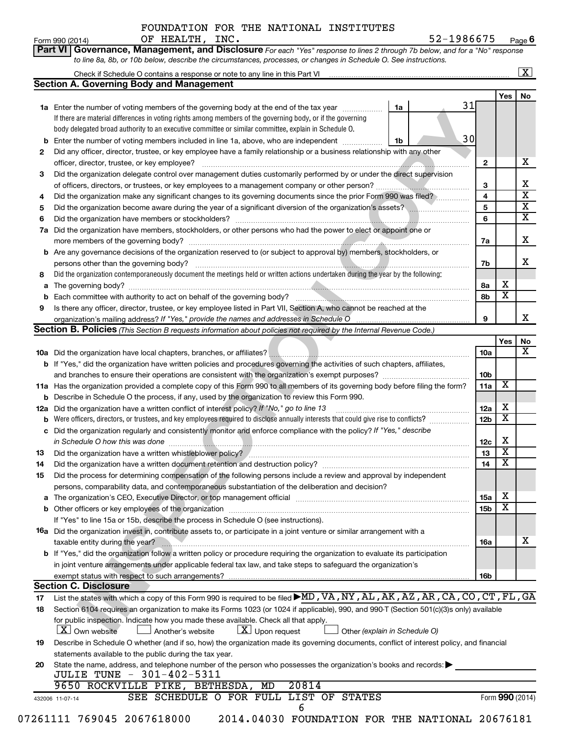#### FOUNDATION FOR THE NATIONAL INSTITUTES OF HEALTH, INC. 52-1986675

**Part VI Governance, Management, and Disclosure** 

Form 990 (2014) Page **6**

*For each "Yes" response to lines 2 through 7b below, and for a "No" response*

|                | Check if Schedule O contains a response or note to any line in this Part VI<br><b>Section A. Governing Body and Management</b>                                             |                 |                         |                         |
|----------------|----------------------------------------------------------------------------------------------------------------------------------------------------------------------------|-----------------|-------------------------|-------------------------|
|                |                                                                                                                                                                            |                 | Yes <sub>1</sub>        | No                      |
|                | 31<br>1a Enter the number of voting members of the governing body at the end of the tax year<br>1a                                                                         |                 |                         |                         |
|                | If there are material differences in voting rights among members of the governing body, or if the governing                                                                |                 |                         |                         |
|                | body delegated broad authority to an executive committee or similar committee, explain in Schedule O.                                                                      |                 |                         |                         |
|                | 30<br><b>b</b> Enter the number of voting members included in line 1a, above, who are independent<br>1b                                                                    |                 |                         |                         |
| 2              | Did any officer, director, trustee, or key employee have a family relationship or a business relationship with any other                                                   |                 |                         |                         |
|                |                                                                                                                                                                            | 2               |                         | х                       |
| З              | Did the organization delegate control over management duties customarily performed by or under the direct supervision                                                      |                 |                         |                         |
|                |                                                                                                                                                                            | 3               |                         | х                       |
| 4              | Did the organization make any significant changes to its governing documents since the prior Form 990 was filed?                                                           | 4               |                         | $\overline{\mathbf{x}}$ |
| 5              | Did the organization become aware during the year of a significant diversion of the organization's assets?                                                                 | 5               |                         | $\overline{\mathbf{X}}$ |
| 6              |                                                                                                                                                                            | 6               |                         | $\overline{\mathbf{x}}$ |
| 7a             | Did the organization have members, stockholders, or other persons who had the power to elect or appoint one or                                                             |                 |                         |                         |
|                |                                                                                                                                                                            | 7a              |                         | Х                       |
|                | <b>b</b> Are any governance decisions of the organization reserved to (or subject to approval by) members, stockholders, or                                                |                 |                         |                         |
|                |                                                                                                                                                                            | 7b              |                         | x                       |
| 8              | Did the organization contemporaneously document the meetings held or written actions undertaken during the year by the following:                                          |                 |                         |                         |
| а              |                                                                                                                                                                            | 8а              | х                       |                         |
| b              |                                                                                                                                                                            | 8b              | $\overline{\mathbf{x}}$ |                         |
| 9              | Is there any officer, director, trustee, or key employee listed in Part VII, Section A, who cannot be reached at the                                                       |                 |                         |                         |
|                |                                                                                                                                                                            | 9               |                         | х                       |
|                | Section B. Policies (This Section B requests information about policies not required by the Internal Revenue Code.)                                                        |                 |                         |                         |
|                |                                                                                                                                                                            |                 | Yes                     | No                      |
|                |                                                                                                                                                                            | <b>10a</b>      |                         | х                       |
|                | b If "Yes," did the organization have written policies and procedures governing the activities of such chapters, affiliates,                                               |                 |                         |                         |
|                |                                                                                                                                                                            | 10b             |                         |                         |
|                | 11a Has the organization provided a complete copy of this Form 990 to all members of its governing body before filing the form?                                            | 11a             | X                       |                         |
|                | <b>b</b> Describe in Schedule O the process, if any, used by the organization to review this Form 990.                                                                     |                 |                         |                         |
| 12a            | Did the organization have a written conflict of interest policy? If "No," go to line 13                                                                                    | 12a             | х                       |                         |
| b              | Were officers, directors, or trustees, and key employees required to disclose annually interests that could give rise to conflicts?                                        | 12 <sub>b</sub> | $\overline{\textbf{x}}$ |                         |
|                | c Did the organization regularly and consistently monitor and enforce compliance with the policy? If "Yes," describe                                                       |                 |                         |                         |
|                |                                                                                                                                                                            | 12c             | х                       |                         |
| 13             | Did the organization have a written whistleblower policy?<br>The manufacture content content to the content of the content of the content of the content of the content of | 13              | $\overline{\textbf{x}}$ |                         |
| 14             |                                                                                                                                                                            | 14              | $\overline{\textbf{x}}$ |                         |
| 15             | Did the process for determining compensation of the following persons include a review and approval by independent                                                         |                 |                         |                         |
|                | persons, comparability data, and contemporaneous substantiation of the deliberation and decision?                                                                          |                 |                         |                         |
|                |                                                                                                                                                                            | <b>15a</b>      | X                       |                         |
|                |                                                                                                                                                                            | 15b             | $\overline{\textbf{x}}$ |                         |
|                | If "Yes" to line 15a or 15b, describe the process in Schedule O (see instructions).                                                                                        |                 |                         |                         |
|                | <b>16a</b> Did the organization invest in, contribute assets to, or participate in a joint venture or similar arrangement with a                                           |                 |                         |                         |
|                | taxable entity during the year?                                                                                                                                            | 16a             |                         | x                       |
|                | b If "Yes," did the organization follow a written policy or procedure requiring the organization to evaluate its participation                                             |                 |                         |                         |
|                | in joint venture arrangements under applicable federal tax law, and take steps to safeguard the organization's                                                             |                 |                         |                         |
|                | exempt status with respect to such arrangements?                                                                                                                           | 16b             |                         |                         |
|                | <b>Section C. Disclosure</b>                                                                                                                                               |                 |                         |                         |
|                |                                                                                                                                                                            |                 |                         |                         |
|                | List the states with which a copy of this Form 990 is required to be filed MD, VA, NY, AL, AK, AZ, AR, CA, CO, CT, FL, GA                                                  |                 |                         |                         |
|                | Section 6104 requires an organization to make its Forms 1023 (or 1024 if applicable), 990, and 990-T (Section 501(c)(3)s only) available                                   |                 |                         |                         |
|                | for public inspection. Indicate how you made these available. Check all that apply.                                                                                        |                 |                         |                         |
|                | $\lfloor x \rfloor$ Upon request<br>$ \mathbf{X} $ Own website<br>Another's website<br>Other (explain in Schedule O)                                                       |                 |                         |                         |
|                | Describe in Schedule O whether (and if so, how) the organization made its governing documents, conflict of interest policy, and financial                                  |                 |                         |                         |
| 17<br>18<br>19 | statements available to the public during the tax year.                                                                                                                    |                 |                         |                         |
| 20             | State the name, address, and telephone number of the person who possesses the organization's books and records:                                                            |                 |                         |                         |
|                | JULIE TUNE - 301-402-5311                                                                                                                                                  |                 |                         |                         |
|                | 9650 ROCKVILLE PIKE, BETHESDA, MD<br>20814<br>SEE SCHEDULE O FOR FULL LIST OF STATES                                                                                       |                 | Form 990 (2014)         |                         |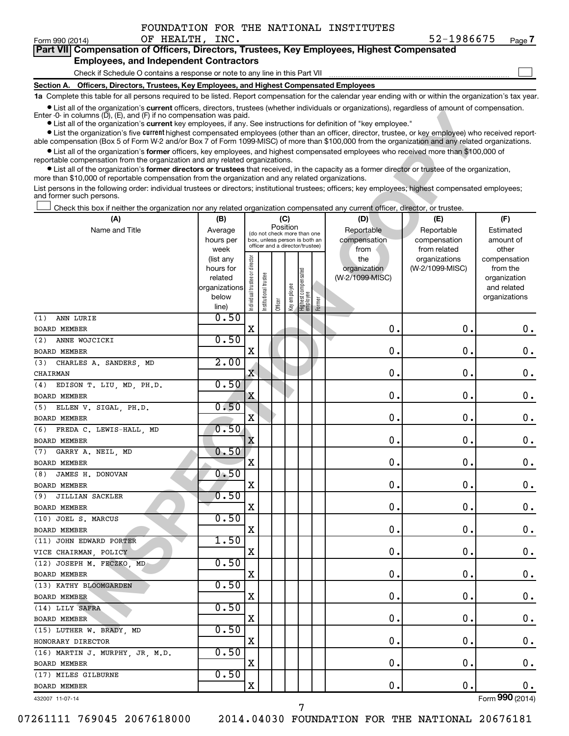$\Box$ 

| Part VII Compensation of Officers, Directors, Trustees, Key Employees, Highest Compensated |  |  |  |
|--------------------------------------------------------------------------------------------|--|--|--|
| <b>Employees, and Independent Contractors</b>                                              |  |  |  |

#### Check if Schedule O contains a response or note to any line in this Part VII

**Section A. Officers, Directors, Trustees, Key Employees, and Highest Compensated Employees**

**1a**  Complete this table for all persons required to be listed. Report compensation for the calendar year ending with or within the organization's tax year.

**•** List all of the organization's current officers, directors, trustees (whether individuals or organizations), regardless of amount of compensation.

| CISE OF USE OF QUALIZATION STOLEME ONCE IS, QUECTORS, THISTERS (WHELER INQUIDUATES OF ORGANIZATIONS), REGARDERS OF AN IDOUTE OF COMPRESSION.<br>Enter $-0$ in columns (D), (E), and (F) if no compensation was paid.                                                        |                        |                                |                      |          |              |                                                                  |        |                     |                                  |                          |  |
|-----------------------------------------------------------------------------------------------------------------------------------------------------------------------------------------------------------------------------------------------------------------------------|------------------------|--------------------------------|----------------------|----------|--------------|------------------------------------------------------------------|--------|---------------------|----------------------------------|--------------------------|--|
| • List all of the organization's current key employees, if any. See instructions for definition of "key employee."<br>• List the organization's five current highest compensated employees (other than an officer, director, trustee, or key employee) who received report- |                        |                                |                      |          |              |                                                                  |        |                     |                                  |                          |  |
| able compensation (Box 5 of Form W-2 and/or Box 7 of Form 1099-MISC) of more than \$100,000 from the organization and any related organizations.                                                                                                                            |                        |                                |                      |          |              |                                                                  |        |                     |                                  |                          |  |
| • List all of the organization's former officers, key employees, and highest compensated employees who received more than \$100,000 of                                                                                                                                      |                        |                                |                      |          |              |                                                                  |        |                     |                                  |                          |  |
| reportable compensation from the organization and any related organizations.                                                                                                                                                                                                |                        |                                |                      |          |              |                                                                  |        |                     |                                  |                          |  |
| • List all of the organization's former directors or trustees that received, in the capacity as a former director or trustee of the organization,<br>more than \$10,000 of reportable compensation from the organization and any related organizations.                     |                        |                                |                      |          |              |                                                                  |        |                     |                                  |                          |  |
| List persons in the following order: individual trustees or directors; institutional trustees; officers; key employees; highest compensated employees;<br>and former such persons.                                                                                          |                        |                                |                      |          |              |                                                                  |        |                     |                                  |                          |  |
| Check this box if neither the organization nor any related organization compensated any current officer, director, or trustee.                                                                                                                                              |                        |                                |                      |          |              |                                                                  |        |                     |                                  |                          |  |
| (A)                                                                                                                                                                                                                                                                         | (B)                    |                                |                      | (C)      |              |                                                                  |        | (D)                 | (E)                              | (F)                      |  |
| Name and Title                                                                                                                                                                                                                                                              | Average                |                                |                      | Position |              | (do not check more than one                                      |        | Reportable          | Reportable                       | Estimated                |  |
|                                                                                                                                                                                                                                                                             | hours per              |                                |                      |          |              | box, unless person is both an<br>officer and a director/trustee) |        | compensation        | compensation                     | amount of                |  |
|                                                                                                                                                                                                                                                                             | week                   |                                |                      |          |              |                                                                  |        | from                | from related                     | other                    |  |
|                                                                                                                                                                                                                                                                             | (list any<br>hours for |                                |                      |          |              |                                                                  |        | the<br>organization | organizations<br>(W-2/1099-MISC) | compensation<br>from the |  |
|                                                                                                                                                                                                                                                                             | related                |                                |                      |          |              |                                                                  |        | (W-2/1099-MISC)     |                                  | organization             |  |
|                                                                                                                                                                                                                                                                             | organizations          |                                |                      |          |              |                                                                  |        |                     |                                  | and related              |  |
|                                                                                                                                                                                                                                                                             | below                  | Individual trustee or director | nstitutional trustee |          | Key employee | Highest compensated<br>  employee                                | Former |                     |                                  | organizations            |  |
|                                                                                                                                                                                                                                                                             | line)                  |                                |                      | Officer  |              |                                                                  |        |                     |                                  |                          |  |
| ANN LURIE<br>(1)                                                                                                                                                                                                                                                            | 0.50                   |                                |                      |          |              |                                                                  |        |                     |                                  |                          |  |
| <b>BOARD MEMBER</b>                                                                                                                                                                                                                                                         |                        | X                              |                      |          |              |                                                                  |        | 0                   | $\mathbf 0$ .                    | $0$ .                    |  |
| ANNE WOJCICKI<br>(2)                                                                                                                                                                                                                                                        | 0.50                   | X                              |                      |          |              |                                                                  |        | 0                   | $\mathbf 0$ .                    |                          |  |
| <b>BOARD MEMBER</b>                                                                                                                                                                                                                                                         | 2.00                   |                                |                      |          |              |                                                                  |        |                     |                                  | $0$ .                    |  |
| (3)<br>CHARLES A. SANDERS, MD<br><b>CHAIRMAN</b>                                                                                                                                                                                                                            |                        | X                              |                      |          |              |                                                                  |        | 0                   | $\mathbf 0$ .                    | 0.                       |  |
| EDISON T. LIU, MD, PH.D.<br>(4)                                                                                                                                                                                                                                             | 0.50                   |                                |                      |          |              |                                                                  |        |                     |                                  |                          |  |
| <b>BOARD MEMBER</b>                                                                                                                                                                                                                                                         |                        | X                              |                      |          |              |                                                                  |        | 0                   | $\mathbf 0$ .                    | 0.                       |  |
| ELLEN V. SIGAL, PH.D.<br>(5)                                                                                                                                                                                                                                                | 0.50                   |                                |                      |          |              |                                                                  |        |                     |                                  |                          |  |
| <b>BOARD MEMBER</b>                                                                                                                                                                                                                                                         |                        | X                              |                      |          |              |                                                                  |        | 0                   | $\mathbf 0$ .                    | 0.                       |  |
| FREDA C. LEWIS-HALL, MD<br>(6)                                                                                                                                                                                                                                              | 0.50                   |                                |                      |          |              |                                                                  |        |                     |                                  |                          |  |
| <b>BOARD MEMBER</b>                                                                                                                                                                                                                                                         |                        | $\mathbf X$                    |                      |          |              |                                                                  |        | 0                   | $\mathbf 0$ .                    | 0.                       |  |
| GARRY A. NEIL, MD<br>(7)                                                                                                                                                                                                                                                    | 0.50                   |                                |                      |          |              |                                                                  |        |                     |                                  |                          |  |
| <b>BOARD MEMBER</b>                                                                                                                                                                                                                                                         |                        | X                              |                      |          |              |                                                                  |        | 0                   | $\mathbf 0$ .                    | 0.                       |  |
| JAMES H. DONOVAN<br>(8)                                                                                                                                                                                                                                                     | 0.50                   |                                |                      |          |              |                                                                  |        |                     |                                  |                          |  |
| <b>BOARD MEMBER</b>                                                                                                                                                                                                                                                         |                        | X                              |                      |          |              |                                                                  |        | 0                   | $\mathbf 0$ .                    | 0.                       |  |
| JILLIAN SACKLER<br>(9)                                                                                                                                                                                                                                                      | 0.50                   |                                |                      |          |              |                                                                  |        |                     |                                  |                          |  |
| <b>BOARD MEMBER</b>                                                                                                                                                                                                                                                         |                        | X                              |                      |          |              |                                                                  |        | 0                   | 0                                | 0.                       |  |
| (10) JOEL S. MARCUS                                                                                                                                                                                                                                                         | 0.50                   |                                |                      |          |              |                                                                  |        |                     |                                  |                          |  |
| <b>BOARD MEMBER</b>                                                                                                                                                                                                                                                         |                        | X                              |                      |          |              |                                                                  |        | 0.                  | 0.                               | 0.                       |  |
| (11) JOHN EDWARD PORTER                                                                                                                                                                                                                                                     | 1.50                   |                                |                      |          |              |                                                                  |        |                     |                                  |                          |  |
| VICE CHAIRMAN, POLICY                                                                                                                                                                                                                                                       |                        | х                              |                      |          |              |                                                                  |        | $\mathbf 0$ .       | 0.                               | $\mathbf 0$ .            |  |
| (12) JOSEPH M. FECZKO, MD                                                                                                                                                                                                                                                   | 0.50                   |                                |                      |          |              |                                                                  |        |                     |                                  |                          |  |
| BOARD MEMBER                                                                                                                                                                                                                                                                |                        | х                              |                      |          |              |                                                                  |        | 0.                  | 0.                               | $0 \cdot$                |  |
| (13) KATHY BLOOMGARDEN                                                                                                                                                                                                                                                      | 0.50                   |                                |                      |          |              |                                                                  |        |                     |                                  |                          |  |
| BOARD MEMBER                                                                                                                                                                                                                                                                | 0.50                   | х                              |                      |          |              |                                                                  |        | 0.                  | 0.                               | $0 \cdot$                |  |
| (14) LILY SAFRA                                                                                                                                                                                                                                                             |                        | х                              |                      |          |              |                                                                  |        | 0.                  | 0.                               |                          |  |
| BOARD MEMBER                                                                                                                                                                                                                                                                | 0.50                   |                                |                      |          |              |                                                                  |        |                     |                                  | $0 \cdot$                |  |
| (15) LUTHER W. BRADY, MD<br>HONORARY DIRECTOR                                                                                                                                                                                                                               |                        | х                              |                      |          |              |                                                                  |        | 0.                  | 0.                               | $0 \cdot$                |  |
| (16) MARTIN J. MURPHY, JR, M.D.                                                                                                                                                                                                                                             | 0.50                   |                                |                      |          |              |                                                                  |        |                     |                                  |                          |  |
| BOARD MEMBER                                                                                                                                                                                                                                                                |                        | х                              |                      |          |              |                                                                  |        | 0.                  | 0.                               | 0.                       |  |
| (17) MILES GILBURNE                                                                                                                                                                                                                                                         | 0.50                   |                                |                      |          |              |                                                                  |        |                     |                                  |                          |  |
| BOARD MEMBER                                                                                                                                                                                                                                                                |                        | X                              |                      |          |              |                                                                  |        | 0.                  | $\mathbf 0$ .                    | 0.                       |  |
|                                                                                                                                                                                                                                                                             |                        |                                |                      |          |              |                                                                  |        |                     |                                  |                          |  |

432007 11-07-14

07261111 769045 2067618000 2014.04030 FOUNDATION FOR THE NATIONAL 20676181

7

Form (2014) **990**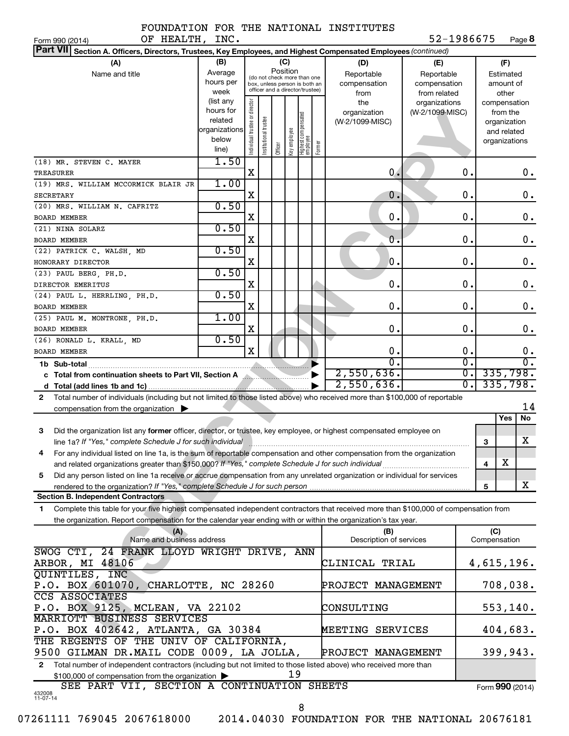| FOUNDATION FOR THE NATIONAL INSTITUTES |  |  |
|----------------------------------------|--|--|
|                                        |  |  |

Form 990 (2014)  $\qquad \qquad \text{OF} \qquad \text{HEALTH}$ ,  $\qquadtext{INC} \qquad \qquad \qquad \text{952--1986675}$  Page 52-1986675 Page 8

| <b>Part VII</b><br>Section A. Officers, Directors, Trustees, Key Employees, and Highest Compensated Employees (continued)                    |                      |                                |                       |          |              |                                                              |        |                                |                  |                             |
|----------------------------------------------------------------------------------------------------------------------------------------------|----------------------|--------------------------------|-----------------------|----------|--------------|--------------------------------------------------------------|--------|--------------------------------|------------------|-----------------------------|
| (A)                                                                                                                                          | (B)                  |                                |                       |          | (C)          |                                                              |        | (D)                            | (E)              | (F)                         |
| Name and title                                                                                                                               | Average              |                                |                       | Position |              |                                                              |        | Reportable                     | Reportable       | Estimated                   |
|                                                                                                                                              | hours per            |                                |                       |          |              | (do not check more than one<br>box, unless person is both an |        | compensation                   | compensation     | amount of                   |
|                                                                                                                                              | week                 |                                |                       |          |              | officer and a director/trustee)                              |        | from                           | from related     | other                       |
|                                                                                                                                              | (list any            |                                |                       |          |              |                                                              |        | the                            | organizations    | compensation                |
|                                                                                                                                              | hours for<br>related |                                |                       |          |              |                                                              |        | organization                   | (W-2/1099-MISC)  | from the                    |
|                                                                                                                                              | organizations        |                                |                       |          |              |                                                              |        | (W-2/1099-MISC)                |                  | organization<br>and related |
|                                                                                                                                              | below                |                                |                       |          |              |                                                              |        |                                |                  | organizations               |
|                                                                                                                                              | line)                | Individual trustee or director | Institutional trustee | Officer  | Key employee | Highest compensated<br>employee                              | Former |                                |                  |                             |
| (18) MR. STEVEN C. MAYER                                                                                                                     | 1.50                 |                                |                       |          |              |                                                              |        |                                |                  |                             |
| <b>TREASURER</b>                                                                                                                             |                      | X                              |                       |          |              |                                                              |        | 0.                             | 0.               | $0$ .                       |
| (19) MRS. WILLIAM MCCORMICK BLAIR JR                                                                                                         | 1.00                 |                                |                       |          |              |                                                              |        |                                |                  |                             |
| <b>SECRETARY</b>                                                                                                                             |                      | Χ                              |                       |          |              |                                                              |        | 0.                             | 0.               | 0.                          |
| (20) MRS. WILLIAM N. CAFRITZ                                                                                                                 | 0.50                 |                                |                       |          |              |                                                              |        |                                |                  |                             |
| BOARD MEMBER                                                                                                                                 |                      | X                              |                       |          |              |                                                              |        | 0.                             | 0.               | 0.                          |
| (21) NINA SOLARZ                                                                                                                             | 0.50                 |                                |                       |          |              |                                                              |        |                                |                  |                             |
| BOARD MEMBER                                                                                                                                 |                      | X                              |                       |          |              |                                                              |        | 0.                             | 0.               | 0.                          |
| (22) PATRICK C. WALSH, MD                                                                                                                    | 0.50                 |                                |                       |          |              |                                                              |        |                                |                  |                             |
| HONORARY DIRECTOR                                                                                                                            |                      | Χ                              |                       |          |              |                                                              |        | $\mathbf 0$ .                  | 0.               | 0.                          |
|                                                                                                                                              | 0.50                 |                                |                       |          |              |                                                              |        |                                |                  |                             |
| (23) PAUL BERG, PH.D.                                                                                                                        |                      | X                              |                       |          |              |                                                              |        | 0.                             | Ο.               | 0.                          |
| DIRECTOR EMERITUS                                                                                                                            | 0.50                 |                                |                       |          |              |                                                              |        |                                |                  |                             |
| (24) PAUL L. HERRLING, PH.D.                                                                                                                 |                      | X                              |                       |          |              |                                                              |        | $\mathbf 0$ .                  | Ο.               | 0.                          |
| BOARD MEMBER                                                                                                                                 | 1.00                 |                                |                       |          |              |                                                              |        |                                |                  |                             |
| (25) PAUL M. MONTRONE, PH.D.                                                                                                                 |                      | X                              |                       |          |              |                                                              |        | $\mathbf 0$ .                  | 0.               | 0.                          |
| BOARD MEMBER                                                                                                                                 | 0.50                 |                                |                       |          |              |                                                              |        |                                |                  |                             |
| (26) RONALD L. KRALL, MD                                                                                                                     |                      | X                              |                       |          |              |                                                              |        | 0.                             | 0.               |                             |
| BOARD MEMBER                                                                                                                                 |                      |                                |                       |          |              |                                                              |        | О.                             | $\overline{0}$ . | 0.<br>$\overline{0}$ .      |
|                                                                                                                                              |                      |                                |                       |          |              |                                                              |        |                                | σ.               |                             |
| c Total from continuation sheets to Part VII, Section A                                                                                      |                      |                                |                       |          |              |                                                              |        | 2,550,636.                     |                  | 335,798.                    |
|                                                                                                                                              |                      |                                |                       |          |              |                                                              |        | 2,550,636.                     | $\overline{0}$ . | 335,798.                    |
| Total number of individuals (including but not limited to those listed above) who received more than \$100,000 of reportable<br>$\mathbf{2}$ |                      |                                |                       |          |              |                                                              |        |                                |                  |                             |
| compensation from the organization $\blacktriangleright$                                                                                     |                      |                                |                       |          |              |                                                              |        |                                |                  | 14                          |
|                                                                                                                                              |                      |                                |                       |          |              |                                                              |        |                                |                  | No<br>Yes                   |
| Did the organization list any former officer, director, or trustee, key employee, or highest compensated employee on<br>3                    |                      |                                |                       |          |              |                                                              |        |                                |                  |                             |
| line 1a? If "Yes," complete Schedule J for such individual                                                                                   |                      |                                |                       |          |              |                                                              |        |                                |                  | х<br>3                      |
| For any individual listed on line 1a, is the sum of reportable compensation and other compensation from the organization<br>4                |                      |                                |                       |          |              |                                                              |        |                                |                  |                             |
|                                                                                                                                              |                      |                                |                       |          |              |                                                              |        |                                |                  | $\mathbf X$<br>4            |
| Did any person listed on line 1a receive or accrue compensation from any unrelated organization or individual for services<br>5              |                      |                                |                       |          |              |                                                              |        |                                |                  |                             |
| rendered to the organization? If "Yes," complete Schedule J for such person                                                                  |                      |                                |                       |          |              |                                                              |        |                                |                  | X<br>5                      |
| <b>Section B. Independent Contractors</b>                                                                                                    |                      |                                |                       |          |              |                                                              |        |                                |                  |                             |
| Complete this table for your five highest compensated independent contractors that received more than \$100,000 of compensation from<br>1    |                      |                                |                       |          |              |                                                              |        |                                |                  |                             |
| the organization. Report compensation for the calendar year ending with or within the organization's tax year.                               |                      |                                |                       |          |              |                                                              |        |                                |                  |                             |
| (A)<br>Name and business address                                                                                                             |                      |                                |                       |          |              |                                                              |        | (B)<br>Description of services |                  | (C)<br>Compensation         |
|                                                                                                                                              |                      |                                |                       |          |              |                                                              |        |                                |                  |                             |
| SWOG CTI, 24 FRANK LLOYD WRIGHT DRIVE, ANN                                                                                                   |                      |                                |                       |          |              |                                                              |        |                                |                  |                             |
| ARBOR, MI 48106                                                                                                                              |                      |                                |                       |          |              |                                                              |        | CLINICAL TRIAL                 |                  | 4,615,196.                  |
| QUINTILES, INC                                                                                                                               |                      |                                |                       |          |              |                                                              |        |                                |                  |                             |
| P.O. BOX 601070, CHARLOTTE, NC 28260                                                                                                         |                      |                                |                       |          |              |                                                              |        | PROJECT MANAGEMENT             |                  | 708,038.                    |
| CCS ASSOCIATES                                                                                                                               |                      |                                |                       |          |              |                                                              |        |                                |                  |                             |
| P.O. BOX 9125, MCLEAN, VA 22102                                                                                                              |                      |                                |                       |          |              |                                                              |        | CONSULTING                     |                  | 553, 140.                   |
| MARRIOTT BUSINESS SERVICES                                                                                                                   |                      |                                |                       |          |              |                                                              |        |                                |                  |                             |
| P.O. BOX 402642, ATLANTA, GA 30384                                                                                                           |                      |                                |                       |          |              |                                                              |        | MEETING SERVICES               |                  | 404,683.                    |
| THE REGENTS OF THE UNIV OF CALIFORNIA,                                                                                                       |                      |                                |                       |          |              |                                                              |        |                                |                  |                             |
| 9500 GILMAN DR.MAIL CODE 0009, LA JOLLA,                                                                                                     |                      |                                |                       |          |              |                                                              |        | PROJECT MANAGEMENT             |                  | 399,943.                    |
| Total number of independent contractors (including but not limited to those listed above) who received more than<br>$\mathbf{2}$             |                      |                                |                       |          |              |                                                              |        |                                |                  |                             |
| \$100,000 of compensation from the organization ><br>SEE PART VII, SECTION A CONTINUATION SHEETS                                             |                      |                                |                       |          | 19           |                                                              |        |                                |                  |                             |
| 432008<br>11-07-14                                                                                                                           |                      |                                |                       |          |              |                                                              |        |                                |                  | Form 990 (2014)             |
|                                                                                                                                              |                      |                                |                       |          |              | 8                                                            |        |                                |                  |                             |
|                                                                                                                                              |                      |                                |                       |          |              |                                                              |        |                                |                  |                             |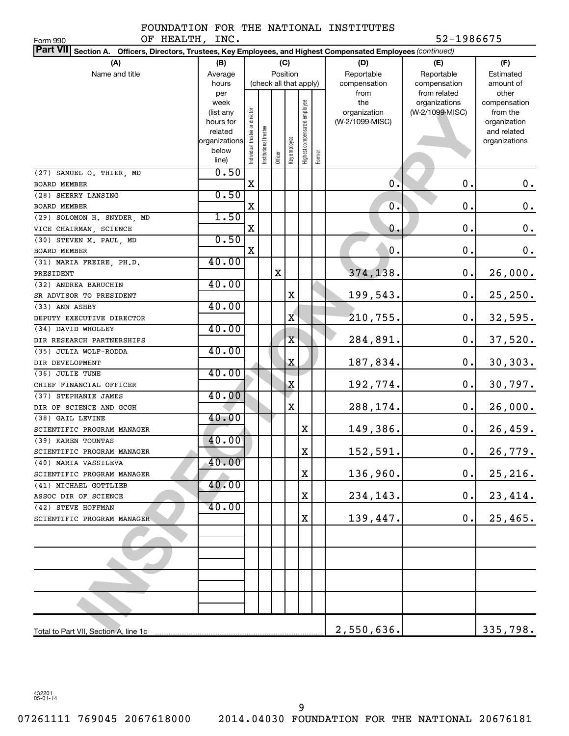|  |  | FOUNDATION FOR THE NATIONAL INSTITUTES |
|--|--|----------------------------------------|
|  |  |                                        |

OF HEALTH, INC. 52-1986675

| OF HEALTH,<br>Form 990                                                                                          | INC.                     |                               |                      |             |              |                              |        |                 | 52-1986675      |                              |
|-----------------------------------------------------------------------------------------------------------------|--------------------------|-------------------------------|----------------------|-------------|--------------|------------------------------|--------|-----------------|-----------------|------------------------------|
| Part VII Section A. Officers, Directors, Trustees, Key Employees, and Highest Compensated Employees (continued) |                          |                               |                      |             |              |                              |        |                 |                 |                              |
| (A)                                                                                                             | (B)                      |                               |                      | (C)         |              |                              |        | (D)             | (E)             | (F)                          |
| Name and title                                                                                                  | Average                  |                               |                      | Position    |              |                              |        | Reportable      | Reportable      | Estimated                    |
|                                                                                                                 | hours                    |                               |                      |             |              | (check all that apply)       |        | compensation    | compensation    | amount of                    |
|                                                                                                                 | per                      |                               |                      |             |              |                              |        | from            | from related    | other                        |
|                                                                                                                 | week                     |                               |                      |             |              |                              |        | the             | organizations   | compensation                 |
|                                                                                                                 | (list any                |                               |                      |             |              |                              |        | organization    | (W-2/1099-MISC) | from the                     |
|                                                                                                                 | hours for                |                               |                      |             |              |                              |        | (W-2/1099-MISC) |                 | organization                 |
|                                                                                                                 | related<br>organizations |                               |                      |             |              |                              |        |                 |                 | and related<br>organizations |
|                                                                                                                 | below                    | ndividual trustee or director | nstitutional trustee |             | key employee | Highest compensated employee |        |                 |                 |                              |
|                                                                                                                 | line)                    |                               |                      | Officer     |              |                              | Former |                 |                 |                              |
| (27) SAMUEL O. THIER, MD                                                                                        | 0.50                     |                               |                      |             |              |                              |        |                 |                 |                              |
| <b>BOARD MEMBER</b>                                                                                             |                          | $\mathbf X$                   |                      |             |              |                              |        | 0.              | $\mathbf 0$ .   | 0.                           |
| (28) SHERRY LANSING                                                                                             | 0.50                     |                               |                      |             |              |                              |        |                 |                 |                              |
| BOARD MEMBER                                                                                                    |                          | X                             |                      |             |              |                              |        | $\mathbf{0}$ .  | 0.              | $0$ .                        |
| (29) SOLOMON H. SNYDER, MD                                                                                      | 1.50                     |                               |                      |             |              |                              |        |                 |                 |                              |
| VICE CHAIRMAN, SCIENCE                                                                                          |                          | X                             |                      |             |              |                              |        | 0.              | $\mathbf 0$ .   | $\mathbf 0$ .                |
| (30) STEVEN M. PAUL, MD                                                                                         | 0.50                     |                               |                      |             |              |                              |        |                 |                 |                              |
| BOARD MEMBER                                                                                                    |                          | X                             |                      |             |              |                              |        | 0.              | 0.              | 0.                           |
| (31) MARIA FREIRE, PH.D.                                                                                        | 40.00                    |                               |                      |             |              |                              |        |                 |                 |                              |
| PRESIDENT                                                                                                       |                          |                               |                      | $\mathbf X$ |              |                              |        | 374,138.        | 0.              | 26,000.                      |
| (32) ANDREA BARUCHIN                                                                                            | 40.00                    |                               |                      |             |              |                              |        |                 |                 |                              |
| SR ADVISOR TO PRESIDENT                                                                                         |                          |                               |                      |             | X            |                              |        | 199,543.        | 0.              | 25, 250.                     |
| (33) ANN ASHBY                                                                                                  | 40.00                    |                               |                      |             |              |                              |        |                 |                 |                              |
| DEPUTY EXECUTIVE DIRECTOR                                                                                       |                          |                               |                      |             | X            |                              |        | 210,755.        | 0.              | 32,595.                      |
| (34) DAVID WHOLLEY                                                                                              | 40.00                    |                               |                      |             |              |                              |        |                 |                 |                              |
| DIR RESEARCH PARTNERSHIPS                                                                                       |                          |                               |                      |             | $\rm X$      |                              |        | 284,891         | 0.              | 37,520.                      |
| (35) JULIA WOLF-RODDA                                                                                           | 40.00                    |                               |                      |             |              |                              |        |                 |                 |                              |
| DIR DEVELOPMENT                                                                                                 |                          |                               |                      |             | X            |                              |        | 187,834.        | 0.              | 30, 303.                     |
| (36) JULIE TUNE                                                                                                 | 40.00                    |                               |                      |             |              |                              |        |                 |                 |                              |
| CHIEF FINANCIAL OFFICER                                                                                         |                          |                               |                      |             | Χ            |                              |        | 192,774.        | 0.              | 30,797.                      |
| (37) STEPHANIE JAMES                                                                                            | 40.00                    |                               |                      |             |              |                              |        |                 |                 |                              |
| DIR OF SCIENCE AND GCGH                                                                                         |                          |                               |                      |             | X            |                              |        | 288,174.        | 0.              | 26,000.                      |
| (38) GAIL LEVINE                                                                                                | 40.00                    |                               |                      |             |              |                              |        |                 |                 |                              |
| SCIENTIFIC PROGRAM MANAGER                                                                                      |                          |                               |                      |             |              | Χ                            |        | 149,386.        | 0.              | 26,459.                      |
| (39) KAREN TOUNTAS                                                                                              | 40.00                    |                               |                      |             |              |                              |        |                 |                 |                              |
| SCIENTIFIC PROGRAM MANAGER                                                                                      |                          |                               |                      |             |              | $\mathbf X$                  |        | 152,591.        | $\mathbf 0$ .   | 26,779.                      |
| (40) MARIA VASSILEVA                                                                                            | 40.00                    |                               |                      |             |              |                              |        |                 |                 |                              |
| SCIENTIFIC PROGRAM MANAGER                                                                                      |                          |                               |                      |             |              | Χ                            |        | 136,960.        | 0.              | 25, 216.                     |
| (41) MICHAEL GOTTLIEB                                                                                           | 40.00                    |                               |                      |             |              |                              |        |                 |                 |                              |
| ASSOC DIR OF SCIENCE                                                                                            | 40.00                    |                               |                      |             |              | Χ                            |        | 234,143.        | 0.              | 23,414.                      |
| (42) STEVE HOFFMAN                                                                                              |                          |                               |                      |             |              |                              |        |                 | 0.              |                              |
| SCIENTIFIC PROGRAM MANAGER                                                                                      |                          |                               |                      |             |              | X                            |        | 139,447.        |                 | 25,465.                      |
|                                                                                                                 |                          |                               |                      |             |              |                              |        |                 |                 |                              |
|                                                                                                                 |                          |                               |                      |             |              |                              |        |                 |                 |                              |
|                                                                                                                 |                          |                               |                      |             |              |                              |        |                 |                 |                              |
|                                                                                                                 |                          |                               |                      |             |              |                              |        |                 |                 |                              |
|                                                                                                                 |                          |                               |                      |             |              |                              |        |                 |                 |                              |
|                                                                                                                 |                          |                               |                      |             |              |                              |        |                 |                 |                              |
|                                                                                                                 |                          |                               |                      |             |              |                              |        |                 |                 |                              |
|                                                                                                                 |                          |                               |                      |             |              |                              |        |                 |                 |                              |
|                                                                                                                 |                          |                               |                      |             |              |                              |        | 2,550,636.      |                 | 335,798.                     |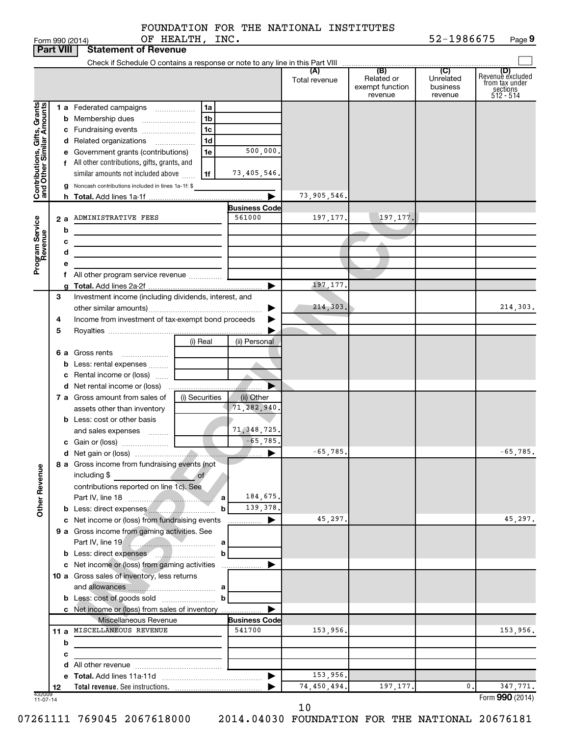|                                                           |                  | OF HEALTH, INC.<br>Form 990 (2014)                                         |                      |               |                                          | 52-1986675                       | Page 9                                                      |
|-----------------------------------------------------------|------------------|----------------------------------------------------------------------------|----------------------|---------------|------------------------------------------|----------------------------------|-------------------------------------------------------------|
|                                                           | <b>Part VIII</b> | <b>Statement of Revenue</b>                                                |                      |               |                                          |                                  |                                                             |
|                                                           |                  |                                                                            |                      |               |                                          |                                  |                                                             |
|                                                           |                  |                                                                            |                      | Total revenue | Related or<br>exempt function<br>revenue | Unrelated<br>business<br>revenue | Revenue excluded<br>from tax under<br>sections<br>512 - 514 |
|                                                           |                  | 1 a Federated campaigns<br>1a                                              |                      |               |                                          |                                  |                                                             |
|                                                           |                  | 1 <sub>b</sub>                                                             |                      |               |                                          |                                  |                                                             |
|                                                           |                  | l 1c<br>c Fundraising events                                               |                      |               |                                          |                                  |                                                             |
|                                                           |                  | 1 <sub>d</sub><br>d Related organizations                                  |                      |               |                                          |                                  |                                                             |
|                                                           |                  | 1e<br>e Government grants (contributions)                                  | 500,000.             |               |                                          |                                  |                                                             |
|                                                           |                  | f All other contributions, gifts, grants, and                              |                      |               |                                          |                                  |                                                             |
|                                                           |                  | similar amounts not included above<br>1f                                   | 73,405,546.          |               |                                          |                                  |                                                             |
| Contributions, Gifts, Grants<br>and Other Similar Amounts |                  | g Noncash contributions included in lines 1a-1f: \$                        |                      | 73,905,546.   |                                          |                                  |                                                             |
|                                                           |                  |                                                                            | <b>Business Code</b> |               |                                          |                                  |                                                             |
|                                                           |                  | 2 a ADMINISTRATIVE FEES                                                    | 561000               | 197, 177.     | 197, 177.                                |                                  |                                                             |
|                                                           | b                | <u> 1980 - Johann Barbara, martxa amerikan personal (</u>                  |                      |               |                                          |                                  |                                                             |
|                                                           | с                | <u> 1989 - Johann Barn, fransk politik (d. 1989)</u>                       |                      |               |                                          |                                  |                                                             |
|                                                           | d                |                                                                            |                      |               |                                          |                                  |                                                             |
| Program Service<br>Revenue                                | е                |                                                                            |                      |               |                                          |                                  |                                                             |
|                                                           | f                |                                                                            |                      |               |                                          |                                  |                                                             |
|                                                           |                  |                                                                            |                      | 197, 177.     |                                          |                                  |                                                             |
|                                                           | 3                | Investment income (including dividends, interest, and                      |                      |               |                                          |                                  |                                                             |
|                                                           |                  |                                                                            |                      | 214, 303.     |                                          |                                  | 214,303.                                                    |
|                                                           | 4                | Income from investment of tax-exempt bond proceeds                         |                      |               |                                          |                                  |                                                             |
|                                                           | 5                | (i) Real                                                                   | (ii) Personal        |               |                                          |                                  |                                                             |
|                                                           |                  | 6 a Gross rents                                                            |                      |               |                                          |                                  |                                                             |
|                                                           |                  |                                                                            |                      |               |                                          |                                  |                                                             |
|                                                           |                  |                                                                            |                      |               |                                          |                                  |                                                             |
|                                                           |                  |                                                                            |                      |               |                                          |                                  |                                                             |
|                                                           |                  | 7 a Gross amount from sales of<br>(i) Securities                           | (ii) Other           |               |                                          |                                  |                                                             |
|                                                           |                  | assets other than inventory                                                | 71,282,940.          |               |                                          |                                  |                                                             |
|                                                           |                  | <b>b</b> Less: cost or other basis                                         |                      |               |                                          |                                  |                                                             |
|                                                           |                  | and sales expenses  [                                                      | 71, 348, 725.        |               |                                          |                                  |                                                             |
|                                                           |                  |                                                                            | $-65, 785.$          |               |                                          |                                  |                                                             |
|                                                           |                  | 8 a Gross income from fundraising events (not                              |                      | $-65,785.$    |                                          |                                  | 65,785.                                                     |
| <b>Other Revenue</b>                                      |                  | including \$<br>$\overline{\phantom{a}}$ of                                |                      |               |                                          |                                  |                                                             |
|                                                           |                  | contributions reported on line 1c). See                                    |                      |               |                                          |                                  |                                                             |
|                                                           |                  |                                                                            | 184,675.<br>139,378. |               |                                          |                                  |                                                             |
|                                                           |                  | b Less: direct expenses<br>c Net income or (loss) from fundraising events  | b                    | 45,297.       |                                          |                                  | 45,297.                                                     |
|                                                           |                  | 9 a Gross income from gaming activities. See                               |                      |               |                                          |                                  |                                                             |
|                                                           |                  |                                                                            |                      |               |                                          |                                  |                                                             |
|                                                           |                  |                                                                            | $\mathbf b$          |               |                                          |                                  |                                                             |
|                                                           |                  |                                                                            |                      |               |                                          |                                  |                                                             |
|                                                           |                  | 10 a Gross sales of inventory, less returns                                |                      |               |                                          |                                  |                                                             |
|                                                           |                  |                                                                            |                      |               |                                          |                                  |                                                             |
|                                                           |                  |                                                                            |                      |               |                                          |                                  |                                                             |
|                                                           |                  | c Net income or (loss) from sales of inventory                             |                      |               |                                          |                                  |                                                             |
|                                                           |                  | Miscellaneous Revenue                                                      | <b>Business Code</b> |               |                                          |                                  |                                                             |
|                                                           |                  | 11 a MISCELLANEOUS REVENUE                                                 | 541700               | 153,956.      |                                          |                                  | 153,956.                                                    |
|                                                           | b                | the control of the control of the control of the control of the control of |                      |               |                                          |                                  |                                                             |
|                                                           | c                |                                                                            |                      |               |                                          |                                  |                                                             |
|                                                           | d                |                                                                            |                      | 153,956.      |                                          |                                  |                                                             |
|                                                           | 12               |                                                                            |                      | 74,450,494.   | 197, 177.                                | 0.                               | 347,771.                                                    |
| 432009<br>11-07-14                                        |                  |                                                                            |                      |               |                                          |                                  | Form 990 (2014)                                             |

10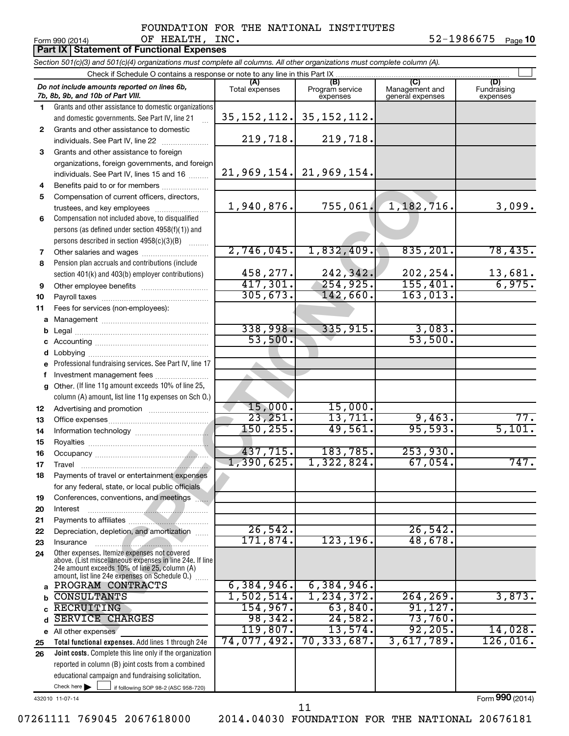#### Form 990 (2014) OF HEALTH, INC  $\bullet$  52-1986675 <sub>Page</sub> FOUNDATION FOR THE NATIONAL INSTITUTES

52-1986675 Page 10

|              | <b>Part IX Statement of Functional Expenses</b>                                                                            |                       |                                    |                                           |                                |  |
|--------------|----------------------------------------------------------------------------------------------------------------------------|-----------------------|------------------------------------|-------------------------------------------|--------------------------------|--|
|              | Section 501(c)(3) and 501(c)(4) organizations must complete all columns. All other organizations must complete column (A). |                       |                                    |                                           |                                |  |
|              | Check if Schedule O contains a response or note to any line in this Part IX                                                |                       |                                    |                                           |                                |  |
|              | Do not include amounts reported on lines 6b,<br>7b, 8b, 9b, and 10b of Part VIII.                                          | (A)<br>Total expenses | (B)<br>Program service<br>expenses | (C)<br>Management and<br>general expenses | (D)<br>Fundraising<br>expenses |  |
| 1.           | Grants and other assistance to domestic organizations                                                                      |                       |                                    |                                           |                                |  |
|              | and domestic governments. See Part IV, line 21                                                                             |                       | $35, 152, 112.$ 35, 152, 112.      |                                           |                                |  |
| $\mathbf{2}$ | Grants and other assistance to domestic                                                                                    |                       |                                    |                                           |                                |  |
|              | individuals. See Part IV, line 22                                                                                          | 219,718.              | 219,718.                           |                                           |                                |  |
| 3            | Grants and other assistance to foreign                                                                                     |                       |                                    |                                           |                                |  |
|              | organizations, foreign governments, and foreign                                                                            |                       |                                    |                                           |                                |  |
|              | individuals. See Part IV, lines 15 and 16                                                                                  |                       | $21,969,154.$ 21,969,154.          |                                           |                                |  |
| 4            | Benefits paid to or for members                                                                                            |                       |                                    |                                           |                                |  |
| 5            | Compensation of current officers, directors,                                                                               |                       |                                    |                                           |                                |  |
|              | trustees, and key employees                                                                                                | 1,940,876.            | 755,061.                           | 1, 182, 716.                              | 3,099.                         |  |
| 6            | Compensation not included above, to disqualified                                                                           |                       |                                    |                                           |                                |  |
|              | persons (as defined under section 4958(f)(1)) and                                                                          |                       |                                    |                                           |                                |  |
| 7            | persons described in section 4958(c)(3)(B)<br>Other salaries and wages                                                     | 2,746,045.            | 1,832,409.                         | 835, 201.                                 | 78,435.                        |  |
| 8            | Pension plan accruals and contributions (include                                                                           |                       |                                    |                                           |                                |  |
|              | section 401(k) and 403(b) employer contributions)                                                                          | 458,277.              | 242,342.                           | 202, 254.                                 |                                |  |
| 9            |                                                                                                                            | 417,301.              | 254,925.                           | 155,401.                                  | $\frac{13,681}{6,975}$         |  |
| 10           |                                                                                                                            | 305, 673.             | 142,660.                           | 163,013.                                  |                                |  |
| 11           | Fees for services (non-employees):                                                                                         |                       |                                    |                                           |                                |  |
| a            |                                                                                                                            |                       |                                    |                                           |                                |  |
| b            |                                                                                                                            | 338,998.              | 335,915.                           | 3,083.                                    |                                |  |
| с            |                                                                                                                            | 53,500.               |                                    | 53,500.                                   |                                |  |
| d            | Lobbying                                                                                                                   |                       |                                    |                                           |                                |  |
|              | Professional fundraising services. See Part IV, line 17                                                                    |                       |                                    |                                           |                                |  |
| f            | Investment management fees                                                                                                 |                       |                                    |                                           |                                |  |
| g            | Other. (If line 11g amount exceeds 10% of line 25,                                                                         |                       |                                    |                                           |                                |  |
|              | column (A) amount, list line 11g expenses on Sch O.)                                                                       |                       |                                    |                                           |                                |  |
| 12           | Advertising and promotion <i>manually contained</i>                                                                        | 15,000.               | 15,000.                            |                                           |                                |  |
| 13           |                                                                                                                            | 23,251.<br>150, 255.  | 13,711.<br>49,561.                 | 9,463.<br>95,593.                         | 77.<br>5,101.                  |  |
| 14           |                                                                                                                            |                       |                                    |                                           |                                |  |
| 15           |                                                                                                                            | 437,715.              | 183,785.                           | 253,930.                                  |                                |  |
| 16           |                                                                                                                            | 1,390,625.            | 1,322,824.                         | 67,054.                                   | 747.                           |  |
| 17<br>18     | Travel<br>Payments of travel or entertainment expenses                                                                     |                       |                                    |                                           |                                |  |
|              | for any federal, state, or local public officials                                                                          |                       |                                    |                                           |                                |  |
| 19           | Conferences, conventions, and meetings                                                                                     |                       |                                    |                                           |                                |  |
| 20           | Interest                                                                                                                   |                       |                                    |                                           |                                |  |
| 21           |                                                                                                                            |                       |                                    |                                           |                                |  |
| 22           | Depreciation, depletion, and amortization                                                                                  | 26,542.               |                                    | 26, 542.                                  |                                |  |
| 23           | Insurance                                                                                                                  | 171,874.              | 123, 196.                          | 48,678.                                   |                                |  |
| 24           | Other expenses. Itemize expenses not covered<br>above. (List miscellaneous expenses in line 24e. If line                   |                       |                                    |                                           |                                |  |
|              | 24e amount exceeds 10% of line 25, column (A)<br>amount, list line 24e expenses on Schedule O.)                            |                       |                                    |                                           |                                |  |
| a            | PROGRAM CONTRACTS                                                                                                          | 6,384,946.            | 6,384,946.                         |                                           |                                |  |
|              | <b>CONSULTANTS</b>                                                                                                         | 1,502,514.            | 1, 234, 372.                       | 264, 269.                                 | 3,873.                         |  |
|              | RECRUITING                                                                                                                 | 154,967.              | 63,840.                            | 91,127.                                   |                                |  |
|              | <b>SERVICE CHARGES</b>                                                                                                     | 98,342.               | 24,582.                            | 73,760.                                   |                                |  |
|              | e All other expenses                                                                                                       | 119,807.              | 13,574.                            | 92, 205.                                  | 14,028.                        |  |
| 25           | Total functional expenses. Add lines 1 through 24e                                                                         | 74,077,492.           | 70,333,687.                        | 3,617,789.                                | 126,016.                       |  |
| 26           | Joint costs. Complete this line only if the organization                                                                   |                       |                                    |                                           |                                |  |
|              | reported in column (B) joint costs from a combined                                                                         |                       |                                    |                                           |                                |  |
|              | educational campaign and fundraising solicitation.                                                                         |                       |                                    |                                           |                                |  |
|              | Check here<br>if following SOP 98-2 (ASC 958-720)                                                                          |                       |                                    |                                           |                                |  |

432010 11-07-14

Form (2014) **990**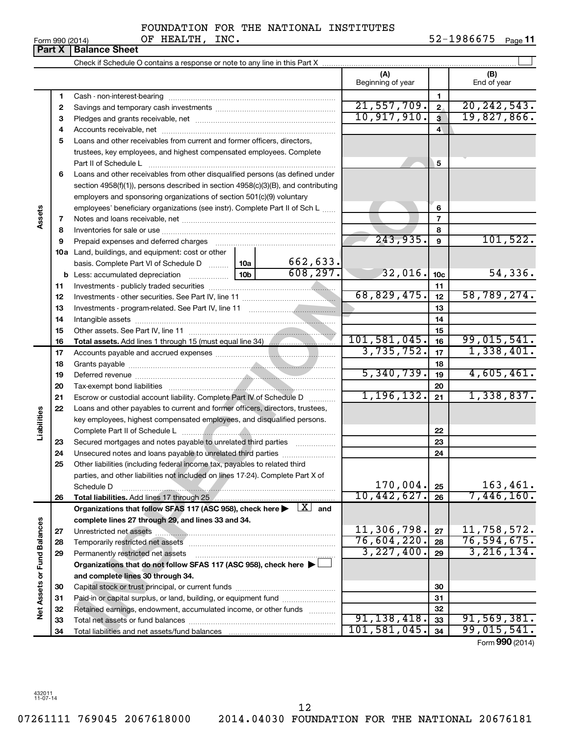07261111 769045 2067618000 2014.04030 FOUNDATION FOR THE NATIONAL 20676181 12

FOUNDATION FOR THE NATIONAL INSTITUTES

Form 990 (2014)  $\qquad \qquad \text{OF} \text{ HEALTH}, \text{INC.} \qquad \qquad \qquad \qquad 52\text{--}1986675 \quad \text{Page}$ 52-1986675 Page 11

|                             |    |                                                                                                                              |                 |             | (A)               |                     | (B)             |
|-----------------------------|----|------------------------------------------------------------------------------------------------------------------------------|-----------------|-------------|-------------------|---------------------|-----------------|
|                             |    |                                                                                                                              |                 |             | Beginning of year |                     | End of year     |
|                             | 1  |                                                                                                                              |                 |             |                   | 1                   |                 |
|                             | 2  |                                                                                                                              |                 |             | 21,557,709.       | $\mathbf{2}$        | 20, 242, 543.   |
|                             | 3  |                                                                                                                              |                 |             | 10,917,910.       | 3                   | 19,827,866.     |
|                             | 4  |                                                                                                                              |                 |             |                   | $\overline{\bf{4}}$ |                 |
|                             | 5  | Loans and other receivables from current and former officers, directors,                                                     |                 |             |                   |                     |                 |
|                             |    | trustees, key employees, and highest compensated employees. Complete                                                         |                 |             |                   |                     |                 |
|                             |    | Part II of Schedule L                                                                                                        |                 |             |                   | 5                   |                 |
|                             | 6  | Loans and other receivables from other disqualified persons (as defined under                                                |                 |             |                   |                     |                 |
|                             |    | section $4958(f)(1)$ , persons described in section $4958(c)(3)(B)$ , and contributing                                       |                 |             |                   |                     |                 |
|                             |    | employers and sponsoring organizations of section 501(c)(9) voluntary                                                        |                 |             |                   |                     |                 |
|                             |    | employees' beneficiary organizations (see instr). Complete Part II of Sch L                                                  |                 |             |                   | 6                   |                 |
| Assets                      | 7  |                                                                                                                              |                 |             |                   | 7                   |                 |
|                             | 8  |                                                                                                                              |                 |             |                   | 8                   |                 |
|                             | 9  | Prepaid expenses and deferred charges                                                                                        |                 |             | 243,935.          | 9                   | 101,522.        |
|                             |    | 10a Land, buildings, and equipment: cost or other                                                                            |                 |             |                   |                     |                 |
|                             |    | basis. Complete Part VI of Schedule D  10a                                                                                   |                 | 662,633.    |                   |                     |                 |
|                             |    |                                                                                                                              | 10 <sub>b</sub> | 608, 297.   | 32,016.           | 10 <sub>c</sub>     | 54,336.         |
|                             | 11 |                                                                                                                              |                 |             |                   | 11                  |                 |
|                             | 12 |                                                                                                                              |                 |             | 68,829,475.       | 12                  | 58,789,274.     |
|                             | 13 |                                                                                                                              |                 | 13          |                   |                     |                 |
|                             | 14 |                                                                                                                              |                 | 14          |                   |                     |                 |
|                             | 15 |                                                                                                                              |                 |             |                   | 15                  |                 |
|                             | 16 | Total assets. Add lines 1 through 15 (must equal line 34) [100]                                                              |                 |             | 101,581,045.      | 16                  | 99,015,541.     |
|                             | 17 |                                                                                                                              |                 |             | 3,735,752.        | 17                  | 1,338,401.      |
|                             | 18 |                                                                                                                              |                 | 18          |                   |                     |                 |
|                             | 19 |                                                                                                                              | 5,340,739.      | 19          | 4,605,461.        |                     |                 |
|                             | 20 |                                                                                                                              |                 | 20          |                   |                     |                 |
|                             | 21 | Escrow or custodial account liability. Complete Part IV of Schedule D                                                        | 1, 196, 132.    | 21          | 1,338,837.        |                     |                 |
|                             | 22 | Loans and other payables to current and former officers, directors, trustees,                                                |                 |             |                   |                     |                 |
| Liabilities                 |    | key employees, highest compensated employees, and disqualified persons.                                                      |                 |             |                   |                     |                 |
|                             |    |                                                                                                                              |                 |             |                   | 22                  |                 |
|                             | 23 | Secured mortgages and notes payable to unrelated third parties                                                               |                 |             |                   | 23                  |                 |
|                             | 24 | Unsecured notes and loans payable to unrelated third parties                                                                 |                 |             |                   | 24                  |                 |
|                             | 25 | Other liabilities (including federal income tax, payables to related third                                                   |                 |             |                   |                     |                 |
|                             |    | parties, and other liabilities not included on lines 17-24). Complete Part X of                                              |                 |             |                   |                     |                 |
|                             |    | Schedule D                                                                                                                   |                 |             | 170,004.          | 25                  | 163,461.        |
|                             | 26 |                                                                                                                              |                 |             | 10,442,627.       | 26                  | 7,446,160.      |
|                             |    | Organizations that follow SFAS 117 (ASC 958), check here $\blacktriangleright \begin{array}{c} \boxed{X} \\ \end{array}$ and |                 |             |                   |                     |                 |
|                             |    | complete lines 27 through 29, and lines 33 and 34.                                                                           |                 |             |                   |                     |                 |
|                             | 27 |                                                                                                                              |                 |             | 11,306,798.       | 27                  | 11,758,572.     |
|                             | 28 |                                                                                                                              |                 | 76,604,220. | 28                | 76, 594, 675.       |                 |
|                             | 29 | Permanently restricted net assets                                                                                            |                 |             | 3,227,400.        | 29                  | 3, 216, 134.    |
|                             |    | Organizations that do not follow SFAS 117 (ASC 958), check here >                                                            |                 |             |                   |                     |                 |
|                             |    | and complete lines 30 through 34.                                                                                            |                 |             |                   |                     |                 |
| Net Assets or Fund Balances | 30 |                                                                                                                              |                 |             |                   | 30                  |                 |
|                             | 31 | Paid-in or capital surplus, or land, building, or equipment fund                                                             |                 |             |                   | 31                  |                 |
|                             | 32 | Retained earnings, endowment, accumulated income, or other funds                                                             |                 |             |                   | 32                  |                 |
|                             | 33 |                                                                                                                              |                 |             | 91, 138, 418.     | 33                  | 91,569,381.     |
|                             | 34 |                                                                                                                              |                 |             | 101, 581, 045.    | 34                  | 99,015,541.     |
|                             |    |                                                                                                                              |                 |             |                   |                     | Form 990 (2014) |

**Part X** | Balance Sheet

| 190 (2014) |  |
|------------|--|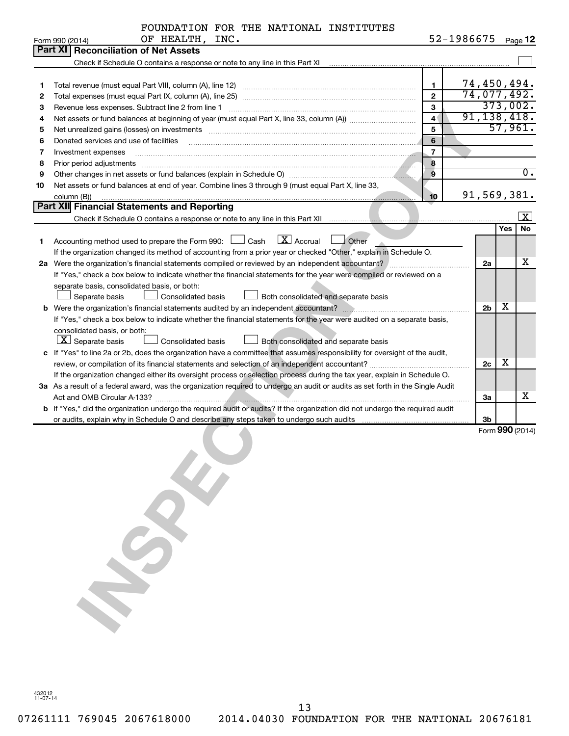| FOUNDATION FOR THE NATIONAL INSTITUTES |  |  |  |  |  |
|----------------------------------------|--|--|--|--|--|
|----------------------------------------|--|--|--|--|--|

52-1986675 <sub>Page</sub> 12

|    | OF HEALTH, INC.<br>Form 990 (2014)                                                                                                                                                                                             |                | 52-1986675     |          | Page 12           |
|----|--------------------------------------------------------------------------------------------------------------------------------------------------------------------------------------------------------------------------------|----------------|----------------|----------|-------------------|
|    | <b>Part XI Reconciliation of Net Assets</b>                                                                                                                                                                                    |                |                |          |                   |
|    |                                                                                                                                                                                                                                |                |                |          |                   |
|    |                                                                                                                                                                                                                                |                |                |          |                   |
| 1  |                                                                                                                                                                                                                                | $\mathbf{1}$   | 74,450,494.    |          |                   |
| 2  |                                                                                                                                                                                                                                | $\overline{2}$ | 74,077,492.    |          |                   |
| 3  | Revenue less expenses. Subtract line 2 from line 1                                                                                                                                                                             | $\mathbf{3}$   |                | 373,002. |                   |
| 4  |                                                                                                                                                                                                                                | $\overline{4}$ | 91, 138, 418.  |          |                   |
| 5  | Net unrealized gains (losses) on investments [11] matter in the contract of the state of the state of the state of the state of the state of the state of the state of the state of the state of the state of the state of the | 5              |                | 57,961.  |                   |
| 6  | Donated services and use of facilities                                                                                                                                                                                         | 6              |                |          |                   |
| 7  | Investment expenses                                                                                                                                                                                                            | $\overline{7}$ |                |          |                   |
| 8  | Prior period adjustments <i>manufacture content and adjustments</i> and anti-                                                                                                                                                  | 8              |                |          |                   |
| 9  |                                                                                                                                                                                                                                | $\mathbf{9}$   |                |          | $\overline{0}$ .  |
| 10 | Net assets or fund balances at end of year. Combine lines 3 through 9 (must equal Part X, line 33,                                                                                                                             |                |                |          |                   |
|    | column (B))                                                                                                                                                                                                                    | 10             | 91,569,381.    |          |                   |
|    | <b>Part XII</b> Financial Statements and Reporting                                                                                                                                                                             |                |                |          |                   |
|    |                                                                                                                                                                                                                                |                |                |          | $\vert$ X $\vert$ |
|    |                                                                                                                                                                                                                                |                |                | Yes      | <b>No</b>         |
| 1. | $\boxed{\text{X}}$ Accrual $\boxed{\phantom{0}}$ Other<br>Accounting method used to prepare the Form 990: $\Box$ Cash                                                                                                          |                |                |          |                   |
|    | If the organization changed its method of accounting from a prior year or checked "Other," explain in Schedule O.                                                                                                              |                |                |          |                   |
|    | 2a Were the organization's financial statements compiled or reviewed by an independent accountant?                                                                                                                             |                | 2a             |          | х                 |
|    | If "Yes," check a box below to indicate whether the financial statements for the year were compiled or reviewed on a                                                                                                           |                |                |          |                   |
|    | separate basis, consolidated basis, or both:                                                                                                                                                                                   |                |                |          |                   |
|    | Separate basis<br>Consolidated basis<br>Both consolidated and separate basis                                                                                                                                                   |                |                |          |                   |
|    |                                                                                                                                                                                                                                |                | 2 <sub>b</sub> | x        |                   |
|    | If "Yes," check a box below to indicate whether the financial statements for the year were audited on a separate basis,                                                                                                        |                |                |          |                   |
|    | consolidated basis, or both:                                                                                                                                                                                                   |                |                |          |                   |
|    | $\boxed{\textbf{X}}$ Separate basis<br><b>Consolidated basis</b><br>Both consolidated and separate basis                                                                                                                       |                |                |          |                   |
|    | c If "Yes" to line 2a or 2b, does the organization have a committee that assumes responsibility for oversight of the audit,                                                                                                    |                |                |          |                   |
|    |                                                                                                                                                                                                                                |                | 2c             | х        |                   |
|    | If the organization changed either its oversight process or selection process during the tax year, explain in Schedule O.                                                                                                      |                |                |          |                   |
|    | 3a As a result of a federal award, was the organization required to undergo an audit or audits as set forth in the Single Audit                                                                                                |                |                |          |                   |
|    |                                                                                                                                                                                                                                |                | За             |          | х                 |
|    | b If "Yes," did the organization undergo the required audit or audits? If the organization did not undergo the required audit                                                                                                  |                |                |          |                   |
|    |                                                                                                                                                                                                                                |                | 3b             |          |                   |
|    |                                                                                                                                                                                                                                |                |                |          | Form 990 (2014)   |
|    |                                                                                                                                                                                                                                |                |                |          |                   |
|    |                                                                                                                                                                                                                                |                |                |          |                   |
|    |                                                                                                                                                                                                                                |                |                |          |                   |
|    |                                                                                                                                                                                                                                |                |                |          |                   |
|    |                                                                                                                                                                                                                                |                |                |          |                   |
|    |                                                                                                                                                                                                                                |                |                |          |                   |
|    |                                                                                                                                                                                                                                |                |                |          |                   |
|    |                                                                                                                                                                                                                                |                |                |          |                   |
|    |                                                                                                                                                                                                                                |                |                |          |                   |
|    |                                                                                                                                                                                                                                |                |                |          |                   |
|    |                                                                                                                                                                                                                                |                |                |          |                   |
|    |                                                                                                                                                                                                                                |                |                |          |                   |
|    |                                                                                                                                                                                                                                |                |                |          |                   |
|    |                                                                                                                                                                                                                                |                |                |          |                   |

432012 11-07-14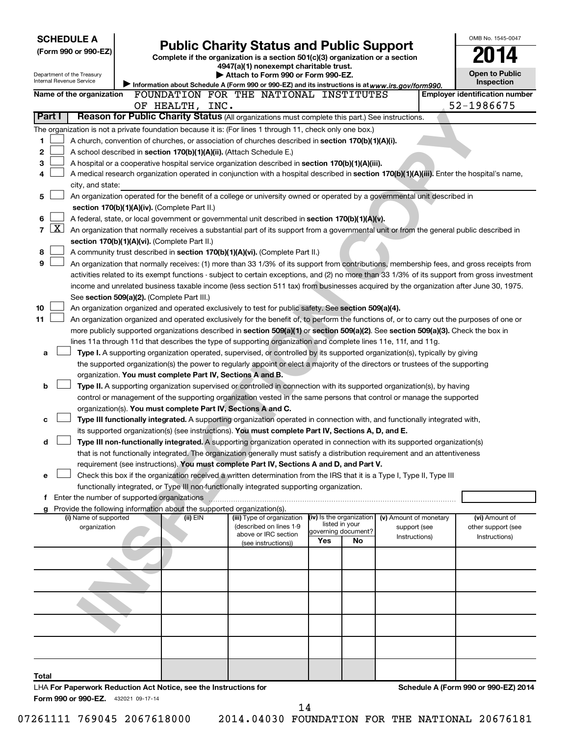| <b>SCHEDULE A</b><br>(Form 990 or 990-EZ)<br>Department of the Treasury<br>Internal Revenue Service |                                                                                                                                                                                                                                               | <b>Public Charity Status and Public Support</b><br>Complete if the organization is a section 501(c)(3) organization or a section<br>4947(a)(1) nonexempt charitable trust.<br>Attach to Form 990 or Form 990-EZ. |                                       |                        | OMB No. 1545-0047<br><b>Open to Public</b><br>Inspection |
|-----------------------------------------------------------------------------------------------------|-----------------------------------------------------------------------------------------------------------------------------------------------------------------------------------------------------------------------------------------------|------------------------------------------------------------------------------------------------------------------------------------------------------------------------------------------------------------------|---------------------------------------|------------------------|----------------------------------------------------------|
| Name of the organization                                                                            | Information about Schedule A (Form 990 or 990-EZ) and its instructions is at www.irs.gov/form990.<br>FOUNDATION FOR THE NATIONAL INSTITUTES                                                                                                   |                                                                                                                                                                                                                  |                                       |                        | <b>Employer identification number</b>                    |
|                                                                                                     | OF HEALTH, INC.                                                                                                                                                                                                                               |                                                                                                                                                                                                                  |                                       |                        | 52-1986675                                               |
| Part I                                                                                              | Reason for Public Charity Status (All organizations must complete this part.) See instructions.                                                                                                                                               |                                                                                                                                                                                                                  |                                       |                        |                                                          |
|                                                                                                     | The organization is not a private foundation because it is: (For lines 1 through 11, check only one box.)                                                                                                                                     |                                                                                                                                                                                                                  |                                       |                        |                                                          |
| 1                                                                                                   | A church, convention of churches, or association of churches described in section 170(b)(1)(A)(i).                                                                                                                                            |                                                                                                                                                                                                                  |                                       |                        |                                                          |
| 2                                                                                                   | A school described in section 170(b)(1)(A)(ii). (Attach Schedule E.)                                                                                                                                                                          |                                                                                                                                                                                                                  |                                       |                        |                                                          |
| 3                                                                                                   | A hospital or a cooperative hospital service organization described in section 170(b)(1)(A)(iii).                                                                                                                                             |                                                                                                                                                                                                                  |                                       |                        |                                                          |
| 4                                                                                                   | A medical research organization operated in conjunction with a hospital described in section 170(b)(1)(A)(iii). Enter the hospital's name,                                                                                                    |                                                                                                                                                                                                                  |                                       |                        |                                                          |
| city, and state:                                                                                    |                                                                                                                                                                                                                                               |                                                                                                                                                                                                                  |                                       |                        |                                                          |
| 5                                                                                                   | An organization operated for the benefit of a college or university owned or operated by a governmental unit described in                                                                                                                     |                                                                                                                                                                                                                  |                                       |                        |                                                          |
|                                                                                                     | section 170(b)(1)(A)(iv). (Complete Part II.)                                                                                                                                                                                                 |                                                                                                                                                                                                                  |                                       |                        |                                                          |
| 6<br>$\boxed{\text{X}}$<br>7                                                                        | A federal, state, or local government or governmental unit described in section 170(b)(1)(A)(v).<br>An organization that normally receives a substantial part of its support from a governmental unit or from the general public described in |                                                                                                                                                                                                                  |                                       |                        |                                                          |
|                                                                                                     | section 170(b)(1)(A)(vi). (Complete Part II.)                                                                                                                                                                                                 |                                                                                                                                                                                                                  |                                       |                        |                                                          |
| 8                                                                                                   | A community trust described in section 170(b)(1)(A)(vi). (Complete Part II.)                                                                                                                                                                  |                                                                                                                                                                                                                  |                                       |                        |                                                          |
| 9                                                                                                   | An organization that normally receives: (1) more than 33 1/3% of its support from contributions, membership fees, and gross receipts from                                                                                                     |                                                                                                                                                                                                                  |                                       |                        |                                                          |
|                                                                                                     | activities related to its exempt functions - subject to certain exceptions, and (2) no more than 33 1/3% of its support from gross investment                                                                                                 |                                                                                                                                                                                                                  |                                       |                        |                                                          |
|                                                                                                     | income and unrelated business taxable income (less section 511 tax) from businesses acquired by the organization after June 30, 1975.                                                                                                         |                                                                                                                                                                                                                  |                                       |                        |                                                          |
|                                                                                                     | See section 509(a)(2). (Complete Part III.)                                                                                                                                                                                                   |                                                                                                                                                                                                                  |                                       |                        |                                                          |
| 10                                                                                                  | An organization organized and operated exclusively to test for public safety. See section 509(a)(4).                                                                                                                                          |                                                                                                                                                                                                                  |                                       |                        |                                                          |
| 11                                                                                                  | An organization organized and operated exclusively for the benefit of, to perform the functions of, or to carry out the purposes of one or                                                                                                    |                                                                                                                                                                                                                  |                                       |                        |                                                          |
|                                                                                                     | more publicly supported organizations described in section 509(a)(1) or section 509(a)(2). See section 509(a)(3). Check the box in                                                                                                            |                                                                                                                                                                                                                  |                                       |                        |                                                          |
| а                                                                                                   | lines 11a through 11d that describes the type of supporting organization and complete lines 11e, 11f, and 11g.<br>Type I. A supporting organization operated, supervised, or controlled by its supported organization(s), typically by giving |                                                                                                                                                                                                                  |                                       |                        |                                                          |
|                                                                                                     | the supported organization(s) the power to regularly appoint or elect a majority of the directors or trustees of the supporting                                                                                                               |                                                                                                                                                                                                                  |                                       |                        |                                                          |
|                                                                                                     | organization. You must complete Part IV, Sections A and B.                                                                                                                                                                                    |                                                                                                                                                                                                                  |                                       |                        |                                                          |
| b                                                                                                   | Type II. A supporting organization supervised or controlled in connection with its supported organization(s), by having                                                                                                                       |                                                                                                                                                                                                                  |                                       |                        |                                                          |
|                                                                                                     | control or management of the supporting organization vested in the same persons that control or manage the supported                                                                                                                          |                                                                                                                                                                                                                  |                                       |                        |                                                          |
|                                                                                                     | organization(s). You must complete Part IV, Sections A and C.                                                                                                                                                                                 |                                                                                                                                                                                                                  |                                       |                        |                                                          |
| c                                                                                                   | Type III functionally integrated. A supporting organization operated in connection with, and functionally integrated with,                                                                                                                    |                                                                                                                                                                                                                  |                                       |                        |                                                          |
|                                                                                                     | its supported organization(s) (see instructions). You must complete Part IV, Sections A, D, and E.                                                                                                                                            |                                                                                                                                                                                                                  |                                       |                        |                                                          |
| d                                                                                                   | Type III non-functionally integrated. A supporting organization operated in connection with its supported organization(s)                                                                                                                     |                                                                                                                                                                                                                  |                                       |                        |                                                          |
|                                                                                                     | that is not functionally integrated. The organization generally must satisfy a distribution requirement and an attentiveness                                                                                                                  |                                                                                                                                                                                                                  |                                       |                        |                                                          |
|                                                                                                     | requirement (see instructions). You must complete Part IV, Sections A and D, and Part V.                                                                                                                                                      |                                                                                                                                                                                                                  |                                       |                        |                                                          |
| е                                                                                                   | Check this box if the organization received a written determination from the IRS that it is a Type I, Type II, Type III<br>functionally integrated, or Type III non-functionally integrated supporting organization.                          |                                                                                                                                                                                                                  |                                       |                        |                                                          |
|                                                                                                     | f Enter the number of supported organizations                                                                                                                                                                                                 |                                                                                                                                                                                                                  |                                       |                        |                                                          |
|                                                                                                     | Provide the following information about the supported organization(s).                                                                                                                                                                        |                                                                                                                                                                                                                  |                                       |                        |                                                          |
| (i) Name of supported                                                                               | (ii) EIN                                                                                                                                                                                                                                      | (iii) Type of organization                                                                                                                                                                                       | (iv) Is the organization              | (v) Amount of monetary | (vi) Amount of                                           |
| organization                                                                                        |                                                                                                                                                                                                                                               | (described on lines 1-9<br>above or IRC section                                                                                                                                                                  | listed in your<br>governing document? | support (see           | other support (see                                       |
|                                                                                                     |                                                                                                                                                                                                                                               | (see instructions))                                                                                                                                                                                              | Yes<br>No                             | Instructions)          | Instructions)                                            |
|                                                                                                     |                                                                                                                                                                                                                                               |                                                                                                                                                                                                                  |                                       |                        |                                                          |
|                                                                                                     |                                                                                                                                                                                                                                               |                                                                                                                                                                                                                  |                                       |                        |                                                          |
|                                                                                                     |                                                                                                                                                                                                                                               |                                                                                                                                                                                                                  |                                       |                        |                                                          |
|                                                                                                     |                                                                                                                                                                                                                                               |                                                                                                                                                                                                                  |                                       |                        |                                                          |
|                                                                                                     |                                                                                                                                                                                                                                               |                                                                                                                                                                                                                  |                                       |                        |                                                          |
|                                                                                                     |                                                                                                                                                                                                                                               |                                                                                                                                                                                                                  |                                       |                        |                                                          |
|                                                                                                     |                                                                                                                                                                                                                                               |                                                                                                                                                                                                                  |                                       |                        |                                                          |
|                                                                                                     |                                                                                                                                                                                                                                               |                                                                                                                                                                                                                  |                                       |                        |                                                          |
| Total                                                                                               |                                                                                                                                                                                                                                               |                                                                                                                                                                                                                  |                                       |                        |                                                          |
| Form 990 or 990-EZ. 432021 09-17-14                                                                 | LHA For Paperwork Reduction Act Notice, see the Instructions for                                                                                                                                                                              |                                                                                                                                                                                                                  |                                       |                        | Schedule A (Form 990 or 990-EZ) 2014                     |

14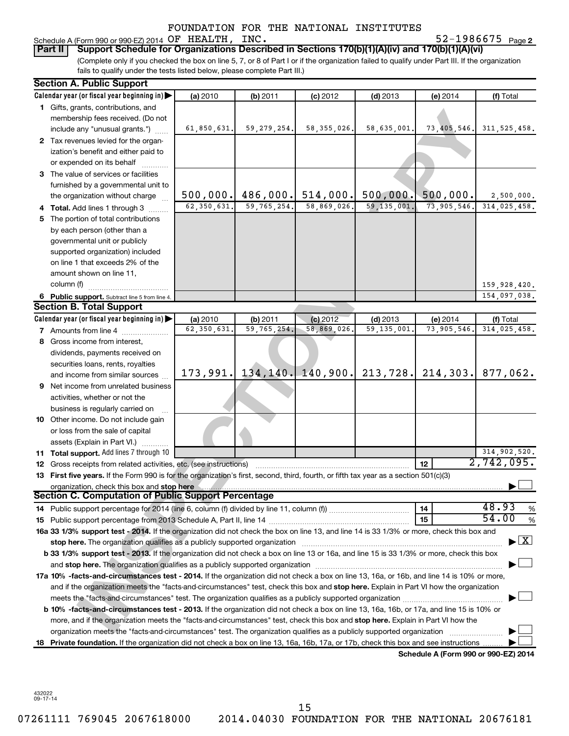**Part II Support Schedule for Organizations Described in Sections 170(b)(1)(A)(iv) and 170(b)(1)(A)(vi)**

(Complete only if you checked the box on line 5, 7, or 8 of Part I or if the organization failed to qualify under Part III. If the organization fails to qualify under the tests listed below, please complete Part III.)

|     | <b>Section A. Public Support</b>                                                                                                           |                           |                           |                          |                          |                                      |                                    |
|-----|--------------------------------------------------------------------------------------------------------------------------------------------|---------------------------|---------------------------|--------------------------|--------------------------|--------------------------------------|------------------------------------|
|     | Calendar year (or fiscal year beginning in)                                                                                                | (a) 2010                  | (b) 2011                  | $(c)$ 2012               | $(d)$ 2013               | (e) 2014                             | (f) Total                          |
|     | 1 Gifts, grants, contributions, and                                                                                                        |                           |                           |                          |                          |                                      |                                    |
|     | membership fees received. (Do not                                                                                                          |                           |                           |                          |                          |                                      |                                    |
|     | include any "unusual grants.")                                                                                                             | 61,850,631.               | 59, 279, 254.             | 58, 355, 026.            | 58,635,001.              | 73,405,546.                          | 311, 525, 458.                     |
|     | 2 Tax revenues levied for the organ-                                                                                                       |                           |                           |                          |                          |                                      |                                    |
|     | ization's benefit and either paid to                                                                                                       |                           |                           |                          |                          |                                      |                                    |
|     | or expended on its behalf                                                                                                                  |                           |                           |                          |                          |                                      |                                    |
|     | 3 The value of services or facilities                                                                                                      |                           |                           |                          |                          |                                      |                                    |
|     | furnished by a governmental unit to                                                                                                        |                           |                           |                          |                          |                                      |                                    |
|     | the organization without charge                                                                                                            | 500,000.                  | 486,000.                  | 514,000.                 | 500,000.                 | 500,000.                             | 2,500,000.                         |
|     | 4 Total. Add lines 1 through 3                                                                                                             | 62, 350, 631.             | 59, 765, 254.             | 58,869,026.              | 59, 135, 001.            | 73,905,546.                          | 314,025,458.                       |
| 5.  | The portion of total contributions                                                                                                         |                           |                           |                          |                          |                                      |                                    |
|     | by each person (other than a                                                                                                               |                           |                           |                          |                          |                                      |                                    |
|     | governmental unit or publicly                                                                                                              |                           |                           |                          |                          |                                      |                                    |
|     | supported organization) included                                                                                                           |                           |                           |                          |                          |                                      |                                    |
|     | on line 1 that exceeds 2% of the                                                                                                           |                           |                           |                          |                          |                                      |                                    |
|     | amount shown on line 11,                                                                                                                   |                           |                           |                          |                          |                                      |                                    |
|     | column (f)                                                                                                                                 |                           |                           |                          |                          |                                      | 159,928,420.                       |
|     | 6 Public support. Subtract line 5 from line 4.                                                                                             |                           |                           |                          |                          |                                      | 154,097,038.                       |
|     | <b>Section B. Total Support</b>                                                                                                            |                           |                           |                          |                          |                                      |                                    |
|     | Calendar year (or fiscal year beginning in)                                                                                                | (a) 2010<br>62, 350, 631. | (b) 2011<br>59, 765, 254. | $(c)$ 2012<br>58,869,026 | $(d)$ 2013<br>59,135,001 | (e) 2014<br>73,905,546               | (f) Total<br>314,025,458.          |
|     | <b>7</b> Amounts from line 4                                                                                                               |                           |                           |                          |                          |                                      |                                    |
|     | 8 Gross income from interest,                                                                                                              |                           |                           |                          |                          |                                      |                                    |
|     | dividends, payments received on                                                                                                            |                           |                           |                          |                          |                                      |                                    |
|     | securities loans, rents, royalties                                                                                                         | 173,991.                  | 134, 140.                 | 140,900.                 | 213,728.                 | 214,303.                             | 877,062.                           |
|     | and income from similar sources                                                                                                            |                           |                           |                          |                          |                                      |                                    |
|     | 9 Net income from unrelated business                                                                                                       |                           |                           |                          |                          |                                      |                                    |
|     | activities, whether or not the                                                                                                             |                           |                           |                          |                          |                                      |                                    |
|     | business is regularly carried on                                                                                                           |                           |                           |                          |                          |                                      |                                    |
|     | 10 Other income. Do not include gain                                                                                                       |                           |                           |                          |                          |                                      |                                    |
|     | or loss from the sale of capital                                                                                                           |                           |                           |                          |                          |                                      |                                    |
|     | assets (Explain in Part VI.)<br>11 Total support. Add lines 7 through 10                                                                   |                           |                           |                          |                          |                                      | 314,902,520.                       |
|     | 12 Gross receipts from related activities, etc. (see instructions)                                                                         |                           |                           |                          |                          | 12                                   | $\overline{2}$ , 742, 095.         |
|     | 13 First five years. If the Form 990 is for the organization's first, second, third, fourth, or fifth tax year as a section 501(c)(3)      |                           |                           |                          |                          |                                      |                                    |
|     | organization, check this box and stop here                                                                                                 |                           |                           |                          |                          |                                      |                                    |
|     | Section C. Computation of Public Support Percentage                                                                                        |                           |                           |                          |                          |                                      |                                    |
|     |                                                                                                                                            |                           |                           |                          |                          | 14                                   | 48.93<br>%                         |
|     |                                                                                                                                            |                           |                           |                          |                          | 15                                   | 54.00<br>%                         |
|     | 16a 33 1/3% support test - 2014. If the organization did not check the box on line 13, and line 14 is 33 1/3% or more, check this box and  |                           |                           |                          |                          |                                      |                                    |
|     | stop here. The organization qualifies as a publicly supported organization manufaction manufacture or the organization                     |                           |                           |                          |                          |                                      | $\blacktriangleright$ $\mathbf{X}$ |
|     | b 33 1/3% support test - 2013. If the organization did not check a box on line 13 or 16a, and line 15 is 33 1/3% or more, check this box   |                           |                           |                          |                          |                                      |                                    |
|     |                                                                                                                                            |                           |                           |                          |                          |                                      |                                    |
|     | 17a 10% -facts-and-circumstances test - 2014. If the organization did not check a box on line 13, 16a, or 16b, and line 14 is 10% or more, |                           |                           |                          |                          |                                      |                                    |
|     | and if the organization meets the "facts-and-circumstances" test, check this box and stop here. Explain in Part VI how the organization    |                           |                           |                          |                          |                                      |                                    |
|     |                                                                                                                                            |                           |                           |                          |                          |                                      |                                    |
|     | b 10% -facts-and-circumstances test - 2013. If the organization did not check a box on line 13, 16a, 16b, or 17a, and line 15 is 10% or    |                           |                           |                          |                          |                                      |                                    |
|     | more, and if the organization meets the "facts-and-circumstances" test, check this box and <b>stop here.</b> Explain in Part VI how the    |                           |                           |                          |                          |                                      |                                    |
|     | organization meets the "facts-and-circumstances" test. The organization qualifies as a publicly supported organization                     |                           |                           |                          |                          |                                      |                                    |
| 18. | Private foundation. If the organization did not check a box on line 13, 16a, 16b, 17a, or 17b, check this box and see instructions         |                           |                           |                          |                          |                                      |                                    |
|     |                                                                                                                                            |                           |                           |                          |                          | Schedule A (Form 990 or 990-EZ) 2014 |                                    |

432022 09-17-14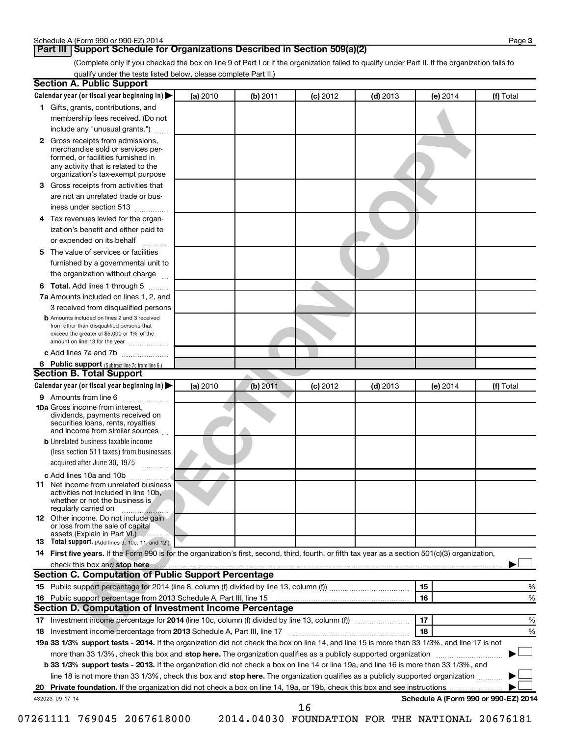# **Part III Support Schedule for Organizations Described in Section 509(a)(2)**

(Complete only if you checked the box on line 9 of Part I or if the organization failed to qualify under Part II. If the organization fails to qualify under the tests listed below, please complete Part II.)

| <b>Section A. Public Support</b>                                                                                                                                                 |          |          |            |            |                                      |           |
|----------------------------------------------------------------------------------------------------------------------------------------------------------------------------------|----------|----------|------------|------------|--------------------------------------|-----------|
| Calendar year (or fiscal year beginning in)                                                                                                                                      | (a) 2010 | (b) 2011 | $(c)$ 2012 | $(d)$ 2013 | (e) 2014                             | (f) Total |
| 1 Gifts, grants, contributions, and                                                                                                                                              |          |          |            |            |                                      |           |
| membership fees received. (Do not                                                                                                                                                |          |          |            |            |                                      |           |
| include any "unusual grants.")                                                                                                                                                   |          |          |            |            |                                      |           |
| 2 Gross receipts from admissions,<br>merchandise sold or services per-<br>formed, or facilities furnished in<br>any activity that is related to the                              |          |          |            |            |                                      |           |
| organization's tax-exempt purpose                                                                                                                                                |          |          |            |            |                                      |           |
| 3 Gross receipts from activities that                                                                                                                                            |          |          |            |            |                                      |           |
| are not an unrelated trade or bus-                                                                                                                                               |          |          |            |            |                                      |           |
| iness under section 513                                                                                                                                                          |          |          |            |            |                                      |           |
| 4 Tax revenues levied for the organ-                                                                                                                                             |          |          |            |            |                                      |           |
| ization's benefit and either paid to                                                                                                                                             |          |          |            |            |                                      |           |
| or expended on its behalf                                                                                                                                                        |          |          |            |            |                                      |           |
| 5 The value of services or facilities                                                                                                                                            |          |          |            |            |                                      |           |
| furnished by a governmental unit to                                                                                                                                              |          |          |            |            |                                      |           |
| the organization without charge                                                                                                                                                  |          |          |            |            |                                      |           |
| 6 Total. Add lines 1 through 5                                                                                                                                                   |          |          |            |            |                                      |           |
| 7a Amounts included on lines 1, 2, and                                                                                                                                           |          |          |            |            |                                      |           |
| 3 received from disqualified persons                                                                                                                                             |          |          |            |            |                                      |           |
| <b>b</b> Amounts included on lines 2 and 3 received<br>from other than disqualified persons that<br>exceed the greater of \$5,000 or 1% of the<br>amount on line 13 for the year |          |          |            |            |                                      |           |
| c Add lines 7a and 7b                                                                                                                                                            |          |          |            |            |                                      |           |
| 8 Public support (Subtract line 7c from line 6.)                                                                                                                                 |          |          |            |            |                                      |           |
| <b>Section B. Total Support</b>                                                                                                                                                  |          |          |            |            |                                      |           |
| Calendar year (or fiscal year beginning in)                                                                                                                                      | (a) 2010 | (b) 2011 | $(c)$ 2012 | $(d)$ 2013 | (e) 2014                             | (f) Total |
| 9 Amounts from line 6                                                                                                                                                            |          |          |            |            |                                      |           |
| <b>10a</b> Gross income from interest,<br>dividends, payments received on<br>securities loans, rents, royalties<br>and income from similar sources                               |          |          |            |            |                                      |           |
| <b>b</b> Unrelated business taxable income                                                                                                                                       |          |          |            |            |                                      |           |
| (less section 511 taxes) from businesses                                                                                                                                         |          |          |            |            |                                      |           |
| acquired after June 30, 1975                                                                                                                                                     |          |          |            |            |                                      |           |
| c Add lines 10a and 10b                                                                                                                                                          |          |          |            |            |                                      |           |
| <b>11</b> Net income from unrelated business<br>activities not included in line 10b.<br>whether or not the business is<br>regularly carried on                                   |          |          |            |            |                                      |           |
| <b>12</b> Other income. Do not include gain<br>or loss from the sale of capital<br>assets (Explain in Part VI.)                                                                  |          |          |            |            |                                      |           |
| <b>13</b> Total support. (Add lines 9, 10c, 11, and 12.)                                                                                                                         |          |          |            |            |                                      |           |
| 14 First five years. If the Form 990 is for the organization's first, second, third, fourth, or fifth tax year as a section 501(c)(3) organization,                              |          |          |            |            |                                      |           |
|                                                                                                                                                                                  |          |          |            |            |                                      |           |
| Section C. Computation of Public Support Percentage                                                                                                                              |          |          |            |            |                                      |           |
|                                                                                                                                                                                  |          |          |            |            | 15                                   | %         |
| 16 Public support percentage from 2013 Schedule A, Part III, line 15                                                                                                             |          |          |            |            | 16                                   | %         |
| Section D. Computation of Investment Income Percentage                                                                                                                           |          |          |            |            |                                      |           |
| 17 Investment income percentage for 2014 (line 10c, column (f) divided by line 13, column (f))                                                                                   |          |          |            |            | 17                                   | %         |
| 18 Investment income percentage from 2013 Schedule A, Part III, line 17                                                                                                          |          |          |            |            | 18                                   | %         |
| 19a 33 1/3% support tests - 2014. If the organization did not check the box on line 14, and line 15 is more than 33 1/3%, and line 17 is not                                     |          |          |            |            |                                      |           |
| more than 33 1/3%, check this box and stop here. The organization qualifies as a publicly supported organization                                                                 |          |          |            |            |                                      |           |
| b 33 1/3% support tests - 2013. If the organization did not check a box on line 14 or line 19a, and line 16 is more than 33 1/3%, and                                            |          |          |            |            |                                      |           |
| line 18 is not more than 33 1/3%, check this box and stop here. The organization qualifies as a publicly supported organization                                                  |          |          |            |            |                                      |           |
|                                                                                                                                                                                  |          |          |            |            |                                      |           |
| 432023 09-17-14                                                                                                                                                                  |          |          |            |            | Schedule A (Form 990 or 990-EZ) 2014 |           |
|                                                                                                                                                                                  |          |          | 16         |            |                                      |           |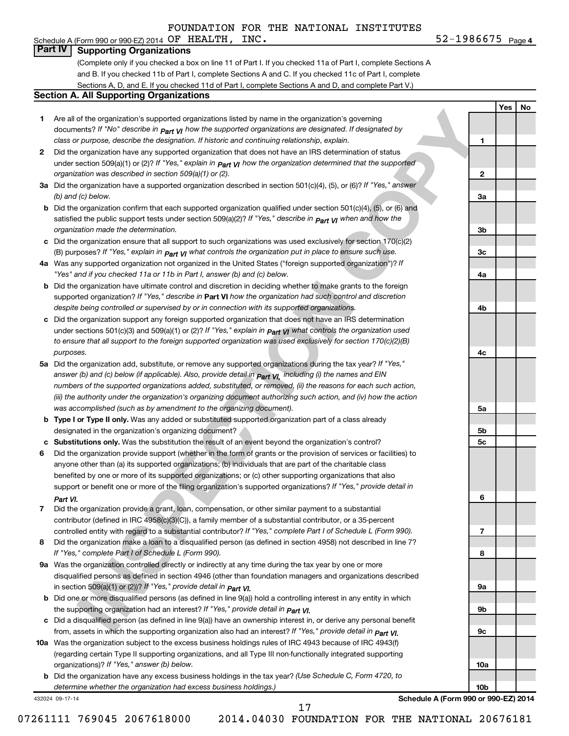# **Part IV Supporting Organizations**

(Complete only if you checked a box on line 11 of Part I. If you checked 11a of Part I, complete Sections A and B. If you checked 11b of Part I, complete Sections A and C. If you checked 11c of Part I, complete Sections A, D, and E. If you checked 11d of Part I, complete Sections A and D, and complete Part V.)

#### **Section A. All Supporting Organizations**

| Are all of the organization's supported organizations listed by name in the organization's governing                             |
|----------------------------------------------------------------------------------------------------------------------------------|
| documents? If "No" describe in $P_{\text{part}}$ v <sub>I</sub> how the supported organizations are designated. If designated by |
| class or purpose, describe the designation. If historic and continuing relationship, explain.                                    |

- **2** Did the organization have any supported organization that does not have an IRS determination of status under section 509(a)(1) or (2)? If "Yes," explain in **p<sub>art VI</sub> how the organization determined that the supported** *organization was described in section 509(a)(1) or (2).*
- **3a** Did the organization have a supported organization described in section 501(c)(4), (5), or (6)? If "Yes," answer *(b) and (c) below.*
- **b** Did the organization confirm that each supported organization qualified under section 501(c)(4), (5), or (6) and satisfied the public support tests under section 509(a)(2)? If "Yes," describe in  $_{\rm Part}$   $_{\rm VI}$  when and how the *organization made the determination.*
- **c** Did the organization ensure that all support to such organizations was used exclusively for section 170(c)(2) (B) purposes? If "Yes," explain in  $_{\mathsf{Part}}$   $_{\mathsf{V}}$  what controls the organization put in place to ensure such use.
- **4 a** *If* Was any supported organization not organized in the United States ("foreign supported organization")? *"Yes" and if you checked 11a or 11b in Part I, answer (b) and (c) below.*
- **b** Did the organization have ultimate control and discretion in deciding whether to make grants to the foreign supported organization? If "Yes," describe in Part VI how the organization had such control and discretion *despite being controlled or supervised by or in connection with its supported organizations.*
- **c** Did the organization support any foreign supported organization that does not have an IRS determination under sections 501(c)(3) and 509(a)(1) or (2)? If "Yes," ex*plain in*  $_{\sf Part}$  *VI what controls the organization used to ensure that all support to the foreign supported organization was used exclusively for section 170(c)(2)(B) purposes.*
- **5a** Did the organization add, substitute, or remove any supported organizations during the tax year? If "Yes," answer (b) and (c) below (if applicable). Also, provide detail in  $_{\rm Part}$   $_{\rm VI,}$  including (i) the names and EIN *numbers of the supported organizations added, substituted, or removed, (ii) the reasons for each such action, (iii) the authority under the organization's organizing document authorizing such action, and (iv) how the action was accomplished (such as by amendment to the organizing document).*
- **b** Type I or Type II only. Was any added or substituted supported organization part of a class already designated in the organization's organizing document?
- **c Substitutions only.**  Was the substitution the result of an event beyond the organization's control?
- **If the cognitizations associated cognitization** in the significant of the cognitization given in the collection of the collection of the collection of the collection of the collection of the collection of the collection o **6** Did the organization provide support (whether in the form of grants or the provision of services or facilities) to support or benefit one or more of the filing organization's supported organizations? If "Yes," provide detail in anyone other than (a) its supported organizations; (b) individuals that are part of the charitable class benefited by one or more of its supported organizations; or (c) other supporting organizations that also *Part VI.*
- **7** Did the organization provide a grant, loan, compensation, or other similar payment to a substantial controlled entity with regard to a substantial contributor? If "Yes," complete Part I of Schedule L (Form 990). contributor (defined in IRC 4958(c)(3)(C)), a family member of a substantial contributor, or a 35-percent
- **8** Did the organization make a loan to a disqualified person (as defined in section 4958) not described in line 7? *If "Yes," complete Part I of Schedule L (Form 990).*
- **9 a** Was the organization controlled directly or indirectly at any time during the tax year by one or more *If "Yes," provide detail in*  in section 509(a)(1) or (2))? *Part VI.* disqualified persons as defined in section 4946 (other than foundation managers and organizations described
- **b** Did one or more disqualified persons (as defined in line 9(a)) hold a controlling interest in any entity in which  *If "Yes," provide detail in*  the supporting organization had an interest? *Part VI.*
- **c** Did a disqualified person (as defined in line 9(a)) have an ownership interest in, or derive any personal benefit from, assets in which the supporting organization also had an interest? If "Yes," *provide detail in Part VI.*
- **10 a** Was the organization subject to the excess business holdings rules of IRC 4943 because of IRC 4943(f)  *If "Yes," answer (b) below.* organizations)? (regarding certain Type II supporting organizations, and all Type III non-functionally integrated supporting
- **b** Did the organization have any excess business holdings in the tax year? (Use Schedule C, Form 4720, to *determine whether the organization had excess business holdings.)*

432024 09-17-14

**Schedule A (Form 990 or 990-EZ) 2014**

17

07261111 769045 2067618000 2014.04030 FOUNDATION FOR THE NATIONAL 20676181

| 4b              |  |
|-----------------|--|
|                 |  |
| 4c              |  |
|                 |  |
| 5a              |  |
|                 |  |
| 5b              |  |
| 5c              |  |
|                 |  |
| 6               |  |
|                 |  |
| $\overline{1}$  |  |
|                 |  |
| 8               |  |
|                 |  |
| <b>9a</b>       |  |
|                 |  |
| 9b              |  |
|                 |  |
| 9c              |  |
|                 |  |
| 10a             |  |
|                 |  |
| 10 <sub>b</sub> |  |

52-1986675 <sub>Page 4</sub> Schedule A (Form 990 or 990-EZ) 2014 Page OF HEALTH, INC. 52-1986675

**1**

**2**

**3a**

**3b**

**3c**

**4a**

**Yes No**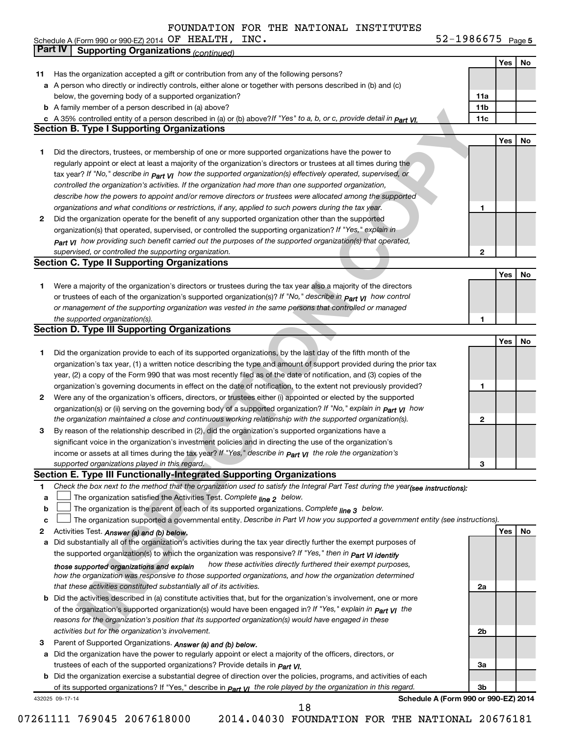Schedule A (Form 990 or 990-EZ) 2014 Page OF HEALTH, INC. 52-1986675

52-1986675 Page 5

|                        | Part IV<br><b>Supporting Organizations (continued)</b>                                                                           |                 |     |
|------------------------|----------------------------------------------------------------------------------------------------------------------------------|-----------------|-----|
|                        |                                                                                                                                  |                 | Yes |
| 11                     | Has the organization accepted a gift or contribution from any of the following persons?                                          |                 |     |
|                        | a A person who directly or indirectly controls, either alone or together with persons described in (b) and (c)                   |                 |     |
|                        | below, the governing body of a supported organization?                                                                           | 11a             |     |
|                        | <b>b</b> A family member of a person described in (a) above?                                                                     | 11 <sub>b</sub> |     |
|                        | c A 35% controlled entity of a person described in (a) or (b) above? If "Yes" to a, b, or c, provide detail in Part VI.          | 11c             |     |
|                        | <b>Section B. Type I Supporting Organizations</b>                                                                                |                 |     |
|                        |                                                                                                                                  |                 | Yes |
| 1                      | Did the directors, trustees, or membership of one or more supported organizations have the power to                              |                 |     |
|                        | regularly appoint or elect at least a majority of the organization's directors or trustees at all times during the               |                 |     |
|                        | tax year? If "No," describe in $_{Part}$ $_{VI}$ how the supported organization(s) effectively operated, supervised, or          |                 |     |
|                        | controlled the organization's activities. If the organization had more than one supported organization,                          |                 |     |
|                        | describe how the powers to appoint and/or remove directors or trustees were allocated among the supported                        |                 |     |
|                        |                                                                                                                                  | 1               |     |
|                        | organizations and what conditions or restrictions, if any, applied to such powers during the tax year.                           |                 |     |
| 2                      | Did the organization operate for the benefit of any supported organization other than the supported                              |                 |     |
|                        | organization(s) that operated, supervised, or controlled the supporting organization? If "Yes," explain in                       |                 |     |
|                        | Part VI how providing such benefit carried out the purposes of the supported organization(s) that operated,                      |                 |     |
|                        | supervised, or controlled the supporting organization.                                                                           | $\mathbf{2}$    |     |
|                        | <b>Section C. Type II Supporting Organizations</b>                                                                               |                 |     |
|                        |                                                                                                                                  |                 | Yes |
| 1                      | Were a majority of the organization's directors or trustees during the tax year also a majority of the directors                 |                 |     |
|                        | or trustees of each of the organization's supported organization(s)? If "No," describe in <b>Part VI</b> how control             |                 |     |
|                        | or management of the supporting organization was vested in the same persons that controlled or managed                           |                 |     |
|                        | the supported organization(s).                                                                                                   | 1               |     |
|                        | <b>Section D. Type III Supporting Organizations</b>                                                                              |                 |     |
|                        |                                                                                                                                  |                 | Yes |
| 1                      | Did the organization provide to each of its supported organizations, by the last day of the fifth month of the                   |                 |     |
|                        | organization's tax year, (1) a written notice describing the type and amount of support provided during the prior tax            |                 |     |
|                        | year, (2) a copy of the Form 990 that was most recently filed as of the date of notification, and (3) copies of the              |                 |     |
|                        | organization's governing documents in effect on the date of notification, to the extent not previously provided?                 | 1               |     |
| 2                      | Were any of the organization's officers, directors, or trustees either (i) appointed or elected by the supported                 |                 |     |
|                        |                                                                                                                                  |                 |     |
|                        | organization(s) or (ii) serving on the governing body of a supported organization? If "No," explain in part VI how               |                 |     |
|                        | the organization maintained a close and continuous working relationship with the supported organization(s).                      | $\mathbf{2}$    |     |
| 3                      | By reason of the relationship described in (2), did the organization's supported organizations have a                            |                 |     |
|                        | significant voice in the organization's investment policies and in directing the use of the organization's                       |                 |     |
|                        | income or assets at all times during the tax year? If "Yes," describe in $P_{\text{art } V1}$ the role the organization's        |                 |     |
|                        | supported organizations played in this regard.                                                                                   | 3               |     |
|                        | Section E. Type III Functionally-Integrated Supporting Organizations                                                             |                 |     |
| 1                      | Check the box next to the method that the organization used to satisfy the Integral Part Test during the year(see instructions): |                 |     |
| a                      | The organization satisfied the Activities Test. Complete line 2 below.                                                           |                 |     |
|                        | The organization is the parent of each of its supported organizations. Complete $_{\text{line 3}}$ below.                        |                 |     |
| b                      |                                                                                                                                  |                 |     |
| c                      | The organization supported a governmental entity. Describe in Part VI how you supported a government entity (see instructions).  |                 |     |
|                        |                                                                                                                                  |                 | Yes |
| а                      | Activities Test. Answer (a) and (b) below.                                                                                       |                 |     |
|                        | Did substantially all of the organization's activities during the tax year directly further the exempt purposes of               |                 |     |
|                        | the supported organization(s) to which the organization was responsive? If "Yes," then in Part VI identify                       |                 |     |
|                        | how these activities directly furthered their exempt purposes,<br>those supported organizations and explain                      |                 |     |
|                        | how the organization was responsive to those supported organizations, and how the organization determined                        |                 |     |
|                        | that these activities constituted substantially all of its activities.                                                           | 2a              |     |
|                        | b Did the activities described in (a) constitute activities that, but for the organization's involvement, one or more            |                 |     |
|                        | of the organization's supported organization(s) would have been engaged in? If "Yes," explain in part VI the                     |                 |     |
|                        | reasons for the organization's position that its supported organization(s) would have engaged in these                           |                 |     |
|                        | activities but for the organization's involvement.                                                                               | 2 <sub>b</sub>  |     |
|                        | Parent of Supported Organizations. Answer (a) and (b) below.                                                                     |                 |     |
| $\mathbf{2}$<br>3<br>а | Did the organization have the power to regularly appoint or elect a majority of the officers, directors, or                      |                 |     |
|                        | trustees of each of the supported organizations? Provide details in <i>Part VI.</i>                                              | За              |     |
|                        | <b>b</b> Did the organization exercise a substantial degree of direction over the policies, programs, and activities of each     |                 |     |
|                        | of its supported organizations? If "Yes," describe in part v <sub>1</sub> the role played by the organization in this regard.    | 3b              |     |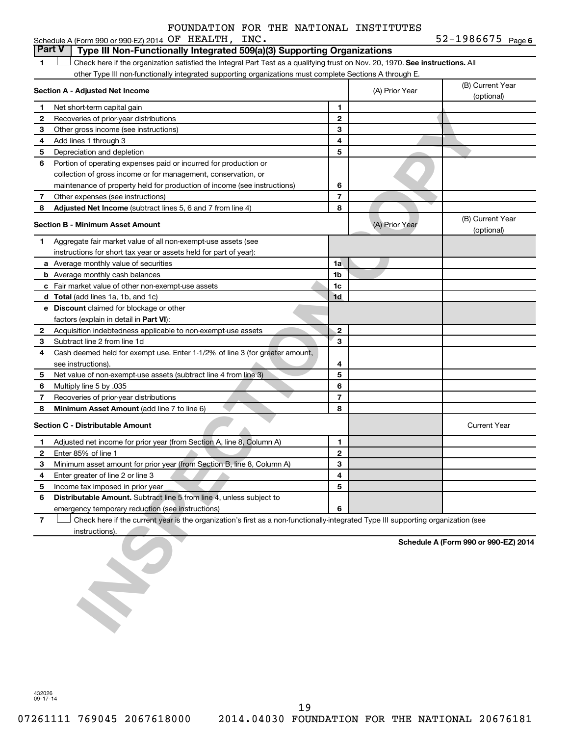|   | Schedule A (Form 990 or 990-EZ) 2014 OF HEALTH, INC.                                                                          |   |                | 52-1986675 Page 6              |
|---|-------------------------------------------------------------------------------------------------------------------------------|---|----------------|--------------------------------|
|   | <b>Part V</b><br>Type III Non-Functionally Integrated 509(a)(3) Supporting Organizations                                      |   |                |                                |
|   | Check here if the organization satisfied the Integral Part Test as a qualifying trust on Nov. 20, 1970. See instructions. All |   |                |                                |
|   | other Type III non-functionally integrated supporting organizations must complete Sections A through E.                       |   |                |                                |
|   | Section A - Adjusted Net Income                                                                                               |   | (A) Prior Year | (B) Current Year<br>(optional) |
|   | Net short-term capital gain                                                                                                   |   |                |                                |
|   | Recoveries of prior-year distributions                                                                                        | 2 |                |                                |
| з | Other gross income (see instructions)                                                                                         | 3 |                |                                |
|   | Add lines 1 through 3                                                                                                         | 4 |                |                                |
| 5 | Depreciation and depletion                                                                                                    | 5 |                |                                |
| 6 | Portion of operating expenses paid or incurred for production or                                                              |   |                |                                |
|   | collection of gross income or for management, conservation, or                                                                |   |                |                                |

|                | <u>INGLISHULFLGHIH GADILAI YAIH</u>                                                                                               |                |                |                                      |
|----------------|-----------------------------------------------------------------------------------------------------------------------------------|----------------|----------------|--------------------------------------|
| 2              | Recoveries of prior-year distributions                                                                                            | $\mathbf{2}$   |                |                                      |
| 3              | Other gross income (see instructions)                                                                                             | 3              |                |                                      |
| 4              | Add lines 1 through 3                                                                                                             | 4              |                |                                      |
| 5              | Depreciation and depletion                                                                                                        | 5              |                |                                      |
| 6              | Portion of operating expenses paid or incurred for production or                                                                  |                |                |                                      |
|                | collection of gross income or for management, conservation, or                                                                    |                |                |                                      |
|                | maintenance of property held for production of income (see instructions)                                                          | 6              |                |                                      |
| 7              | Other expenses (see instructions)                                                                                                 | $\overline{7}$ |                |                                      |
|                |                                                                                                                                   | 8              |                |                                      |
| 8              | Adjusted Net Income (subtract lines 5, 6 and 7 from line 4)                                                                       |                |                |                                      |
|                | <b>Section B - Minimum Asset Amount</b>                                                                                           |                | (A) Prior Year | (B) Current Year<br>(optional)       |
| 1              | Aggregate fair market value of all non-exempt-use assets (see                                                                     |                |                |                                      |
|                | instructions for short tax year or assets held for part of year):                                                                 |                |                |                                      |
|                | a Average monthly value of securities                                                                                             | 1a             |                |                                      |
|                | <b>b</b> Average monthly cash balances                                                                                            | 1b             |                |                                      |
|                | c Fair market value of other non-exempt-use assets                                                                                | 1c             |                |                                      |
|                | <b>d</b> Total (add lines 1a, 1b, and 1c)                                                                                         | 1d             |                |                                      |
|                | e Discount claimed for blockage or other                                                                                          |                |                |                                      |
|                | factors (explain in detail in <b>Part VI</b> ):                                                                                   |                |                |                                      |
| 2              | Acquisition indebtedness applicable to non-exempt-use assets                                                                      | $\overline{2}$ |                |                                      |
| З              | Subtract line 2 from line 1d                                                                                                      | 3              |                |                                      |
| 4              | Cash deemed held for exempt use. Enter 1-1/2% of line 3 (for greater amount,                                                      |                |                |                                      |
|                | see instructions).                                                                                                                | 4              |                |                                      |
| 5              | Net value of non-exempt-use assets (subtract line 4 from line 3)                                                                  | 5              |                |                                      |
| 6              | Multiply line 5 by .035                                                                                                           | 6              |                |                                      |
| 7              | Recoveries of prior-year distributions                                                                                            | $\overline{7}$ |                |                                      |
| 8              | Minimum Asset Amount (add line 7 to line 6)                                                                                       | 8              |                |                                      |
|                |                                                                                                                                   |                |                |                                      |
|                | <b>Section C - Distributable Amount</b>                                                                                           |                |                | <b>Current Year</b>                  |
| 1              | Adjusted net income for prior year (from Section A, line 8, Column A)                                                             | 1              |                |                                      |
| $\mathbf{2}$   | Enter 85% of line 1                                                                                                               | $\mathbf{2}$   |                |                                      |
| 3              | Minimum asset amount for prior year (from Section B, line 8, Column A)                                                            | 3              |                |                                      |
| 4              | Enter greater of line 2 or line 3                                                                                                 | 4              |                |                                      |
| 5              | Income tax imposed in prior year                                                                                                  | 5              |                |                                      |
| 6              | Distributable Amount. Subtract line 5 from line 4, unless subject to                                                              |                |                |                                      |
|                | emergency temporary reduction (see instructions)                                                                                  | 6              |                |                                      |
| $\overline{7}$ | Check here if the current year is the organization's first as a non-functionally-integrated Type III supporting organization (see |                |                |                                      |
|                | instructions)                                                                                                                     |                |                |                                      |
|                |                                                                                                                                   |                |                | Schedule A (Form 990 or 990-EZ) 2014 |

432026 09-17-14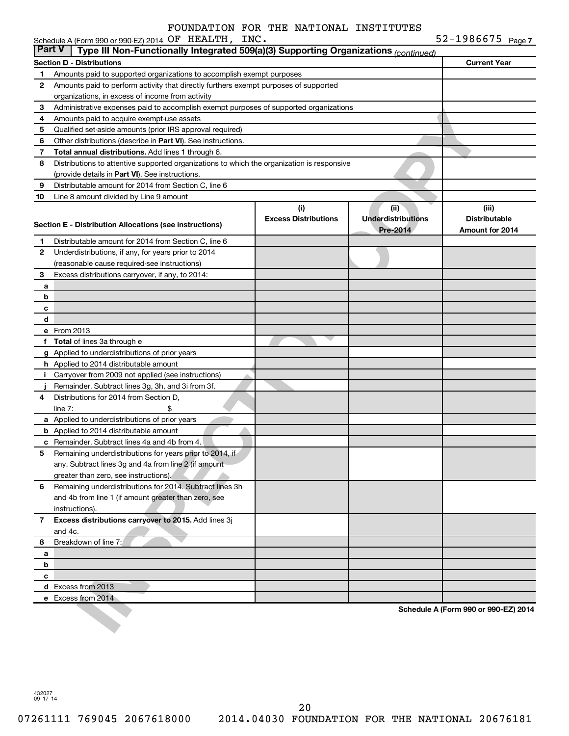| <b>Part V</b> | Type III Non-Functionally Integrated 509(a)(3) Supporting Organizations (continued)                              |                                    |                                               |                                                  |
|---------------|------------------------------------------------------------------------------------------------------------------|------------------------------------|-----------------------------------------------|--------------------------------------------------|
|               | <b>Section D - Distributions</b>                                                                                 |                                    |                                               | <b>Current Year</b>                              |
| 1             | Amounts paid to supported organizations to accomplish exempt purposes                                            |                                    |                                               |                                                  |
| 2             | Amounts paid to perform activity that directly furthers exempt purposes of supported                             |                                    |                                               |                                                  |
|               | organizations, in excess of income from activity                                                                 |                                    |                                               |                                                  |
| 3             | Administrative expenses paid to accomplish exempt purposes of supported organizations                            |                                    |                                               |                                                  |
| 4             | Amounts paid to acquire exempt-use assets                                                                        |                                    |                                               |                                                  |
| 5             | Qualified set-aside amounts (prior IRS approval required)                                                        |                                    |                                               |                                                  |
| 6             | Other distributions (describe in Part VI). See instructions.                                                     |                                    |                                               |                                                  |
| 7             | Total annual distributions. Add lines 1 through 6.                                                               |                                    |                                               |                                                  |
| 8             | Distributions to attentive supported organizations to which the organization is responsive                       |                                    |                                               |                                                  |
|               | (provide details in Part VI). See instructions.                                                                  |                                    |                                               |                                                  |
| 9             | Distributable amount for 2014 from Section C, line 6                                                             |                                    |                                               |                                                  |
| 10            | Line 8 amount divided by Line 9 amount                                                                           |                                    |                                               |                                                  |
|               | Section E - Distribution Allocations (see instructions)                                                          | (i)<br><b>Excess Distributions</b> | (ii)<br><b>Underdistributions</b><br>Pre-2014 | (iii)<br><b>Distributable</b><br>Amount for 2014 |
| 1.            | Distributable amount for 2014 from Section C, line 6                                                             |                                    |                                               |                                                  |
| 2             | Underdistributions, if any, for years prior to 2014                                                              |                                    |                                               |                                                  |
|               | (reasonable cause required-see instructions)                                                                     |                                    |                                               |                                                  |
| 3             | Excess distributions carryover, if any, to 2014:                                                                 |                                    |                                               |                                                  |
| а             |                                                                                                                  |                                    |                                               |                                                  |
| b             |                                                                                                                  |                                    |                                               |                                                  |
| с             |                                                                                                                  |                                    |                                               |                                                  |
| d             |                                                                                                                  |                                    |                                               |                                                  |
|               | e From 2013                                                                                                      |                                    |                                               |                                                  |
|               | f Total of lines 3a through e                                                                                    |                                    |                                               |                                                  |
|               | g Applied to underdistributions of prior years                                                                   |                                    |                                               |                                                  |
|               | h Applied to 2014 distributable amount                                                                           |                                    |                                               |                                                  |
|               | i Carryover from 2009 not applied (see instructions)                                                             |                                    |                                               |                                                  |
|               | Remainder. Subtract lines 3g, 3h, and 3i from 3f.                                                                |                                    |                                               |                                                  |
| 4             | Distributions for 2014 from Section D,                                                                           |                                    |                                               |                                                  |
|               | line $7:$<br>\$                                                                                                  |                                    |                                               |                                                  |
|               | a Applied to underdistributions of prior years                                                                   |                                    |                                               |                                                  |
|               | <b>b</b> Applied to 2014 distributable amount                                                                    |                                    |                                               |                                                  |
|               | c Remainder. Subtract lines 4a and 4b from 4.                                                                    |                                    |                                               |                                                  |
| 5             | Remaining underdistributions for years prior to 2014, if                                                         |                                    |                                               |                                                  |
|               | any. Subtract lines 3g and 4a from line 2 (if amount                                                             |                                    |                                               |                                                  |
|               | greater than zero, see instructions).                                                                            |                                    |                                               |                                                  |
| 6             | Remaining underdistributions for 2014. Subtract lines 3h<br>and 4b from line 1 (if amount greater than zero, see |                                    |                                               |                                                  |
|               | instructions).                                                                                                   |                                    |                                               |                                                  |
| 7             | Excess distributions carryover to 2015. Add lines 3j                                                             |                                    |                                               |                                                  |
|               | and 4c.                                                                                                          |                                    |                                               |                                                  |
| 8             | Breakdown of line 7:                                                                                             |                                    |                                               |                                                  |
| a             |                                                                                                                  |                                    |                                               |                                                  |
| b             |                                                                                                                  |                                    |                                               |                                                  |
| С             |                                                                                                                  |                                    |                                               |                                                  |
|               | d Excess from 2013                                                                                               |                                    |                                               |                                                  |
|               | e Excess from 2014                                                                                               |                                    |                                               |                                                  |
|               |                                                                                                                  |                                    |                                               | Schedule A (Form 990 or 990-EZ) 2014             |
|               |                                                                                                                  |                                    |                                               |                                                  |

432027 09-17-14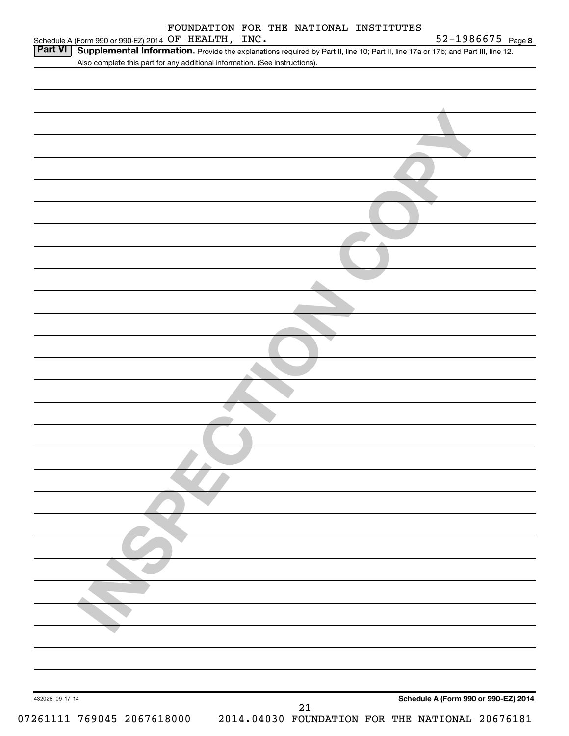|                 | Schedule A (Form 990 or 990-EZ) 2014 OF HEALTH, INC.                                                                              | FOUNDATION FOR THE NATIONAL INSTITUTES | 52-1986675 Page 8                               |
|-----------------|-----------------------------------------------------------------------------------------------------------------------------------|----------------------------------------|-------------------------------------------------|
| Part VI         | Supplemental Information. Provide the explanations required by Part II, line 10; Part II, line 17a or 17b; and Part III, line 12. |                                        |                                                 |
|                 | Also complete this part for any additional information. (See instructions).                                                       |                                        |                                                 |
|                 |                                                                                                                                   |                                        |                                                 |
|                 |                                                                                                                                   |                                        |                                                 |
|                 |                                                                                                                                   |                                        |                                                 |
|                 |                                                                                                                                   |                                        |                                                 |
|                 |                                                                                                                                   |                                        |                                                 |
|                 |                                                                                                                                   |                                        |                                                 |
|                 |                                                                                                                                   |                                        |                                                 |
|                 |                                                                                                                                   |                                        |                                                 |
|                 |                                                                                                                                   |                                        |                                                 |
|                 |                                                                                                                                   |                                        |                                                 |
|                 |                                                                                                                                   |                                        |                                                 |
|                 |                                                                                                                                   |                                        |                                                 |
|                 |                                                                                                                                   |                                        |                                                 |
|                 |                                                                                                                                   |                                        |                                                 |
|                 |                                                                                                                                   |                                        |                                                 |
|                 |                                                                                                                                   |                                        |                                                 |
|                 |                                                                                                                                   |                                        |                                                 |
|                 |                                                                                                                                   |                                        |                                                 |
|                 |                                                                                                                                   |                                        |                                                 |
|                 |                                                                                                                                   |                                        |                                                 |
|                 |                                                                                                                                   |                                        |                                                 |
|                 |                                                                                                                                   |                                        |                                                 |
|                 |                                                                                                                                   |                                        |                                                 |
|                 |                                                                                                                                   |                                        |                                                 |
|                 |                                                                                                                                   |                                        |                                                 |
|                 |                                                                                                                                   |                                        |                                                 |
|                 |                                                                                                                                   |                                        |                                                 |
|                 |                                                                                                                                   |                                        |                                                 |
|                 |                                                                                                                                   |                                        |                                                 |
|                 |                                                                                                                                   |                                        |                                                 |
|                 |                                                                                                                                   |                                        |                                                 |
|                 |                                                                                                                                   |                                        |                                                 |
|                 |                                                                                                                                   |                                        |                                                 |
|                 |                                                                                                                                   |                                        |                                                 |
|                 |                                                                                                                                   |                                        |                                                 |
| 432028 09-17-14 |                                                                                                                                   |                                        | Schedule A (Form 990 or 990-EZ) 2014            |
|                 | 07261111 769045 2067618000                                                                                                        | 21                                     | 2014.04030 FOUNDATION FOR THE NATIONAL 20676181 |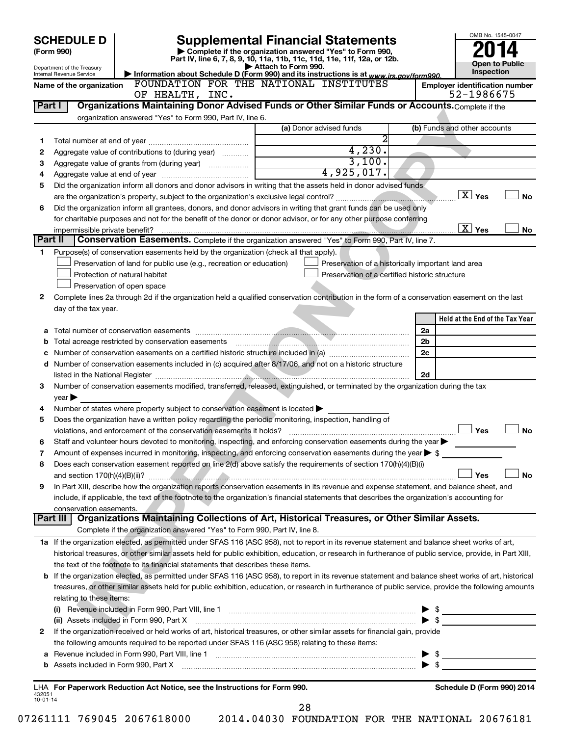|                | <b>SCHEDULE D</b>              |                                                                                                        | <b>Supplemental Financial Statements</b>                                                                                                                                                                                                           |                          | OMB No. 1545-0047                     |
|----------------|--------------------------------|--------------------------------------------------------------------------------------------------------|----------------------------------------------------------------------------------------------------------------------------------------------------------------------------------------------------------------------------------------------------|--------------------------|---------------------------------------|
|                | (Form 990)                     |                                                                                                        | Complete if the organization answered "Yes" to Form 990,                                                                                                                                                                                           |                          |                                       |
|                | Department of the Treasury     |                                                                                                        | Part IV, line 6, 7, 8, 9, 10, 11a, 11b, 11c, 11d, 11e, 11f, 12a, or 12b.<br>Attach to Form 990.                                                                                                                                                    |                          | <b>Open to Public</b>                 |
|                | Internal Revenue Service       |                                                                                                        | Information about Schedule D (Form 990) and its instructions is at www.irs.gov/form990.                                                                                                                                                            |                          | Inspection                            |
|                | Name of the organization       |                                                                                                        | FOUNDATION FOR THE NATIONAL INSTITUTES                                                                                                                                                                                                             |                          | <b>Employer identification number</b> |
|                |                                | OF HEALTH, INC.                                                                                        |                                                                                                                                                                                                                                                    |                          | 52-1986675                            |
| Part I         |                                |                                                                                                        | Organizations Maintaining Donor Advised Funds or Other Similar Funds or Accounts. Complete if the                                                                                                                                                  |                          |                                       |
|                |                                | organization answered "Yes" to Form 990, Part IV, line 6.                                              | (a) Donor advised funds                                                                                                                                                                                                                            |                          | (b) Funds and other accounts          |
|                |                                |                                                                                                        | 2                                                                                                                                                                                                                                                  |                          |                                       |
| 1<br>2         |                                | Aggregate value of contributions to (during year)                                                      | 4,230.                                                                                                                                                                                                                                             |                          |                                       |
| з              |                                |                                                                                                        | 3,100.                                                                                                                                                                                                                                             |                          |                                       |
| 4              |                                |                                                                                                        | 4,925,017.                                                                                                                                                                                                                                         |                          |                                       |
| 5              |                                |                                                                                                        | Did the organization inform all donors and donor advisors in writing that the assets held in donor advised funds                                                                                                                                   |                          |                                       |
|                |                                |                                                                                                        |                                                                                                                                                                                                                                                    |                          | $\boxed{\text{X}}$ Yes<br><b>No</b>   |
| 6              |                                |                                                                                                        | Did the organization inform all grantees, donors, and donor advisors in writing that grant funds can be used only                                                                                                                                  |                          |                                       |
|                |                                |                                                                                                        | for charitable purposes and not for the benefit of the donor or donor advisor, or for any other purpose conferring                                                                                                                                 |                          |                                       |
|                | impermissible private benefit? |                                                                                                        |                                                                                                                                                                                                                                                    |                          | $\overline{X}$ Yes<br><b>No</b>       |
| Part II        |                                |                                                                                                        | Conservation Easements. Complete if the organization answered "Yes" to Form 990, Part IV, line 7.                                                                                                                                                  |                          |                                       |
| 1              |                                | Purpose(s) of conservation easements held by the organization (check all that apply).                  |                                                                                                                                                                                                                                                    |                          |                                       |
|                |                                | Preservation of land for public use (e.g., recreation or education)                                    | Preservation of a historically important land area                                                                                                                                                                                                 |                          |                                       |
|                |                                | Protection of natural habitat                                                                          | Preservation of a certified historic structure                                                                                                                                                                                                     |                          |                                       |
|                |                                | Preservation of open space                                                                             |                                                                                                                                                                                                                                                    |                          |                                       |
| 2              |                                |                                                                                                        | Complete lines 2a through 2d if the organization held a qualified conservation contribution in the form of a conservation easement on the last                                                                                                     |                          |                                       |
|                | day of the tax year.           |                                                                                                        |                                                                                                                                                                                                                                                    |                          |                                       |
|                |                                |                                                                                                        |                                                                                                                                                                                                                                                    |                          | Held at the End of the Tax Year       |
|                |                                |                                                                                                        |                                                                                                                                                                                                                                                    | 2a                       |                                       |
| b              |                                |                                                                                                        |                                                                                                                                                                                                                                                    | 2 <sub>b</sub>           |                                       |
|                |                                |                                                                                                        |                                                                                                                                                                                                                                                    | 2c                       |                                       |
|                |                                |                                                                                                        | d Number of conservation easements included in (c) acquired after 8/17/06, and not on a historic structure                                                                                                                                         |                          |                                       |
|                |                                |                                                                                                        |                                                                                                                                                                                                                                                    | 2d                       |                                       |
| з              |                                |                                                                                                        | Number of conservation easements modified, transferred, released, extinguished, or terminated by the organization during the tax                                                                                                                   |                          |                                       |
|                | year                           |                                                                                                        |                                                                                                                                                                                                                                                    |                          |                                       |
| 4              |                                | Number of states where property subject to conservation easement is located $\blacktriangleright$      |                                                                                                                                                                                                                                                    |                          |                                       |
| 5              |                                | Does the organization have a written policy regarding the periodic monitoring, inspection, handling of |                                                                                                                                                                                                                                                    |                          |                                       |
|                |                                | violations, and enforcement of the conservation easements it holds?                                    |                                                                                                                                                                                                                                                    |                          | Yes<br><b>No</b>                      |
|                |                                |                                                                                                        | Staff and volunteer hours devoted to monitoring, inspecting, and enforcing conservation easements during the year                                                                                                                                  |                          |                                       |
| 7              |                                |                                                                                                        | Amount of expenses incurred in monitoring, inspecting, and enforcing conservation easements during the year $\triangleright$ \$<br>Does each conservation easement reported on line 2(d) above satisfy the requirements of section 170(h)(4)(B)(i) |                          |                                       |
| 8              |                                |                                                                                                        |                                                                                                                                                                                                                                                    |                          | Yes<br>No                             |
| 9              |                                |                                                                                                        | In Part XIII, describe how the organization reports conservation easements in its revenue and expense statement, and balance sheet, and                                                                                                            |                          |                                       |
|                |                                |                                                                                                        | include, if applicable, the text of the footnote to the organization's financial statements that describes the organization's accounting for                                                                                                       |                          |                                       |
|                | conservation easements.        |                                                                                                        |                                                                                                                                                                                                                                                    |                          |                                       |
|                | Part III                       |                                                                                                        | Organizations Maintaining Collections of Art, Historical Treasures, or Other Similar Assets.                                                                                                                                                       |                          |                                       |
|                |                                | Complete if the organization answered "Yes" to Form 990, Part IV, line 8.                              |                                                                                                                                                                                                                                                    |                          |                                       |
|                |                                |                                                                                                        | 1a If the organization elected, as permitted under SFAS 116 (ASC 958), not to report in its revenue statement and balance sheet works of art,                                                                                                      |                          |                                       |
|                |                                |                                                                                                        | historical treasures, or other similar assets held for public exhibition, education, or research in furtherance of public service, provide, in Part XIII,                                                                                          |                          |                                       |
|                |                                | the text of the footnote to its financial statements that describes these items.                       |                                                                                                                                                                                                                                                    |                          |                                       |
|                |                                |                                                                                                        | <b>b</b> If the organization elected, as permitted under SFAS 116 (ASC 958), to report in its revenue statement and balance sheet works of art, historical                                                                                         |                          |                                       |
|                |                                |                                                                                                        | treasures, or other similar assets held for public exhibition, education, or research in furtherance of public service, provide the following amounts                                                                                              |                          |                                       |
|                | relating to these items:       |                                                                                                        |                                                                                                                                                                                                                                                    |                          |                                       |
|                |                                |                                                                                                        | (i) Revenue included in Form 990, Part VIII, line 1 [2000] [2000] [2000] [30] Revenue included in Form 990, Part VIII, line 1 [2000] [2000] [2000] [2000] [2000] [3000] [3000] [3000] [3000] [3000] [3000] [3000] [3000] [3000                     | $\blacktriangleright$ s  |                                       |
|                |                                | (ii) Assets included in Form 990, Part X                                                               |                                                                                                                                                                                                                                                    | $\blacktriangleright$ \$ |                                       |
| 2              |                                |                                                                                                        | If the organization received or held works of art, historical treasures, or other similar assets for financial gain, provide                                                                                                                       |                          |                                       |
|                |                                | the following amounts required to be reported under SFAS 116 (ASC 958) relating to these items:        |                                                                                                                                                                                                                                                    |                          |                                       |
| а              |                                |                                                                                                        |                                                                                                                                                                                                                                                    | $\blacktriangleright$ \$ |                                       |
|                |                                |                                                                                                        |                                                                                                                                                                                                                                                    |                          |                                       |
|                |                                |                                                                                                        |                                                                                                                                                                                                                                                    |                          |                                       |
| 432051         |                                | LHA For Paperwork Reduction Act Notice, see the Instructions for Form 990.                             |                                                                                                                                                                                                                                                    |                          | Schedule D (Form 990) 2014            |
| $10 - 01 - 14$ |                                |                                                                                                        |                                                                                                                                                                                                                                                    |                          |                                       |
|                |                                |                                                                                                        | 28                                                                                                                                                                                                                                                 |                          |                                       |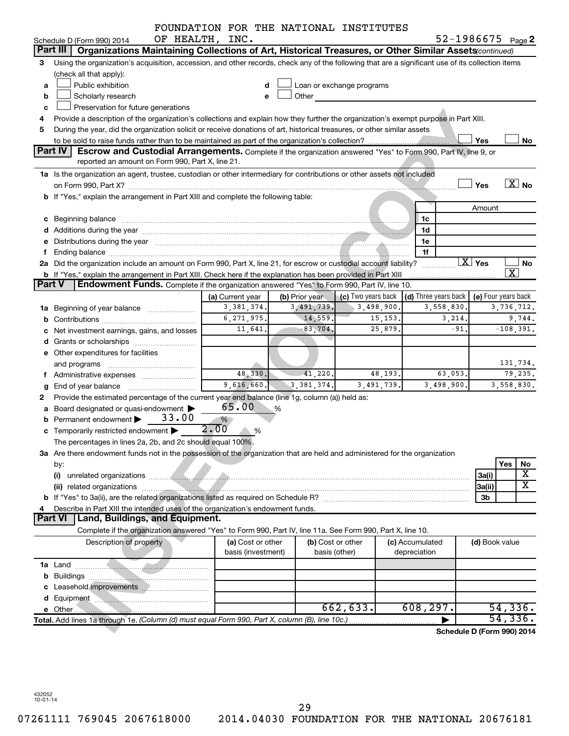|               |                                                                                                                                                                                                                      | FOUNDATION FOR THE NATIONAL INSTITUTES |   |                   |                           |         |                      |            |                        |                                      |
|---------------|----------------------------------------------------------------------------------------------------------------------------------------------------------------------------------------------------------------------|----------------------------------------|---|-------------------|---------------------------|---------|----------------------|------------|------------------------|--------------------------------------|
|               | Schedule D (Form 990) 2014                                                                                                                                                                                           | OF HEALTH, INC.                        |   |                   |                           |         |                      |            |                        | $52 - 1986675$ Page 2                |
|               | Part III $\vert$<br>Organizations Maintaining Collections of Art, Historical Treasures, or Other Similar Assets (continued)                                                                                          |                                        |   |                   |                           |         |                      |            |                        |                                      |
| З             | Using the organization's acquisition, accession, and other records, check any of the following that are a significant use of its collection items<br>(check all that apply):                                         |                                        |   |                   |                           |         |                      |            |                        |                                      |
| a             | Public exhibition                                                                                                                                                                                                    |                                        |   |                   | Loan or exchange programs |         |                      |            |                        |                                      |
| b             | Scholarly research                                                                                                                                                                                                   |                                        | e | Other             |                           |         |                      |            |                        |                                      |
| c             | Preservation for future generations                                                                                                                                                                                  |                                        |   |                   |                           |         |                      |            |                        |                                      |
| 4             | Provide a description of the organization's collections and explain how they further the organization's exempt purpose in Part XIII.                                                                                 |                                        |   |                   |                           |         |                      |            |                        |                                      |
| 5             | During the year, did the organization solicit or receive donations of art, historical treasures, or other similar assets                                                                                             |                                        |   |                   |                           |         |                      |            |                        |                                      |
|               |                                                                                                                                                                                                                      |                                        |   |                   |                           |         |                      |            | Yes                    | No                                   |
|               | Part IV<br><b>Escrow and Custodial Arrangements.</b> Complete if the organization answered "Yes" to Form 990, Part IV, line 9, or                                                                                    |                                        |   |                   |                           |         |                      |            |                        |                                      |
|               | reported an amount on Form 990, Part X, line 21.                                                                                                                                                                     |                                        |   |                   |                           |         |                      |            |                        |                                      |
|               | 1a Is the organization an agent, trustee, custodian or other intermediary for contributions or other assets not included                                                                                             |                                        |   |                   |                           |         |                      |            |                        |                                      |
|               |                                                                                                                                                                                                                      |                                        |   |                   |                           |         |                      |            | Yes                    | $\overline{X}$ No                    |
|               | b If "Yes," explain the arrangement in Part XIII and complete the following table:                                                                                                                                   |                                        |   |                   |                           |         |                      |            |                        |                                      |
|               |                                                                                                                                                                                                                      |                                        |   |                   |                           |         |                      |            | Amount                 |                                      |
|               |                                                                                                                                                                                                                      |                                        |   |                   |                           |         | 1c                   |            |                        |                                      |
| c             | Beginning balance material contracts and contracts and contracts and contracts and contracts and contracts and                                                                                                       |                                        |   |                   |                           |         | 1d                   |            |                        |                                      |
|               |                                                                                                                                                                                                                      |                                        |   |                   |                           |         | 1e                   |            |                        |                                      |
|               |                                                                                                                                                                                                                      |                                        |   |                   |                           |         |                      |            |                        |                                      |
|               |                                                                                                                                                                                                                      |                                        |   |                   |                           |         | 1f                   |            | $\boxed{\text{X}}$ Yes |                                      |
|               | 2a Did the organization include an amount on Form 990, Part X, line 21, for escrow or custodial account liability?                                                                                                   |                                        |   |                   |                           |         |                      |            |                        | <b>No</b><br>$\overline{\texttt{x}}$ |
| <b>Part V</b> | <b>b</b> If "Yes," explain the arrangement in Part XIII. Check here if the explanation has been provided in Part XIII<br>Endowment Funds. Complete if the organization answered "Yes" to Form 990, Part IV, line 10. |                                        |   |                   |                           |         |                      |            |                        |                                      |
|               |                                                                                                                                                                                                                      |                                        |   |                   |                           |         |                      |            |                        |                                      |
|               |                                                                                                                                                                                                                      | (a) Current year                       |   | (b) Prior year    | $\mid$ (c) Two years back |         | (d) Three years back |            |                        | (e) Four years back                  |
| ٦а            | Beginning of year balance                                                                                                                                                                                            | 3,381,374.                             |   | 3,491,739.        | 3,498,900.                |         |                      | 3,558,830. |                        | 3,736,712.                           |
| b             |                                                                                                                                                                                                                      | 6, 271, 975.                           |   | 14,559.           |                           | 15,153. |                      | 3,214.     |                        | 9,744.                               |
|               | Net investment earnings, gains, and losses                                                                                                                                                                           | 11,641.                                |   | $-83,704.$        |                           | 25,879  |                      | $-91.$     |                        | $-108,391.$                          |
|               |                                                                                                                                                                                                                      |                                        |   |                   |                           |         |                      |            |                        |                                      |
|               | e Other expenditures for facilities                                                                                                                                                                                  |                                        |   |                   |                           |         |                      |            |                        |                                      |
|               | and programs                                                                                                                                                                                                         |                                        |   |                   |                           |         |                      |            |                        | 131,734.                             |
|               |                                                                                                                                                                                                                      | 48,330.                                |   | 41,220.           |                           | 48,193. |                      | 63,053.    |                        | 79,235.                              |
| g             | End of year balance                                                                                                                                                                                                  | 9,616,660.                             |   | 3, 381, 374.      | 3,491,739.                |         |                      | 3,498,900. |                        | 3,558,830.                           |
| 2             | Provide the estimated percentage of the current year end balance (line 1g, column (a)) held as:                                                                                                                      |                                        |   |                   |                           |         |                      |            |                        |                                      |
| a             | Board designated or quasi-endowment                                                                                                                                                                                  | 65.00                                  | % |                   |                           |         |                      |            |                        |                                      |
|               | 33.00<br>Permanent endowment                                                                                                                                                                                         | %                                      |   |                   |                           |         |                      |            |                        |                                      |
|               | <b>c</b> Temporarily restricted endowment $\blacktriangleright$                                                                                                                                                      | 2.00<br>%                              |   |                   |                           |         |                      |            |                        |                                      |
|               | The percentages in lines 2a, 2b, and 2c should equal 100%.                                                                                                                                                           |                                        |   |                   |                           |         |                      |            |                        |                                      |
|               | 3a Are there endowment funds not in the possession of the organization that are held and administered for the organization                                                                                           |                                        |   |                   |                           |         |                      |            |                        |                                      |
|               | by:                                                                                                                                                                                                                  |                                        |   |                   |                           |         |                      |            |                        | Yes<br>No                            |
|               | (i)                                                                                                                                                                                                                  |                                        |   |                   |                           |         |                      |            | 3a(i)                  | $\overline{\mathbf{X}}$              |
|               |                                                                                                                                                                                                                      |                                        |   |                   |                           |         |                      |            | 3a(ii)                 | $\overline{\text{X}}$                |
|               |                                                                                                                                                                                                                      |                                        |   |                   |                           |         |                      |            | 3b                     |                                      |
|               | Describe in Part XIII the intended uses of the organization's endowment funds.                                                                                                                                       |                                        |   |                   |                           |         |                      |            |                        |                                      |
|               | Land, Buildings, and Equipment.<br><b>Part VI</b>                                                                                                                                                                    |                                        |   |                   |                           |         |                      |            |                        |                                      |
|               | Complete if the organization answered "Yes" to Form 990, Part IV, line 11a. See Form 990, Part X, line 10.                                                                                                           |                                        |   |                   |                           |         |                      |            |                        |                                      |
|               | Description of property                                                                                                                                                                                              | (a) Cost or other                      |   | (b) Cost or other |                           |         | (c) Accumulated      |            | (d) Book value         |                                      |
|               |                                                                                                                                                                                                                      | basis (investment)                     |   | basis (other)     |                           |         | depreciation         |            |                        |                                      |
|               |                                                                                                                                                                                                                      |                                        |   |                   |                           |         |                      |            |                        |                                      |
| b             |                                                                                                                                                                                                                      |                                        |   |                   |                           |         |                      |            |                        |                                      |
|               |                                                                                                                                                                                                                      |                                        |   |                   |                           |         |                      |            |                        |                                      |
|               |                                                                                                                                                                                                                      |                                        |   |                   |                           |         |                      |            |                        |                                      |
|               | d Equipment <b>Manual Communication</b> and Equipment                                                                                                                                                                |                                        |   |                   | 662,633.                  |         | 608, 297.            |            |                        | 54,336.                              |
|               | Total. Add lines 1a through 1e. (Column (d) must equal Form 990, Part X, column (B), line 10c.)                                                                                                                      |                                        |   |                   |                           |         |                      |            |                        | 54, 336.                             |
|               |                                                                                                                                                                                                                      |                                        |   |                   |                           |         |                      |            |                        |                                      |
|               |                                                                                                                                                                                                                      |                                        |   |                   |                           |         |                      |            |                        | Schedule D (Form 990) 2014           |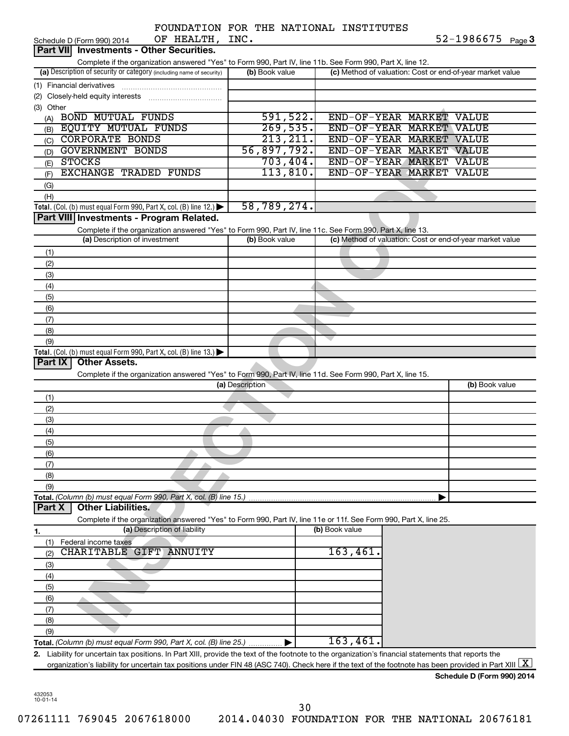|                |                                                                                                                                                        |                 | FOUNDATION FOR THE NATIONAL INSTITUTES |                                                           |
|----------------|--------------------------------------------------------------------------------------------------------------------------------------------------------|-----------------|----------------------------------------|-----------------------------------------------------------|
|                | OF HEALTH, INC.<br>Schedule D (Form 990) 2014                                                                                                          |                 |                                        | $52 - 1986675$ Page 3                                     |
|                | <b>Part VII</b> Investments - Other Securities.                                                                                                        |                 |                                        |                                                           |
|                | Complete if the organization answered "Yes" to Form 990, Part IV, line 11b. See Form 990, Part X, line 12.                                             |                 |                                        |                                                           |
|                | (a) Description of security or category (including name of security)                                                                                   | (b) Book value  |                                        | (c) Method of valuation: Cost or end-of-year market value |
|                | (1) Financial derivatives                                                                                                                              |                 |                                        |                                                           |
|                |                                                                                                                                                        |                 |                                        |                                                           |
| (3) Other      |                                                                                                                                                        |                 |                                        |                                                           |
| (A)            | <b>BOND MUTUAL FUNDS</b>                                                                                                                               | 591,522.        | END-OF-YEAR MARKET VALUE               |                                                           |
| (B)            | <b>EQUITY MUTUAL FUNDS</b>                                                                                                                             | 269,535.        | END-OF-YEAR MARKET VALUE               |                                                           |
| (C)            | <b>CORPORATE BONDS</b>                                                                                                                                 | 213, 211.       | END-OF-YEAR MARKET VALUE               |                                                           |
| (D)            | <b>GOVERNMENT BONDS</b>                                                                                                                                | 56,897,792.     | END-OF-YEAR MARKET VALUE               |                                                           |
| (E)            | <b>STOCKS</b>                                                                                                                                          | 703,404.        | END-OF-YEAR MARKET VALUE               |                                                           |
| (F)            | <b>EXCHANGE TRADED FUNDS</b>                                                                                                                           | 113,810.        | END-OF-YEAR MARKET VALUE               |                                                           |
|                |                                                                                                                                                        |                 |                                        |                                                           |
| (G)            |                                                                                                                                                        |                 |                                        |                                                           |
| (H)            |                                                                                                                                                        | 58,789,274.     |                                        |                                                           |
|                | Total. (Col. (b) must equal Form 990, Part X, col. (B) line 12.) $\blacktriangleright$                                                                 |                 |                                        |                                                           |
|                | Part VIII Investments - Program Related.                                                                                                               |                 |                                        |                                                           |
|                | Complete if the organization answered "Yes" to Form 990, Part IV, line 11c. See Form 990, Part X, line 13.                                             |                 |                                        |                                                           |
|                | (a) Description of investment                                                                                                                          | (b) Book value  |                                        | (c) Method of valuation: Cost or end-of-year market value |
| (1)            |                                                                                                                                                        |                 |                                        |                                                           |
| (2)            |                                                                                                                                                        |                 |                                        |                                                           |
| (3)            |                                                                                                                                                        |                 |                                        |                                                           |
| (4)            |                                                                                                                                                        |                 |                                        |                                                           |
| (5)            |                                                                                                                                                        |                 |                                        |                                                           |
| (6)            |                                                                                                                                                        |                 |                                        |                                                           |
| (7)            |                                                                                                                                                        |                 |                                        |                                                           |
| (8)            |                                                                                                                                                        |                 |                                        |                                                           |
| (9)            |                                                                                                                                                        |                 |                                        |                                                           |
|                | <b>Total.</b> (Col. (b) must equal Form 990, Part X, col. (B) line 13.) $\blacktriangleright$                                                          |                 |                                        |                                                           |
| <b>Part IX</b> | <b>Other Assets.</b>                                                                                                                                   |                 |                                        |                                                           |
|                |                                                                                                                                                        |                 |                                        |                                                           |
|                |                                                                                                                                                        |                 |                                        |                                                           |
|                | Complete if the organization answered "Yes" to Form 990, Part IV, line 11d. See Form 990, Part X, line 15.                                             | (a) Description |                                        | (b) Book value                                            |
|                |                                                                                                                                                        |                 |                                        |                                                           |
| (1)            |                                                                                                                                                        |                 |                                        |                                                           |
| (2)            |                                                                                                                                                        |                 |                                        |                                                           |
| (3)            |                                                                                                                                                        |                 |                                        |                                                           |
| (4)            |                                                                                                                                                        |                 |                                        |                                                           |
| (၁)            |                                                                                                                                                        |                 |                                        |                                                           |
| (6)            |                                                                                                                                                        |                 |                                        |                                                           |
| (7)            |                                                                                                                                                        |                 |                                        |                                                           |
| (8)            |                                                                                                                                                        |                 |                                        |                                                           |
| (9)            |                                                                                                                                                        |                 |                                        |                                                           |
|                | Total. (Column (b) must equal Form 990, Part X, col. (B) line 15.)                                                                                     |                 |                                        |                                                           |
| <b>Part X</b>  | <b>Other Liabilities.</b>                                                                                                                              |                 |                                        |                                                           |
|                | Complete if the organization answered "Yes" to Form 990, Part IV, line 11e or 11f. See Form 990, Part X, line 25.                                      |                 |                                        |                                                           |
| 1.             | (a) Description of liability                                                                                                                           |                 | (b) Book value                         |                                                           |
| (1)            | Federal income taxes                                                                                                                                   |                 |                                        |                                                           |
| (2)            | CHARITABLE GIFT ANNUITY                                                                                                                                |                 | 163,461.                               |                                                           |
| (3)            |                                                                                                                                                        |                 |                                        |                                                           |
| (4)            |                                                                                                                                                        |                 |                                        |                                                           |
| (5)            |                                                                                                                                                        |                 |                                        |                                                           |
| (6)            |                                                                                                                                                        |                 |                                        |                                                           |
| (7)            |                                                                                                                                                        |                 |                                        |                                                           |
| (8)            |                                                                                                                                                        |                 |                                        |                                                           |
| (9)            |                                                                                                                                                        |                 |                                        |                                                           |
|                | Total. (Column (b) must equal Form 990, Part X, col. (B) line 25.)                                                                                     |                 | 163,461                                |                                                           |
|                | 2. Liability for uncertain tax positions. In Part XIII, provide the text of the footnote to the organization's financial statements that reports the   |                 |                                        |                                                           |
|                | organization's liability for uncertain tax positions under FIN 48 (ASC 740). Check here if the text of the footnote has been provided in Part XIII   X |                 |                                        |                                                           |

432053 10-01-14

30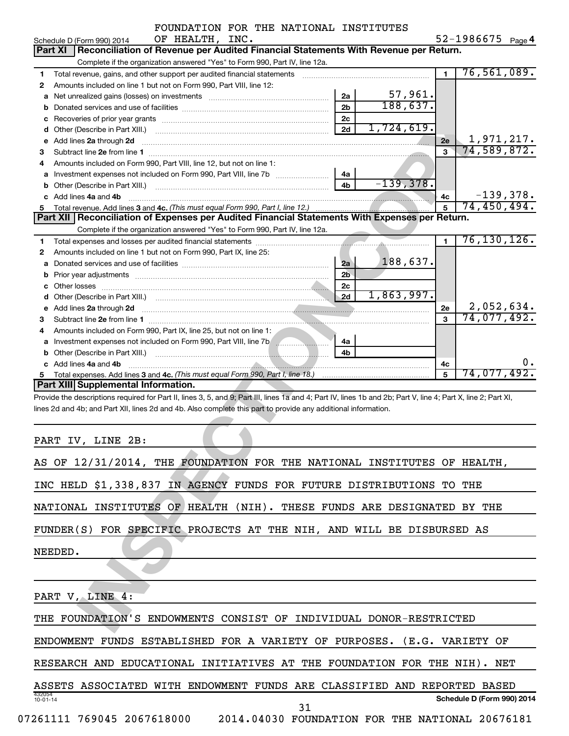|   | FOUNDATION FOR THE NATIONAL INSTITUTES                                                                                                                                                                                                                                       |                |                          |                |                   |    |
|---|------------------------------------------------------------------------------------------------------------------------------------------------------------------------------------------------------------------------------------------------------------------------------|----------------|--------------------------|----------------|-------------------|----|
|   | OF HEALTH, INC.<br>Schedule D (Form 990) 2014                                                                                                                                                                                                                                |                |                          |                | 52-1986675 Page 4 |    |
|   | Reconciliation of Revenue per Audited Financial Statements With Revenue per Return.<br>Part XI                                                                                                                                                                               |                |                          |                |                   |    |
|   | Complete if the organization answered "Yes" to Form 990, Part IV, line 12a.                                                                                                                                                                                                  |                |                          |                |                   |    |
| 1 | Total revenue, gains, and other support per audited financial statements [[[[[[[[[[[[[[[[[[[[[[[[[]]]]]]]]]]]                                                                                                                                                                |                |                          | $\mathbf{1}$   | 76,561,089.       |    |
| 2 | Amounts included on line 1 but not on Form 990, Part VIII, line 12:                                                                                                                                                                                                          |                |                          |                |                   |    |
| a |                                                                                                                                                                                                                                                                              | 2a             | $\frac{57,961}{188,637}$ |                |                   |    |
| b |                                                                                                                                                                                                                                                                              | 2 <sub>b</sub> |                          |                |                   |    |
| c |                                                                                                                                                                                                                                                                              | 2 <sub>c</sub> |                          |                |                   |    |
|   |                                                                                                                                                                                                                                                                              | 2d             | 1,724,619.               |                |                   |    |
|   | e Add lines 2a through 2d                                                                                                                                                                                                                                                    |                |                          | 2e             | 1,971,217.        |    |
| З |                                                                                                                                                                                                                                                                              |                |                          | $\overline{3}$ | 74,589,872.       |    |
| 4 | Amounts included on Form 990, Part VIII, line 12, but not on line 1:                                                                                                                                                                                                         |                |                          |                |                   |    |
|   |                                                                                                                                                                                                                                                                              | 4a             |                          |                |                   |    |
|   |                                                                                                                                                                                                                                                                              | 4 <sub>b</sub> | $-139,378.$              |                |                   |    |
|   | c Add lines 4a and 4b                                                                                                                                                                                                                                                        |                |                          | 4c             | $-139,378.$       |    |
| 5 |                                                                                                                                                                                                                                                                              |                |                          | 5              | 74,450,494.       |    |
|   | Part XII Reconciliation of Expenses per Audited Financial Statements With Expenses per Return.                                                                                                                                                                               |                |                          |                |                   |    |
|   | Complete if the organization answered "Yes" to Form 990, Part IV, line 12a.                                                                                                                                                                                                  |                |                          |                |                   |    |
| 1 |                                                                                                                                                                                                                                                                              |                |                          | $\mathbf{1}$   | 76, 130, 126.     |    |
| 2 | Amounts included on line 1 but not on Form 990, Part IX, line 25:                                                                                                                                                                                                            |                |                          |                |                   |    |
| a |                                                                                                                                                                                                                                                                              | 2a             | 188,637.                 |                |                   |    |
| b |                                                                                                                                                                                                                                                                              | 2 <sub>b</sub> |                          |                |                   |    |
|   |                                                                                                                                                                                                                                                                              | 2 <sub>c</sub> |                          |                |                   |    |
|   |                                                                                                                                                                                                                                                                              | 2d             | 1,863,997.               |                |                   |    |
|   | e Add lines 2a through 2d <b>[16]</b> [16] <b>All and Primes 22</b> [16] <b>All and Primes 2</b> [16] <b>All and Primes 2</b> [16] <b>All and Primes 2</b> [16] <b>All and Primes 2</b> [16] <b>All and Primes 2</b> [16] <b>All and Primes 2</b> [16] <b>All and Primes</b> |                |                          | 2е             | 2,052,634.        |    |
| З |                                                                                                                                                                                                                                                                              |                |                          | 3              | 74,077,492.       |    |
|   | Amounts included on Form 990, Part IX, line 25, but not on line 1:                                                                                                                                                                                                           |                |                          |                |                   |    |
| 4 |                                                                                                                                                                                                                                                                              | 4a             |                          |                |                   |    |
|   |                                                                                                                                                                                                                                                                              | 4b             |                          |                |                   |    |
|   |                                                                                                                                                                                                                                                                              |                |                          |                |                   | 0. |
|   | c Add lines 4a and 4b                                                                                                                                                                                                                                                        |                |                          | 4c<br>5        | 74,077,492.       |    |
| 5 | Part XIII Supplemental Information.                                                                                                                                                                                                                                          |                |                          |                |                   |    |
|   |                                                                                                                                                                                                                                                                              |                |                          |                |                   |    |
|   | Provide the descriptions required for Part II, lines 3, 5, and 9; Part III, lines 1a and 4; Part IV, lines 1b and 2b; Part V, line 4; Part X, line 2; Part XI,                                                                                                               |                |                          |                |                   |    |
|   | lines 2d and 4b; and Part XII, lines 2d and 4b. Also complete this part to provide any additional information.                                                                                                                                                               |                |                          |                |                   |    |
|   |                                                                                                                                                                                                                                                                              |                |                          |                |                   |    |
|   |                                                                                                                                                                                                                                                                              |                |                          |                |                   |    |
|   | PART IV, LINE 2B:                                                                                                                                                                                                                                                            |                |                          |                |                   |    |
|   | AS OF 12/31/2014, THE FOUNDATION FOR THE NATIONAL INSTITUTES OF HEALTH,                                                                                                                                                                                                      |                |                          |                |                   |    |
|   |                                                                                                                                                                                                                                                                              |                |                          |                |                   |    |
|   | INC HELD \$1,338,837 IN AGENCY FUNDS FOR FUTURE DISTRIBUTIONS TO THE                                                                                                                                                                                                         |                |                          |                |                   |    |
|   |                                                                                                                                                                                                                                                                              |                |                          |                |                   |    |
|   |                                                                                                                                                                                                                                                                              |                |                          |                |                   |    |
|   | NATIONAL INSTITUTES OF HEALTH (NIH). THESE FUNDS ARE DESIGNATED BY THE                                                                                                                                                                                                       |                |                          |                |                   |    |
|   |                                                                                                                                                                                                                                                                              |                |                          |                |                   |    |
|   | FUNDER(S) FOR SPECIFIC PROJECTS AT THE NIH, AND WILL BE DISBURSED AS                                                                                                                                                                                                         |                |                          |                |                   |    |
|   |                                                                                                                                                                                                                                                                              |                |                          |                |                   |    |
|   | NEEDED.                                                                                                                                                                                                                                                                      |                |                          |                |                   |    |
|   |                                                                                                                                                                                                                                                                              |                |                          |                |                   |    |
|   |                                                                                                                                                                                                                                                                              |                |                          |                |                   |    |
|   |                                                                                                                                                                                                                                                                              |                |                          |                |                   |    |
|   | PART V, LINE 4:                                                                                                                                                                                                                                                              |                |                          |                |                   |    |
|   |                                                                                                                                                                                                                                                                              |                |                          |                |                   |    |
|   | THE FOUNDATION'S ENDOWMENTS CONSIST OF INDIVIDUAL DONOR-RESTRICTED                                                                                                                                                                                                           |                |                          |                |                   |    |
|   |                                                                                                                                                                                                                                                                              |                |                          |                |                   |    |

| AS OF 12/31/2014, THE FOUNDATION FOR THE NATIONAL INSTITUTES OF HEALTH,           |
|-----------------------------------------------------------------------------------|
| INC HELD \$1,338,837 IN AGENCY FUNDS FOR FUTURE DISTRIBUTIONS TO<br>THE           |
| NATIONAL INSTITUTES OF HEALTH (NIH). THESE FUNDS ARE DESIGNATED BY THE            |
| FUNDER(S) FOR SPECIFIC PROJECTS AT THE NIH, AND WILL BE DISBURSED AS              |
| NEEDED.                                                                           |
|                                                                                   |
| PART V, LINE 4:                                                                   |
| THE FOUNDATION'S ENDOWMENTS CONSIST OF INDIVIDUAL DONOR-RESTRICTED                |
| FUNDS ESTABLISHED FOR A VARIETY OF PURPOSES. (E.G. VARIETY OF<br><b>ENDOWMENT</b> |
| RESEARCH AND EDUCATIONAL INITIATIVES AT THE FOUNDATION FOR THE NIH). NET          |
| ASSETS ASSOCIATED WITH ENDOWMENT FUNDS ARE CLASSIFIED AND REPORTED BASED          |
| 432054<br>Schedule D (Form 990) 2014<br>$10 - 01 - 14$<br>31                      |
| 07261111 769045 2067618000  2014.04030 FOUNDATION FOR THE NATIONAL 20676181       |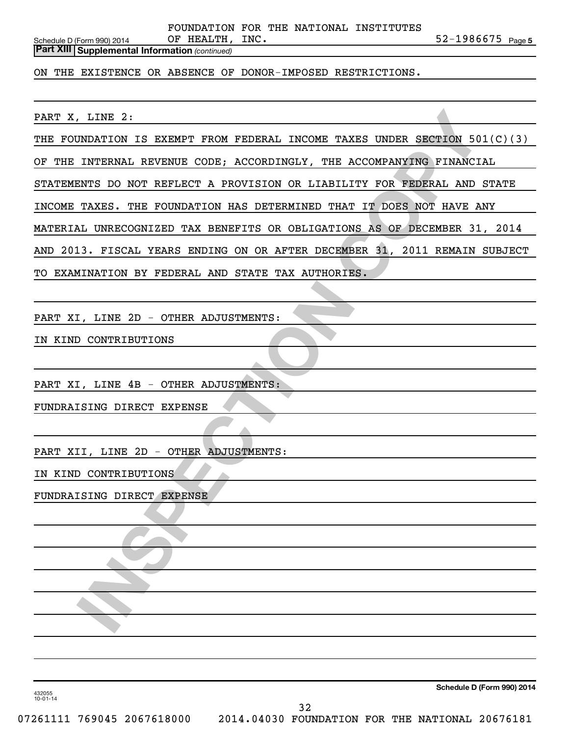**OF HEALTH, INC.** 52-1986675  $_{\text{Page 5}}$ Schedule D (Form 990) 2014  $\qquad \qquad$  OF HEALTH, INC. FOUNDATION FOR THE NATIONAL INSTITUTES

*(continued)* **Part XIII Supplemental Information** 

ON THE EXISTENCE OR ABSENCE OF DONOR-IMPOSED RESTRICTIONS.

PART X, LINE 2:

THE FOUNDATION IS EXEMPT FROM FEDERAL INCOME TAXES UNDER SECTION 501(C)(3)

OF THE INTERNAL REVENUE CODE; ACCORDINGLY, THE ACCOMPANYING FINANCIAL

STATEMENTS DO NOT REFLECT A PROVISION OR LIABILITY FOR FEDERAL AND STATE

**INDATION IS EXEMPT FROM FEDERAL INCOME TAXES UNDER SECTION 501(C)**<br>INTERNAL REVENUE CODE, ACCORDINGLY, THE ACCOMPANYING FINANCIAL<br>EXECTS DO NOT REFLECT A PROVISION OR LIABILITY FOR FEDERAL AND STATISTS OR CHARGE THAT IT T INCOME TAXES. THE FOUNDATION HAS DETERMINED THAT IT DOES NOT HAVE ANY

MATERIAL UNRECOGNIZED TAX BENEFITS OR OBLIGATIONS AS OF DECEMBER 31, 2014

AND 2013. FISCAL YEARS ENDING ON OR AFTER DECEMBER 31, 2011 REMAIN SUBJECT

TO EXAMINATION BY FEDERAL AND STATE TAX AUTHORIES.

PART XI, LINE 2D - OTHER ADJUSTMENTS:

IN KIND CONTRIBUTIONS

PART XI, LINE 4B - OTHER ADJUSTMENTS:

FUNDRAISING DIRECT EXPENSE

PART XII, LINE 2D - OTHER ADJUSTMENTS:

IN KIND CONTRIBUTIONS

FUNDRAISING DIRECT EXPENSE

**Schedule D (Form 990) 2014**

432055 10-01-14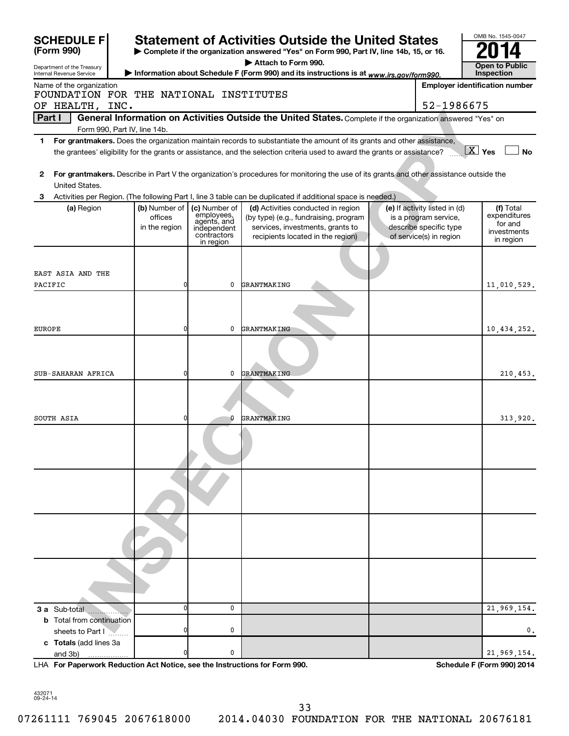| <b>SCHEDULE FI</b>                                   |                          |                             | <b>Statement of Activities Outside the United States</b>                                                                                                                                                                                             |                                                        | OMB No. 1545-0047                                   |
|------------------------------------------------------|--------------------------|-----------------------------|------------------------------------------------------------------------------------------------------------------------------------------------------------------------------------------------------------------------------------------------------|--------------------------------------------------------|-----------------------------------------------------|
| (Form 990)                                           |                          |                             | > Complete if the organization answered "Yes" on Form 990, Part IV, line 14b, 15, or 16.                                                                                                                                                             |                                                        |                                                     |
| Department of the Treasury                           |                          |                             | Attach to Form 990.                                                                                                                                                                                                                                  |                                                        | <b>Open to Public</b>                               |
| Internal Revenue Service<br>Name of the organization |                          |                             | Information about Schedule F (Form 990) and its instructions is at www.irs.gov/form990.                                                                                                                                                              |                                                        | Inspection<br><b>Employer identification number</b> |
| FOUNDATION FOR THE NATIONAL INSTITUTES               |                          |                             |                                                                                                                                                                                                                                                      |                                                        |                                                     |
| OF HEALTH, INC.                                      |                          |                             |                                                                                                                                                                                                                                                      | 52-1986675                                             |                                                     |
| Part I                                               |                          |                             | General Information on Activities Outside the United States. Complete if the organization answered "Yes" on                                                                                                                                          |                                                        |                                                     |
| Form 990, Part IV, line 14b.                         |                          |                             |                                                                                                                                                                                                                                                      |                                                        |                                                     |
| 1.                                                   |                          |                             | For grantmakers. Does the organization maintain records to substantiate the amount of its grants and other assistance,<br>the grantees' eligibility for the grants or assistance, and the selection criteria used to award the grants or assistance? |                                                        | $\boxed{\text{X}}$ Yes<br><b>No</b>                 |
|                                                      |                          |                             |                                                                                                                                                                                                                                                      |                                                        |                                                     |
| 2                                                    |                          |                             | For grantmakers. Describe in Part V the organization's procedures for monitoring the use of its grants and other assistance outside the                                                                                                              |                                                        |                                                     |
| United States.                                       |                          |                             |                                                                                                                                                                                                                                                      |                                                        |                                                     |
| 3                                                    |                          |                             | Activities per Region. (The following Part I, line 3 table can be duplicated if additional space is needed.)                                                                                                                                         |                                                        |                                                     |
| (a) Region                                           | (b) Number of<br>offices | (c) Number of<br>employees, | (d) Activities conducted in region<br>(by type) (e.g., fundraising, program                                                                                                                                                                          | (e) If activity listed in (d)<br>is a program service, | (f) Total<br>expenditures                           |
|                                                      | in the region            | agents, and<br>independent  | services, investments, grants to                                                                                                                                                                                                                     | describe specific type                                 | for and                                             |
|                                                      |                          | contractors<br>in region    | recipients located in the region)                                                                                                                                                                                                                    | of service(s) in region                                | investments<br>in region                            |
|                                                      |                          |                             |                                                                                                                                                                                                                                                      |                                                        |                                                     |
|                                                      |                          |                             |                                                                                                                                                                                                                                                      |                                                        |                                                     |
| EAST ASIA AND THE                                    |                          |                             |                                                                                                                                                                                                                                                      |                                                        |                                                     |
| PACIFIC                                              | 0                        | 0                           | GRANTMAKING                                                                                                                                                                                                                                          |                                                        | 11,010,529.                                         |
|                                                      |                          |                             |                                                                                                                                                                                                                                                      |                                                        |                                                     |
|                                                      |                          |                             |                                                                                                                                                                                                                                                      |                                                        |                                                     |
| EUROPE                                               | 0                        | 0                           | GRANTMAKING                                                                                                                                                                                                                                          |                                                        | 10,434,252.                                         |
|                                                      |                          |                             |                                                                                                                                                                                                                                                      |                                                        |                                                     |
|                                                      |                          |                             |                                                                                                                                                                                                                                                      |                                                        |                                                     |
|                                                      |                          |                             |                                                                                                                                                                                                                                                      |                                                        |                                                     |
| SUB-SAHARAN AFRICA                                   | 0                        | 0                           | GRANTMAKING                                                                                                                                                                                                                                          |                                                        | 210,453.                                            |
|                                                      |                          |                             |                                                                                                                                                                                                                                                      |                                                        |                                                     |
|                                                      |                          |                             |                                                                                                                                                                                                                                                      |                                                        |                                                     |
| SOUTH ASIA                                           | 0                        | 0                           | GRANTMAKING                                                                                                                                                                                                                                          |                                                        | 313,920.                                            |
|                                                      |                          |                             |                                                                                                                                                                                                                                                      |                                                        |                                                     |
|                                                      |                          |                             |                                                                                                                                                                                                                                                      |                                                        |                                                     |
|                                                      |                          |                             |                                                                                                                                                                                                                                                      |                                                        |                                                     |
|                                                      |                          |                             |                                                                                                                                                                                                                                                      |                                                        |                                                     |
|                                                      |                          |                             |                                                                                                                                                                                                                                                      |                                                        |                                                     |
|                                                      |                          |                             |                                                                                                                                                                                                                                                      |                                                        |                                                     |
|                                                      |                          |                             |                                                                                                                                                                                                                                                      |                                                        |                                                     |
|                                                      |                          |                             |                                                                                                                                                                                                                                                      |                                                        |                                                     |
|                                                      |                          |                             |                                                                                                                                                                                                                                                      |                                                        |                                                     |
|                                                      |                          |                             |                                                                                                                                                                                                                                                      |                                                        |                                                     |
|                                                      |                          |                             |                                                                                                                                                                                                                                                      |                                                        |                                                     |
|                                                      |                          |                             |                                                                                                                                                                                                                                                      |                                                        |                                                     |
|                                                      |                          |                             |                                                                                                                                                                                                                                                      |                                                        |                                                     |
|                                                      |                          |                             |                                                                                                                                                                                                                                                      |                                                        |                                                     |
| 3 a Sub-total                                        | O                        | 0                           |                                                                                                                                                                                                                                                      |                                                        | 21,969,154.                                         |
| <b>b</b> Total from continuation                     |                          |                             |                                                                                                                                                                                                                                                      |                                                        |                                                     |
| sheets to Part I                                     |                          | 0                           |                                                                                                                                                                                                                                                      |                                                        | 0.                                                  |
| c Totals (add lines 3a<br>and 3b)                    |                          | 0                           |                                                                                                                                                                                                                                                      |                                                        | 21,969,154.                                         |
|                                                      |                          |                             |                                                                                                                                                                                                                                                      |                                                        |                                                     |

**For Paperwork Reduction Act Notice, see the Instructions for Form 990. Schedule F (Form 990) 2014** LHA

432071 09-24-14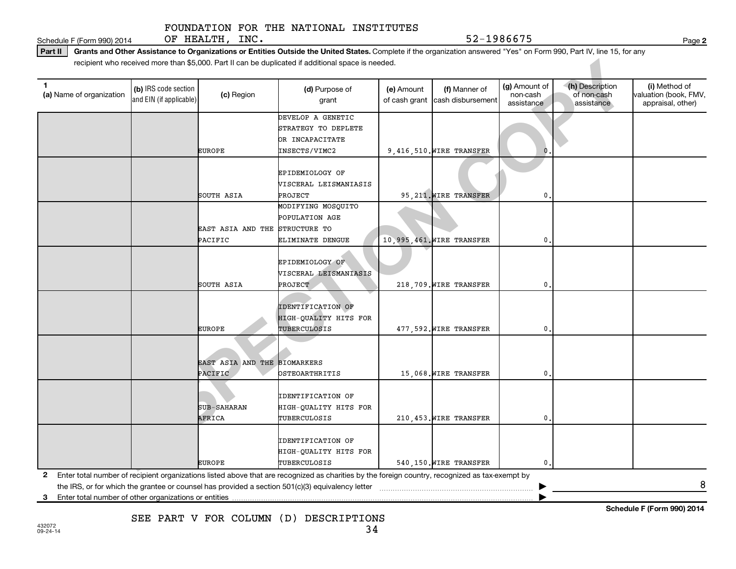Schedule F (Form 990) 2014 OF HEALTH, INC. Noted that is a set of the state of the Page Page Page Page Rese

**2**

**Schedule F (Form 990) 2014**

Part II | Grants and Other Assistance to Organizations or Entities Outside the United States. Complete if the organization answered "Yes" on Form 990, Part IV, line 15, for any recipient who received more than \$5,000. Part II can be duplicated if additional space is needed.

|                                                            |                                                 |                                | recipient who received more than \$5,000. Part II can be duplicated if additional space is needed.                                                |            |                                                  |                                         |                                              |                                                             |
|------------------------------------------------------------|-------------------------------------------------|--------------------------------|---------------------------------------------------------------------------------------------------------------------------------------------------|------------|--------------------------------------------------|-----------------------------------------|----------------------------------------------|-------------------------------------------------------------|
| $\mathbf{1}$<br>(a) Name of organization                   | (b) IRS code section<br>and EIN (if applicable) | (c) Region                     | (d) Purpose of<br>grant                                                                                                                           | (e) Amount | (f) Manner of<br>of cash grant cash disbursement | (g) Amount of<br>non-cash<br>assistance | (h) Description<br>of non-cash<br>assistance | (i) Method of<br>valuation (book, FMV,<br>appraisal, other) |
|                                                            |                                                 |                                | DEVELOP A GENETIC<br>STRATEGY TO DEPLETE                                                                                                          |            |                                                  |                                         |                                              |                                                             |
|                                                            |                                                 | <b>EUROPE</b>                  | OR INCAPACITATE<br>INSECTS/VIMC2                                                                                                                  |            | 9,416,510. WIRE TRANSFER                         | $\Omega$                                |                                              |                                                             |
|                                                            |                                                 | SOUTH ASIA                     | EPIDEMIOLOGY OF<br>VISCERAL LEISMANIASIS<br>PROJECT                                                                                               |            | 95, 211. WIRE TRANSFER                           | 0                                       |                                              |                                                             |
|                                                            |                                                 | EAST ASIA AND THE STRUCTURE TO | MODIFYING MOSQUITO<br>POPULATION AGE                                                                                                              |            |                                                  |                                         |                                              |                                                             |
|                                                            |                                                 | PACIFIC                        | ELIMINATE DENGUE                                                                                                                                  |            | 10,995,461. WIRE TRANSFER                        | 0                                       |                                              |                                                             |
|                                                            |                                                 |                                | EPIDEMIOLOGY OF<br>VISCERAL LEISMANIASIS                                                                                                          |            |                                                  |                                         |                                              |                                                             |
|                                                            |                                                 | SOUTH ASIA                     | PROJECT                                                                                                                                           |            | 218,709. WIRE TRANSFER                           | 0                                       |                                              |                                                             |
|                                                            |                                                 |                                | <b>IDENTIFICATION OF</b><br>HIGH-QUALITY HITS FOR                                                                                                 |            |                                                  |                                         |                                              |                                                             |
|                                                            |                                                 | <b>EUROPE</b>                  | TUBERCULOSIS                                                                                                                                      |            | 477,592. WIRE TRANSFER                           | $\mathbf 0$ .                           |                                              |                                                             |
|                                                            |                                                 | EAST ASIA AND THE<br>PACIFIC   | <b>BIOMARKERS</b><br>OSTEOARTHRITIS                                                                                                               |            | 15,068. WIRE TRANSFER                            | 0.                                      |                                              |                                                             |
|                                                            |                                                 | <b>SUB-SAHARAN</b><br>AFRICA   | <b>IDENTIFICATION OF</b><br>HIGH-QUALITY HITS FOR<br>TUBERCULOSIS                                                                                 |            | 210,453. WIRE TRANSFER                           | $\mathbf 0$ .                           |                                              |                                                             |
|                                                            |                                                 | <b>EUROPE</b>                  | <b>IDENTIFICATION OF</b><br>HIGH-QUALITY HITS FOR<br>TUBERCULOSIS                                                                                 |            | 540,150. WIRE TRANSFER                           | 0.                                      |                                              |                                                             |
| Enter total number of other organizations or entities<br>3 |                                                 |                                | 2 Enter total number of recipient organizations listed above that are recognized as charities by the foreign country, recognized as tax-exempt by |            |                                                  |                                         |                                              | 8                                                           |

**3**

SEE PART V FOR COLUMN (D) DESCRIPTIONS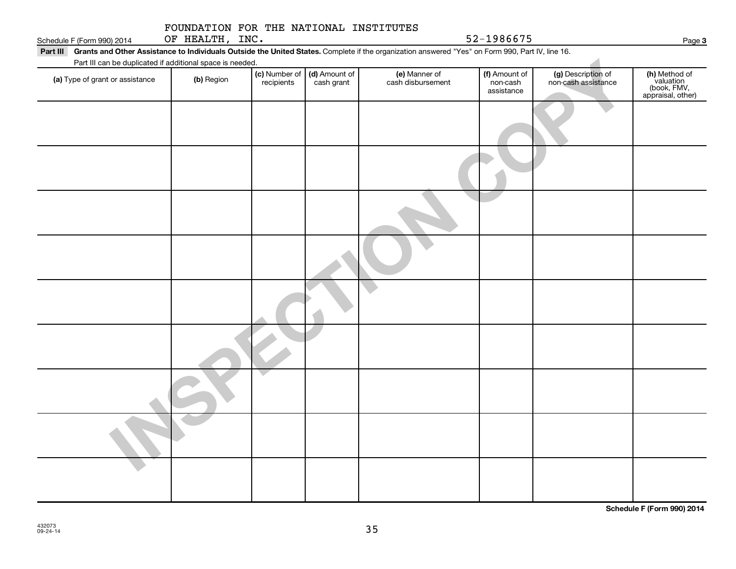| Part III | Grants and Other Assistance to Individuals Outside the United States. Complete if the organization answered "Yes" on Form 990, Part IV, line 16. |  |
|----------|--------------------------------------------------------------------------------------------------------------------------------------------------|--|
|          | Part III can be duplicated if additional space is needed.                                                                                        |  |

|                 |  | FOUNDATION FOR THE NATIONAL INSTITUTES |
|-----------------|--|----------------------------------------|
| OF HEALTH, INC. |  |                                        |

Schedule F (Form 990) 2014 OF HEALTH, INC.  $52-1986675$ 

| Part III can be duplicated if additional space is needed. |            |                             |                             |                                    |                                         |                                           |                                                                |
|-----------------------------------------------------------|------------|-----------------------------|-----------------------------|------------------------------------|-----------------------------------------|-------------------------------------------|----------------------------------------------------------------|
| (a) Type of grant or assistance                           | (b) Region | (c) Number of<br>recipients | (d) Amount of<br>cash grant | (e) Manner of<br>cash disbursement | (f) Amount of<br>non-cash<br>assistance | (g) Description of<br>non-cash assistance | (h) Method of<br>valuation<br>(book, FMV,<br>appraisal, other) |
|                                                           |            |                             |                             |                                    |                                         |                                           |                                                                |
|                                                           |            |                             |                             |                                    |                                         |                                           |                                                                |
|                                                           |            |                             |                             |                                    |                                         |                                           |                                                                |
|                                                           |            |                             |                             |                                    |                                         |                                           |                                                                |
|                                                           |            |                             |                             |                                    |                                         |                                           |                                                                |
|                                                           |            |                             |                             |                                    |                                         |                                           |                                                                |
|                                                           |            |                             |                             |                                    |                                         |                                           |                                                                |
|                                                           |            |                             |                             |                                    |                                         |                                           |                                                                |
|                                                           |            |                             |                             |                                    |                                         |                                           |                                                                |

**Schedule F (Form 990) 2014**

**3**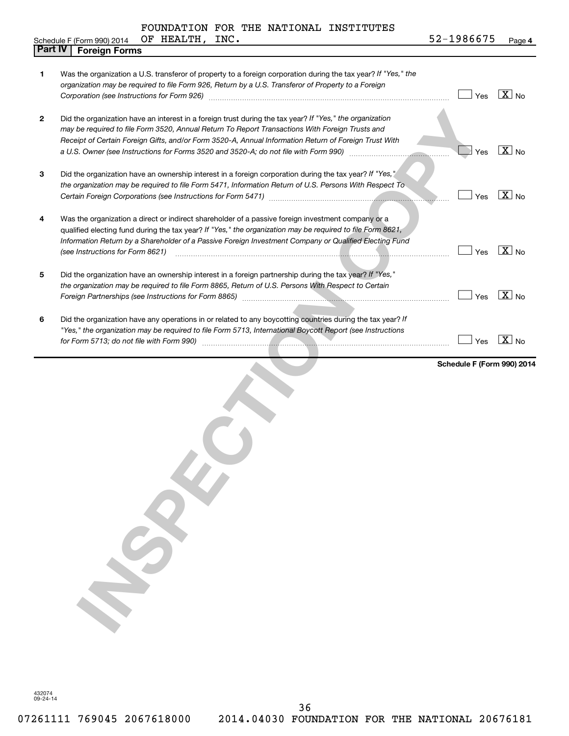OF HEALTH, INC.

| Schedule F (Form 990) 2014 |  |  | OF | HEALTH, | INC. | いい こうしゅう<br>-1986675<br>- 20 | $P$ age 4 |
|----------------------------|--|--|----|---------|------|------------------------------|-----------|
|----------------------------|--|--|----|---------|------|------------------------------|-----------|

| <b>Part IV</b><br><b>Foreign Forms</b>                                                                                                                                                                                                                                                                                                                         |                                                                                                               |                                   |
|----------------------------------------------------------------------------------------------------------------------------------------------------------------------------------------------------------------------------------------------------------------------------------------------------------------------------------------------------------------|---------------------------------------------------------------------------------------------------------------|-----------------------------------|
| Was the organization a U.S. transferor of property to a foreign corporation during the tax year? If "Yes," the<br>organization may be required to file Form 926, Return by a U.S. Transferor of Property to a Foreign                                                                                                                                          | Yes                                                                                                           | $\boxed{\text{X}}$ No             |
| Did the organization have an interest in a foreign trust during the tax year? If "Yes," the organization<br>may be required to file Form 3520, Annual Return To Report Transactions With Foreign Trusts and<br>Receipt of Certain Foreign Gifts, and/or Form 3520-A, Annual Information Return of Foreign Trust With                                           |                                                                                                               | $\overline{X}$ No                 |
| Did the organization have an ownership interest in a foreign corporation during the tax year? If "Yes,"<br>the organization may be required to file Form 5471, Information Return of U.S. Persons With Respect To                                                                                                                                              | Yes                                                                                                           | $\overline{\mathbf{X}}$ No        |
| Was the organization a direct or indirect shareholder of a passive foreign investment company or a<br>qualified electing fund during the tax year? If "Yes," the organization may be required to file Form 8621,<br>Information Return by a Shareholder of a Passive Foreign Investment Company or Qualified Electing Fund<br>(see Instructions for Form 8621) | Yes                                                                                                           | $\boxed{\text{X}}$ No             |
| Did the organization have an ownership interest in a foreign partnership during the tax year? If "Yes,"<br>the organization may be required to file Form 8865, Return of U.S. Persons With Respect to Certain                                                                                                                                                  | Yes                                                                                                           | $\overline{X}$ No                 |
| Did the organization have any operations in or related to any boycotting countries during the tax year? If<br>"Yes," the organization may be required to file Form 5713, International Boycott Report (see Instructions                                                                                                                                        | Yes                                                                                                           | $\overline{X}$ No                 |
|                                                                                                                                                                                                                                                                                                                                                                |                                                                                                               |                                   |
|                                                                                                                                                                                                                                                                                                                                                                | a U.S. Owner (see Instructions for Forms 3520 and 3520-A; do not file with Form 990) [[[[[[[[[[[[[[[[[[[[[[[[ | Yes<br>Schedule F (Form 990) 2014 |

432074 09-24-14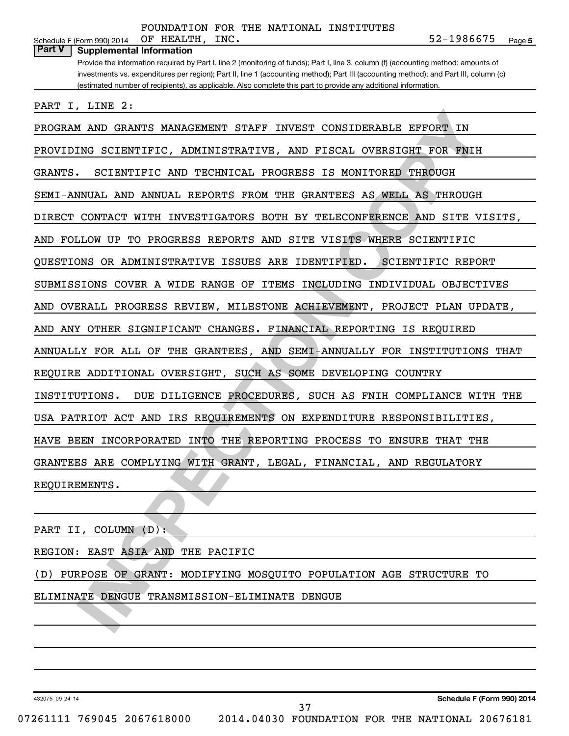| OF HEALTH, INC.<br>Schedule F (Form 990) 2014                                                                                         | 52-1986675<br>Page 5     |
|---------------------------------------------------------------------------------------------------------------------------------------|--------------------------|
| <b>Part V</b><br><b>Supplemental Information</b>                                                                                      |                          |
| Provide the information required by Part I, line 2 (monitoring of funds); Part I, line 3, column (f) (accounting method; amounts of   |                          |
| investments vs. expenditures per region); Part II, line 1 (accounting method); Part III (accounting method); and Part III, column (c) |                          |
| (estimated number of recipients), as applicable. Also complete this part to provide any additional information.                       |                          |
|                                                                                                                                       |                          |
| PART I, LINE 2:                                                                                                                       |                          |
| PROGRAM AND GRANTS MANAGEMENT STAFF<br>INVEST CONSIDERABLE EFFORT IN                                                                  |                          |
| PROVIDING SCIENTIFIC, ADMINISTRATIVE, AND FISCAL OVERSIGHT FOR FNIH                                                                   |                          |
| GRANTS.<br>SCIENTIFIC AND TECHNICAL PROGRESS IS MONITORED THROUGH                                                                     |                          |
| SEMI-ANNUAL AND ANNUAL REPORTS FROM THE GRANTEES AS WELL AS                                                                           | THROUGH                  |
| DIRECT CONTACT WITH INVESTIGATORS BOTH BY TELECONFERENCE AND SITE VISITS,                                                             |                          |
| TO PROGRESS REPORTS AND SITE VISITS WHERE SCIENTIFIC<br>AND FOLLOW UP                                                                 |                          |
| QUESTIONS OR ADMINISTRATIVE ISSUES ARE IDENTIFIED.                                                                                    | <b>SCIENTIFIC REPORT</b> |
| SUBMISSIONS COVER A WIDE RANGE OF<br>ITEMS<br>INCLUDING INDIVIDUAL OBJECTIVES                                                         |                          |
| OVERALL PROGRESS REVIEW, MILESTONE ACHIEVEMENT, PROJECT PLAN UPDATE,<br>AND                                                           |                          |
| AND ANY OTHER SIGNIFICANT CHANGES. FINANCIAL REPORTING IS REQUIRED                                                                    |                          |
| ANNUALLY FOR ALL OF THE GRANTEES, AND SEMI-ANNUALLY FOR INSTITUTIONS THAT                                                             |                          |
| REQUIRE ADDITIONAL OVERSIGHT, SUCH AS SOME DEVELOPING COUNTRY                                                                         |                          |
| INSTITUTIONS.<br>DUE DILIGENCE PROCEDURES, SUCH AS FNIH COMPLIANCE WITH THE                                                           |                          |
| USA PATRIOT ACT AND IRS REQUIREMENTS ON EXPENDITURE RESPONSIBILITIES,                                                                 |                          |
| HAVE BEEN INCORPORATED INTO THE REPORTING PROCESS TO ENSURE                                                                           | THAT THE                 |
| GRANTEES ARE COMPLYING WITH GRANT, LEGAL, FINANCIAL, AND REGULATORY                                                                   |                          |
| REQUIREMENTS.                                                                                                                         |                          |
|                                                                                                                                       |                          |
| PART II, COLUMN (D):                                                                                                                  |                          |
| REGION: EAST ASIA AND THE PACIFIC                                                                                                     |                          |
| (D) PURPOSE OF GRANT: MODIFYING MOSQUITO POPULATION AGE STRUCTURE TO                                                                  |                          |
| ELIMINATE DENGUE TRANSMISSION-ELIMINATE DENGUE                                                                                        |                          |
|                                                                                                                                       |                          |
|                                                                                                                                       |                          |

#### REGION: EAST ASIA AND THE PACIFIC

#### ELIMINATE DENGUE TRANSMISSION-ELIMINATE DENGUE

432075 09-24-14

**Schedule F (Form 990) 2014**

07261111 769045 2067618000 2014.04030 FOUNDATION FOR THE NATIONAL 20676181

37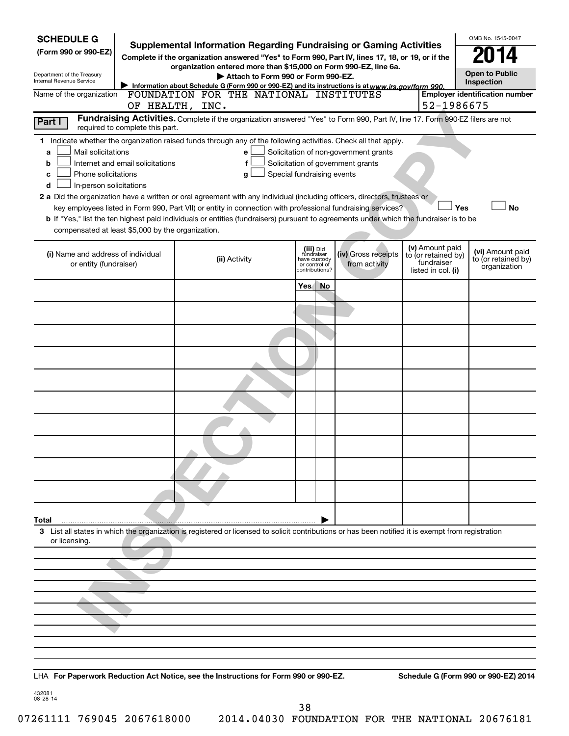| <b>SCHEDULE G</b><br>(Form 990 or 990-EZ)<br>Department of the Treasury<br>Internal Revenue Service                                                                                                                                                                                                                                                                                                                                                                                                                                                                                                                                                                                        | <b>Supplemental Information Regarding Fundraising or Gaming Activities</b><br>Complete if the organization answered "Yes" to Form 990, Part IV, lines 17, 18, or 19, or if the<br>organization entered more than \$15,000 on Form 990-EZ, line 6a.<br>Attach to Form 990 or Form 990-EZ.<br>Information about Schedule G (Form 990 or 990-EZ) and its instructions is at www.irs.gov/form 990. |     |                                                                            |                                                                            |                                                                            |     | OMB No. 1545-0047<br><b>Open to Public</b><br>Inspection |
|--------------------------------------------------------------------------------------------------------------------------------------------------------------------------------------------------------------------------------------------------------------------------------------------------------------------------------------------------------------------------------------------------------------------------------------------------------------------------------------------------------------------------------------------------------------------------------------------------------------------------------------------------------------------------------------------|------------------------------------------------------------------------------------------------------------------------------------------------------------------------------------------------------------------------------------------------------------------------------------------------------------------------------------------------------------------------------------------------|-----|----------------------------------------------------------------------------|----------------------------------------------------------------------------|----------------------------------------------------------------------------|-----|----------------------------------------------------------|
| Name of the organization                                                                                                                                                                                                                                                                                                                                                                                                                                                                                                                                                                                                                                                                   | FOUNDATION FOR THE NATIONAL INSTITUTES<br>OF HEALTH, INC.                                                                                                                                                                                                                                                                                                                                      |     |                                                                            |                                                                            | 52-1986675                                                                 |     | <b>Employer identification number</b>                    |
| Part I<br>required to complete this part.                                                                                                                                                                                                                                                                                                                                                                                                                                                                                                                                                                                                                                                  | Fundraising Activities. Complete if the organization answered "Yes" to Form 990, Part IV, line 17. Form 990-EZ filers are not                                                                                                                                                                                                                                                                  |     |                                                                            |                                                                            |                                                                            |     |                                                          |
| 1 Indicate whether the organization raised funds through any of the following activities. Check all that apply.<br>Mail solicitations<br>a<br>Internet and email solicitations<br>b<br>Phone solicitations<br>с<br>In-person solicitations<br>d<br>2 a Did the organization have a written or oral agreement with any individual (including officers, directors, trustees or<br>key employees listed in Form 990, Part VII) or entity in connection with professional fundraising services?<br>b If "Yes," list the ten highest paid individuals or entities (fundraisers) pursuant to agreements under which the fundraiser is to be<br>compensated at least \$5,000 by the organization. | e<br>Special fundraising events<br>g                                                                                                                                                                                                                                                                                                                                                           |     |                                                                            | Solicitation of non-government grants<br>Solicitation of government grants |                                                                            | Yes | <b>No</b>                                                |
| (i) Name and address of individual<br>or entity (fundraiser)                                                                                                                                                                                                                                                                                                                                                                                                                                                                                                                                                                                                                               | (ii) Activity                                                                                                                                                                                                                                                                                                                                                                                  |     | (iii) Did<br>fundraiser<br>have custody<br>or control of<br>contributions? | (iv) Gross receipts<br>from activity                                       | (v) Amount paid<br>to (or retained by)<br>fundraiser<br>listed in col. (i) |     | (vi) Amount paid<br>to (or retained by)<br>organization  |
|                                                                                                                                                                                                                                                                                                                                                                                                                                                                                                                                                                                                                                                                                            |                                                                                                                                                                                                                                                                                                                                                                                                | Yes | No                                                                         |                                                                            |                                                                            |     |                                                          |
|                                                                                                                                                                                                                                                                                                                                                                                                                                                                                                                                                                                                                                                                                            |                                                                                                                                                                                                                                                                                                                                                                                                |     |                                                                            |                                                                            |                                                                            |     |                                                          |
|                                                                                                                                                                                                                                                                                                                                                                                                                                                                                                                                                                                                                                                                                            |                                                                                                                                                                                                                                                                                                                                                                                                |     |                                                                            |                                                                            |                                                                            |     |                                                          |
|                                                                                                                                                                                                                                                                                                                                                                                                                                                                                                                                                                                                                                                                                            |                                                                                                                                                                                                                                                                                                                                                                                                |     |                                                                            |                                                                            |                                                                            |     |                                                          |
|                                                                                                                                                                                                                                                                                                                                                                                                                                                                                                                                                                                                                                                                                            |                                                                                                                                                                                                                                                                                                                                                                                                |     |                                                                            |                                                                            |                                                                            |     |                                                          |
|                                                                                                                                                                                                                                                                                                                                                                                                                                                                                                                                                                                                                                                                                            |                                                                                                                                                                                                                                                                                                                                                                                                |     |                                                                            |                                                                            |                                                                            |     |                                                          |
|                                                                                                                                                                                                                                                                                                                                                                                                                                                                                                                                                                                                                                                                                            |                                                                                                                                                                                                                                                                                                                                                                                                |     |                                                                            |                                                                            |                                                                            |     |                                                          |
|                                                                                                                                                                                                                                                                                                                                                                                                                                                                                                                                                                                                                                                                                            |                                                                                                                                                                                                                                                                                                                                                                                                |     |                                                                            |                                                                            |                                                                            |     |                                                          |
|                                                                                                                                                                                                                                                                                                                                                                                                                                                                                                                                                                                                                                                                                            |                                                                                                                                                                                                                                                                                                                                                                                                |     |                                                                            |                                                                            |                                                                            |     |                                                          |
| Total                                                                                                                                                                                                                                                                                                                                                                                                                                                                                                                                                                                                                                                                                      |                                                                                                                                                                                                                                                                                                                                                                                                |     |                                                                            |                                                                            |                                                                            |     |                                                          |
| 3 List all states in which the organization is registered or licensed to solicit contributions or has been notified it is exempt from registration<br>or licensing.                                                                                                                                                                                                                                                                                                                                                                                                                                                                                                                        |                                                                                                                                                                                                                                                                                                                                                                                                |     |                                                                            |                                                                            |                                                                            |     |                                                          |
| LHA For Paperwork Reduction Act Notice, see the Instructions for Form 990 or 990-EZ.                                                                                                                                                                                                                                                                                                                                                                                                                                                                                                                                                                                                       |                                                                                                                                                                                                                                                                                                                                                                                                |     |                                                                            |                                                                            |                                                                            |     | Schedule G (Form 990 or 990-EZ) 2014                     |

432081 08-28-14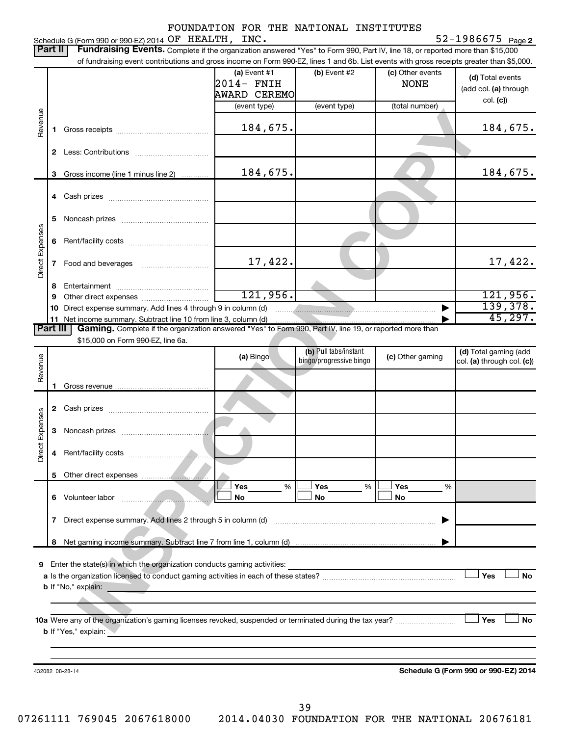|                 |                |                                                                                                                                                                                                                                                             | FOUNDATION FOR THE NATIONAL INSTITUTES                     |                                                  |                                                   | $52 - 1986675$ Page 2                                 |
|-----------------|----------------|-------------------------------------------------------------------------------------------------------------------------------------------------------------------------------------------------------------------------------------------------------------|------------------------------------------------------------|--------------------------------------------------|---------------------------------------------------|-------------------------------------------------------|
|                 | Part II        | Schedule G (Form 990 or 990-EZ) 2014 OF HEALTH, INC.<br>Fundraising Events. Complete if the organization answered "Yes" to Form 990, Part IV, line 18, or reported more than \$15,000                                                                       |                                                            |                                                  |                                                   |                                                       |
|                 |                | of fundraising event contributions and gross income on Form 990-EZ, lines 1 and 6b. List events with gross receipts greater than \$5,000.                                                                                                                   |                                                            |                                                  |                                                   |                                                       |
|                 |                |                                                                                                                                                                                                                                                             | (a) Event #1<br>2014- FNIH<br>AWARD CEREMO<br>(event type) | (b) Event #2<br>(event type)                     | (c) Other events<br><b>NONE</b><br>(total number) | (d) Total events<br>(add col. (a) through<br>col. (c) |
| Revenue         | 1              |                                                                                                                                                                                                                                                             | 184,675.                                                   |                                                  |                                                   | 184,675.                                              |
|                 | $\mathbf{2}$   |                                                                                                                                                                                                                                                             |                                                            |                                                  |                                                   |                                                       |
|                 | 3              | Gross income (line 1 minus line 2)                                                                                                                                                                                                                          | 184,675.                                                   |                                                  |                                                   | 184,675.                                              |
|                 |                |                                                                                                                                                                                                                                                             |                                                            |                                                  |                                                   |                                                       |
|                 | 5              |                                                                                                                                                                                                                                                             |                                                            |                                                  |                                                   |                                                       |
| Direct Expenses | 6              |                                                                                                                                                                                                                                                             |                                                            |                                                  |                                                   |                                                       |
|                 | 7              |                                                                                                                                                                                                                                                             | 17,422.                                                    |                                                  |                                                   | 17,422.                                               |
|                 | 8              |                                                                                                                                                                                                                                                             |                                                            |                                                  |                                                   |                                                       |
|                 | 9              |                                                                                                                                                                                                                                                             | 121,956.                                                   |                                                  |                                                   | 121,956.                                              |
|                 |                |                                                                                                                                                                                                                                                             |                                                            |                                                  |                                                   | 139,378.<br>45, 297.                                  |
|                 | 11<br>Part III | Gaming. Complete if the organization answered "Yes" to Form 990, Part IV, line 19, or reported more than                                                                                                                                                    |                                                            |                                                  |                                                   |                                                       |
|                 |                | \$15,000 on Form 990-EZ, line 6a.                                                                                                                                                                                                                           |                                                            |                                                  |                                                   |                                                       |
| Revenue         |                |                                                                                                                                                                                                                                                             | (a) Bingo                                                  | (b) Pull tabs/instant<br>bingo/progressive bingo | (c) Other gaming                                  | (d) Total gaming (add<br>col. (a) through col. (c))   |
|                 | 1              |                                                                                                                                                                                                                                                             |                                                            |                                                  |                                                   |                                                       |
|                 | 2              |                                                                                                                                                                                                                                                             |                                                            |                                                  |                                                   |                                                       |
| Expenses        | 3              |                                                                                                                                                                                                                                                             |                                                            |                                                  |                                                   |                                                       |
| Direct          | 4              |                                                                                                                                                                                                                                                             |                                                            |                                                  |                                                   |                                                       |
|                 |                |                                                                                                                                                                                                                                                             |                                                            |                                                  |                                                   |                                                       |
|                 |                |                                                                                                                                                                                                                                                             | Yes<br>%<br>No                                             | Yes<br>%<br>No                                   | Yes<br>%<br>No                                    |                                                       |
|                 | 7              |                                                                                                                                                                                                                                                             |                                                            |                                                  |                                                   |                                                       |
|                 |                |                                                                                                                                                                                                                                                             |                                                            |                                                  |                                                   |                                                       |
| 9               |                |                                                                                                                                                                                                                                                             |                                                            |                                                  |                                                   |                                                       |
|                 |                |                                                                                                                                                                                                                                                             |                                                            |                                                  |                                                   | Yes<br><b>No</b>                                      |
|                 |                | <b>b</b> If "No," explain:<br><u> 1980 - Johann Barbara, martxa a shekara tsa a shekara tsa a shekara tsa a shekara tsa a shekara tsa a shekara</u>                                                                                                         |                                                            |                                                  |                                                   |                                                       |
|                 |                | 10a Were any of the organization's gaming licenses revoked, suspended or terminated during the tax year?<br><b>b</b> If "Yes," explain:<br>and the control of the control of the control of the control of the control of the control of the control of the |                                                            |                                                  |                                                   | Yes<br><b>No</b>                                      |
|                 |                |                                                                                                                                                                                                                                                             |                                                            |                                                  |                                                   |                                                       |
|                 |                | 432082 08-28-14                                                                                                                                                                                                                                             |                                                            |                                                  |                                                   | Schedule G (Form 990 or 990-EZ) 2014                  |
|                 |                |                                                                                                                                                                                                                                                             |                                                            |                                                  |                                                   |                                                       |

39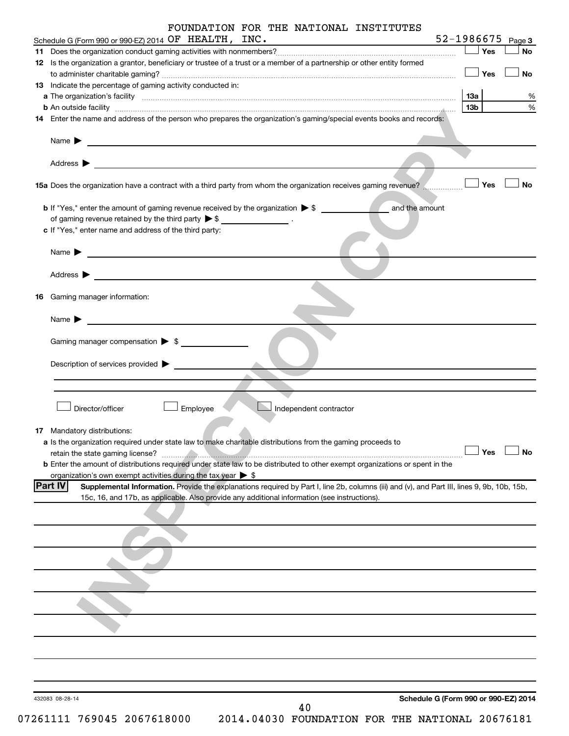|    | FOUNDATION FOR THE NATIONAL INSTITUTES                                                                                                                                                                              |                                      |           |
|----|---------------------------------------------------------------------------------------------------------------------------------------------------------------------------------------------------------------------|--------------------------------------|-----------|
|    | Schedule G (Form 990 or 990-EZ) 2014 OF HEALTH, INC.<br><u> 1989 - Johann Barn, mars eta inperiodo</u>                                                                                                              | $52 - 1986675$ Page 3                |           |
|    |                                                                                                                                                                                                                     | $\Box$ Yes                           | No        |
|    | 12 Is the organization a grantor, beneficiary or trustee of a trust or a member of a partnership or other entity formed                                                                                             | $\Box$ Yes                           | <b>No</b> |
|    | 13 Indicate the percentage of gaming activity conducted in:                                                                                                                                                         |                                      |           |
|    |                                                                                                                                                                                                                     | 1За                                  | %         |
|    | <b>b</b> An outside facility <i>www.communicality www.communicality.communicality www.communicality www.communicality.communicality www.communicality.com</i>                                                       | 13 <sub>b</sub>                      | $\%$      |
|    | 14 Enter the name and address of the person who prepares the organization's gaming/special events books and records:                                                                                                |                                      |           |
|    | Name $\blacktriangleright$                                                                                                                                                                                          |                                      |           |
|    | Address $\blacktriangleright$                                                                                                                                                                                       |                                      |           |
|    | 15a Does the organization have a contract with a third party from whom the organization receives gaming revenue?                                                                                                    | Yes                                  | No        |
|    | and the amount<br><b>b</b> If "Yes," enter the amount of gaming revenue received by the organization $\triangleright$ \$                                                                                            |                                      |           |
|    | of gaming revenue retained by the third party $\triangleright$ \$ __________________.                                                                                                                               |                                      |           |
|    | c If "Yes," enter name and address of the third party:                                                                                                                                                              |                                      |           |
|    | Name $\blacktriangleright$<br><u> 1980 - Johann John Stein, marwolaethau (b. 1980)</u>                                                                                                                              |                                      |           |
|    | Address $\blacktriangleright$<br><u> 1989 - Johann Stein, mars an deutscher Stein († 1958)</u>                                                                                                                      |                                      |           |
| 16 | Gaming manager information:                                                                                                                                                                                         |                                      |           |
|    | Name $\blacktriangleright$                                                                                                                                                                                          |                                      |           |
|    | Gaming manager compensation $\triangleright$ \$                                                                                                                                                                     |                                      |           |
|    | Description of services provided >                                                                                                                                                                                  |                                      |           |
|    |                                                                                                                                                                                                                     |                                      |           |
|    |                                                                                                                                                                                                                     |                                      |           |
|    | Director/officer<br>Employee<br>Independent contractor                                                                                                                                                              |                                      |           |
|    | 17 Mandatory distributions:                                                                                                                                                                                         |                                      |           |
|    | a Is the organization required under state law to make charitable distributions from the gaming proceeds to                                                                                                         |                                      |           |
|    | retain the state gaming license?                                                                                                                                                                                    | Yes                                  | <b>No</b> |
|    | <b>b</b> Enter the amount of distributions required under state law to be distributed to other exempt organizations or spent in the<br>organization's own exempt activities during the tax year $\triangleright$ \$ |                                      |           |
|    | <b>Part IV</b><br>Supplemental Information. Provide the explanations required by Part I, line 2b, columns (iii) and (v), and Part III, lines 9, 9b, 10b, 15b,                                                       |                                      |           |
|    | 15c, 16, and 17b, as applicable. Also provide any additional information (see instructions).                                                                                                                        |                                      |           |
|    |                                                                                                                                                                                                                     |                                      |           |
|    |                                                                                                                                                                                                                     |                                      |           |
|    |                                                                                                                                                                                                                     |                                      |           |
|    |                                                                                                                                                                                                                     |                                      |           |
|    |                                                                                                                                                                                                                     |                                      |           |
|    |                                                                                                                                                                                                                     |                                      |           |
|    |                                                                                                                                                                                                                     |                                      |           |
|    |                                                                                                                                                                                                                     |                                      |           |
|    |                                                                                                                                                                                                                     |                                      |           |
|    |                                                                                                                                                                                                                     |                                      |           |
|    | 432083 08-28-14<br>40                                                                                                                                                                                               | Schedule G (Form 990 or 990-EZ) 2014 |           |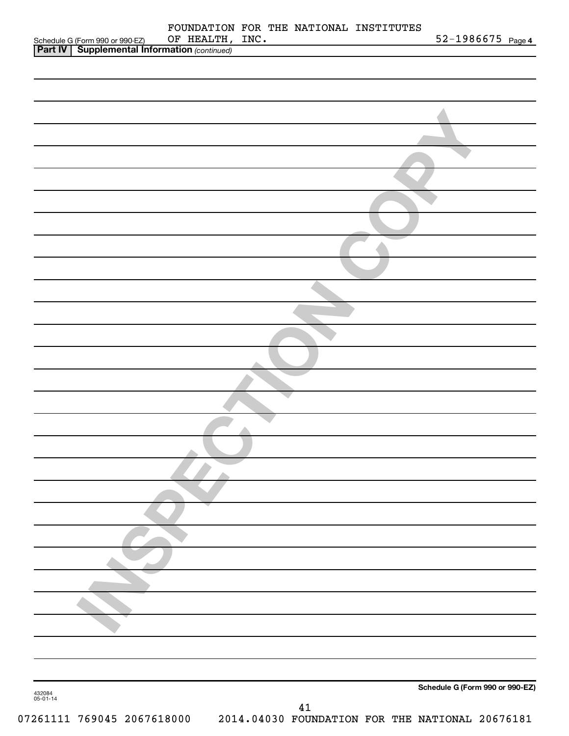|                                                                                                   |                 |    | FOUNDATION FOR THE NATIONAL INSTITUTES |                                 |
|---------------------------------------------------------------------------------------------------|-----------------|----|----------------------------------------|---------------------------------|
| Schedule G (Form 990 or 990-EZ) OF HEALTH,<br><b>Part IV</b> Supplemental Information (continued) | OF HEALTH, INC. |    |                                        | $52 - 1986675$ Page 4           |
|                                                                                                   |                 |    |                                        |                                 |
|                                                                                                   |                 |    |                                        |                                 |
|                                                                                                   |                 |    |                                        |                                 |
|                                                                                                   |                 |    |                                        |                                 |
|                                                                                                   |                 |    |                                        |                                 |
|                                                                                                   |                 |    |                                        |                                 |
|                                                                                                   |                 |    |                                        |                                 |
|                                                                                                   |                 |    |                                        |                                 |
|                                                                                                   |                 |    |                                        |                                 |
|                                                                                                   |                 |    |                                        |                                 |
|                                                                                                   |                 |    |                                        |                                 |
|                                                                                                   |                 |    |                                        |                                 |
|                                                                                                   |                 |    |                                        |                                 |
|                                                                                                   |                 |    |                                        |                                 |
|                                                                                                   |                 |    |                                        |                                 |
|                                                                                                   |                 |    |                                        |                                 |
|                                                                                                   |                 |    |                                        |                                 |
|                                                                                                   |                 |    |                                        |                                 |
|                                                                                                   |                 |    |                                        |                                 |
|                                                                                                   |                 |    |                                        |                                 |
|                                                                                                   |                 |    |                                        |                                 |
|                                                                                                   |                 |    |                                        |                                 |
|                                                                                                   |                 |    |                                        |                                 |
|                                                                                                   |                 |    |                                        |                                 |
|                                                                                                   |                 |    |                                        |                                 |
|                                                                                                   |                 |    |                                        |                                 |
|                                                                                                   |                 |    |                                        |                                 |
|                                                                                                   |                 |    |                                        |                                 |
|                                                                                                   |                 |    |                                        |                                 |
|                                                                                                   |                 |    |                                        |                                 |
|                                                                                                   |                 |    |                                        |                                 |
|                                                                                                   |                 |    |                                        |                                 |
|                                                                                                   |                 |    |                                        |                                 |
|                                                                                                   |                 |    |                                        |                                 |
|                                                                                                   |                 |    |                                        |                                 |
|                                                                                                   |                 |    |                                        |                                 |
|                                                                                                   |                 |    |                                        |                                 |
|                                                                                                   |                 |    |                                        |                                 |
|                                                                                                   |                 |    |                                        |                                 |
|                                                                                                   |                 |    |                                        |                                 |
|                                                                                                   |                 |    |                                        |                                 |
|                                                                                                   |                 |    |                                        |                                 |
|                                                                                                   |                 |    |                                        |                                 |
|                                                                                                   |                 |    |                                        |                                 |
|                                                                                                   |                 |    |                                        |                                 |
|                                                                                                   |                 |    |                                        |                                 |
|                                                                                                   |                 |    |                                        | Schedule G (Form 990 or 990-EZ) |
| 432084<br>05-01-14                                                                                |                 | 41 |                                        |                                 |
|                                                                                                   |                 |    |                                        |                                 |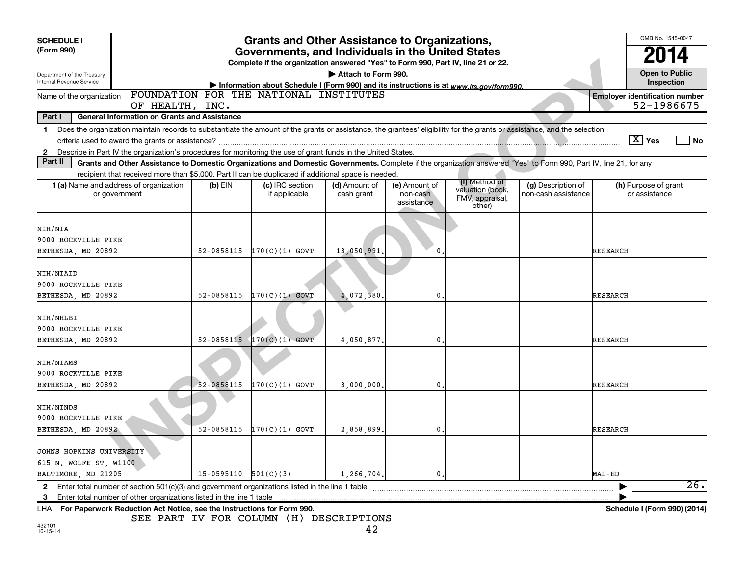| <b>SCHEDULE I</b><br>(Form 990)                               | <b>Grants and Other Assistance to Organizations,</b><br>Governments, and Individuals in the United States<br>Complete if the organization answered "Yes" to Form 990, Part IV, line 21 or 22. |                          |                                                                                                                                   |                             |                                         |                                                                |                                           |                                                     |  |
|---------------------------------------------------------------|-----------------------------------------------------------------------------------------------------------------------------------------------------------------------------------------------|--------------------------|-----------------------------------------------------------------------------------------------------------------------------------|-----------------------------|-----------------------------------------|----------------------------------------------------------------|-------------------------------------------|-----------------------------------------------------|--|
| Department of the Treasury<br><b>Internal Revenue Service</b> |                                                                                                                                                                                               |                          |                                                                                                                                   | Attach to Form 990.         |                                         |                                                                |                                           | <b>Open to Public</b><br>Inspection                 |  |
| Name of the organization                                      |                                                                                                                                                                                               |                          | Information about Schedule I (Form 990) and its instructions is at www.irs.gov/form990.<br>FOUNDATION FOR THE NATIONAL INSTITUTES |                             |                                         |                                                                |                                           | <b>Employer identification number</b><br>52-1986675 |  |
| Part I                                                        | OF HEALTH, INC.<br><b>General Information on Grants and Assistance</b>                                                                                                                        |                          |                                                                                                                                   |                             |                                         |                                                                |                                           |                                                     |  |
| $\mathbf{1}$                                                  | Does the organization maintain records to substantiate the amount of the grants or assistance, the grantees' eligibility for the grants or assistance, and the selection                      |                          |                                                                                                                                   |                             |                                         |                                                                |                                           |                                                     |  |
|                                                               |                                                                                                                                                                                               |                          |                                                                                                                                   |                             |                                         |                                                                |                                           | $\boxed{\text{X}}$ Yes<br>l No                      |  |
| 2                                                             | Describe in Part IV the organization's procedures for monitoring the use of grant funds in the United States.                                                                                 |                          |                                                                                                                                   |                             |                                         |                                                                |                                           |                                                     |  |
| Part II                                                       | Grants and Other Assistance to Domestic Organizations and Domestic Governments. Complete if the organization answered "Yes" to Form 990, Part IV, line 21, for any                            |                          |                                                                                                                                   |                             |                                         |                                                                |                                           |                                                     |  |
|                                                               | recipient that received more than \$5,000. Part II can be duplicated if additional space is needed.                                                                                           |                          |                                                                                                                                   |                             |                                         |                                                                |                                           |                                                     |  |
|                                                               | <b>1 (a)</b> Name and address of organization<br>or government                                                                                                                                | $(b)$ EIN                | (c) IRC section<br>if applicable                                                                                                  | (d) Amount of<br>cash grant | (e) Amount of<br>non-cash<br>assistance | (f) Method of<br>valuation (book,<br>FMV, appraisal,<br>other) | (g) Description of<br>non-cash assistance | (h) Purpose of grant<br>or assistance               |  |
|                                                               |                                                                                                                                                                                               |                          |                                                                                                                                   |                             |                                         |                                                                |                                           |                                                     |  |
| NIH/NIA<br>9000 ROCKVILLE PIKE                                |                                                                                                                                                                                               |                          |                                                                                                                                   |                             |                                         |                                                                |                                           |                                                     |  |
| BETHESDA, MD 20892                                            |                                                                                                                                                                                               | 52-0858115               | $170(C)(1)$ GOVT                                                                                                                  | 13,050,991                  | $\mathbf{0}$                            |                                                                |                                           | <b>RESEARCH</b>                                     |  |
|                                                               |                                                                                                                                                                                               |                          |                                                                                                                                   |                             |                                         |                                                                |                                           |                                                     |  |
| NIH/NIAID                                                     |                                                                                                                                                                                               |                          |                                                                                                                                   |                             |                                         |                                                                |                                           |                                                     |  |
| 9000 ROCKVILLE PIKE                                           |                                                                                                                                                                                               |                          |                                                                                                                                   |                             |                                         |                                                                |                                           |                                                     |  |
| BETHESDA, MD 20892                                            |                                                                                                                                                                                               | 52-0858115               | $170(C)(1)$ GOVT                                                                                                                  | 4,072,380                   | $\mathbf{0}$                            |                                                                |                                           | RESEARCH                                            |  |
|                                                               |                                                                                                                                                                                               |                          |                                                                                                                                   |                             |                                         |                                                                |                                           |                                                     |  |
| NIH/NHLBI                                                     |                                                                                                                                                                                               |                          |                                                                                                                                   |                             |                                         |                                                                |                                           |                                                     |  |
| 9000 ROCKVILLE PIKE                                           |                                                                                                                                                                                               |                          |                                                                                                                                   |                             |                                         |                                                                |                                           |                                                     |  |
| BETHESDA, MD 20892                                            |                                                                                                                                                                                               | 52-0858115               | $170(C)(1)$ GOVT                                                                                                                  | 4,050.877.                  | $\mathbf{0}$                            |                                                                |                                           | <b>RESEARCH</b>                                     |  |
| NIH/NIAMS                                                     |                                                                                                                                                                                               |                          |                                                                                                                                   |                             |                                         |                                                                |                                           |                                                     |  |
| 9000 ROCKVILLE PIKE                                           |                                                                                                                                                                                               |                          |                                                                                                                                   |                             |                                         |                                                                |                                           |                                                     |  |
| BETHESDA, MD 20892                                            |                                                                                                                                                                                               | 52-0858115               | $170(C)(1)$ GOVT                                                                                                                  | 3,000,000.                  | $\mathbf 0$ .                           |                                                                |                                           | RESEARCH                                            |  |
| NIH/NINDS                                                     |                                                                                                                                                                                               |                          |                                                                                                                                   |                             |                                         |                                                                |                                           |                                                     |  |
| 9000 ROCKVILLE PIKE                                           |                                                                                                                                                                                               |                          |                                                                                                                                   |                             |                                         |                                                                |                                           |                                                     |  |
| BETHESDA, MD 20892                                            |                                                                                                                                                                                               | 52-0858115               | $170(C)(1)$ GOVT                                                                                                                  | 2,858,899,                  | $\mathbf{0}$                            |                                                                |                                           | <b>RESEARCH</b>                                     |  |
|                                                               |                                                                                                                                                                                               |                          |                                                                                                                                   |                             |                                         |                                                                |                                           |                                                     |  |
| JOHNS HOPKINS UNIVERSITY                                      |                                                                                                                                                                                               |                          |                                                                                                                                   |                             |                                         |                                                                |                                           |                                                     |  |
| 615 N. WOLFE ST, W1100                                        |                                                                                                                                                                                               |                          |                                                                                                                                   |                             |                                         |                                                                |                                           |                                                     |  |
| BALTIMORE, MD 21205                                           |                                                                                                                                                                                               | $15-0595110$ $501(C)(3)$ |                                                                                                                                   | 1,266,704.                  | 0.                                      |                                                                |                                           | MAL-ED                                              |  |
| $\mathbf{2}$                                                  | Enter total number of section $501(c)(3)$ and government organizations listed in the line 1 table                                                                                             |                          |                                                                                                                                   |                             |                                         |                                                                |                                           | 26.                                                 |  |
| 3                                                             | Enter total number of other organizations listed in the line 1 table                                                                                                                          |                          |                                                                                                                                   |                             |                                         |                                                                |                                           |                                                     |  |
|                                                               | LHA For Paperwork Reduction Act Notice, see the Instructions for Form 990.                                                                                                                    |                          |                                                                                                                                   |                             |                                         |                                                                |                                           | Schedule I (Form 990) (2014)                        |  |

SEE PART IV FOR COLUMN (H) DESCRIPTIONS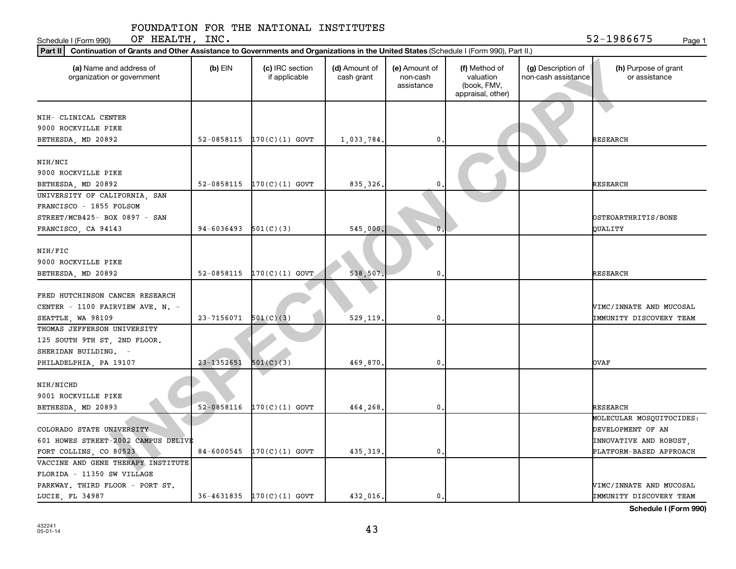Schedule I (Form 990) Page 1 OF HEALTH, INC.  $52-1986675$ 

| Continuation of Grants and Other Assistance to Governments and Organizations in the United States (Schedule I (Form 990), Part II.)<br>  Part II |            |                                  |                             |                                         |                                                                |                                           |                                       |  |  |  |  |
|--------------------------------------------------------------------------------------------------------------------------------------------------|------------|----------------------------------|-----------------------------|-----------------------------------------|----------------------------------------------------------------|-------------------------------------------|---------------------------------------|--|--|--|--|
| (a) Name and address of<br>organization or government                                                                                            | $(b)$ EIN  | (c) IRC section<br>if applicable | (d) Amount of<br>cash grant | (e) Amount of<br>non-cash<br>assistance | (f) Method of<br>valuation<br>(book, FMV,<br>appraisal, other) | (g) Description of<br>non-cash assistance | (h) Purpose of grant<br>or assistance |  |  |  |  |
|                                                                                                                                                  |            |                                  |                             |                                         |                                                                |                                           |                                       |  |  |  |  |
| NIH- CLINICAL CENTER                                                                                                                             |            |                                  |                             |                                         |                                                                |                                           |                                       |  |  |  |  |
| 9000 ROCKVILLE PIKE                                                                                                                              |            |                                  |                             |                                         |                                                                |                                           | <b>RESEARCH</b>                       |  |  |  |  |
| BETHESDA, MD 20892                                                                                                                               | 52-0858115 | $170(C)(1)$ GOVT                 | 1,033,784.                  | 0                                       |                                                                |                                           |                                       |  |  |  |  |
| NIH/NCI                                                                                                                                          |            |                                  |                             |                                         |                                                                |                                           |                                       |  |  |  |  |
| 9000 ROCKVILLE PIKE                                                                                                                              |            |                                  |                             |                                         |                                                                |                                           |                                       |  |  |  |  |
| BETHESDA, MD 20892                                                                                                                               | 52-0858115 | $170(C)(1)$ GOVT                 | 835, 326.                   | 0                                       |                                                                |                                           | <b>RESEARCH</b>                       |  |  |  |  |
| UNIVERSITY OF CALIFORNIA, SAN                                                                                                                    |            |                                  |                             |                                         |                                                                |                                           |                                       |  |  |  |  |
| FRANCISCO - 1855 FOLSOM                                                                                                                          |            |                                  |                             |                                         |                                                                |                                           |                                       |  |  |  |  |
| STREET/MCB425- BOX 0897 - SAN                                                                                                                    |            |                                  |                             |                                         |                                                                |                                           | OSTEOARTHRITIS/BONE                   |  |  |  |  |
| FRANCISCO, CA 94143                                                                                                                              | 94-6036493 | 501(C)(3)                        | 545,000                     | n                                       |                                                                |                                           | QUALITY                               |  |  |  |  |
|                                                                                                                                                  |            |                                  |                             |                                         |                                                                |                                           |                                       |  |  |  |  |
| NIH/FIC                                                                                                                                          |            |                                  |                             |                                         |                                                                |                                           |                                       |  |  |  |  |
| 9000 ROCKVILLE PIKE                                                                                                                              |            |                                  |                             |                                         |                                                                |                                           |                                       |  |  |  |  |
| BETHESDA, MD 20892                                                                                                                               | 52-0858115 | $170(C)(1)$ GOVT                 | 538,507.                    | 0                                       |                                                                |                                           | <b>RESEARCH</b>                       |  |  |  |  |
|                                                                                                                                                  |            |                                  |                             |                                         |                                                                |                                           |                                       |  |  |  |  |
| FRED HUTCHINSON CANCER RESEARCH                                                                                                                  |            |                                  |                             |                                         |                                                                |                                           |                                       |  |  |  |  |
| CENTER - 1100 FAIRVIEW AVE. N. -                                                                                                                 |            |                                  |                             |                                         |                                                                |                                           | VIMC/INNATE AND MUCOSAL               |  |  |  |  |
| SEATTLE, WA 98109                                                                                                                                | 23-7156071 | 501(C)(3)                        | 529,119.                    | 0                                       |                                                                |                                           | <b>IMMUNITY DISCOVERY TEAM</b>        |  |  |  |  |
| THOMAS JEFFERSON UNIVERSITY                                                                                                                      |            |                                  |                             |                                         |                                                                |                                           |                                       |  |  |  |  |
| 125 SOUTH 9TH ST, 2ND FLOOR.                                                                                                                     |            |                                  |                             |                                         |                                                                |                                           |                                       |  |  |  |  |
| SHERIDAN BUILDING. -                                                                                                                             |            |                                  |                             |                                         |                                                                |                                           |                                       |  |  |  |  |
| PHILADELPHIA, PA 19107                                                                                                                           | 23-1352651 | 501(C)(3)                        | 469,870.                    | 0                                       |                                                                |                                           | <b>OVAF</b>                           |  |  |  |  |
|                                                                                                                                                  |            |                                  |                             |                                         |                                                                |                                           |                                       |  |  |  |  |
| NIH/NICHD                                                                                                                                        |            |                                  |                             |                                         |                                                                |                                           |                                       |  |  |  |  |
| 9001 ROCKVILLE PIKE                                                                                                                              |            |                                  |                             |                                         |                                                                |                                           |                                       |  |  |  |  |
| BETHESDA, MD 20893                                                                                                                               | 52-0858116 | $170(C)(1)$ GOVT                 | 464,268.                    | 0                                       |                                                                |                                           | <b>RESEARCH</b>                       |  |  |  |  |
|                                                                                                                                                  |            |                                  |                             |                                         |                                                                |                                           | MOLECULAR MOSQUITOCIDES:              |  |  |  |  |
| COLORADO STATE UNIVERSITY                                                                                                                        |            |                                  |                             |                                         |                                                                |                                           | DEVELOPMENT OF AN                     |  |  |  |  |
| 601 HOWES STREET-2002 CAMPUS DELIVE                                                                                                              |            |                                  |                             |                                         |                                                                |                                           | INNOVATIVE AND ROBUST,                |  |  |  |  |
| FORT COLLINS, CO 80523                                                                                                                           | 84-6000545 | $170(C)(1)$ GOVT                 | 435, 319.                   | 0                                       |                                                                |                                           | PLATFORM-BASED APPROACH               |  |  |  |  |
| VACCINE AND GENE THERAPY INSTITUTE                                                                                                               |            |                                  |                             |                                         |                                                                |                                           |                                       |  |  |  |  |
| FLORIDA - 11350 SW VILLAGE                                                                                                                       |            |                                  |                             |                                         |                                                                |                                           |                                       |  |  |  |  |
| PARKWAY. THIRD FLOOR - PORT ST.                                                                                                                  |            |                                  |                             |                                         |                                                                |                                           | VIMC/INNATE AND MUCOSAL               |  |  |  |  |
| LUCIE, FL 34987                                                                                                                                  | 36-4631835 | $170(C)(1)$ GOVT                 | 432,016.                    | $\mathbf 0$ .                           |                                                                |                                           | IMMUNITY DISCOVERY TEAM               |  |  |  |  |

**Schedule I (Form 990)**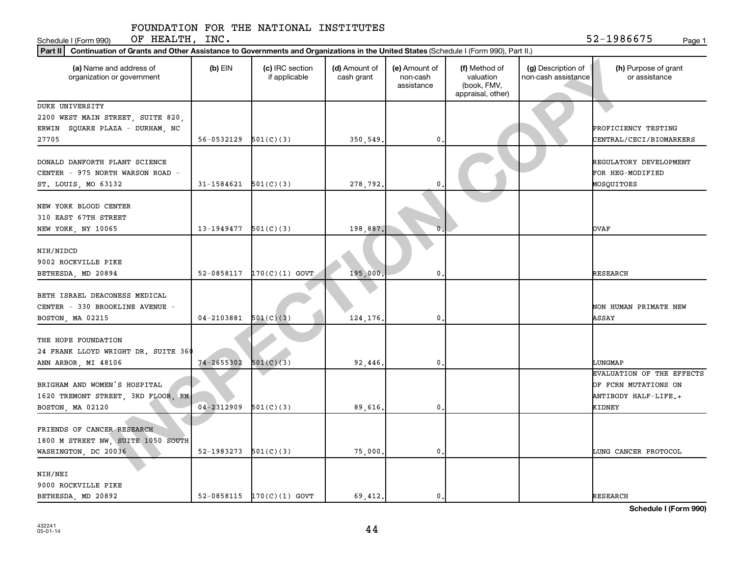Schedule I (Form 990) Page 1 OF HEALTH, INC.  $52-1986675$ 

| Part II   Continuation of Grants and Other Assistance to Governments and Organizations in the United States (Schedule I (Form 990), Part II.) |                          |                                  |                             |                                         |                                                                |                                           |                                                                           |  |  |  |  |
|-----------------------------------------------------------------------------------------------------------------------------------------------|--------------------------|----------------------------------|-----------------------------|-----------------------------------------|----------------------------------------------------------------|-------------------------------------------|---------------------------------------------------------------------------|--|--|--|--|
| (a) Name and address of<br>organization or government                                                                                         | $(b)$ EIN                | (c) IRC section<br>if applicable | (d) Amount of<br>cash grant | (e) Amount of<br>non-cash<br>assistance | (f) Method of<br>valuation<br>(book, FMV,<br>appraisal, other) | (g) Description of<br>non-cash assistance | (h) Purpose of grant<br>or assistance                                     |  |  |  |  |
| DUKE UNIVERSITY                                                                                                                               |                          |                                  |                             |                                         |                                                                |                                           |                                                                           |  |  |  |  |
| 2200 WEST MAIN STREET, SUITE 820,                                                                                                             |                          |                                  |                             |                                         |                                                                |                                           |                                                                           |  |  |  |  |
| ERWIN SQUARE PLAZA - DURHAM, NC                                                                                                               |                          |                                  |                             |                                         |                                                                |                                           | PROFICIENCY TESTING                                                       |  |  |  |  |
| 27705                                                                                                                                         | $56-0532129$ $501(C)(3)$ |                                  | 350,549.                    | 0                                       |                                                                |                                           | CENTRAL/CECI/BIOMARKERS                                                   |  |  |  |  |
| DONALD DANFORTH PLANT SCIENCE<br>CENTER - 975 NORTH WARSON ROAD -<br>ST. LOUIS, MO 63132                                                      | $31-1584621$ $501(C)(3)$ |                                  | 278,792.                    | 0                                       |                                                                |                                           | REGULATORY DEVELOPMENT<br>FOR HEG-MODIFIED<br>MOSQUITOES                  |  |  |  |  |
|                                                                                                                                               |                          |                                  |                             |                                         |                                                                |                                           |                                                                           |  |  |  |  |
| NEW YORK BLOOD CENTER                                                                                                                         |                          |                                  |                             |                                         |                                                                |                                           |                                                                           |  |  |  |  |
| 310 EAST 67TH STREET                                                                                                                          |                          |                                  |                             |                                         |                                                                |                                           |                                                                           |  |  |  |  |
| NEW YORK, NY 10065                                                                                                                            | $13-1949477$ $501(C)(3)$ |                                  | 198,887.                    | $\mathbf{0}$                            |                                                                |                                           | OVAF                                                                      |  |  |  |  |
| NIH/NIDCD<br>9002 ROCKVILLE PIKE                                                                                                              |                          |                                  |                             |                                         |                                                                |                                           |                                                                           |  |  |  |  |
| BETHESDA, MD 20894                                                                                                                            | 52-0858117               | $170(C)(1)$ GOVT                 | 195,000                     | 0                                       |                                                                |                                           | <b>RESEARCH</b>                                                           |  |  |  |  |
| BETH ISRAEL DEACONESS MEDICAL<br>CENTER - 330 BROOKLINE AVENUE -<br>BOSTON, MA 02215                                                          | $04-2103881$ $501(C)(3)$ |                                  | 124,176                     | 0                                       |                                                                |                                           | NON HUMAN PRIMATE NEW<br>ASSAY                                            |  |  |  |  |
|                                                                                                                                               |                          |                                  |                             |                                         |                                                                |                                           |                                                                           |  |  |  |  |
| THE HOPE FOUNDATION                                                                                                                           |                          |                                  |                             |                                         |                                                                |                                           |                                                                           |  |  |  |  |
| 24 FRANK LLOYD WRIGHT DR. SUITE 360                                                                                                           |                          |                                  |                             |                                         |                                                                |                                           |                                                                           |  |  |  |  |
| ANN ARBOR, MI 48106                                                                                                                           | 74-2655302               | 501(C)(3)                        | 92,446.                     | 0                                       |                                                                |                                           | LUNGMAP                                                                   |  |  |  |  |
| BRIGHAM AND WOMEN'S HOSPITAL<br>1620 TREMONT STREET, 3RD FLOOR, RM                                                                            |                          |                                  |                             |                                         |                                                                |                                           | EVALUATION OF THE EFFECTS<br>OF FCRN MUTATIONS ON<br>ANTIBODY HALF-LIFE.+ |  |  |  |  |
| BOSTON, MA 02120                                                                                                                              | 04-2312909               | 501(C)(3)                        | 89,616.                     | 0                                       |                                                                |                                           | KIDNEY                                                                    |  |  |  |  |
| FRIENDS OF CANCER RESEARCH                                                                                                                    |                          |                                  |                             |                                         |                                                                |                                           |                                                                           |  |  |  |  |
| 1800 M STREET NW, SUITE 1050 SOUTH                                                                                                            |                          |                                  |                             |                                         |                                                                |                                           |                                                                           |  |  |  |  |
| WASHINGTON, DC 20036                                                                                                                          | 52-1983273               | 501(C)(3)                        | 75,000.                     | $\mathbf 0$ .                           |                                                                |                                           | LUNG CANCER PROTOCOL                                                      |  |  |  |  |
| NIH/NEI                                                                                                                                       |                          |                                  |                             |                                         |                                                                |                                           |                                                                           |  |  |  |  |
| 9000 ROCKVILLE PIKE                                                                                                                           |                          |                                  |                             |                                         |                                                                |                                           |                                                                           |  |  |  |  |
| BETHESDA, MD 20892                                                                                                                            |                          | 52-0858115 $170(C)(1)$ GOVT      | 69,412.                     | $\mathbf 0$ .                           |                                                                |                                           | <b>RESEARCH</b>                                                           |  |  |  |  |

**Schedule I (Form 990)**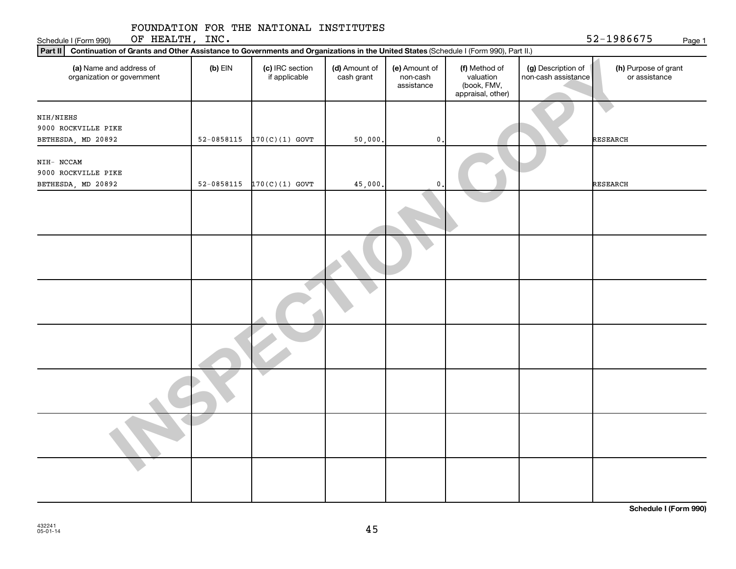| FOUNDATION FOR THE NATIONAL INSTITUTES |  |  |  |
|----------------------------------------|--|--|--|
|----------------------------------------|--|--|--|

Schedule I (Form 990) Page 1

OF HEALTH, INC.  $52-1986675$ 

|                |                                  |                                      | Part II   Continuation of Grants and Other Assistance to Governments and Organizations in the United States (Schedule I (Form 990), Part II.) |                                                                |                                           |                                       |  |  |  |  |  |  |  |
|----------------|----------------------------------|--------------------------------------|-----------------------------------------------------------------------------------------------------------------------------------------------|----------------------------------------------------------------|-------------------------------------------|---------------------------------------|--|--|--|--|--|--|--|
| $(b)$ EIN      | (c) IRC section<br>if applicable | (d) Amount of<br>cash grant          | (e) Amount of<br>non-cash<br>assistance                                                                                                       | (f) Method of<br>valuation<br>(book, FMV,<br>appraisal, other) | (g) Description of<br>non-cash assistance | (h) Purpose of grant<br>or assistance |  |  |  |  |  |  |  |
|                |                                  |                                      |                                                                                                                                               |                                                                |                                           |                                       |  |  |  |  |  |  |  |
|                |                                  |                                      |                                                                                                                                               |                                                                |                                           |                                       |  |  |  |  |  |  |  |
|                |                                  |                                      |                                                                                                                                               |                                                                |                                           | <b>RESEARCH</b>                       |  |  |  |  |  |  |  |
|                |                                  |                                      |                                                                                                                                               |                                                                |                                           |                                       |  |  |  |  |  |  |  |
|                |                                  |                                      |                                                                                                                                               |                                                                |                                           |                                       |  |  |  |  |  |  |  |
|                |                                  |                                      |                                                                                                                                               |                                                                |                                           |                                       |  |  |  |  |  |  |  |
| $52 - 0858115$ |                                  | 45,000.                              | $\mathbf 0$                                                                                                                                   |                                                                |                                           | <b>RESEARCH</b>                       |  |  |  |  |  |  |  |
|                |                                  |                                      |                                                                                                                                               |                                                                |                                           |                                       |  |  |  |  |  |  |  |
|                |                                  |                                      |                                                                                                                                               |                                                                |                                           |                                       |  |  |  |  |  |  |  |
|                |                                  |                                      |                                                                                                                                               |                                                                |                                           |                                       |  |  |  |  |  |  |  |
|                |                                  |                                      |                                                                                                                                               |                                                                |                                           |                                       |  |  |  |  |  |  |  |
|                |                                  |                                      |                                                                                                                                               |                                                                |                                           |                                       |  |  |  |  |  |  |  |
|                |                                  |                                      |                                                                                                                                               |                                                                |                                           |                                       |  |  |  |  |  |  |  |
|                |                                  |                                      |                                                                                                                                               |                                                                |                                           |                                       |  |  |  |  |  |  |  |
|                | $52 - 0858115$                   | $170(C)(1)$ GOVT<br>$170(C)(1)$ GOVT | 50,000.                                                                                                                                       | $\mathbf{0}$                                                   |                                           |                                       |  |  |  |  |  |  |  |

**Schedule I (Form 990)**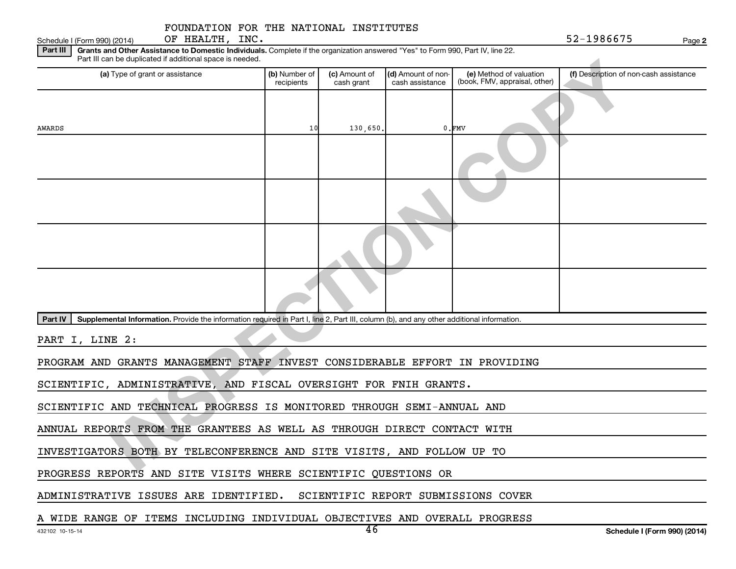Schedule I (Form 990) (2014)  $\qquad \qquad$  OF HEALTH, INC. OF HEALTH, INC.

**2**

Part III | Grants and Other Assistance to Domestic Individuals. Complete if the organization answered "Yes" to Form 990, Part IV, line 22. Part III can be duplicated if additional space is needed.

| Part III can be duplicated if additional space is needed.                                                                                                                                                                      |                             |                             |                                       |                                                          |                                        |  |  |  |
|--------------------------------------------------------------------------------------------------------------------------------------------------------------------------------------------------------------------------------|-----------------------------|-----------------------------|---------------------------------------|----------------------------------------------------------|----------------------------------------|--|--|--|
| (a) Type of grant or assistance                                                                                                                                                                                                | (b) Number of<br>recipients | (c) Amount of<br>cash grant | (d) Amount of non-<br>cash assistance | (e) Method of valuation<br>(book, FMV, appraisal, other) | (f) Description of non-cash assistance |  |  |  |
| AWARDS                                                                                                                                                                                                                         | 10                          | 130,650.                    |                                       | $0.$ FMV                                                 |                                        |  |  |  |
|                                                                                                                                                                                                                                |                             |                             |                                       |                                                          |                                        |  |  |  |
|                                                                                                                                                                                                                                |                             |                             |                                       |                                                          |                                        |  |  |  |
|                                                                                                                                                                                                                                |                             |                             |                                       |                                                          |                                        |  |  |  |
|                                                                                                                                                                                                                                |                             |                             |                                       |                                                          |                                        |  |  |  |
| Supplemental Information. Provide the information required in Part I, line 2, Part III, column (b), and any other additional information.<br><b>Part IV</b>                                                                    |                             |                             |                                       |                                                          |                                        |  |  |  |
| PART I, LINE 2:                                                                                                                                                                                                                |                             |                             |                                       |                                                          |                                        |  |  |  |
| PROGRAM AND GRANTS MANAGEMENT STAFF INVEST CONSIDERABLE EFFORT IN PROVIDING                                                                                                                                                    |                             |                             |                                       |                                                          |                                        |  |  |  |
| SCIENTIFIC, ADMINISTRATIVE, AND FISCAL OVERSIGHT FOR FNIH GRANTS.                                                                                                                                                              |                             |                             |                                       |                                                          |                                        |  |  |  |
| SCIENTIFIC AND TECHNICAL PROGRESS IS MONITORED THROUGH SEMI-ANNUAL AND                                                                                                                                                         |                             |                             |                                       |                                                          |                                        |  |  |  |
| ANNUAL REPORTS FROM THE GRANTEES AS WELL AS THROUGH DIRECT CONTACT WITH                                                                                                                                                        |                             |                             |                                       |                                                          |                                        |  |  |  |
| INVESTIGATORS BOTH BY TELECONFERENCE AND SITE VISITS, AND FOLLOW UP TO                                                                                                                                                         |                             |                             |                                       |                                                          |                                        |  |  |  |
| $27.57$ $117.77$ $27.77$ $27.77$ $27.77$ $27.77$ $27.77$ $27.77$ $27.77$ $27.77$ $27.77$ $27.77$ $27.77$ $27.77$ $27.77$ $27.77$ $27.77$ $27.77$ $27.77$ $27.77$ $27.77$ $27.77$ $27.77$ $27.77$ $27.77$ $27.77$ $27.77$ $27.$ |                             |                             |                                       |                                                          |                                        |  |  |  |

PROGRESS REPORTS AND SITE VISITS WHERE SCIENTIFIC QUESTIONS OR

ADMINISTRATIVE ISSUES ARE IDENTIFIED. SCIENTIFIC REPORT SUBMISSIONS COVER

A WIDE RANGE OF ITEMS INCLUDING INDIVIDUAL OBJECTIVES AND OVERALL PROGRESS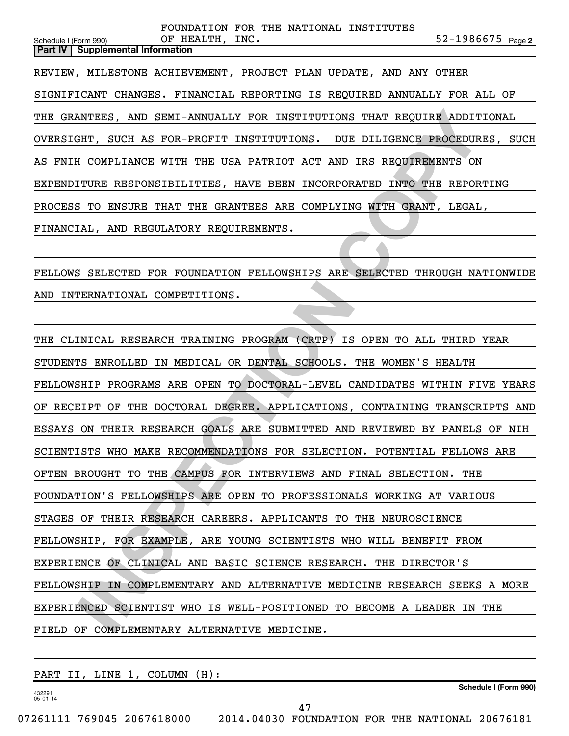**2** Schedule I (Form 990) Page **Part IV Supplemental Information** FOUNDATION FOR THE NATIONAL INSTITUTES OF HEALTH, INC. REVIEW, MILESTONE ACHIEVEMENT, PROJECT PLAN UPDATE, AND ANY OTHER SIGNIFICANT CHANGES. FINANCIAL REPORTING IS REQUIRED ANNUALLY FOR ALL OF THE GRANTEES, AND SEMI-ANNUALLY FOR INSTITUTIONS THAT REQUIRE ADDITIONAL OVERSIGHT, SUCH AS FOR-PROFIT INSTITUTIONS. DUE DILIGENCE PROCEDURES, SUCH AS FNIH COMPLIANCE WITH THE USA PATRIOT ACT AND IRS REQUIREMENTS ON EXPENDITURE RESPONSIBILITIES, HAVE BEEN INCORPORATED INTO THE REPORTING PROCESS TO ENSURE THAT THE GRANTEES ARE COMPLYING WITH GRANT, LEGAL, FINANCIAL, AND REGULATORY REQUIREMENTS.

FELLOWS SELECTED FOR FOUNDATION FELLOWSHIPS ARE SELECTED THROUGH NATIONWIDE AND INTERNATIONAL COMPETITIONS.

**INTERS, AND SEMI-ANNUALLY FOR INSTITUTIONS THAT REQUIRE ADDITIONALLY TO HERE AND TRITUIT INSTITUTIONS.** DUE DILIGENCE PROCEDURES, INCOMINANCE WITH THE USA PATRICY ACT AND IRS REQUIREMENTS ON CONFLINUES. HAVE BEPORTITY INS THE CLINICAL RESEARCH TRAINING PROGRAM (CRTP) IS OPEN TO ALL THIRD YEAR STUDENTS ENROLLED IN MEDICAL OR DENTAL SCHOOLS. THE WOMEN'S HEALTH FELLOWSHIP PROGRAMS ARE OPEN TO DOCTORAL-LEVEL CANDIDATES WITHIN FIVE YEARS OF RECEIPT OF THE DOCTORAL DEGREE. APPLICATIONS, CONTAINING TRANSCRIPTS AND ESSAYS ON THEIR RESEARCH GOALS ARE SUBMITTED AND REVIEWED BY PANELS OF NIH SCIENTISTS WHO MAKE RECOMMENDATIONS FOR SELECTION. POTENTIAL FELLOWS ARE OFTEN BROUGHT TO THE CAMPUS FOR INTERVIEWS AND FINAL SELECTION. THE FOUNDATION'S FELLOWSHIPS ARE OPEN TO PROFESSIONALS WORKING AT VARIOUS STAGES OF THEIR RESEARCH CAREERS. APPLICANTS TO THE NEUROSCIENCE FELLOWSHIP, FOR EXAMPLE, ARE YOUNG SCIENTISTS WHO WILL BENEFIT FROM EXPERIENCE OF CLINICAL AND BASIC SCIENCE RESEARCH. THE DIRECTOR'S FELLOWSHIP IN COMPLEMENTARY AND ALTERNATIVE MEDICINE RESEARCH SEEKS A MORE EXPERIENCED SCIENTIST WHO IS WELL-POSITIONED TO BECOME A LEADER IN THE FIELD OF COMPLEMENTARY ALTERNATIVE MEDICINE.

PART II, LINE 1, COLUMN (H):

432291 05-01-14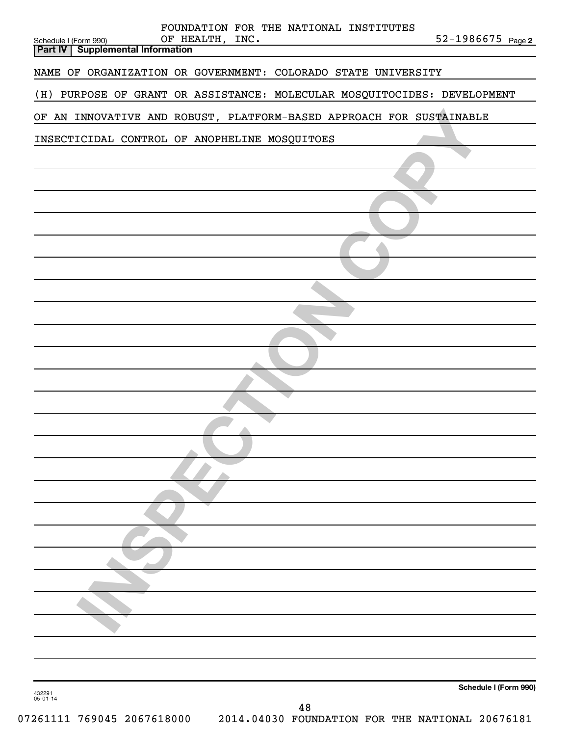|                    |                       |                                 |  |                 | FOUNDATION FOR THE NATIONAL INSTITUTES                               |  |                                                                          |
|--------------------|-----------------------|---------------------------------|--|-----------------|----------------------------------------------------------------------|--|--------------------------------------------------------------------------|
| <b>Part IV</b>     | Schedule I (Form 990) | <b>Supplemental Information</b> |  | OF HEALTH, INC. |                                                                      |  | 52-1986675 Page 2                                                        |
|                    |                       |                                 |  |                 | NAME OF ORGANIZATION OR GOVERNMENT: COLORADO STATE UNIVERSITY        |  |                                                                          |
|                    |                       |                                 |  |                 |                                                                      |  | (H) PURPOSE OF GRANT OR ASSISTANCE: MOLECULAR MOSQUITOCIDES: DEVELOPMENT |
|                    |                       |                                 |  |                 | OF AN INNOVATIVE AND ROBUST, PLATFORM-BASED APPROACH FOR SUSTAINABLE |  |                                                                          |
|                    |                       |                                 |  |                 | INSECTICIDAL CONTROL OF ANOPHELINE MOSQUITOES                        |  |                                                                          |
|                    |                       |                                 |  |                 |                                                                      |  |                                                                          |
|                    |                       |                                 |  |                 |                                                                      |  |                                                                          |
|                    |                       |                                 |  |                 |                                                                      |  |                                                                          |
|                    |                       |                                 |  |                 |                                                                      |  |                                                                          |
|                    |                       |                                 |  |                 |                                                                      |  |                                                                          |
|                    |                       |                                 |  |                 |                                                                      |  |                                                                          |
|                    |                       |                                 |  |                 |                                                                      |  |                                                                          |
|                    |                       |                                 |  |                 |                                                                      |  |                                                                          |
|                    |                       |                                 |  |                 |                                                                      |  |                                                                          |
|                    |                       |                                 |  |                 |                                                                      |  |                                                                          |
|                    |                       |                                 |  |                 |                                                                      |  |                                                                          |
|                    |                       |                                 |  |                 |                                                                      |  |                                                                          |
|                    |                       |                                 |  |                 |                                                                      |  |                                                                          |
|                    |                       |                                 |  |                 |                                                                      |  |                                                                          |
|                    |                       |                                 |  |                 |                                                                      |  |                                                                          |
|                    |                       |                                 |  |                 |                                                                      |  |                                                                          |
|                    |                       |                                 |  |                 |                                                                      |  |                                                                          |
|                    |                       |                                 |  |                 |                                                                      |  |                                                                          |
|                    |                       |                                 |  |                 |                                                                      |  |                                                                          |
|                    |                       |                                 |  |                 |                                                                      |  |                                                                          |
|                    |                       |                                 |  |                 |                                                                      |  |                                                                          |
|                    |                       |                                 |  |                 |                                                                      |  |                                                                          |
|                    |                       |                                 |  |                 |                                                                      |  |                                                                          |
|                    |                       |                                 |  |                 |                                                                      |  |                                                                          |
| 432291<br>05-01-14 |                       |                                 |  |                 |                                                                      |  | Schedule I (Form 990)                                                    |
|                    |                       |                                 |  |                 | 48                                                                   |  |                                                                          |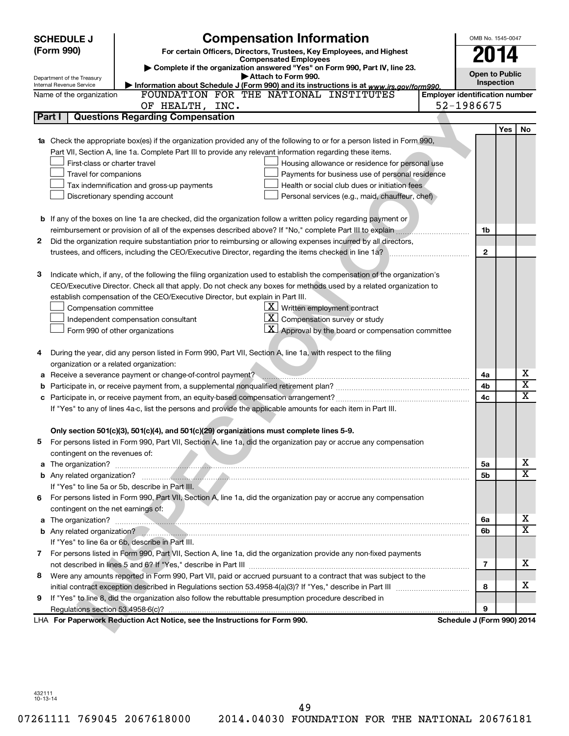|    | <b>SCHEDULE J</b>                       | <b>Compensation Information</b>                                                                                                                                                                                               |                                       | OMB No. 1545-0047     |            |           |
|----|-----------------------------------------|-------------------------------------------------------------------------------------------------------------------------------------------------------------------------------------------------------------------------------|---------------------------------------|-----------------------|------------|-----------|
|    | (Form 990)                              | For certain Officers, Directors, Trustees, Key Employees, and Highest                                                                                                                                                         |                                       | 2014                  |            |           |
|    |                                         | <b>Compensated Employees</b><br>Complete if the organization answered "Yes" on Form 990, Part IV, line 23.                                                                                                                    |                                       |                       |            |           |
|    | Department of the Treasury              | Attach to Form 990.                                                                                                                                                                                                           |                                       | <b>Open to Public</b> |            |           |
|    | Internal Revenue Service                | Information about Schedule J (Form 990) and its instructions is at www.irs.gov/form990.                                                                                                                                       |                                       | Inspection            |            |           |
|    | Name of the organization                | FOUNDATION FOR THE NATIONAL INSTITUTES                                                                                                                                                                                        | <b>Emplover identification number</b> |                       |            |           |
|    |                                         | OF HEALTH, INC.                                                                                                                                                                                                               | 52-1986675                            |                       |            |           |
|    | Part I                                  | <b>Questions Regarding Compensation</b>                                                                                                                                                                                       |                                       |                       |            |           |
|    |                                         |                                                                                                                                                                                                                               |                                       |                       | <b>Yes</b> | <b>No</b> |
|    |                                         | 1a Check the appropriate box(es) if the organization provided any of the following to or for a person listed in Form 990,                                                                                                     |                                       |                       |            |           |
|    |                                         | Part VII, Section A, line 1a. Complete Part III to provide any relevant information regarding these items.                                                                                                                    |                                       |                       |            |           |
|    | First-class or charter travel           | Housing allowance or residence for personal use                                                                                                                                                                               |                                       |                       |            |           |
|    | Travel for companions                   | Payments for business use of personal residence<br>Health or social club dues or initiation fees<br>Tax indemnification and gross-up payments                                                                                 |                                       |                       |            |           |
|    |                                         | Personal services (e.g., maid, chauffeur, chef)<br>Discretionary spending account                                                                                                                                             |                                       |                       |            |           |
|    |                                         |                                                                                                                                                                                                                               |                                       |                       |            |           |
|    |                                         | <b>b</b> If any of the boxes on line 1a are checked, did the organization follow a written policy regarding payment or                                                                                                        |                                       |                       |            |           |
|    |                                         |                                                                                                                                                                                                                               |                                       | 1b                    |            |           |
| 2  |                                         | Did the organization require substantiation prior to reimbursing or allowing expenses incurred by all directors,                                                                                                              |                                       |                       |            |           |
|    |                                         | trustees, and officers, including the CEO/Executive Director, regarding the items checked in line 1a?                                                                                                                         |                                       | $\mathbf{2}$          |            |           |
|    |                                         |                                                                                                                                                                                                                               |                                       |                       |            |           |
| З  |                                         | Indicate which, if any, of the following the filing organization used to establish the compensation of the organization's                                                                                                     |                                       |                       |            |           |
|    |                                         | CEO/Executive Director. Check all that apply. Do not check any boxes for methods used by a related organization to                                                                                                            |                                       |                       |            |           |
|    |                                         | establish compensation of the CEO/Executive Director, but explain in Part III.                                                                                                                                                |                                       |                       |            |           |
|    | Compensation committee                  | $X$ Written employment contract                                                                                                                                                                                               |                                       |                       |            |           |
|    |                                         | $\mathbf{X}$<br>Compensation survey or study<br>Independent compensation consultant                                                                                                                                           |                                       |                       |            |           |
|    |                                         | $\mathbf{X}$ Approval by the board or compensation committee<br>Form 990 of other organizations                                                                                                                               |                                       |                       |            |           |
|    |                                         |                                                                                                                                                                                                                               |                                       |                       |            |           |
| 4  |                                         | During the year, did any person listed in Form 990, Part VII, Section A, line 1a, with respect to the filing                                                                                                                  |                                       |                       |            |           |
|    | organization or a related organization: |                                                                                                                                                                                                                               |                                       |                       |            |           |
| а  |                                         |                                                                                                                                                                                                                               |                                       | 4a                    |            | x         |
| b  |                                         |                                                                                                                                                                                                                               |                                       | 4b                    |            | х         |
|    |                                         |                                                                                                                                                                                                                               |                                       | 4c                    |            | x         |
|    |                                         | If "Yes" to any of lines 4a-c, list the persons and provide the applicable amounts for each item in Part III.                                                                                                                 |                                       |                       |            |           |
|    |                                         |                                                                                                                                                                                                                               |                                       |                       |            |           |
|    |                                         | Only section 501(c)(3), 501(c)(4), and 501(c)(29) organizations must complete lines 5-9.                                                                                                                                      |                                       |                       |            |           |
|    |                                         | For persons listed in Form 990, Part VII, Section A, line 1a, did the organization pay or accrue any compensation                                                                                                             |                                       |                       |            |           |
|    | contingent on the revenues of:          |                                                                                                                                                                                                                               |                                       |                       |            |           |
|    |                                         |                                                                                                                                                                                                                               |                                       | 5a                    |            | х         |
|    |                                         |                                                                                                                                                                                                                               |                                       | 5b                    |            | x         |
|    |                                         | If "Yes" to line 5a or 5b, describe in Part III.                                                                                                                                                                              |                                       |                       |            |           |
|    |                                         | 6 For persons listed in Form 990, Part VII, Section A, line 1a, did the organization pay or accrue any compensation                                                                                                           |                                       |                       |            |           |
|    | contingent on the net earnings of:      |                                                                                                                                                                                                                               |                                       |                       |            |           |
|    |                                         | a The organization? <b>Constitution</b> and the organization?                                                                                                                                                                 |                                       | 6a                    |            | X<br>X    |
|    |                                         | b Any related organization? 2000 and 2000 and 2000 and 2000 and 2000 and 2000 and 2000 and 2000 and 2000 and 2000 and 2000 and 2000 and 2000 and 2000 and 2000 and 2000 and 2000 and 2000 and 2000 and 2000 and 2000 and 2000 |                                       | 6b                    |            |           |
|    |                                         | If "Yes" to line 6a or 6b, describe in Part III.                                                                                                                                                                              |                                       |                       |            |           |
|    |                                         | 7 For persons listed in Form 990, Part VII, Section A, line 1a, did the organization provide any non-fixed payments                                                                                                           |                                       |                       |            | х         |
|    |                                         |                                                                                                                                                                                                                               |                                       | 7                     |            |           |
| 8. |                                         | Were any amounts reported in Form 990, Part VII, paid or accrued pursuant to a contract that was subject to the                                                                                                               |                                       | 8                     |            | x         |
| 9. |                                         | If "Yes" to line 8, did the organization also follow the rebuttable presumption procedure described in                                                                                                                        |                                       |                       |            |           |
|    |                                         |                                                                                                                                                                                                                               |                                       | 9                     |            |           |
|    |                                         | LHA For Paperwork Reduction Act Notice, see the Instructions for Form 990.                                                                                                                                                    | Schedule J (Form 990) 2014            |                       |            |           |
|    |                                         |                                                                                                                                                                                                                               |                                       |                       |            |           |

432111 10-13-14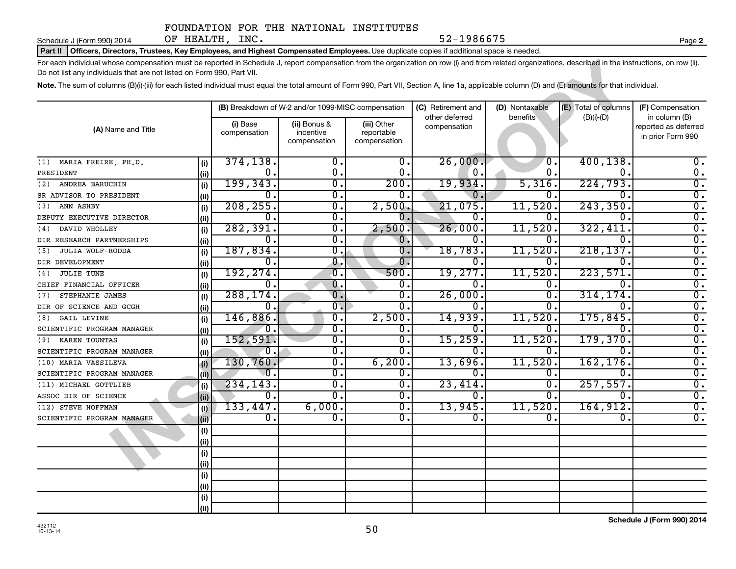Schedule J (Form 990) 2014  $OF$  HEALTH,  $INC.$ 

**2**

#### Part II | Officers, Directors, Trustees, Key Employees, and Highest Compensated Employees. Use duplicate copies if additional space is needed.

| For each individual whose compensation must be reported in Schedule J, report compensation from the organization on row (i) and from related organizations, described in the instructions, on row (ii).<br>Do not list any individuals that are not listed on Form 990, Part VII. |             |                                                                       |                                                    |                                           |                                |                             |                      |                                                            |  |  |  |  |
|-----------------------------------------------------------------------------------------------------------------------------------------------------------------------------------------------------------------------------------------------------------------------------------|-------------|-----------------------------------------------------------------------|----------------------------------------------------|-------------------------------------------|--------------------------------|-----------------------------|----------------------|------------------------------------------------------------|--|--|--|--|
| Note. The sum of columns (B)(i)-(iii) for each listed individual must equal the total amount of Form 990, Part VII, Section A, line 1a, applicable column (D) and (E) amounts for that individual.                                                                                |             |                                                                       |                                                    |                                           |                                |                             |                      |                                                            |  |  |  |  |
|                                                                                                                                                                                                                                                                                   |             |                                                                       | (B) Breakdown of W-2 and/or 1099-MISC compensation |                                           | (C) Retirement and             | (D) Nontaxable              | (E) Total of columns | (F) Compensation                                           |  |  |  |  |
| (A) Name and Title                                                                                                                                                                                                                                                                |             | (i) Base<br>(ii) Bonus &<br>compensation<br>incentive<br>compensation |                                                    | (iii) Other<br>reportable<br>compensation | other deferred<br>compensation | benefits                    | $(B)(i)$ - $(D)$     | in column (B)<br>reported as deferred<br>in prior Form 990 |  |  |  |  |
| MARIA FREIRE, PH.D.<br>(1)                                                                                                                                                                                                                                                        | (i)         | 374,138.                                                              | $\overline{0}$ .                                   | $\overline{0}$ .                          | 26,000.                        | $\overline{\mathfrak{o}}$ . | 400, 138.            | $\overline{\mathbf{0}}$ .                                  |  |  |  |  |
| PRESIDENT                                                                                                                                                                                                                                                                         | (ii)        | 0.                                                                    | σ.                                                 | 0.                                        | 0.                             | 0.                          | 0.                   | σ.                                                         |  |  |  |  |
| ANDREA BARUCHIN<br>(2)                                                                                                                                                                                                                                                            | (i)         | 199, 343.                                                             | σ.                                                 | 200.                                      | 19,934.                        | 5,316.                      | 224,793.             | $\overline{0}$ .                                           |  |  |  |  |
| SR ADVISOR TO PRESIDENT                                                                                                                                                                                                                                                           | (ii)        | 0.                                                                    | σ.                                                 | 0.                                        | 0.                             | 0.                          | 0                    | $\overline{\mathfrak{o}}$ .                                |  |  |  |  |
| ANN ASHBY<br>(3)                                                                                                                                                                                                                                                                  | (i)         | 208, 255.                                                             | 0.                                                 | 2,500.                                    | 21,075.                        | 11,520.                     | 243, 350.            | $\overline{0}$ .                                           |  |  |  |  |
| DEPUTY EXECUTIVE DIRECTOR                                                                                                                                                                                                                                                         | (ii)        | 0.                                                                    | $\overline{0}$ .                                   | 0.                                        | О.                             | 0.                          | 0.                   | $\overline{\mathfrak{o}}$ .                                |  |  |  |  |
| DAVID WHOLLEY<br>(4)                                                                                                                                                                                                                                                              | (i)         | 282, 391.                                                             | $\overline{\mathfrak{o}}$ .                        | 2,500.                                    | 26,000.                        | 11,520.                     | 322,411.             | $\overline{\mathfrak{o}}$ .                                |  |  |  |  |
| DIR RESEARCH PARTNERSHIPS                                                                                                                                                                                                                                                         | (ii)        | 0.                                                                    | σ.                                                 | 0.                                        | О.                             | 0.                          | 0.                   | $\overline{0}$ .                                           |  |  |  |  |
| JULIA WOLF-RODDA<br>(5)                                                                                                                                                                                                                                                           | (i)         | 187,834.                                                              | σ.                                                 | О.                                        | 18,783.                        | 11,520.                     | 218, 137.            | $\overline{\mathfrak{o}}$ .                                |  |  |  |  |
| DIR DEVELOPMENT                                                                                                                                                                                                                                                                   | (ii)        | О.                                                                    | 0.                                                 |                                           | Ο.                             | 0.                          | 0.                   | $\overline{0}$ .                                           |  |  |  |  |
| <b>JULIE TUNE</b><br>(6)                                                                                                                                                                                                                                                          | (i)         | 192,274.                                                              | $\overline{\mathfrak{o}}$ .                        | 500.                                      | 19,277.                        | 11,520.                     | 223,571.             | $\overline{0}$ .                                           |  |  |  |  |
| CHIEF FINANCIAL OFFICER                                                                                                                                                                                                                                                           | (ii)        | 0.                                                                    | $\overline{0}$ .                                   | 0.                                        | 0.                             | 0.                          | Ω.                   | $\overline{\mathfrak{o}}$ .                                |  |  |  |  |
| STEPHANIE JAMES<br>(7)                                                                                                                                                                                                                                                            | (i)         | 288, 174.                                                             | $\overline{0}$ .                                   | σ.                                        | 26,000.                        | σ.                          | 314,174.             | $\overline{0}$ .                                           |  |  |  |  |
| DIR OF SCIENCE AND GCGH                                                                                                                                                                                                                                                           | (ii)        | 0.                                                                    | $\overline{0}$ .                                   | 0.                                        | 0.                             | 0.                          | Ω.                   | $\overline{0}$ .                                           |  |  |  |  |
| <b>GAIL LEVINE</b><br>(8)                                                                                                                                                                                                                                                         | (i)         | 146,886.                                                              | 0.                                                 | 2,500.                                    | 14,939.                        | 11,520.                     | 175,845.             | $\overline{\mathfrak{o}}$ .                                |  |  |  |  |
| SCIENTIFIC PROGRAM MANAGER                                                                                                                                                                                                                                                        | (ii)        | Ο.                                                                    | О.                                                 | 0.                                        | Ο.                             | 0.                          | 0.                   | $\overline{\mathfrak{o}}$ .                                |  |  |  |  |
| KAREN TOUNTAS<br>(9)                                                                                                                                                                                                                                                              | (i)         | 152,591.                                                              | 0.                                                 | 0.                                        | 15,259.                        | 11,520.                     | 179,370.             | $\overline{0}$ .                                           |  |  |  |  |
| SCIENTIFIC PROGRAM MANAGER                                                                                                                                                                                                                                                        | (ii)        | $\mathfrak{o}$ .                                                      | 0.                                                 | 0.                                        | 0.                             | 0.                          | 0.                   | $\overline{\mathfrak{o}}$ .                                |  |  |  |  |
| (10) MARIA VASSILEVA                                                                                                                                                                                                                                                              | (i)         | 130,760.                                                              | $\overline{0}$ .                                   | 6, 200.                                   | 13,696.                        | 11,520.                     | 162, 176.            | $\overline{0}$ .                                           |  |  |  |  |
| SCIENTIFIC PROGRAM MANAGER                                                                                                                                                                                                                                                        | (iii)       | $\overline{\mathfrak{o}}$ .                                           | $\mathbf 0$ .                                      | О.                                        | 0.                             | о.                          | 0.                   | $\overline{\mathfrak{o}}$ .                                |  |  |  |  |
| (11) MICHAEL GOTTLIEB                                                                                                                                                                                                                                                             | (i)         | 234,143.                                                              | σ.                                                 | 0.                                        | 23,414                         | 0.                          | 257,557.             | $\overline{\mathbf{0}}$ .                                  |  |  |  |  |
| ASSOC DIR OF SCIENCE                                                                                                                                                                                                                                                              | (i)         | Ο.                                                                    | σ.                                                 | $\overline{0}$ .                          | Ο.                             | 0.                          | 0.                   | $\overline{0}$ .                                           |  |  |  |  |
| (12) STEVE HOFFMAN                                                                                                                                                                                                                                                                | (i)         | 133,447.                                                              | 6,000.                                             | О.                                        | 13,945.                        | 11,520                      | 164,912.             | $\overline{0}$ .                                           |  |  |  |  |
| SCIENTIFIC PROGRAM MANAGER                                                                                                                                                                                                                                                        | (ii)        | 0.                                                                    | ο.                                                 | 0.                                        | 0.                             | 0.                          | 0.                   | $\overline{0}$ .                                           |  |  |  |  |
|                                                                                                                                                                                                                                                                                   | (i)<br>(ii) |                                                                       |                                                    |                                           |                                |                             |                      |                                                            |  |  |  |  |
|                                                                                                                                                                                                                                                                                   | (i)<br>(ii) |                                                                       |                                                    |                                           |                                |                             |                      |                                                            |  |  |  |  |
|                                                                                                                                                                                                                                                                                   | (i)         |                                                                       |                                                    |                                           |                                |                             |                      |                                                            |  |  |  |  |
|                                                                                                                                                                                                                                                                                   | (ii)        |                                                                       |                                                    |                                           |                                |                             |                      |                                                            |  |  |  |  |
|                                                                                                                                                                                                                                                                                   | (i)         |                                                                       |                                                    |                                           |                                |                             |                      |                                                            |  |  |  |  |
|                                                                                                                                                                                                                                                                                   | (iii)       |                                                                       |                                                    |                                           |                                |                             |                      |                                                            |  |  |  |  |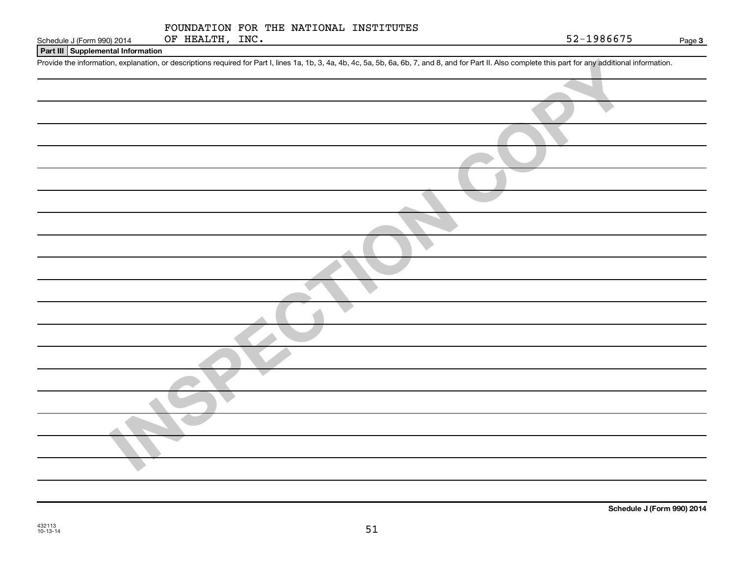#### **Part III Supplemental Information**

Provide the information, explanation, or descriptions required for Part I, lines 1a, 1b, 3, 4a, 4b, 4c, 5a, 5b, 6a, 6b, 7, and 8, and for Part II. Also complete this part for any additional information.

| Provide the information, explanation, or descriptions required for Part I, lines 1a, 1b, 3, 4a, 4b, 4c, 5a, 5b, 6a, 6b, 7, and 8, and for Part II. Also complete this part for any additional information. |
|------------------------------------------------------------------------------------------------------------------------------------------------------------------------------------------------------------|
|                                                                                                                                                                                                            |
|                                                                                                                                                                                                            |
|                                                                                                                                                                                                            |
|                                                                                                                                                                                                            |
|                                                                                                                                                                                                            |
|                                                                                                                                                                                                            |
|                                                                                                                                                                                                            |
|                                                                                                                                                                                                            |
|                                                                                                                                                                                                            |
|                                                                                                                                                                                                            |
|                                                                                                                                                                                                            |
|                                                                                                                                                                                                            |
|                                                                                                                                                                                                            |
|                                                                                                                                                                                                            |
|                                                                                                                                                                                                            |
|                                                                                                                                                                                                            |
|                                                                                                                                                                                                            |
|                                                                                                                                                                                                            |
|                                                                                                                                                                                                            |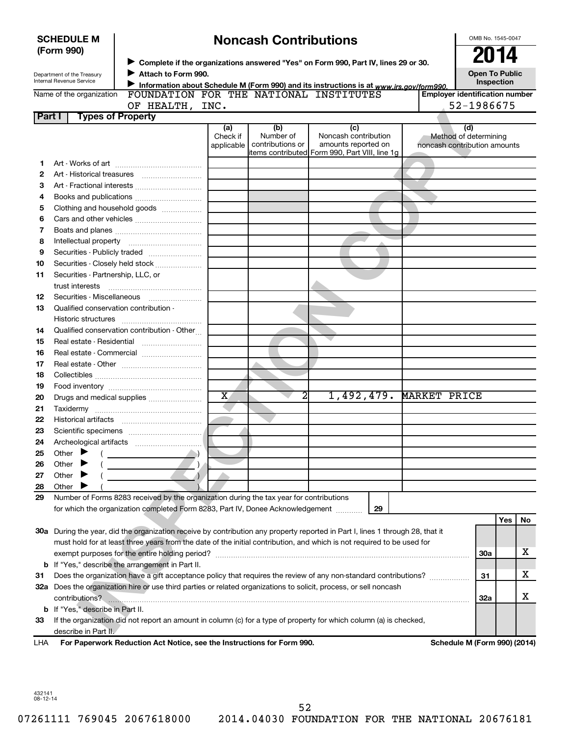|                                                                                                                   | <b>Noncash Contributions</b><br><b>SCHEDULE M</b>                                                               |                                                                                                                                |                         |                  |                                                                                         |                                       |                              |     |    |
|-------------------------------------------------------------------------------------------------------------------|-----------------------------------------------------------------------------------------------------------------|--------------------------------------------------------------------------------------------------------------------------------|-------------------------|------------------|-----------------------------------------------------------------------------------------|---------------------------------------|------------------------------|-----|----|
|                                                                                                                   | (Form 990)                                                                                                      |                                                                                                                                |                         |                  |                                                                                         |                                       | 2014                         |     |    |
|                                                                                                                   |                                                                                                                 |                                                                                                                                |                         |                  | Complete if the organizations answered "Yes" on Form 990, Part IV, lines 29 or 30.      |                                       |                              |     |    |
|                                                                                                                   | Department of the Treasury                                                                                      | Attach to Form 990.                                                                                                            |                         |                  |                                                                                         |                                       | <b>Open To Public</b>        |     |    |
|                                                                                                                   | Internal Revenue Service                                                                                        |                                                                                                                                |                         |                  | Information about Schedule M (Form 990) and its instructions is at www.irs.gov/form990. |                                       | Inspection                   |     |    |
|                                                                                                                   | Name of the organization                                                                                        | FOUNDATION FOR THE NATIONAL INSTITUTES                                                                                         |                         |                  |                                                                                         | <b>Employer identification number</b> |                              |     |    |
|                                                                                                                   |                                                                                                                 | OF HEALTH, INC.                                                                                                                |                         |                  |                                                                                         |                                       | 52-1986675                   |     |    |
| Part I                                                                                                            |                                                                                                                 | <b>Types of Property</b>                                                                                                       |                         |                  |                                                                                         |                                       |                              |     |    |
|                                                                                                                   |                                                                                                                 |                                                                                                                                | (a)<br>Check if         | (b)<br>Number of | (c)<br>Noncash contribution                                                             |                                       | (d)<br>Method of determining |     |    |
|                                                                                                                   |                                                                                                                 |                                                                                                                                | applicable              | contributions or | amounts reported on                                                                     | noncash contribution amounts          |                              |     |    |
|                                                                                                                   |                                                                                                                 |                                                                                                                                |                         |                  | items contributed Form 990, Part VIII, line 1g                                          |                                       |                              |     |    |
| 1                                                                                                                 |                                                                                                                 |                                                                                                                                |                         |                  |                                                                                         |                                       |                              |     |    |
| 2                                                                                                                 |                                                                                                                 |                                                                                                                                |                         |                  |                                                                                         |                                       |                              |     |    |
| З                                                                                                                 |                                                                                                                 |                                                                                                                                |                         |                  |                                                                                         |                                       |                              |     |    |
| 4                                                                                                                 |                                                                                                                 |                                                                                                                                |                         |                  |                                                                                         |                                       |                              |     |    |
| 5                                                                                                                 |                                                                                                                 | Clothing and household goods                                                                                                   |                         |                  |                                                                                         |                                       |                              |     |    |
| 6                                                                                                                 |                                                                                                                 |                                                                                                                                |                         |                  |                                                                                         |                                       |                              |     |    |
| 7                                                                                                                 |                                                                                                                 |                                                                                                                                |                         |                  |                                                                                         |                                       |                              |     |    |
| 8                                                                                                                 |                                                                                                                 |                                                                                                                                |                         |                  |                                                                                         |                                       |                              |     |    |
| 9                                                                                                                 |                                                                                                                 | Securities - Publicly traded                                                                                                   |                         |                  |                                                                                         |                                       |                              |     |    |
| 10                                                                                                                |                                                                                                                 | Securities - Closely held stock                                                                                                |                         |                  |                                                                                         |                                       |                              |     |    |
| 11                                                                                                                | Securities - Partnership, LLC, or                                                                               |                                                                                                                                |                         |                  |                                                                                         |                                       |                              |     |    |
|                                                                                                                   | trust interests                                                                                                 |                                                                                                                                |                         |                  |                                                                                         |                                       |                              |     |    |
| 12                                                                                                                |                                                                                                                 | Securities - Miscellaneous                                                                                                     |                         |                  |                                                                                         |                                       |                              |     |    |
| 13                                                                                                                | Qualified conservation contribution -                                                                           |                                                                                                                                |                         |                  |                                                                                         |                                       |                              |     |    |
|                                                                                                                   | Historic structures                                                                                             |                                                                                                                                |                         |                  |                                                                                         |                                       |                              |     |    |
| 14                                                                                                                |                                                                                                                 | Qualified conservation contribution - Other                                                                                    |                         |                  |                                                                                         |                                       |                              |     |    |
| 15                                                                                                                |                                                                                                                 |                                                                                                                                |                         |                  |                                                                                         |                                       |                              |     |    |
| 16                                                                                                                |                                                                                                                 | Real estate - Commercial                                                                                                       |                         |                  |                                                                                         |                                       |                              |     |    |
| 17                                                                                                                |                                                                                                                 |                                                                                                                                |                         |                  |                                                                                         |                                       |                              |     |    |
| 18                                                                                                                |                                                                                                                 |                                                                                                                                |                         |                  |                                                                                         |                                       |                              |     |    |
| 19                                                                                                                |                                                                                                                 |                                                                                                                                |                         |                  |                                                                                         |                                       |                              |     |    |
| 20                                                                                                                |                                                                                                                 | Drugs and medical supplies                                                                                                     | $\overline{\textbf{x}}$ | 2                | 1,492,479.                                                                              | <b>MARKET PRICE</b>                   |                              |     |    |
| 21                                                                                                                |                                                                                                                 |                                                                                                                                |                         |                  |                                                                                         |                                       |                              |     |    |
| 22                                                                                                                |                                                                                                                 |                                                                                                                                |                         |                  |                                                                                         |                                       |                              |     |    |
| 23                                                                                                                |                                                                                                                 |                                                                                                                                |                         |                  |                                                                                         |                                       |                              |     |    |
| 24                                                                                                                |                                                                                                                 |                                                                                                                                |                         |                  |                                                                                         |                                       |                              |     |    |
| 25                                                                                                                | Other                                                                                                           |                                                                                                                                |                         |                  |                                                                                         |                                       |                              |     |    |
| 26                                                                                                                | Other                                                                                                           |                                                                                                                                |                         |                  |                                                                                         |                                       |                              |     |    |
| 27                                                                                                                | Other                                                                                                           |                                                                                                                                |                         |                  |                                                                                         |                                       |                              |     |    |
| 28                                                                                                                | Other                                                                                                           |                                                                                                                                |                         |                  |                                                                                         |                                       |                              |     |    |
| 29                                                                                                                |                                                                                                                 | Number of Forms 8283 received by the organization during the tax year for contributions                                        |                         |                  |                                                                                         |                                       |                              |     |    |
|                                                                                                                   |                                                                                                                 | for which the organization completed Form 8283, Part IV, Donee Acknowledgement                                                 |                         |                  | 29                                                                                      |                                       |                              |     |    |
|                                                                                                                   |                                                                                                                 |                                                                                                                                |                         |                  |                                                                                         |                                       |                              | Yes | No |
|                                                                                                                   |                                                                                                                 | 30a During the year, did the organization receive by contribution any property reported in Part I, lines 1 through 28, that it |                         |                  |                                                                                         |                                       |                              |     |    |
|                                                                                                                   |                                                                                                                 | must hold for at least three years from the date of the initial contribution, and which is not required to be used for         |                         |                  |                                                                                         |                                       |                              |     |    |
|                                                                                                                   |                                                                                                                 |                                                                                                                                |                         |                  |                                                                                         |                                       | <b>30a</b>                   |     | х  |
|                                                                                                                   |                                                                                                                 | <b>b</b> If "Yes," describe the arrangement in Part II.                                                                        |                         |                  |                                                                                         |                                       | 31                           |     |    |
| 31                                                                                                                | Does the organization have a gift acceptance policy that requires the review of any non-standard contributions? |                                                                                                                                |                         |                  |                                                                                         |                                       |                              |     | х  |
| 32a Does the organization hire or use third parties or related organizations to solicit, process, or sell noncash |                                                                                                                 |                                                                                                                                |                         |                  |                                                                                         |                                       |                              |     |    |
|                                                                                                                   |                                                                                                                 |                                                                                                                                |                         |                  |                                                                                         |                                       | <b>32a</b>                   |     | х  |
|                                                                                                                   | <b>b</b> If "Yes," describe in Part II.                                                                         |                                                                                                                                |                         |                  |                                                                                         |                                       |                              |     |    |
| 33                                                                                                                |                                                                                                                 | If the organization did not report an amount in column (c) for a type of property for which column (a) is checked,             |                         |                  |                                                                                         |                                       |                              |     |    |
|                                                                                                                   | describe in Part II.                                                                                            |                                                                                                                                |                         |                  |                                                                                         |                                       |                              |     |    |
| LHA                                                                                                               |                                                                                                                 | For Paperwork Reduction Act Notice, see the Instructions for Form 990.                                                         |                         |                  |                                                                                         |                                       | Schedule M (Form 990) (2014) |     |    |
|                                                                                                                   |                                                                                                                 |                                                                                                                                |                         |                  |                                                                                         |                                       |                              |     |    |

432141 08-12-14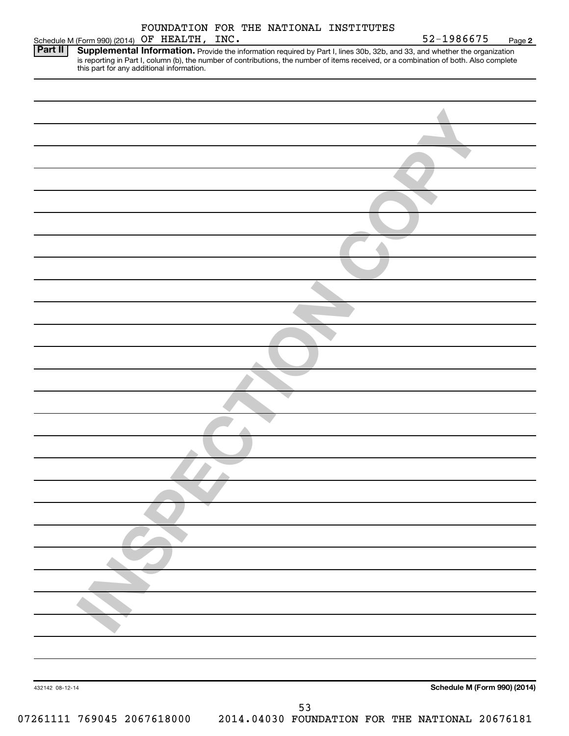|                 |                                              |  |    | FOUNDATION FOR THE NATIONAL INSTITUTES |                                                                                                                                                                                                                                                                                                                |        |
|-----------------|----------------------------------------------|--|----|----------------------------------------|----------------------------------------------------------------------------------------------------------------------------------------------------------------------------------------------------------------------------------------------------------------------------------------------------------------|--------|
| <b>Part II</b>  | Schedule M (Form 990) (2014) OF HEALTH, INC. |  |    |                                        | 52-1986675                                                                                                                                                                                                                                                                                                     | Page 2 |
|                 |                                              |  |    |                                        | Supplemental Information. Provide the information required by Part I, lines 30b, 32b, and 33, and whether the organization<br>is reporting in Part I, column (b), the number of contributions, the number of items received, or a combination of both. Also complete this part for any additional information. |        |
|                 |                                              |  |    |                                        |                                                                                                                                                                                                                                                                                                                |        |
|                 |                                              |  |    |                                        |                                                                                                                                                                                                                                                                                                                |        |
|                 |                                              |  |    |                                        |                                                                                                                                                                                                                                                                                                                |        |
|                 |                                              |  |    |                                        |                                                                                                                                                                                                                                                                                                                |        |
|                 |                                              |  |    |                                        |                                                                                                                                                                                                                                                                                                                |        |
|                 |                                              |  |    |                                        |                                                                                                                                                                                                                                                                                                                |        |
|                 |                                              |  |    |                                        |                                                                                                                                                                                                                                                                                                                |        |
|                 |                                              |  |    |                                        |                                                                                                                                                                                                                                                                                                                |        |
|                 |                                              |  |    |                                        |                                                                                                                                                                                                                                                                                                                |        |
|                 |                                              |  |    |                                        |                                                                                                                                                                                                                                                                                                                |        |
|                 |                                              |  |    |                                        |                                                                                                                                                                                                                                                                                                                |        |
|                 |                                              |  |    |                                        |                                                                                                                                                                                                                                                                                                                |        |
|                 |                                              |  |    |                                        |                                                                                                                                                                                                                                                                                                                |        |
|                 |                                              |  |    |                                        |                                                                                                                                                                                                                                                                                                                |        |
|                 |                                              |  |    |                                        |                                                                                                                                                                                                                                                                                                                |        |
|                 |                                              |  |    |                                        |                                                                                                                                                                                                                                                                                                                |        |
|                 |                                              |  |    |                                        |                                                                                                                                                                                                                                                                                                                |        |
|                 |                                              |  |    |                                        |                                                                                                                                                                                                                                                                                                                |        |
|                 |                                              |  |    |                                        |                                                                                                                                                                                                                                                                                                                |        |
|                 |                                              |  |    |                                        |                                                                                                                                                                                                                                                                                                                |        |
|                 |                                              |  |    |                                        |                                                                                                                                                                                                                                                                                                                |        |
|                 |                                              |  |    |                                        |                                                                                                                                                                                                                                                                                                                |        |
|                 |                                              |  |    |                                        |                                                                                                                                                                                                                                                                                                                |        |
|                 |                                              |  |    |                                        |                                                                                                                                                                                                                                                                                                                |        |
|                 |                                              |  |    |                                        |                                                                                                                                                                                                                                                                                                                |        |
|                 |                                              |  |    |                                        |                                                                                                                                                                                                                                                                                                                |        |
|                 |                                              |  |    |                                        |                                                                                                                                                                                                                                                                                                                |        |
| 432142 08-12-14 |                                              |  | 53 |                                        | Schedule M (Form 990) (2014)                                                                                                                                                                                                                                                                                   |        |
|                 |                                              |  |    |                                        |                                                                                                                                                                                                                                                                                                                |        |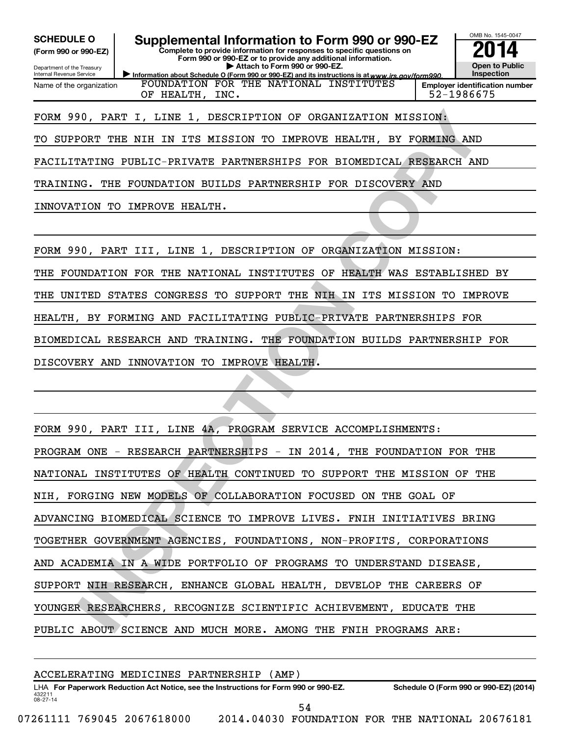**(Form 990 or 990-EZ)**

Department of the Treasury Internal Revenue Service Name of the organization

Information about Schedule O (Form 990 or 990-EZ) and its instructions is at www.irs.gov/form990. **Complete to provide information for responses to specific questions on Form 990 or 990-EZ or to provide any additional information. | Attach to Form 990 or 990-EZ. SCHEDULE O Supplemental Information to Form 990 or 990-EZ 2014**<br>(Form 990 or 990-EZ) Complete to provide information for responses to specific questions on FOUNDATION FOR THE NATIONAL INSTITUTES

**Open to Public Inspection Employer identification number**

OMB No. 1545-0047

OF HEALTH, INC. 52-1986675

# FORM 990, PART I, LINE 1, DESCRIPTION OF ORGANIZATION MISSION:

TO SUPPORT THE NIH IN ITS MISSION TO IMPROVE HEALTH, BY FORMING AND

FACILITATING PUBLIC-PRIVATE PARTNERSHIPS FOR BIOMEDICAL RESEARCH AND

TRAINING. THE FOUNDATION BUILDS PARTNERSHIP FOR DISCOVERY AND

INNOVATION TO IMPROVE HEALTH.

FORM 990, PART III, LINE 1, DESCRIPTION OF ORGANIZATION MISSION:

THE FOUNDATION FOR THE NATIONAL INSTITUTES OF HEALTH WAS ESTABLISHED BY

THE UNITED STATES CONGRESS TO SUPPORT THE NIH IN ITS MISSION TO IMPROVE

HEALTH, BY FORMING AND FACILITATING PUBLIC-PRIVATE PARTNERSHIPS FOR

BIOMEDICAL RESEARCH AND TRAINING. THE FOUNDATION BUILDS PARTNERSHIP FOR

DISCOVERY AND INNOVATION TO IMPROVE HEALTH.

**ION PART I, LINE 1, DESCRIPTION OF ORGANIZATION MISSION (CORT THE NIH IN ITS MISSION TO IMPROVE HEALTH, BY FORMING AND MATING PUBLIC-PRIVATE PARTNERSHIPS FOR BIOMEDICAL RESEARCH AND SOUTHERN POLICY THE FOUNDATION COULD EX** FORM 990, PART III, LINE 4A, PROGRAM SERVICE ACCOMPLISHMENTS: PROGRAM ONE - RESEARCH PARTNERSHIPS - IN 2014, THE FOUNDATION FOR THE NATIONAL INSTITUTES OF HEALTH CONTINUED TO SUPPORT THE MISSION OF THE NIH, FORGING NEW MODELS OF COLLABORATION FOCUSED ON THE GOAL OF ADVANCING BIOMEDICAL SCIENCE TO IMPROVE LIVES. FNIH INITIATIVES BRING TOGETHER GOVERNMENT AGENCIES, FOUNDATIONS, NON-PROFITS, CORPORATIONS AND ACADEMIA IN A WIDE PORTFOLIO OF PROGRAMS TO UNDERSTAND DISEASE, SUPPORT NIH RESEARCH, ENHANCE GLOBAL HEALTH, DEVELOP THE CAREERS OF YOUNGER RESEARCHERS, RECOGNIZE SCIENTIFIC ACHIEVEMENT, EDUCATE THE PUBLIC ABOUT SCIENCE AND MUCH MORE. AMONG THE FNIH PROGRAMS ARE:

432211 08-27-14 LHA For Paperwork Reduction Act Notice, see the Instructions for Form 990 or 990-EZ. Schedule O (Form 990 or 990-EZ) (2014) ACCELERATING MEDICINES PARTNERSHIP (AMP) 07261111 769045 2067618000 2014.04030 FOUNDATION FOR THE NATIONAL 20676181 54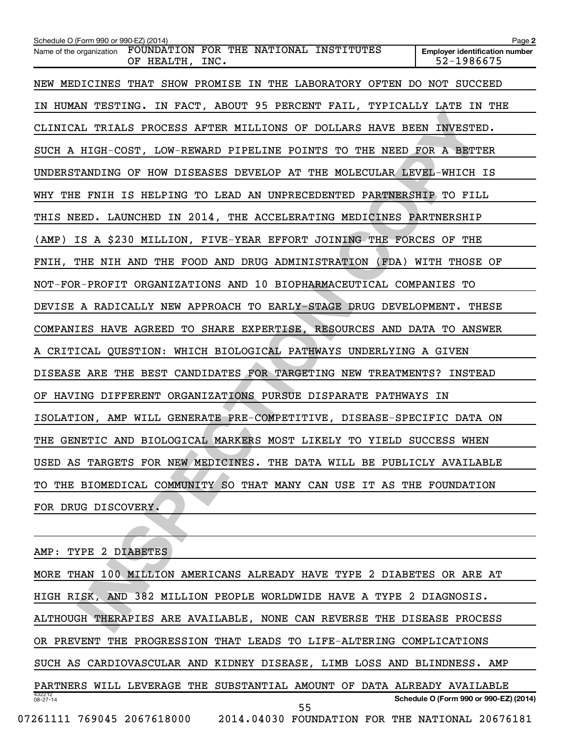| Schedule O (Form 990 or 990-EZ) (2014)<br>FOUNDATION FOR THE NATIONAL INSTITUTES<br>Name of the organization | Page 2<br><b>Employer identification number</b> |
|--------------------------------------------------------------------------------------------------------------|-------------------------------------------------|
| OF HEALTH, INC.                                                                                              | 52-1986675                                      |
| NEW MEDICINES THAT SHOW PROMISE IN THE LABORATORY OFTEN DO NOT SUCCEED                                       |                                                 |
| IN HUMAN TESTING. IN FACT, ABOUT 95 PERCENT FAIL, TYPICALLY LATE IN THE                                      |                                                 |
| CLINICAL TRIALS PROCESS AFTER MILLIONS OF DOLLARS HAVE BEEN INVESTED.                                        |                                                 |
| SUCH A HIGH-COST, LOW-REWARD PIPELINE POINTS TO THE NEED FOR A BETTER                                        |                                                 |
| UNDERSTANDING OF HOW DISEASES DEVELOP AT THE MOLECULAR LEVEL-WHICH IS                                        |                                                 |
| WHY THE FNIH IS HELPING TO LEAD AN UNPRECEDENTED PARTNERSHIP TO FILL                                         |                                                 |
| THIS NEED. LAUNCHED IN 2014, THE ACCELERATING MEDICINES PARTNERSHIP                                          |                                                 |
| (AMP) IS A \$230 MILLION, FIVE-YEAR EFFORT JOINING THE FORCES OF THE                                         |                                                 |
| FNIH, THE NIH AND THE FOOD AND DRUG ADMINISTRATION (FDA) WITH THOSE OF                                       |                                                 |
| NOT-FOR-PROFIT ORGANIZATIONS AND 10 BIOPHARMACEUTICAL COMPANIES TO                                           |                                                 |
| DEVISE A RADICALLY NEW APPROACH TO EARLY-STAGE DRUG DEVELOPMENT. THESE                                       |                                                 |
| COMPANIES HAVE AGREED TO SHARE EXPERTISE, RESOURCES AND DATA TO ANSWER                                       |                                                 |
| A CRITICAL QUESTION: WHICH BIOLOGICAL PATHWAYS UNDERLYING A GIVEN                                            |                                                 |
| DISEASE ARE THE BEST CANDIDATES FOR TARGETING NEW TREATMENTS? INSTEAD                                        |                                                 |
| OF HAVING DIFFERENT ORGANIZATIONS PURSUE DISPARATE PATHWAYS IN                                               |                                                 |
| ISOLATION, AMP WILL GENERATE PRE-COMPETITIVE, DISEASE-SPECIFIC DATA ON                                       |                                                 |
| THE GENETIC AND BIOLOGICAL MARKERS MOST LIKELY TO YIELD SUCCESS WHEN                                         |                                                 |
| USED AS TARGETS FOR NEW MEDICINES. THE DATA WILL BE PUBLICLY AVAILABLE                                       |                                                 |
| TO THE BIOMEDICAL COMMUNITY SO THAT MANY CAN USE IT AS THE FOUNDATION                                        |                                                 |
| FOR DRUG DISCOVERY.                                                                                          |                                                 |
|                                                                                                              |                                                 |
| AMP: TYPE 2 DIABETES                                                                                         |                                                 |
| MORE THAN 100 MILLION AMERICANS ALREADY HAVE TYPE 2 DIABETES OR ARE AT                                       |                                                 |
| HIGH RISK, AND 382 MILLION PEOPLE WORLDWIDE HAVE A TYPE 2 DIAGNOSIS.                                         |                                                 |
| ALTHOUGH THERAPIES ARE AVAILABLE, NONE CAN REVERSE THE DISEASE PROCESS                                       |                                                 |
|                                                                                                              |                                                 |

432212 08-27-14 **Schedule O (Form 990 or 990-EZ) (2014)** AMP: TYPE 2 DIABETES MORE THAN 100 MILLION AMERICANS ALREADY HAVE TYPE 2 DIABETES OR ARE AT HIGH RISK, AND 382 MILLION PEOPLE WORLDWIDE HAVE A TYPE 2 DIAGNOSIS. ALTHOUGH THERAPIES ARE AVAILABLE, NONE CAN REVERSE THE DISEASE PROCESS OR PREVENT THE PROGRESSION THAT LEADS TO LIFE-ALTERING COMPLICATIONS SUCH AS CARDIOVASCULAR AND KIDNEY DISEASE, LIMB LOSS AND BLINDNESS. AMP PARTNERS WILL LEVERAGE THE SUBSTANTIAL AMOUNT OF DATA ALREADY AVAILABLE 07261111 769045 2067618000 2014.04030 FOUNDATION FOR THE NATIONAL 20676181 55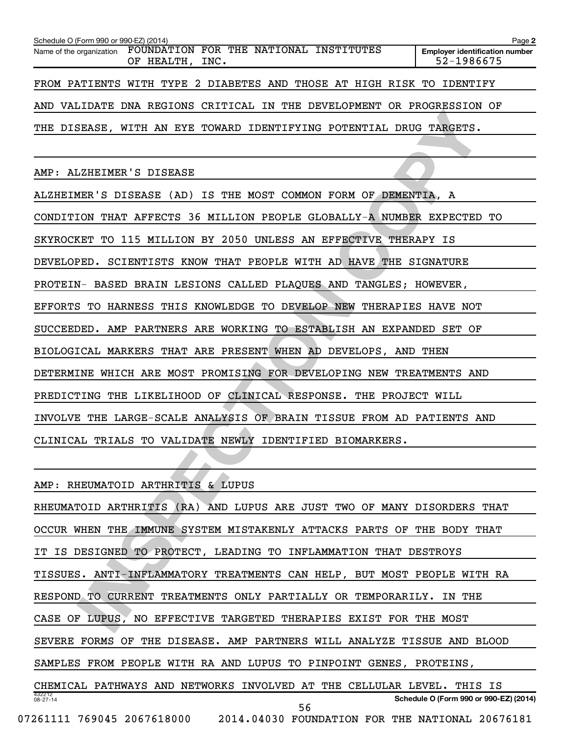| Schedule O (Form 990 or 990-EZ) (2014) |                                                                                    | Page 2                                              |
|----------------------------------------|------------------------------------------------------------------------------------|-----------------------------------------------------|
|                                        | Name of the organization FOUNDATION FOR THE NATIONAL INSTITUTES<br>OF HEALTH, INC. | <b>Employer identification number</b><br>52-1986675 |
|                                        | FROM PATIENTS WITH TYPE 2 DIABETES AND THOSE AT HIGH RISK TO IDENTIFY              |                                                     |
|                                        | AND VALIDATE DNA REGIONS CRITICAL IN THE DEVELOPMENT OR PROGRESSION OF             |                                                     |
|                                        | THE DISEASE, WITH AN EYE TOWARD IDENTIFYING POTENTIAL DRUG TARGETS.                |                                                     |
|                                        |                                                                                    |                                                     |

AMP: ALZHEIMER'S DISEASE

**ISLANS, WITH AN EYE TOWARD IDENTIFYING POTENTIAL DRUG TARGETS.**<br>
ISLASE, WITH AN EYE TOWARD IDENTIFYING POTENTIAL DRUG TARGETS.<br>
ISLAS STISEASE (AD) IS THE MOST COMMON FORM OF DEMENTIA, A<br>
ISLAS STISEASE (AD) IS THE MOST ALZHEIMER'S DISEASE (AD) IS THE MOST COMMON FORM OF DEMENTIA, A CONDITION THAT AFFECTS 36 MILLION PEOPLE GLOBALLY-A NUMBER EXPECTED TO SKYROCKET TO 115 MILLION BY 2050 UNLESS AN EFFECTIVE THERAPY IS DEVELOPED. SCIENTISTS KNOW THAT PEOPLE WITH AD HAVE THE SIGNATURE PROTEIN- BASED BRAIN LESIONS CALLED PLAQUES AND TANGLES; HOWEVER, EFFORTS TO HARNESS THIS KNOWLEDGE TO DEVELOP NEW THERAPIES HAVE NOT SUCCEEDED. AMP PARTNERS ARE WORKING TO ESTABLISH AN EXPANDED SET OF BIOLOGICAL MARKERS THAT ARE PRESENT WHEN AD DEVELOPS, AND THEN DETERMINE WHICH ARE MOST PROMISING FOR DEVELOPING NEW TREATMENTS AND PREDICTING THE LIKELIHOOD OF CLINICAL RESPONSE. THE PROJECT WILL INVOLVE THE LARGE-SCALE ANALYSIS OF BRAIN TISSUE FROM AD PATIENTS AND CLINICAL TRIALS TO VALIDATE NEWLY IDENTIFIED BIOMARKERS.

AMP: RHEUMATOID ARTHRITIS & LUPUS

| RHEUMATOID ARTHRITIS<br>(RA) AND LUPUS ARE JUST TWO OF<br>MANY DISORDERS THAT        |
|--------------------------------------------------------------------------------------|
| IMMUNE<br>SYSTEM MISTAKENLY ATTACKS PARTS OF THE BODY THAT<br>OCCUR WHEN THE         |
| IT IS DESIGNED TO PROTECT, LEADING TO INFLAMMATION THAT DESTROYS                     |
| TISSUES. ANTI-INFLAMMATORY TREATMENTS CAN HELP, BUT MOST PEOPLE<br>WITH RA           |
| CURRENT TREATMENTS ONLY PARTIALLY OR TEMPORARILY. IN<br><b>RESPOND</b><br>TO.<br>THE |
| EFFECTIVE TARGETED THERAPIES EXIST FOR THE MOST<br>LUPUS.<br>NO.<br>CASE OF          |
| SEVERE FORMS<br>DISEASE. AMP PARTNERS WILL ANALYZE TISSUE<br>OF<br>THE<br>AND BLOOD  |
| SAMPLES FROM PEOPLE WITH RA AND LUPUS TO PINPOINT<br>GENES, PROTEINS,                |
| CELLULAR LEVEL.<br>CHEMICAL PATHWAYS AND NETWORKS INVOLVED<br>AT<br>THE<br>THIS IS   |
| 432212<br>Schedule O (Form 990 or 990-EZ) (2014)<br>$08 - 27 - 14$<br>56             |
| 769045 2067618000<br>2014.04030<br>07261111<br>FOUNDATION FOR THE NATIONAL 20676181  |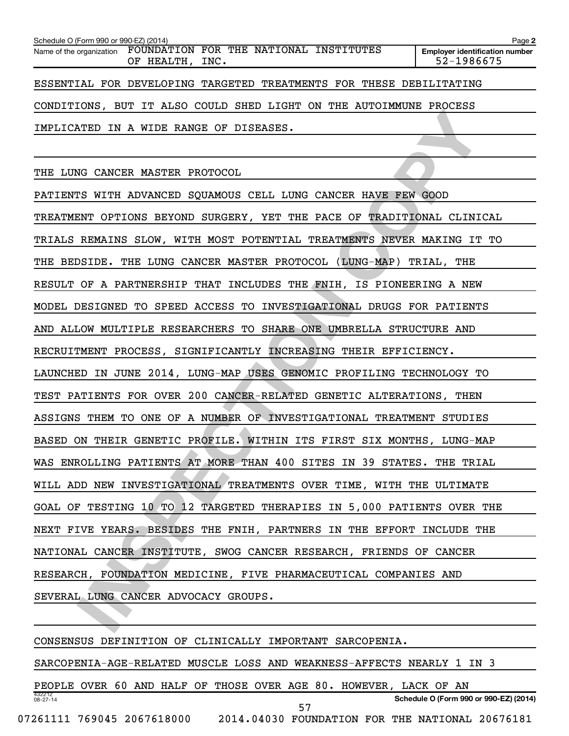| Schedule O (Form 990 or 990-EZ) (2014) |                                                                                    | Page 2                                                              |
|----------------------------------------|------------------------------------------------------------------------------------|---------------------------------------------------------------------|
|                                        | Name of the organization FOUNDATION FOR THE NATIONAL INSTITUTES<br>OF HEALTH, INC. | <b>Employer identification number</b><br>52-1986675                 |
|                                        |                                                                                    | ESSENTIAL FOR DEVELOPING TARGETED TREATMENTS FOR THESE DEBILITATING |
|                                        |                                                                                    | CONDITIONS, BUT IT ALSO COULD SHED LIGHT ON THE AUTOIMMUNE PROCESS  |
|                                        | IMPLICATED IN A WIDE RANGE OF DISEASES.                                            |                                                                     |

THE LUNG CANCER MASTER PROTOCOL

**INSPECTIVE ANSATE PROCESS.**<br>
INSPECTION A WIDE RANGE OF DISEASES.<br>
AG CANCER MASTER PROTOCOL<br>
IS WITH ADVANCED SQUAMOUS CELL LUNG CANCER HAVE FEW GOOD<br>
IS WITH ADVANCED SQUAMOUS CELL LUNG CANCER HAVE FEW GOOD<br>
INTO OFTION PATIENTS WITH ADVANCED SQUAMOUS CELL LUNG CANCER HAVE FEW GOOD TREATMENT OPTIONS BEYOND SURGERY, YET THE PACE OF TRADITIONAL CLINICAL TRIALS REMAINS SLOW, WITH MOST POTENTIAL TREATMENTS NEVER MAKING IT TO THE BEDSIDE. THE LUNG CANCER MASTER PROTOCOL (LUNG-MAP) TRIAL, THE RESULT OF A PARTNERSHIP THAT INCLUDES THE FNIH, IS PIONEERING A NEW MODEL DESIGNED TO SPEED ACCESS TO INVESTIGATIONAL DRUGS FOR PATIENTS AND ALLOW MULTIPLE RESEARCHERS TO SHARE ONE UMBRELLA STRUCTURE AND RECRUITMENT PROCESS, SIGNIFICANTLY INCREASING THEIR EFFICIENCY. LAUNCHED IN JUNE 2014, LUNG-MAP USES GENOMIC PROFILING TECHNOLOGY TO TEST PATIENTS FOR OVER 200 CANCER-RELATED GENETIC ALTERATIONS, THEN ASSIGNS THEM TO ONE OF A NUMBER OF INVESTIGATIONAL TREATMENT STUDIES BASED ON THEIR GENETIC PROFILE. WITHIN ITS FIRST SIX MONTHS, LUNG-MAP WAS ENROLLING PATIENTS AT MORE THAN 400 SITES IN 39 STATES. THE TRIAL WILL ADD NEW INVESTIGATIONAL TREATMENTS OVER TIME, WITH THE ULTIMATE GOAL OF TESTING 10 TO 12 TARGETED THERAPIES IN 5,000 PATIENTS OVER THE NEXT FIVE YEARS. BESIDES THE FNIH, PARTNERS IN THE EFFORT INCLUDE THE NATIONAL CANCER INSTITUTE, SWOG CANCER RESEARCH, FRIENDS OF CANCER RESEARCH, FOUNDATION MEDICINE, FIVE PHARMACEUTICAL COMPANIES AND SEVERAL LUNG CANCER ADVOCACY GROUPS.

CONSENSUS DEFINITION OF CLINICALLY IMPORTANT SARCOPENIA.

SARCOPENIA-AGE-RELATED MUSCLE LOSS AND WEAKNESS-AFFECTS NEARLY 1 IN 3

432212 08-27-14 **Schedule O (Form 990 or 990-EZ) (2014)** PEOPLE OVER 60 AND HALF OF THOSE OVER AGE 80. HOWEVER, LACK OF AN 57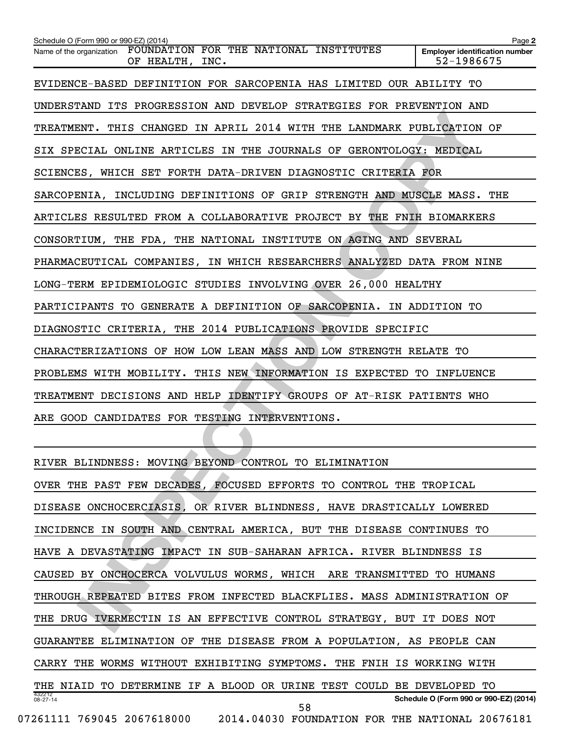| Schedule O (Form 990 or 990-EZ) (2014)                                                | Page 2                                              |
|---------------------------------------------------------------------------------------|-----------------------------------------------------|
| FOUNDATION FOR THE NATIONAL INSTITUTES<br>Name of the organization<br>OF HEALTH, INC. | <b>Employer identification number</b><br>52-1986675 |
| EVIDENCE-BASED DEFINITION FOR SARCOPENIA HAS LIMITED OUR ABILITY TO                   |                                                     |
| UNDERSTAND ITS PROGRESSION AND DEVELOP STRATEGIES FOR PREVENTION AND                  |                                                     |
| TREATMENT. THIS CHANGED IN APRIL 2014 WITH THE LANDMARK PUBLICATION OF                |                                                     |
| SIX SPECIAL ONLINE ARTICLES IN THE JOURNALS OF GERONTOLOGY: MEDICAL                   |                                                     |
| SCIENCES, WHICH SET FORTH DATA-DRIVEN DIAGNOSTIC CRITERIA FOR                         |                                                     |
| SARCOPENIA, INCLUDING DEFINITIONS OF GRIP STRENGTH AND MUSCLE MASS. THE               |                                                     |
| ARTICLES RESULTED FROM A COLLABORATIVE PROJECT BY THE FNIH BIOMARKERS                 |                                                     |
| CONSORTIUM, THE FDA, THE NATIONAL INSTITUTE ON AGING AND SEVERAL                      |                                                     |
| PHARMACEUTICAL COMPANIES, IN WHICH RESEARCHERS ANALYZED DATA FROM NINE                |                                                     |
| LONG-TERM EPIDEMIOLOGIC STUDIES INVOLVING OVER 26,000 HEALTHY                         |                                                     |
| PARTICIPANTS TO GENERATE A DEFINITION OF SARCOPENIA. IN ADDITION TO                   |                                                     |
| DIAGNOSTIC CRITERIA, THE 2014 PUBLICATIONS PROVIDE SPECIFIC                           |                                                     |
| CHARACTERIZATIONS OF HOW LOW LEAN MASS AND LOW STRENGTH RELATE TO                     |                                                     |
| PROBLEMS WITH MOBILITY. THIS NEW INFORMATION IS EXPECTED TO INFLUENCE                 |                                                     |
| TREATMENT DECISIONS AND HELP IDENTIFY GROUPS OF AT-RISK PATIENTS WHO                  |                                                     |
| ARE GOOD CANDIDATES FOR TESTING INTERVENTIONS.                                        |                                                     |
|                                                                                       |                                                     |
| RIVER BLINDNESS: MOVING BEYOND CONTROL TO ELIMINATION                                 |                                                     |
| OVER THE PAST FEW DECADES, FOCUSED EFFORTS TO CONTROL THE TROPICAL                    |                                                     |
| DISEASE ONCHOCERCIASIS, OR RIVER BLINDNESS, HAVE DRASTICALLY LOWERED                  |                                                     |
| INCIDENCE IN SOUTH AND CENTRAL AMERICA, BUT THE DISEASE CONTINUES TO                  |                                                     |
| HAVE A DEVASTATING IMPACT IN SUB-SAHARAN AFRICA. RIVER BLINDNESS IS                   |                                                     |
| CAUSED BY ONCHOCERCA VOLVULUS WORMS, WHICH ARE TRANSMITTED TO HUMANS                  |                                                     |
| THROUGH REPEATED BITES FROM INFECTED BLACKFLIES. MASS ADMINISTRATION OF               |                                                     |
| THE DRUG IVERMECTIN IS AN EFFECTIVE CONTROL STRATEGY, BUT IT DOES NOT                 |                                                     |
|                                                                                       |                                                     |

432212 08-27-14 **Schedule O (Form 990 or 990-EZ) (2014)** RIVER BLINDNESS: MOVING BEYOND CONTROL TO ELIMINATION OVER THE PAST FEW DECADES, FOCUSED EFFORTS TO CONTROL THE TROPICAL DISEASE ONCHOCERCIASIS, OR RIVER BLINDNESS, HAVE DRASTICALLY LOWERED INCIDENCE IN SOUTH AND CENTRAL AMERICA, BUT THE DISEASE CONTINUES TO HAVE A DEVASTATING IMPACT IN SUB-SAHARAN AFRICA. RIVER BLINDNESS IS CAUSED BY ONCHOCERCA VOLVULUS WORMS, WHICH ARE TRANSMITTED TO HUMANS THROUGH REPEATED BITES FROM INFECTED BLACKFLIES. MASS ADMINISTRATION OF THE DRUG IVERMECTIN IS AN EFFECTIVE CONTROL STRATEGY, BUT IT DOES NOT GUARANTEE ELIMINATION OF THE DISEASE FROM A POPULATION, AS PEOPLE CAN CARRY THE WORMS WITHOUT EXHIBITING SYMPTOMS. THE FNIH IS WORKING WITH THE NIAID TO DETERMINE IF A BLOOD OR URINE TEST COULD BE DEVELOPED TO 07261111 769045 2067618000 2014.04030 FOUNDATION FOR THE NATIONAL 20676181 58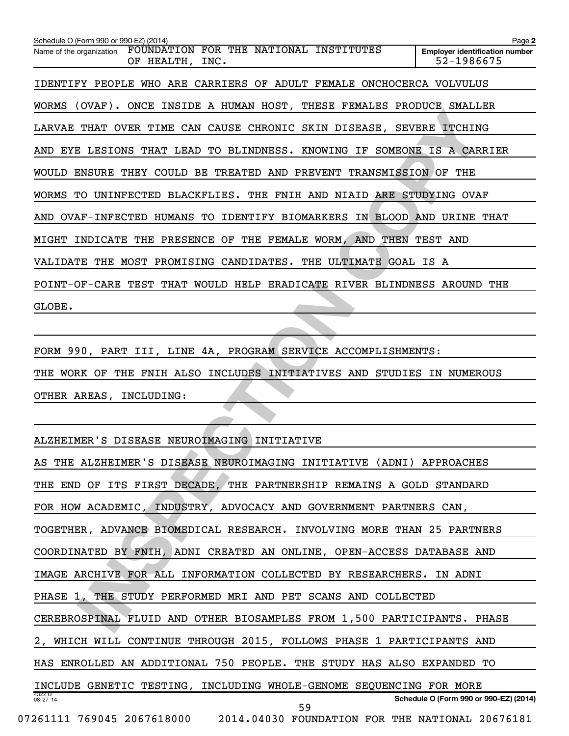THAT OVER TIME CAN CAUSE CHRONIC SKIN DISEASE, SEVERE ITCHING<br>
ITAIT OVER TIME CAN CAUSE CHRONIC SKIN DISEASE, SEVERE ITCHING<br>
IS LESIONS THAT LEAD TO BLINDNESS. KNOWING IT SOMEONE IS A CARRIER<br>
RNSURE THEY COULD BE TREATE **2 Employer identification number** Schedule O (Form 990 or 990-EZ) (2014) Name of the organization FOUNDATION FOR THE NATIONAL INSTITUTES OF HEALTH, INC. 52-1986675 IDENTIFY PEOPLE WHO ARE CARRIERS OF ADULT FEMALE ONCHOCERCA VOLVULUS WORMS (OVAF). ONCE INSIDE A HUMAN HOST, THESE FEMALES PRODUCE SMALLER LARVAE THAT OVER TIME CAN CAUSE CHRONIC SKIN DISEASE, SEVERE ITCHING AND EYE LESIONS THAT LEAD TO BLINDNESS. KNOWING IF SOMEONE IS A CARRIER WOULD ENSURE THEY COULD BE TREATED AND PREVENT TRANSMISSION OF THE WORMS TO UNINFECTED BLACKFLIES. THE FNIH AND NIAID ARE STUDYING OVAF AND OVAF-INFECTED HUMANS TO IDENTIFY BIOMARKERS IN BLOOD AND URINE THAT MIGHT INDICATE THE PRESENCE OF THE FEMALE WORM, AND THEN TEST AND VALIDATE THE MOST PROMISING CANDIDATES. THE ULTIMATE GOAL IS A POINT-OF-CARE TEST THAT WOULD HELP ERADICATE RIVER BLINDNESS AROUND THE GLOBE.

FORM 990, PART III, LINE 4A, PROGRAM SERVICE ACCOMPLISHMENTS: THE WORK OF THE FNIH ALSO INCLUDES INITIATIVES AND STUDIES IN NUMEROUS OTHER AREAS, INCLUDING:

ALZHEIMER'S DISEASE NEUROIMAGING INITIATIVE

| AS THE ALZHEIMER'S DISEASE NEUROIMAGING INITIATIVE (ADNI) APPROACHES       |
|----------------------------------------------------------------------------|
| THE END OF ITS FIRST DECADE, THE PARTNERSHIP REMAINS A GOLD STANDARD       |
| FOR HOW ACADEMIC, INDUSTRY, ADVOCACY AND GOVERNMENT PARTNERS CAN,          |
| TOGETHER, ADVANCE BIOMEDICAL RESEARCH. INVOLVING MORE THAN 25 PARTNERS     |
| COORDINATED BY FNIH, ADNI CREATED AN ONLINE, OPEN-ACCESS DATABASE AND      |
| IMAGE ARCHIVE FOR ALL INFORMATION COLLECTED BY RESEARCHERS. IN ADNI        |
| PHASE 1, THE STUDY PERFORMED MRI AND PET SCANS AND COLLECTED               |
| CEREBROSPINAL FLUID AND OTHER BIOSAMPLES FROM 1,500 PARTICIPANTS. PHASE    |
| 2, WHICH WILL CONTINUE THROUGH 2015, FOLLOWS PHASE 1 PARTICIPANTS AND      |
| HAS ENROLLED AN ADDITIONAL 750 PEOPLE. THE STUDY HAS ALSO EXPANDED TO      |
| INCLUDE GENETIC TESTING, INCLUDING WHOLE-GENOME SEQUENCING FOR MORE        |
| 432212<br>Schedule O (Form 990 or 990-EZ) (2014)<br>$08 - 27 - 14$<br>59   |
| 07261111 769045 2067618000 2014.04030 FOUNDATION FOR THE NATIONAL 20676181 |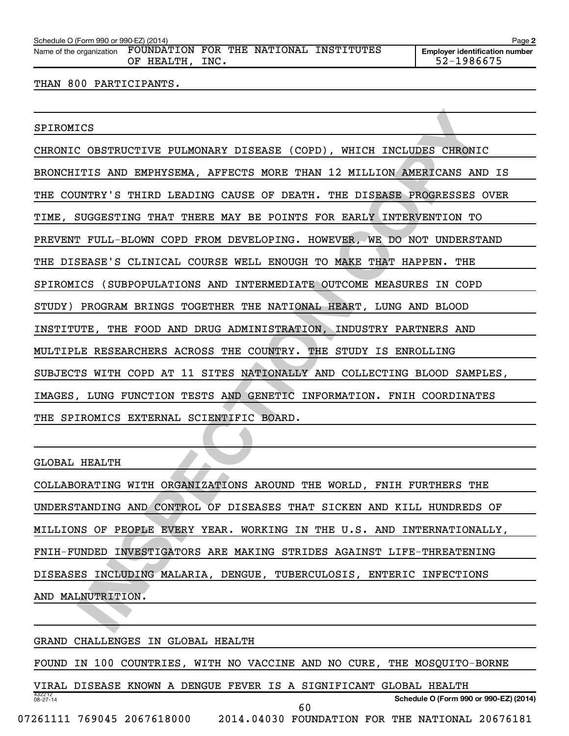| Name of the organization FOUNDATION FOR THE NATIONAL INSTITUTES |                 |  |  |
|-----------------------------------------------------------------|-----------------|--|--|
|                                                                 | OF HEALTH, INC. |  |  |

#### THAN 800 PARTICIPANTS.

#### SPIROMICS

ICS COSTRUCTIVE PULMONARY DISEASE (COPD), WHICH INCLUDES CHRONIC<br>
ITIS AND EMPHYSEMA, AFFECTS MORE THAN 12 MILLION AMERICANS AND IS<br>
INTRY'S THIRD LEADING CAUSE OF DEATH. THE DISEASE PROGRESSES OVER<br>
INTRY'S THIRD LEADING CHRONIC OBSTRUCTIVE PULMONARY DISEASE (COPD), WHICH INCLUDES CHRONIC BRONCHITIS AND EMPHYSEMA, AFFECTS MORE THAN 12 MILLION AMERICANS AND IS THE COUNTRY'S THIRD LEADING CAUSE OF DEATH. THE DISEASE PROGRESSES OVER TIME, SUGGESTING THAT THERE MAY BE POINTS FOR EARLY INTERVENTION TO PREVENT FULL-BLOWN COPD FROM DEVELOPING. HOWEVER, WE DO NOT UNDERSTAND THE DISEASE'S CLINICAL COURSE WELL ENOUGH TO MAKE THAT HAPPEN. THE SPIROMICS (SUBPOPULATIONS AND INTERMEDIATE OUTCOME MEASURES IN COPD STUDY) PROGRAM BRINGS TOGETHER THE NATIONAL HEART, LUNG AND BLOOD INSTITUTE, THE FOOD AND DRUG ADMINISTRATION, INDUSTRY PARTNERS AND MULTIPLE RESEARCHERS ACROSS THE COUNTRY. THE STUDY IS ENROLLING SUBJECTS WITH COPD AT 11 SITES NATIONALLY AND COLLECTING BLOOD SAMPLES, IMAGES, LUNG FUNCTION TESTS AND GENETIC INFORMATION. FNIH COORDINATES THE SPIROMICS EXTERNAL SCIENTIFIC BOARD.

#### GLOBAL HEALTH

COLLABORATING WITH ORGANIZATIONS AROUND THE WORLD, FNIH FURTHERS THE UNDERSTANDING AND CONTROL OF DISEASES THAT SICKEN AND KILL HUNDREDS OF MILLIONS OF PEOPLE EVERY YEAR. WORKING IN THE U.S. AND INTERNATIONALLY, FNIH-FUNDED INVESTIGATORS ARE MAKING STRIDES AGAINST LIFE-THREATENING DISEASES INCLUDING MALARIA, DENGUE, TUBERCULOSIS, ENTERIC INFECTIONS AND MALNUTRITION.

#### GRAND CHALLENGES IN GLOBAL HEALTH

FOUND IN 100 COUNTRIES, WITH NO VACCINE AND NO CURE, THE MOSQUITO-BORNE

432212 08-27-14 **Schedule O (Form 990 or 990-EZ) (2014)** VIRAL DISEASE KNOWN A DENGUE FEVER IS A SIGNIFICANT GLOBAL HEALTH 07261111 769045 2067618000 2014.04030 FOUNDATION FOR THE NATIONAL 20676181 60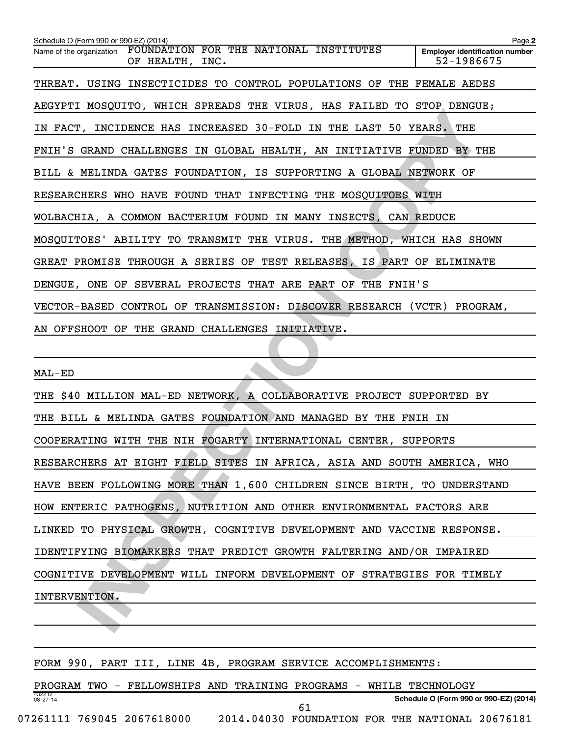**INSPECTIVE THE INCONSIDE AND MANAGED BY THE LAST OF PRIME AND CHALLENGES IN GLOBAL HEALTH, AN INITIATIVE FUNDED BY THE MELINDA GATES FOUNDATION, IS SUPPORTING A GLOBAL NEWTORK OF DERES WHO HAVE FOUNDATION, IS SUPPORTING A 2 Employer identification number** Schedule O (Form 990 or 990-EZ) (2014) Name of the organization FOUNDATION FOR THE NATIONAL INSTITUTES OF HEALTH, INC. 52-1986675 THREAT. USING INSECTICIDES TO CONTROL POPULATIONS OF THE FEMALE AEDES AEGYPTI MOSQUITO, WHICH SPREADS THE VIRUS, HAS FAILED TO STOP DENGUE; IN FACT, INCIDENCE HAS INCREASED 30-FOLD IN THE LAST 50 YEARS. THE FNIH'S GRAND CHALLENGES IN GLOBAL HEALTH, AN INITIATIVE FUNDED BY THE BILL & MELINDA GATES FOUNDATION, IS SUPPORTING A GLOBAL NETWORK OF RESEARCHERS WHO HAVE FOUND THAT INFECTING THE MOSQUITOES WITH WOLBACHIA, A COMMON BACTERIUM FOUND IN MANY INSECTS, CAN REDUCE MOSQUITOES' ABILITY TO TRANSMIT THE VIRUS. THE METHOD, WHICH HAS SHOWN GREAT PROMISE THROUGH A SERIES OF TEST RELEASES, IS PART OF ELIMINATE DENGUE, ONE OF SEVERAL PROJECTS THAT ARE PART OF THE FNIH'S VECTOR-BASED CONTROL OF TRANSMISSION: DISCOVER RESEARCH (VCTR) PROGRAM, AN OFFSHOOT OF THE GRAND CHALLENGES INITIATIVE.

MAL-ED

THE \$40 MILLION MAL-ED NETWORK, A COLLABORATIVE PROJECT SUPPORTED BY THE BILL & MELINDA GATES FOUNDATION AND MANAGED BY THE FNIH IN COOPERATING WITH THE NIH FOGARTY INTERNATIONAL CENTER, SUPPORTS RESEARCHERS AT EIGHT FIELD SITES IN AFRICA, ASIA AND SOUTH AMERICA, WHO HAVE BEEN FOLLOWING MORE THAN 1,600 CHILDREN SINCE BIRTH, TO UNDERSTAND HOW ENTERIC PATHOGENS, NUTRITION AND OTHER ENVIRONMENTAL FACTORS ARE LINKED TO PHYSICAL GROWTH, COGNITIVE DEVELOPMENT AND VACCINE RESPONSE. IDENTIFYING BIOMARKERS THAT PREDICT GROWTH FALTERING AND/OR IMPAIRED COGNITIVE DEVELOPMENT WILL INFORM DEVELOPMENT OF STRATEGIES FOR TIMELY INTERVENTION.

FORM 990, PART III, LINE 4B, PROGRAM SERVICE ACCOMPLISHMENTS:

432212 08-27-14 **Schedule O (Form 990 or 990-EZ) (2014)** PROGRAM TWO - FELLOWSHIPS AND TRAINING PROGRAMS - WHILE TECHNOLOGY 07261111 769045 2067618000 2014.04030 FOUNDATION FOR THE NATIONAL 20676181 61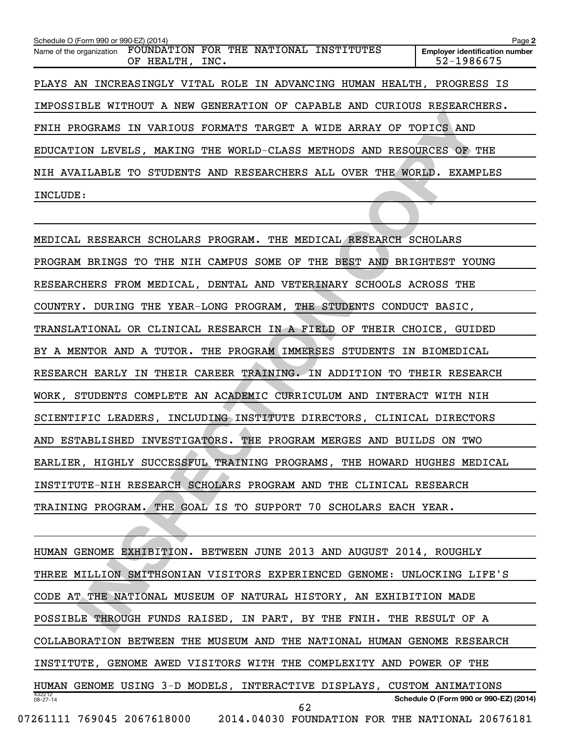| Schedule O (Form 990 or 990-EZ) (2014)                             |                                                           |  |  | Page 2                                                                  |  |
|--------------------------------------------------------------------|-----------------------------------------------------------|--|--|-------------------------------------------------------------------------|--|
| Name of the organization                                           | FOUNDATION FOR THE NATIONAL INSTITUTES<br>OF HEALTH, INC. |  |  | <b>Employer identification number</b><br>52-1986675                     |  |
|                                                                    |                                                           |  |  | PLAYS AN INCREASINGLY VITAL ROLE IN ADVANCING HUMAN HEALTH, PROGRESS IS |  |
|                                                                    |                                                           |  |  | IMPOSSIBLE WITHOUT A NEW GENERATION OF CAPABLE AND CURIOUS RESEARCHERS. |  |
| FNIH PROGRAMS IN VARIOUS FORMATS TARGET A WIDE ARRAY OF TOPICS AND |                                                           |  |  |                                                                         |  |
| EDUCATION LEVELS, MAKING THE WORLD-CLASS METHODS AND RESOURCES OF  |                                                           |  |  | THE                                                                     |  |
| NIH AVAILABLE TO STUDENTS AND RESEARCHERS ALL OVER THE WORLD.      |                                                           |  |  | EXAMPLES                                                                |  |
| INCLUDE:                                                           |                                                           |  |  |                                                                         |  |

**INCORAIS IN VARIOUS PORMATS TREET A NIDE ARRAY OF TOPICS AND MOGRAMS IN VARIOUS PORMATS TREET A NIDE ARRAY OF TOPICS AND INCORAMS TO STUDENTS AND RESERACHERS ALL OVER THE WORLD. EXAMPLES 3:<br>
INCORAMS TO STUDENTS AND RESER** MEDICAL RESEARCH SCHOLARS PROGRAM. THE MEDICAL RESEARCH SCHOLARS PROGRAM BRINGS TO THE NIH CAMPUS SOME OF THE BEST AND BRIGHTEST YOUNG RESEARCHERS FROM MEDICAL, DENTAL AND VETERINARY SCHOOLS ACROSS THE COUNTRY. DURING THE YEAR-LONG PROGRAM, THE STUDENTS CONDUCT BASIC, TRANSLATIONAL OR CLINICAL RESEARCH IN A FIELD OF THEIR CHOICE, GUIDED BY A MENTOR AND A TUTOR. THE PROGRAM IMMERSES STUDENTS IN BIOMEDICAL RESEARCH EARLY IN THEIR CAREER TRAINING. IN ADDITION TO THEIR RESEARCH WORK, STUDENTS COMPLETE AN ACADEMIC CURRICULUM AND INTERACT WITH NIH SCIENTIFIC LEADERS, INCLUDING INSTITUTE DIRECTORS, CLINICAL DIRECTORS AND ESTABLISHED INVESTIGATORS. THE PROGRAM MERGES AND BUILDS ON TWO EARLIER, HIGHLY SUCCESSFUL TRAINING PROGRAMS, THE HOWARD HUGHES MEDICAL INSTITUTE-NIH RESEARCH SCHOLARS PROGRAM AND THE CLINICAL RESEARCH TRAINING PROGRAM. THE GOAL IS TO SUPPORT 70 SCHOLARS EACH YEAR.

432212 08-27-14 **Schedule O (Form 990 or 990-EZ) (2014)** HUMAN GENOME EXHIBITION. BETWEEN JUNE 2013 AND AUGUST 2014, ROUGHLY THREE MILLION SMITHSONIAN VISITORS EXPERIENCED GENOME: UNLOCKING LIFE'S CODE AT THE NATIONAL MUSEUM OF NATURAL HISTORY, AN EXHIBITION MADE POSSIBLE THROUGH FUNDS RAISED, IN PART, BY THE FNIH. THE RESULT OF A COLLABORATION BETWEEN THE MUSEUM AND THE NATIONAL HUMAN GENOME RESEARCH INSTITUTE, GENOME AWED VISITORS WITH THE COMPLEXITY AND POWER OF THE HUMAN GENOME USING 3-D MODELS, INTERACTIVE DISPLAYS, CUSTOM ANIMATIONS 07261111 769045 2067618000 2014.04030 FOUNDATION FOR THE NATIONAL 20676181 62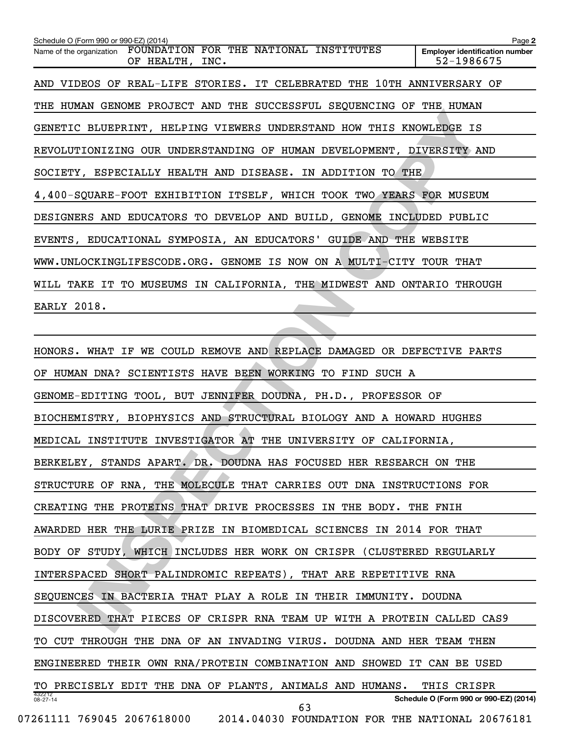**2 Employer identification number** Schedule O (Form 990 or 990-EZ) (2014) Name of the organization FOUNDATION FOR THE NATIONAL INSTITUTES OF HEALTH, INC. 52-1986675 AND VIDEOS OF REAL-LIFE STORIES. IT CELEBRATED THE 10TH ANNIVERSARY OF THE HUMAN GENOME PROJECT AND THE SUCCESSFUL SEQUENCING OF THE HUMAN GENETIC BLUEPRINT, HELPING VIEWERS UNDERSTAND HOW THIS KNOWLEDGE IS REVOLUTIONIZING OUR UNDERSTANDING OF HUMAN DEVELOPMENT, DIVERSITY AND SOCIETY, ESPECIALLY HEALTH AND DISEASE. IN ADDITION TO THE 4,400-SQUARE-FOOT EXHIBITION ITSELF, WHICH TOOK TWO YEARS FOR MUSEUM DESIGNERS AND EDUCATORS TO DEVELOP AND BUILD, GENOME INCLUDED PUBLIC EVENTS, EDUCATIONAL SYMPOSIA, AN EDUCATORS' GUIDE AND THE WEBSITE WWW.UNLOCKINGLIFESCODE.ORG. GENOME IS NOW ON A MULTI-CITY TOUR THAT WILL TAKE IT TO MUSEUMS IN CALIFORNIA, THE MIDWEST AND ONTARIO THROUGH EARLY 2018.

**IN DIRECT THE INTERNAL STEAD OF THE SECTION OF THE SECTION OF THE SECTION OR UNDERSTAND HOW THIS KNOWLEDGE IS**<br>
IN A SPECIALLY HEALTH AND DISEASE. IN ADDITION TO THE SEPECTALLY HEALTHY AND DISEASE. IN ADDITION TO THE SQUA 432212 08-27-14 **Schedule O (Form 990 or 990-EZ) (2014)** HONORS. WHAT IF WE COULD REMOVE AND REPLACE DAMAGED OR DEFECTIVE PARTS OF HUMAN DNA? SCIENTISTS HAVE BEEN WORKING TO FIND SUCH A GENOME-EDITING TOOL, BUT JENNIFER DOUDNA, PH.D., PROFESSOR OF BIOCHEMISTRY, BIOPHYSICS AND STRUCTURAL BIOLOGY AND A HOWARD HUGHES MEDICAL INSTITUTE INVESTIGATOR AT THE UNIVERSITY OF CALIFORNIA, BERKELEY, STANDS APART. DR. DOUDNA HAS FOCUSED HER RESEARCH ON THE STRUCTURE OF RNA, THE MOLECULE THAT CARRIES OUT DNA INSTRUCTIONS FOR CREATING THE PROTEINS THAT DRIVE PROCESSES IN THE BODY. THE FNIH AWARDED HER THE LURIE PRIZE IN BIOMEDICAL SCIENCES IN 2014 FOR THAT BODY OF STUDY, WHICH INCLUDES HER WORK ON CRISPR (CLUSTERED REGULARLY INTERSPACED SHORT PALINDROMIC REPEATS), THAT ARE REPETITIVE RNA SEQUENCES IN BACTERIA THAT PLAY A ROLE IN THEIR IMMUNITY. DOUDNA DISCOVERED THAT PIECES OF CRISPR RNA TEAM UP WITH A PROTEIN CALLED CAS9 TO CUT THROUGH THE DNA OF AN INVADING VIRUS. DOUDNA AND HER TEAM THEN ENGINEERED THEIR OWN RNA/PROTEIN COMBINATION AND SHOWED IT CAN BE USED TO PRECISELY EDIT THE DNA OF PLANTS, ANIMALS AND HUMANS. THIS CRISPR 07261111 769045 2067618000 2014.04030 FOUNDATION FOR THE NATIONAL 20676181 63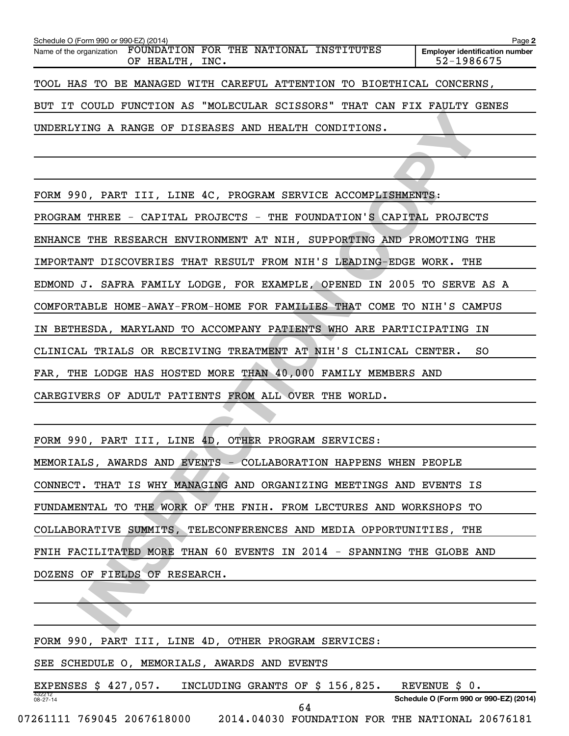| Schedule O (Form 990 or 990-EZ) (2014) |                                                                                    | Page 2                                              |
|----------------------------------------|------------------------------------------------------------------------------------|-----------------------------------------------------|
|                                        | Name of the organization FOUNDATION FOR THE NATIONAL INSTITUTES<br>OF HEALTH, INC. | <b>Employer identification number</b><br>52-1986675 |
|                                        | TOOL HAS TO BE MANAGED WITH CAREFUL ATTENTION TO BIOETHICAL CONCERNS,              |                                                     |
|                                        | BUT IT COULD FUNCTION AS "MOLECULAR SCISSORS" THAT CAN FIX FAULTY GENES            |                                                     |
|                                        | UNDERLYING A RANGE OF DISEASES AND HEALTH CONDITIONS.                              |                                                     |

ING A RANGE OF DISEASES AND HEALTH CONDITIONS.<br>
ING A RANGE OF DISEASES AND HEALTH CONDITIONS.<br>
1990, PART III, LINE 4C, PROGRAM SERVICE ACCOMPLISHMENTS:<br>
1990, PART III, LINE 4C, PROGRAM SERVICE ACCOMPLISHMENTS:<br>
THE RESE FORM 990, PART III, LINE 4C, PROGRAM SERVICE ACCOMPLISHMENTS: PROGRAM THREE - CAPITAL PROJECTS - THE FOUNDATION'S CAPITAL PROJECTS ENHANCE THE RESEARCH ENVIRONMENT AT NIH, SUPPORTING AND PROMOTING THE IMPORTANT DISCOVERIES THAT RESULT FROM NIH'S LEADING-EDGE WORK. THE EDMOND J. SAFRA FAMILY LODGE, FOR EXAMPLE, OPENED IN 2005 TO SERVE AS A COMFORTABLE HOME-AWAY-FROM-HOME FOR FAMILIES THAT COME TO NIH'S CAMPUS IN BETHESDA, MARYLAND TO ACCOMPANY PATIENTS WHO ARE PARTICIPATING IN CLINICAL TRIALS OR RECEIVING TREATMENT AT NIH'S CLINICAL CENTER. SO FAR, THE LODGE HAS HOSTED MORE THAN 40,000 FAMILY MEMBERS AND CAREGIVERS OF ADULT PATIENTS FROM ALL OVER THE WORLD.

FORM 990, PART III, LINE 4D, OTHER PROGRAM SERVICES: MEMORIALS, AWARDS AND EVENTS - COLLABORATION HAPPENS WHEN PEOPLE CONNECT. THAT IS WHY MANAGING AND ORGANIZING MEETINGS AND EVENTS IS FUNDAMENTAL TO THE WORK OF THE FNIH. FROM LECTURES AND WORKSHOPS TO COLLABORATIVE SUMMITS, TELECONFERENCES AND MEDIA OPPORTUNITIES, THE FNIH FACILITATED MORE THAN 60 EVENTS IN 2014 - SPANNING THE GLOBE AND DOZENS OF FIELDS OF RESEARCH.

FORM 990, PART III, LINE 4D, OTHER PROGRAM SERVICES:

SEE SCHEDULE O, MEMORIALS, AWARDS AND EVENTS

432212 08-27-14 **Schedule O (Form 990 or 990-EZ) (2014)** EXPENSES \$ 427,057. INCLUDING GRANTS OF \$ 156,825. REVENUE \$ 0. 64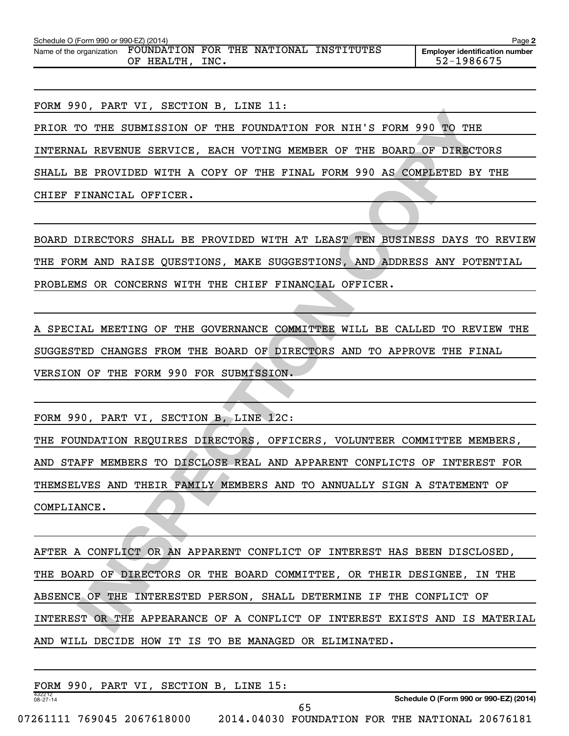| Schedule O (Form 990 or 990-EZ) (2014) |                                   |             |     |                     | Page 2                                              |
|----------------------------------------|-----------------------------------|-------------|-----|---------------------|-----------------------------------------------------|
| Name of the organization               | FOUNDATION<br><b>HEALTH</b><br>ΟF | FOR<br>INC. | THE | NATIONAL INSTITUTES | <b>Employer identification number</b><br>52-1986675 |
|                                        |                                   |             |     |                     |                                                     |

FORM 990, PART VI, SECTION B, LINE 11:

PRIOR TO THE SUBMISSION OF THE FOUNDATION FOR NIH'S FORM 990 TO THE

INTERNAL REVENUE SERVICE, EACH VOTING MEMBER OF THE BOARD OF DIRECTORS

SHALL BE PROVIDED WITH A COPY OF THE FINAL FORM 990 AS COMPLETED BY THE

CHIEF FINANCIAL OFFICER.

BOARD DIRECTORS SHALL BE PROVIDED WITH AT LEAST TEN BUSINESS DAYS TO REVIEW THE FORM AND RAISE QUESTIONS, MAKE SUGGESTIONS, AND ADDRESS ANY POTENTIAL PROBLEMS OR CONCERNS WITH THE CHIEF FINANCIAL OFFICER.

A SPECIAL MEETING OF THE GOVERNANCE COMMITTEE WILL BE CALLED TO REVIEW THE SUGGESTED CHANGES FROM THE BOARD OF DIRECTORS AND TO APPROVE THE FINAL VERSION OF THE FORM 990 FOR SUBMISSION.

FORM 990, PART VI, SECTION B, LINE 12C:

THE FOUNDATION REQUIRES DIRECTORS, OFFICERS, VOLUNTEER COMMITTEE MEMBERS, AND STAFF MEMBERS TO DISCLOSE REAL AND APPARENT CONFLICTS OF INTEREST FOR THEMSELVES AND THEIR FAMILY MEMBERS AND TO ANNUALLY SIGN A STATEMENT OF COMPLIANCE.

**IN THE SUBMISSION OF THE CONDATION FOR NIH'S FORM 990 TO THE SUBMISSION OF THE FONDATION FOR NIH'S FORM 990 AS COMPLETED BY THE LINEARCTORS SERVICE, EACH VOTING MEMBER OF THE FINAL COPY OF OUR PINEPTORS SERVICES.**<br>
IN AND AFTER A CONFLICT OR AN APPARENT CONFLICT OF INTEREST HAS BEEN DISCLOSED, THE BOARD OF DIRECTORS OR THE BOARD COMMITTEE, OR THEIR DESIGNEE, IN THE ABSENCE OF THE INTERESTED PERSON, SHALL DETERMINE IF THE CONFLICT OF INTEREST OR THE APPEARANCE OF A CONFLICT OF INTEREST EXISTS AND IS MATERIAL AND WILL DECIDE HOW IT IS TO BE MANAGED OR ELIMINATED.

|                          |  | FORM 990, PART VI, SECTION B, LINE 15: |  |                                                 |  |                                        |
|--------------------------|--|----------------------------------------|--|-------------------------------------------------|--|----------------------------------------|
| 432212<br>$08 - 27 - 14$ |  |                                        |  |                                                 |  | Schedule O (Form 990 or 990-EZ) (2014) |
|                          |  |                                        |  |                                                 |  |                                        |
|                          |  | 07261111 769045 2067618000             |  | 2014.04030 FOUNDATION FOR THE NATIONAL 20676181 |  |                                        |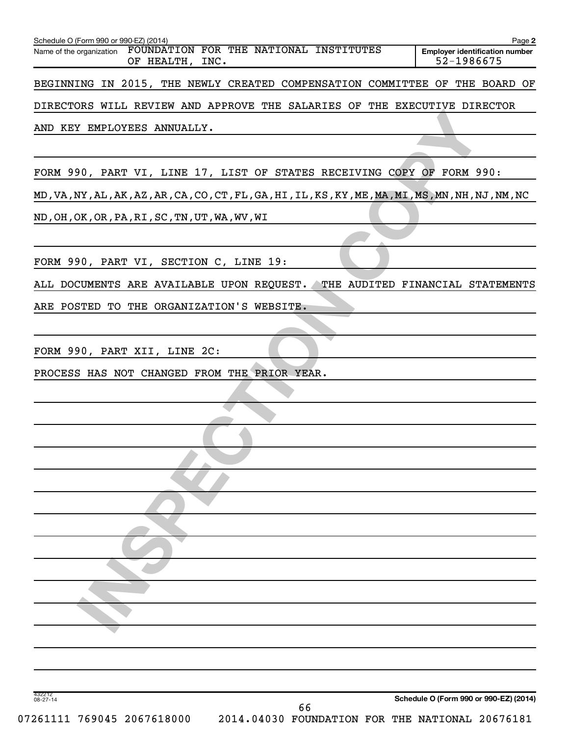| FOUNDATION FOR THE NATIONAL INSTITUTES<br>Name of the organization<br>OF HEALTH, INC.              | <b>Employer identification number</b><br>52-1986675 |
|----------------------------------------------------------------------------------------------------|-----------------------------------------------------|
| BEGINNING IN 2015, THE NEWLY CREATED COMPENSATION COMMITTEE OF THE BOARD OF                        |                                                     |
| DIRECTORS WILL REVIEW AND APPROVE THE SALARIES OF THE EXECUTIVE DIRECTOR                           |                                                     |
| AND KEY EMPLOYEES ANNUALLY.                                                                        |                                                     |
|                                                                                                    |                                                     |
| FORM 990, PART VI, LINE 17, LIST OF STATES RECEIVING COPY OF FORM 990:                             |                                                     |
| MD, VA, NY, AL, AK, AZ, AR, CA, CO, CT, FL, GA, HI, IL, KS, KY, ME, MA, MI, MS, MN, NH, NJ, NM, NC |                                                     |
| ND, OH, OK, OR, PA, RI, SC, TN, UT, WA, WV, WI                                                     |                                                     |
|                                                                                                    |                                                     |
| FORM 990, PART VI, SECTION C, LINE 19:                                                             |                                                     |
| ALL DOCUMENTS ARE AVAILABLE UPON REQUEST.                                                          | THE AUDITED FINANCIAL STATEMENTS                    |
| ARE POSTED TO THE ORGANIZATION'S WEBSITE.                                                          |                                                     |
|                                                                                                    |                                                     |
| FORM 990, PART XII, LINE 2C:                                                                       |                                                     |
| PROCESS HAS NOT CHANGED FROM THE PRIOR YEAR.                                                       |                                                     |
|                                                                                                    |                                                     |
|                                                                                                    |                                                     |
|                                                                                                    |                                                     |
|                                                                                                    |                                                     |
|                                                                                                    |                                                     |
|                                                                                                    |                                                     |
|                                                                                                    |                                                     |
|                                                                                                    |                                                     |
|                                                                                                    |                                                     |
|                                                                                                    |                                                     |
|                                                                                                    |                                                     |
|                                                                                                    |                                                     |
|                                                                                                    |                                                     |
|                                                                                                    |                                                     |
| 432212<br>08-27-14                                                                                 | Schedule O (Form 990 or 990-EZ) (2014)              |
| 66<br>07261111 769045 2067618000<br>2014.04030 FOUNDATION FOR THE NATIONAL 20676181                |                                                     |
|                                                                                                    |                                                     |

Schedule O (Form 990 or 990-EZ) (2014) Page 2014 Page 2014 Page 2014 Page 2014 Page 2014 Page 2014 Page 2014 Page 2014 Page 2014 Page 2014 Page 2014 Page 2014 Page 2014 Page 2014 Page 2014 Page 2014 Page 2014 Page 2014 Pag

**2**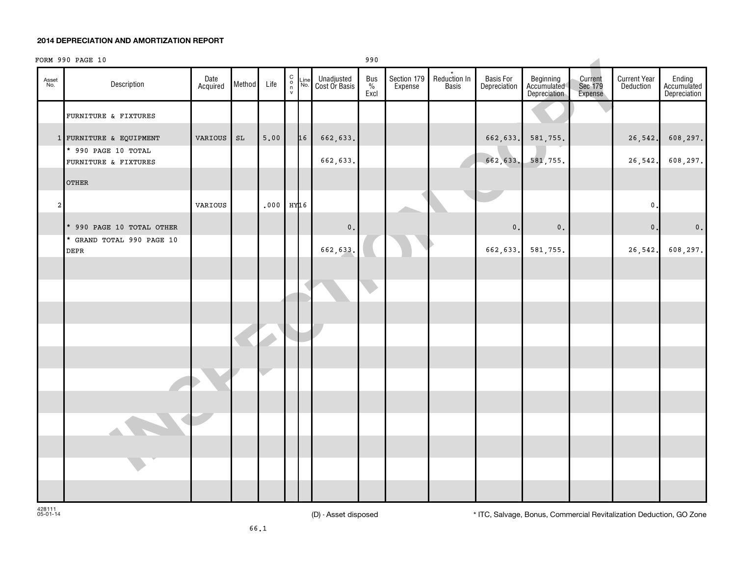#### **2014 DEPRECIATION AND AMORTIZATION REPORT**

# **CORRESPONDS**<br>
CORRESPONDS CORRESPOND CONTINUES ON THE CONFERENCE OF CONFERENCE CONFERENCE CONFERENCE CONFERENCE CONFERENCE CONFERENCE CONFERENCE CONFERENCE CONFERENCE CONFERENCE CONFERENCE CONFERENCE CONFERENCE CONFERENCE C o n v Asset No. Line No. Date Description **Acquired Method** Life Unadjusted Cost Or Basis Bus  $\frac{9}{6}$ Excl Section 179 **Expense** Reduction In \* **Basis** Basis For **Depreciation** Beginning Accumulated **Depreciation** Current Sec 179 Expense Current Year **Deduction** Ending **Accumulated** Depreciation FORM 990 PAGE 10 990 990 PAGE 10 FURNITURE & FIXTURES 1 FURNITURE & EQUIPMENT | VARIOUS | SL | 5.00 | 16 | 662,633. | 26,542. 608,297. \* 990 PAGE 10 TOTAL FURNITURE & FIXTURES **FIXTURES 1** 1 1 662,633. 1 662,633. 581,755. 26,542. 608,297. OTHER 2 VARIOUS 0.000 HY16 2 VARIOUS 0.000 HY16 2 VARIOUS 0.000 HY16 0.000 MY16 0.000 MY16 0.000 MY16 0.000 MY16 0.0 \* 990 PAGE 10 TOTAL OTHER 0. 0. 0. 0. 0. \* GRAND TOTAL 990 PAGE 10 DEPR 662,633. 662,633. 581,755. 26,542. 608,297.

428111 05-01-14

(D) - Asset disposed \* ITC, Salvage, Bonus, Commercial Revitalization Deduction, GO Zone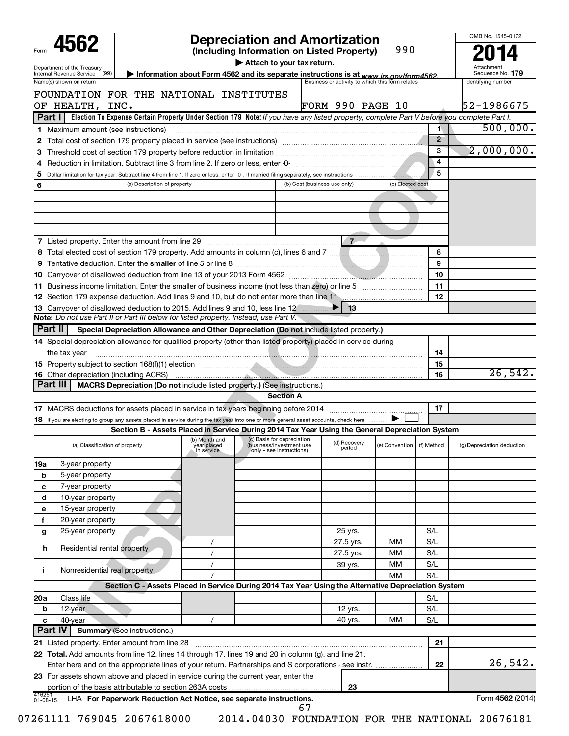| 4562                                                                                                                                                  |                                                                                                     |                                                                                                                            | <b>Depreciation and Amortization</b>            |                  |                | OMB No. 1545-0172              |
|-------------------------------------------------------------------------------------------------------------------------------------------------------|-----------------------------------------------------------------------------------------------------|----------------------------------------------------------------------------------------------------------------------------|-------------------------------------------------|------------------|----------------|--------------------------------|
|                                                                                                                                                       |                                                                                                     | (Including Information on Listed Property)                                                                                 |                                                 | 990              |                |                                |
| Department of the Treasury<br>Internal Revenue Service (99)                                                                                           | Information about Form 4562 and its separate instructions is at www.irs.gov/form4562.               | Attach to your tax return.                                                                                                 |                                                 |                  |                | Attachment<br>Sequence No. 179 |
| Name(s) shown on return                                                                                                                               |                                                                                                     |                                                                                                                            | Business or activity to which this form relates |                  |                | Identifying number             |
| FOUNDATION FOR THE NATIONAL INSTITUTES                                                                                                                |                                                                                                     |                                                                                                                            |                                                 |                  |                |                                |
| OF HEALTH,<br>INC.                                                                                                                                    |                                                                                                     |                                                                                                                            | <b>FORM 990 PAGE 10</b>                         |                  |                | 52-1986675                     |
| Part I   Election To Expense Certain Property Under Section 179 Note: If you have any listed property, complete Part V before you complete Part I.    |                                                                                                     |                                                                                                                            |                                                 |                  |                |                                |
| <b>1</b> Maximum amount (see instructions)                                                                                                            |                                                                                                     |                                                                                                                            |                                                 |                  | $\blacksquare$ | 500,000.                       |
|                                                                                                                                                       |                                                                                                     |                                                                                                                            |                                                 |                  | $\overline{2}$ |                                |
| з                                                                                                                                                     |                                                                                                     |                                                                                                                            |                                                 |                  | $\overline{3}$ | 2,000,000.                     |
|                                                                                                                                                       |                                                                                                     |                                                                                                                            |                                                 |                  | 4              |                                |
| 5                                                                                                                                                     |                                                                                                     |                                                                                                                            |                                                 |                  | 5              |                                |
| (a) Description of property<br>6                                                                                                                      |                                                                                                     |                                                                                                                            | (b) Cost (business use only)                    | (c) Elected cost |                |                                |
|                                                                                                                                                       |                                                                                                     |                                                                                                                            |                                                 |                  |                |                                |
|                                                                                                                                                       |                                                                                                     |                                                                                                                            |                                                 |                  |                |                                |
|                                                                                                                                                       |                                                                                                     |                                                                                                                            |                                                 |                  |                |                                |
|                                                                                                                                                       |                                                                                                     |                                                                                                                            |                                                 |                  |                |                                |
| <b>7</b> Listed property. Enter the amount from line 29                                                                                               |                                                                                                     |                                                                                                                            | $7+$                                            |                  | 8              |                                |
|                                                                                                                                                       |                                                                                                     |                                                                                                                            |                                                 |                  | 9              |                                |
|                                                                                                                                                       |                                                                                                     |                                                                                                                            |                                                 |                  | 10             |                                |
|                                                                                                                                                       |                                                                                                     |                                                                                                                            |                                                 |                  | 11             |                                |
|                                                                                                                                                       |                                                                                                     |                                                                                                                            |                                                 |                  | 12             |                                |
| 13 Carryover of disallowed deduction to 2015. Add lines 9 and 10, less line 12                                                                        |                                                                                                     |                                                                                                                            | 13                                              |                  |                |                                |
| Note: Do not use Part II or Part III below for listed property. Instead, use Part V.                                                                  |                                                                                                     |                                                                                                                            |                                                 |                  |                |                                |
| Part II<br>Special Depreciation Allowance and Other Depreciation (Do not include listed property.)                                                    |                                                                                                     |                                                                                                                            |                                                 |                  |                |                                |
| 14 Special depreciation allowance for qualified property (other than listed property) placed in service during                                        |                                                                                                     |                                                                                                                            |                                                 |                  |                |                                |
| the tax year                                                                                                                                          |                                                                                                     |                                                                                                                            |                                                 |                  | 14             |                                |
|                                                                                                                                                       |                                                                                                     |                                                                                                                            |                                                 |                  | 15             |                                |
| <b>16</b> Other depreciation (including ACRS)                                                                                                         |                                                                                                     |                                                                                                                            |                                                 |                  |                |                                |
|                                                                                                                                                       |                                                                                                     |                                                                                                                            |                                                 |                  |                |                                |
|                                                                                                                                                       |                                                                                                     |                                                                                                                            |                                                 |                  | 16             |                                |
| Part III<br>MACRS Depreciation (Do not include listed property.) (See instructions.)                                                                  |                                                                                                     | <b>Section A</b>                                                                                                           |                                                 |                  |                |                                |
|                                                                                                                                                       |                                                                                                     |                                                                                                                            |                                                 |                  | 17             | 26,542.                        |
| 18 If you are electing to group any assets placed in service during the tax year into one or more general asset accounts, check here                  |                                                                                                     |                                                                                                                            |                                                 |                  |                |                                |
|                                                                                                                                                       | Section B - Assets Placed in Service During 2014 Tax Year Using the General Depreciation System     |                                                                                                                            |                                                 |                  |                |                                |
| (a) Classification of property                                                                                                                        | year placed<br>in service                                                                           | (b) Month and (c) Basis for depreciation $(1)$ $(1)$ Because $(2)$<br>(business/investment use<br>only - see instructions) | (d) Recovery<br>period                          | (e) Convention   | (f) Method     | (g) Depreciation deduction     |
| 3-year property                                                                                                                                       |                                                                                                     |                                                                                                                            |                                                 |                  |                |                                |
| 5-year property                                                                                                                                       |                                                                                                     |                                                                                                                            |                                                 |                  |                |                                |
| 7-year property                                                                                                                                       |                                                                                                     |                                                                                                                            |                                                 |                  |                |                                |
| 10-year property                                                                                                                                      |                                                                                                     |                                                                                                                            |                                                 |                  |                |                                |
| 15-year property                                                                                                                                      |                                                                                                     |                                                                                                                            |                                                 |                  |                |                                |
| 20-year property                                                                                                                                      |                                                                                                     |                                                                                                                            |                                                 |                  |                |                                |
| 25-year property                                                                                                                                      |                                                                                                     |                                                                                                                            | 25 yrs.                                         |                  | S/L            |                                |
|                                                                                                                                                       | $\prime$                                                                                            |                                                                                                                            | 27.5 yrs.                                       | мм               | S/L            |                                |
| Residential rental property                                                                                                                           |                                                                                                     |                                                                                                                            | 27.5 yrs.                                       | МM               | S/L            |                                |
| 19a<br>b<br>с<br>d<br>е<br>$\mathbf f$<br>g<br>h                                                                                                      |                                                                                                     |                                                                                                                            | 39 yrs.                                         | мм               | S/L            |                                |
| Nonresidential real property                                                                                                                          |                                                                                                     |                                                                                                                            |                                                 | MM               | S/L            |                                |
| j.                                                                                                                                                    | Section C - Assets Placed in Service During 2014 Tax Year Using the Alternative Depreciation System |                                                                                                                            |                                                 |                  |                |                                |
| Class life<br>20a                                                                                                                                     |                                                                                                     |                                                                                                                            |                                                 |                  | S/L            |                                |
| 12-year<br>b                                                                                                                                          |                                                                                                     |                                                                                                                            | 12 yrs.                                         |                  | S/L            |                                |
| 40-year                                                                                                                                               |                                                                                                     |                                                                                                                            | 40 yrs.                                         | MM               | S/L            |                                |
| с<br>Part IV<br><b>Summary (See instructions.)</b>                                                                                                    |                                                                                                     |                                                                                                                            |                                                 |                  |                |                                |
|                                                                                                                                                       |                                                                                                     |                                                                                                                            |                                                 |                  | 21             |                                |
|                                                                                                                                                       |                                                                                                     |                                                                                                                            |                                                 |                  |                |                                |
| 21 Listed property. Enter amount from line 28<br>22 Total. Add amounts from line 12, lines 14 through 17, lines 19 and 20 in column (g), and line 21. |                                                                                                     |                                                                                                                            |                                                 |                  | 22             | 26,542.                        |
| 23 For assets shown above and placed in service during the current year, enter the                                                                    |                                                                                                     |                                                                                                                            |                                                 |                  |                |                                |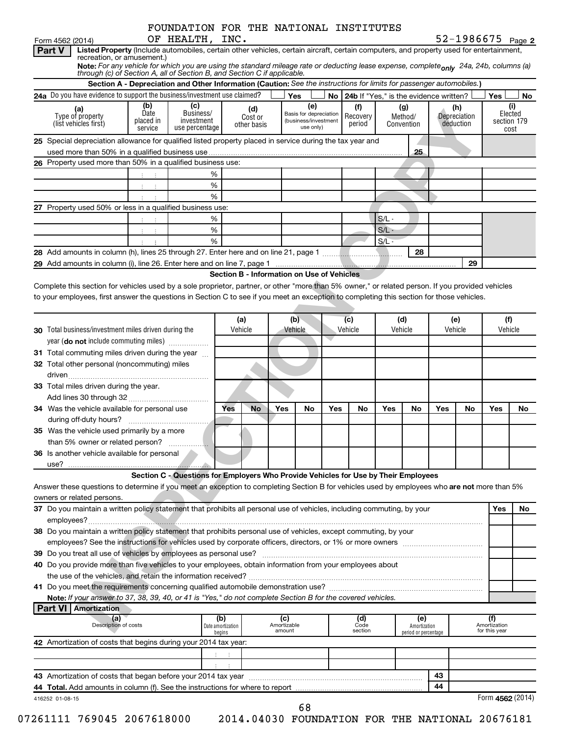|                                                                                                                                                                                                                                | Form 4562 (2014)                                                                                                                                  |                   | OF HEALTH, INC.                                                                     |     |                                            |     |                                                |            |                                                                       |         |            |     | 52-1986675 Page 2   |                   |                        |
|--------------------------------------------------------------------------------------------------------------------------------------------------------------------------------------------------------------------------------|---------------------------------------------------------------------------------------------------------------------------------------------------|-------------------|-------------------------------------------------------------------------------------|-----|--------------------------------------------|-----|------------------------------------------------|------------|-----------------------------------------------------------------------|---------|------------|-----|---------------------|-------------------|------------------------|
|                                                                                                                                                                                                                                | Listed Property (Include automobiles, certain other vehicles, certain aircraft, certain computers, and property used for entertainment,<br>Part V |                   |                                                                                     |     |                                            |     |                                                |            |                                                                       |         |            |     |                     |                   |                        |
|                                                                                                                                                                                                                                | recreation, or amusement.)                                                                                                                        |                   |                                                                                     |     |                                            |     |                                                |            |                                                                       |         |            |     |                     |                   |                        |
| Note: For any vehicle for which you are using the standard mileage rate or deducting lease expense, complete <sub>only</sub> 24a, 24b, columns (a)<br>through (c) of Section A, all of Section B, and Section C if applicable. |                                                                                                                                                   |                   |                                                                                     |     |                                            |     |                                                |            |                                                                       |         |            |     |                     |                   |                        |
| Section A - Depreciation and Other Information (Caution: See the instructions for limits for passenger automobiles.)                                                                                                           |                                                                                                                                                   |                   |                                                                                     |     |                                            |     |                                                |            |                                                                       |         |            |     |                     |                   |                        |
|                                                                                                                                                                                                                                | 24a Do you have evidence to support the business/investment use claimed?                                                                          |                   |                                                                                     |     |                                            |     | Yes                                            |            | No   24b If "Yes," is the evidence written?                           |         |            |     |                     | Yes               | No                     |
|                                                                                                                                                                                                                                | (b)<br>(c)<br>(a)                                                                                                                                 |                   |                                                                                     | (d) |                                            | (e) |                                                | (f)<br>(g) |                                                                       |         |            | (h) |                     | (i)               |                        |
|                                                                                                                                                                                                                                | Type of property                                                                                                                                  | Date<br>placed in | Business/<br>investment                                                             |     | Cost or                                    |     | Basis for depreciation<br>(business/investment |            | Recovery                                                              |         | Method/    |     | Depreciation        |                   | Elected<br>section 179 |
|                                                                                                                                                                                                                                | (list vehicles first)                                                                                                                             | service           | use percentage                                                                      |     | other basis                                |     | use only)                                      |            | period                                                                |         | Convention |     | deduction           |                   | cost                   |
|                                                                                                                                                                                                                                | 25 Special depreciation allowance for qualified listed property placed in service during the tax year and                                         |                   |                                                                                     |     |                                            |     |                                                |            |                                                                       |         |            |     |                     |                   |                        |
|                                                                                                                                                                                                                                |                                                                                                                                                   |                   |                                                                                     |     |                                            |     |                                                |            |                                                                       |         | 25         |     |                     |                   |                        |
|                                                                                                                                                                                                                                | 26 Property used more than 50% in a qualified business use:                                                                                       |                   |                                                                                     |     |                                            |     |                                                |            |                                                                       |         |            |     |                     |                   |                        |
|                                                                                                                                                                                                                                |                                                                                                                                                   |                   |                                                                                     | %   |                                            |     |                                                |            |                                                                       |         |            |     |                     |                   |                        |
|                                                                                                                                                                                                                                |                                                                                                                                                   |                   | %                                                                                   |     |                                            |     |                                                |            |                                                                       |         |            |     |                     |                   |                        |
|                                                                                                                                                                                                                                |                                                                                                                                                   | 4. 二4.            | %                                                                                   |     |                                            |     |                                                |            |                                                                       |         |            |     |                     |                   |                        |
|                                                                                                                                                                                                                                | 27 Property used 50% or less in a qualified business use:                                                                                         |                   |                                                                                     |     |                                            |     |                                                |            |                                                                       |         |            |     |                     |                   |                        |
|                                                                                                                                                                                                                                |                                                                                                                                                   |                   |                                                                                     | ℅   |                                            |     |                                                |            |                                                                       | $S/L -$ |            |     |                     |                   |                        |
|                                                                                                                                                                                                                                |                                                                                                                                                   | $1 - 1$           |                                                                                     | %   |                                            |     |                                                |            |                                                                       |         |            |     |                     |                   |                        |
|                                                                                                                                                                                                                                |                                                                                                                                                   | 主义主               |                                                                                     |     |                                            |     |                                                |            |                                                                       | $S/L -$ |            |     |                     |                   |                        |
|                                                                                                                                                                                                                                |                                                                                                                                                   |                   | %                                                                                   |     |                                            |     |                                                |            |                                                                       | $S/L -$ |            |     |                     |                   |                        |
|                                                                                                                                                                                                                                |                                                                                                                                                   |                   |                                                                                     |     |                                            |     |                                                |            |                                                                       |         | 28         |     |                     |                   |                        |
|                                                                                                                                                                                                                                |                                                                                                                                                   |                   |                                                                                     |     |                                            |     |                                                |            |                                                                       |         |            |     | 29                  |                   |                        |
|                                                                                                                                                                                                                                |                                                                                                                                                   |                   |                                                                                     |     | Section B - Information on Use of Vehicles |     |                                                |            |                                                                       |         |            |     |                     |                   |                        |
|                                                                                                                                                                                                                                | Complete this section for vehicles used by a sole proprietor, partner, or other "more than 5% owner," or related person. If you provided vehicles |                   |                                                                                     |     |                                            |     |                                                |            |                                                                       |         |            |     |                     |                   |                        |
|                                                                                                                                                                                                                                | to your employees, first answer the questions in Section C to see if you meet an exception to completing this section for those vehicles.         |                   |                                                                                     |     |                                            |     |                                                |            |                                                                       |         |            |     |                     |                   |                        |
|                                                                                                                                                                                                                                |                                                                                                                                                   |                   |                                                                                     |     |                                            |     |                                                |            |                                                                       |         |            |     |                     |                   |                        |
|                                                                                                                                                                                                                                |                                                                                                                                                   |                   |                                                                                     |     | (a)                                        |     | (b)                                            |            | (c)<br>(d)                                                            |         |            | (e) |                     | (f)               |                        |
|                                                                                                                                                                                                                                | <b>30</b> Total business/investment miles driven during the                                                                                       |                   |                                                                                     |     | Vehicle                                    |     | Vehicle                                        |            | Vehicle                                                               | Vehicle |            |     | Vehicle             | Vehicle           |                        |
|                                                                                                                                                                                                                                | year (do not include commuting miles)                                                                                                             |                   |                                                                                     |     |                                            |     |                                                |            |                                                                       |         |            |     |                     |                   |                        |
|                                                                                                                                                                                                                                | 31 Total commuting miles driven during the year                                                                                                   |                   |                                                                                     |     |                                            |     |                                                |            |                                                                       |         |            |     |                     |                   |                        |
|                                                                                                                                                                                                                                | 32 Total other personal (noncommuting) miles                                                                                                      |                   |                                                                                     |     |                                            |     |                                                |            |                                                                       |         |            |     |                     |                   |                        |
|                                                                                                                                                                                                                                |                                                                                                                                                   |                   |                                                                                     |     |                                            |     |                                                |            |                                                                       |         |            |     |                     |                   |                        |
|                                                                                                                                                                                                                                | 33 Total miles driven during the year.                                                                                                            |                   |                                                                                     |     |                                            |     |                                                |            |                                                                       |         |            |     |                     |                   |                        |
|                                                                                                                                                                                                                                |                                                                                                                                                   |                   |                                                                                     |     |                                            |     |                                                |            |                                                                       |         |            |     |                     |                   |                        |
|                                                                                                                                                                                                                                | 34 Was the vehicle available for personal use                                                                                                     |                   |                                                                                     | Yes | No                                         | Yes | No                                             | Yes        | No                                                                    | Yes     | No         | Yes | No                  | Yes               | No                     |
|                                                                                                                                                                                                                                |                                                                                                                                                   |                   |                                                                                     |     |                                            |     |                                                |            |                                                                       |         |            |     |                     |                   |                        |
|                                                                                                                                                                                                                                | 35 Was the vehicle used primarily by a more                                                                                                       |                   |                                                                                     |     |                                            |     |                                                |            |                                                                       |         |            |     |                     |                   |                        |
|                                                                                                                                                                                                                                |                                                                                                                                                   |                   |                                                                                     |     |                                            |     |                                                |            |                                                                       |         |            |     |                     |                   |                        |
|                                                                                                                                                                                                                                | 36 Is another vehicle available for personal                                                                                                      |                   |                                                                                     |     |                                            |     |                                                |            |                                                                       |         |            |     |                     |                   |                        |
|                                                                                                                                                                                                                                |                                                                                                                                                   |                   |                                                                                     |     |                                            |     |                                                |            |                                                                       |         |            |     |                     |                   |                        |
|                                                                                                                                                                                                                                |                                                                                                                                                   |                   | Section C - Questions for Employers Who Provide Vehicles for Use by Their Employees |     |                                            |     |                                                |            |                                                                       |         |            |     |                     |                   |                        |
|                                                                                                                                                                                                                                |                                                                                                                                                   |                   |                                                                                     |     |                                            |     |                                                |            |                                                                       |         |            |     |                     |                   |                        |
|                                                                                                                                                                                                                                | Answer these questions to determine if you meet an exception to completing Section B for vehicles used by employees who are not more than 5%      |                   |                                                                                     |     |                                            |     |                                                |            |                                                                       |         |            |     |                     |                   |                        |
|                                                                                                                                                                                                                                | owners or related persons.                                                                                                                        |                   |                                                                                     |     |                                            |     |                                                |            |                                                                       |         |            |     |                     |                   |                        |
|                                                                                                                                                                                                                                | 37 Do you maintain a written policy statement that prohibits all personal use of vehicles, including commuting, by your                           |                   |                                                                                     |     |                                            |     |                                                |            |                                                                       |         |            |     |                     | Yes               | No                     |
|                                                                                                                                                                                                                                |                                                                                                                                                   |                   |                                                                                     |     |                                            |     |                                                |            |                                                                       |         |            |     |                     |                   |                        |
|                                                                                                                                                                                                                                | 38 Do you maintain a written policy statement that prohibits personal use of vehicles, except commuting, by your                                  |                   |                                                                                     |     |                                            |     |                                                |            |                                                                       |         |            |     |                     |                   |                        |
|                                                                                                                                                                                                                                |                                                                                                                                                   |                   |                                                                                     |     |                                            |     |                                                |            |                                                                       |         |            |     |                     |                   |                        |
|                                                                                                                                                                                                                                |                                                                                                                                                   |                   |                                                                                     |     |                                            |     |                                                |            |                                                                       |         |            |     |                     |                   |                        |
|                                                                                                                                                                                                                                | 40 Do you provide more than five vehicles to your employees, obtain information from your employees about                                         |                   |                                                                                     |     |                                            |     |                                                |            |                                                                       |         |            |     |                     |                   |                        |
|                                                                                                                                                                                                                                | the use of the vehicles, and retain the information received?                                                                                     |                   |                                                                                     |     |                                            |     |                                                |            |                                                                       |         |            |     |                     |                   |                        |
|                                                                                                                                                                                                                                |                                                                                                                                                   |                   |                                                                                     |     |                                            |     |                                                |            |                                                                       |         |            |     |                     |                   |                        |
|                                                                                                                                                                                                                                | Note: If your answer to 37, 38, 39, 40, or 41 is "Yes," do not complete Section B for the covered vehicles.                                       |                   |                                                                                     |     |                                            |     |                                                |            |                                                                       |         |            |     |                     |                   |                        |
|                                                                                                                                                                                                                                | <b>Part VI   Amortization</b>                                                                                                                     |                   |                                                                                     |     |                                            |     |                                                |            |                                                                       |         |            |     |                     |                   |                        |
| (a)<br>Description of costs                                                                                                                                                                                                    |                                                                                                                                                   |                   | (b)<br>(c)<br>Amortizable<br>Date amortization<br>amount<br>begins                  |     |                                            |     |                                                |            | (d)<br>(e)<br>Code<br>Amortization<br>section<br>period or percentage |         |            |     | (f)<br>Amortization |                   |                        |
|                                                                                                                                                                                                                                |                                                                                                                                                   |                   |                                                                                     |     |                                            |     |                                                |            |                                                                       |         |            |     |                     | for this year     |                        |
|                                                                                                                                                                                                                                | 42 Amortization of costs that begins during your 2014 tax year:                                                                                   |                   |                                                                                     |     |                                            |     |                                                |            |                                                                       |         |            |     |                     |                   |                        |
|                                                                                                                                                                                                                                |                                                                                                                                                   |                   |                                                                                     |     |                                            |     |                                                |            |                                                                       |         |            |     |                     |                   |                        |
|                                                                                                                                                                                                                                |                                                                                                                                                   |                   |                                                                                     |     |                                            |     |                                                |            |                                                                       |         |            |     |                     |                   |                        |
|                                                                                                                                                                                                                                |                                                                                                                                                   |                   |                                                                                     |     |                                            |     |                                                |            |                                                                       |         |            | 43  |                     |                   |                        |
|                                                                                                                                                                                                                                |                                                                                                                                                   |                   |                                                                                     |     |                                            |     |                                                |            |                                                                       | 44      |            |     |                     |                   |                        |
|                                                                                                                                                                                                                                | 416252 01-08-15                                                                                                                                   |                   |                                                                                     |     |                                            |     |                                                |            |                                                                       |         |            |     |                     | Form $4562(2014)$ |                        |
|                                                                                                                                                                                                                                |                                                                                                                                                   |                   |                                                                                     |     |                                            |     | 68                                             |            |                                                                       |         |            |     |                     |                   |                        |